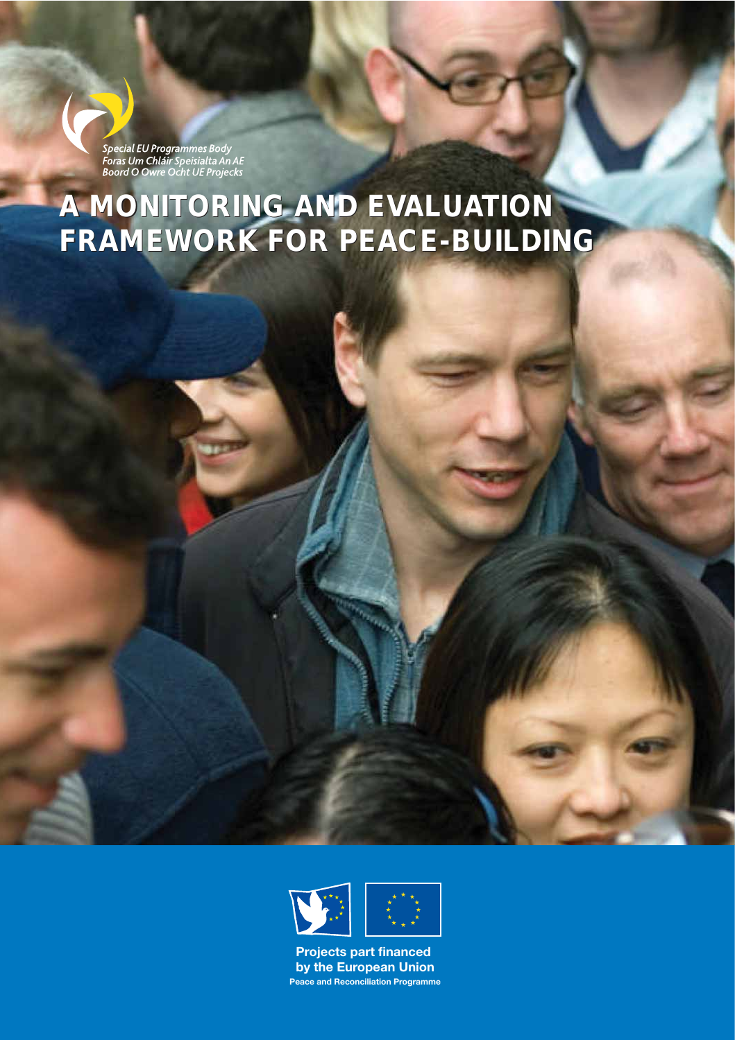Special EU Programmes Body<br>Foras Um Chláir Speisialta An AE<br>Boord O Owre Ocht UE Projecks

# **A MONITORING AND EVALUATION FRAMEWORK FOR PEACE-BUILDING**



**Peace and Reconciliation Programme Projects part financed by the European Union**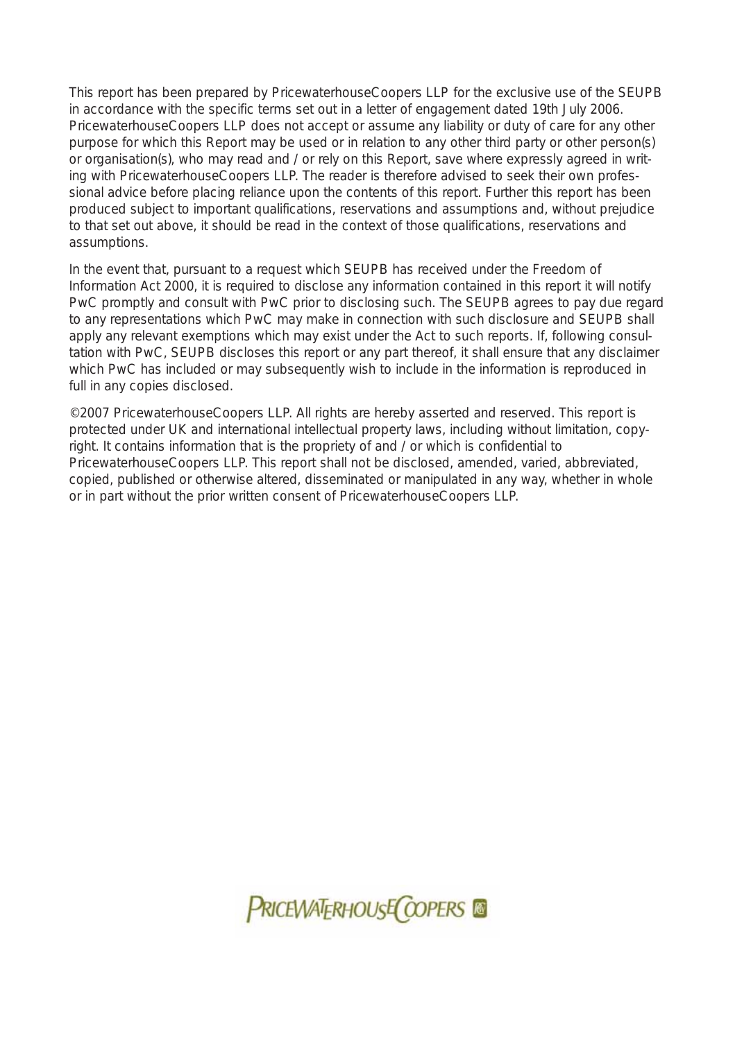This report has been prepared by PricewaterhouseCoopers LLP for the exclusive use of the SEUPB in accordance with the specific terms set out in a letter of engagement dated 19th July 2006. PricewaterhouseCoopers LLP does not accept or assume any liability or duty of care for any other purpose for which this Report may be used or in relation to any other third party or other person(s) or organisation(s), who may read and / or rely on this Report, save where expressly agreed in writing with PricewaterhouseCoopers LLP. The reader is therefore advised to seek their own professional advice before placing reliance upon the contents of this report. Further this report has been produced subject to important qualifications, reservations and assumptions and, without prejudice to that set out above, it should be read in the context of those qualifications, reservations and assumptions.

In the event that, pursuant to a request which SEUPB has received under the Freedom of Information Act 2000, it is required to disclose any information contained in this report it will notify PwC promptly and consult with PwC prior to disclosing such. The SEUPB agrees to pay due regard to any representations which PwC may make in connection with such disclosure and SEUPB shall apply any relevant exemptions which may exist under the Act to such reports. If, following consultation with PwC, SEUPB discloses this report or any part thereof, it shall ensure that any disclaimer which PwC has included or may subsequently wish to include in the information is reproduced in full in any copies disclosed.

©2007 PricewaterhouseCoopers LLP. All rights are hereby asserted and reserved. This report is protected under UK and international intellectual property laws, including without limitation, copyright. It contains information that is the propriety of and / or which is confidential to PricewaterhouseCoopers LLP. This report shall not be disclosed, amended, varied, abbreviated, copied, published or otherwise altered, disseminated or manipulated in any way, whether in whole or in part without the prior written consent of PricewaterhouseCoopers LLP.

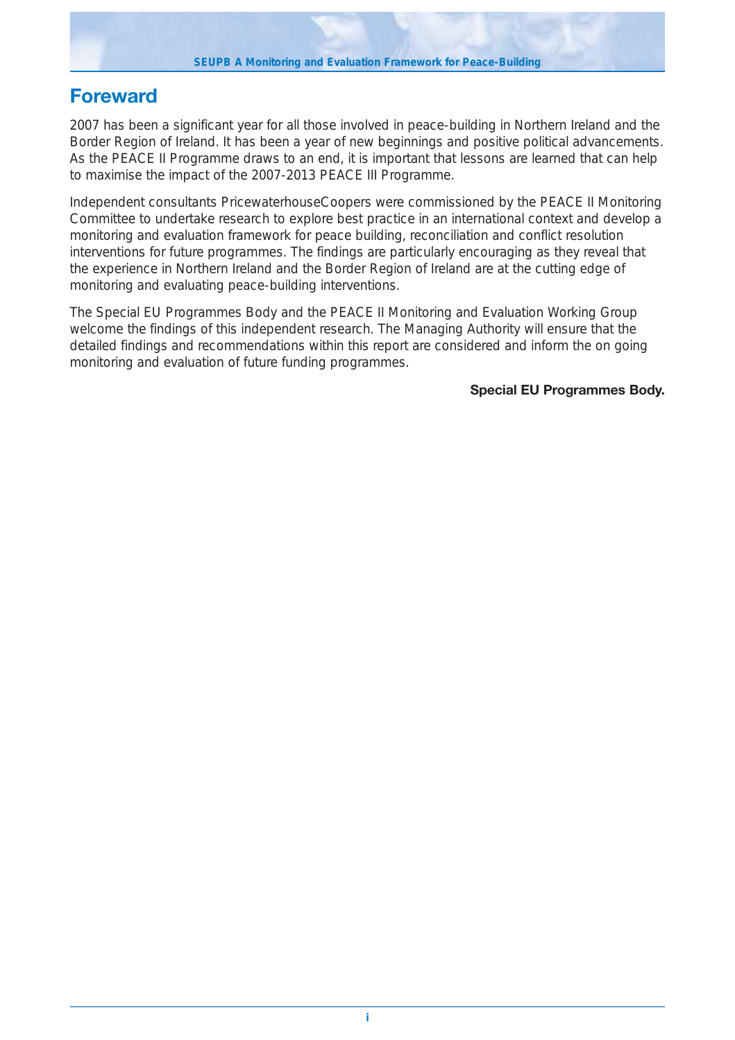## **Foreward**

2007 has been a significant year for all those involved in peace-building in Northern Ireland and the Border Region of Ireland. It has been a year of new beginnings and positive political advancements. As the PEACE II Programme draws to an end, it is important that lessons are learned that can help to maximise the impact of the 2007-2013 PEACE III Programme.

Independent consultants PricewaterhouseCoopers were commissioned by the PEACE II Monitoring Committee to undertake research to explore best practice in an international context and develop a monitoring and evaluation framework for peace building, reconciliation and conflict resolution interventions for future programmes. The findings are particularly encouraging as they reveal that the experience in Northern Ireland and the Border Region of Ireland are at the cutting edge of monitoring and evaluating peace-building interventions.

The Special EU Programmes Body and the PEACE II Monitoring and Evaluation Working Group welcome the findings of this independent research. The Managing Authority will ensure that the detailed findings and recommendations within this report are considered and inform the on going monitoring and evaluation of future funding programmes.

**Special EU Programmes Body.**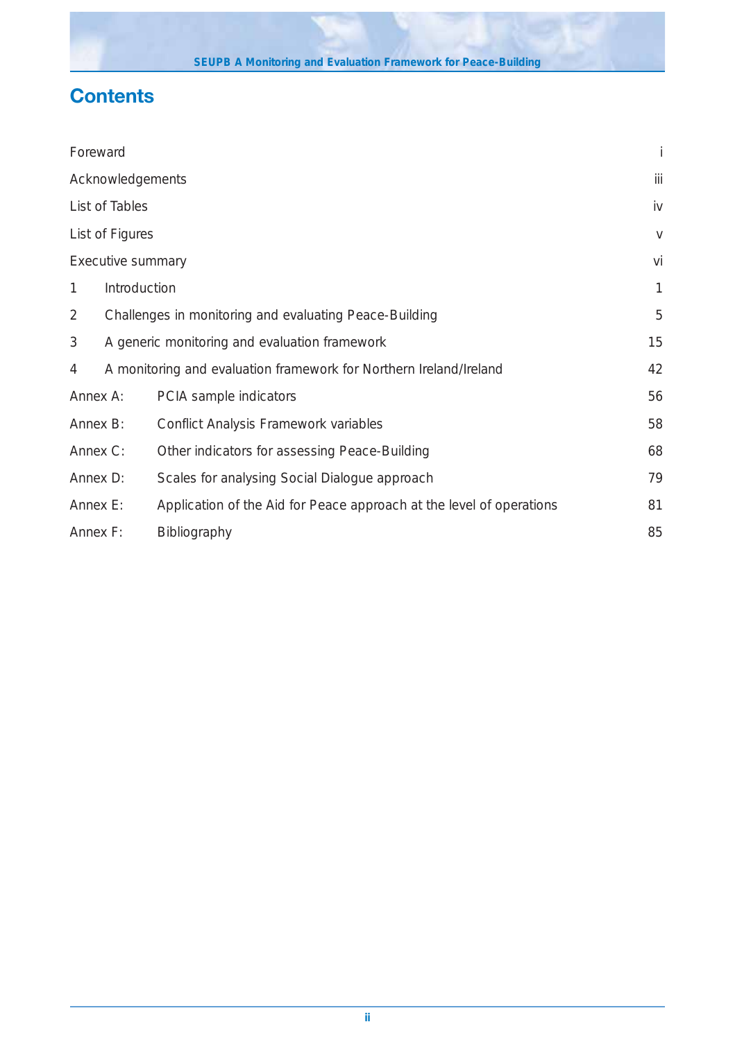# **Contents**

| Foreward                                                                |                                                        |                                                                      | İ      |
|-------------------------------------------------------------------------|--------------------------------------------------------|----------------------------------------------------------------------|--------|
| Acknowledgements                                                        |                                                        |                                                                      | iii    |
| List of Tables                                                          |                                                        | iv                                                                   |        |
| List of Figures                                                         |                                                        |                                                                      | $\vee$ |
| Executive summary                                                       |                                                        |                                                                      | vi     |
| 1                                                                       | Introduction                                           |                                                                      | 1      |
| $\overline{2}$                                                          | Challenges in monitoring and evaluating Peace-Building |                                                                      |        |
| 3<br>A generic monitoring and evaluation framework                      |                                                        | 15                                                                   |        |
| A monitoring and evaluation framework for Northern Ireland/Ireland<br>4 |                                                        | 42                                                                   |        |
| Annex A:                                                                |                                                        | PCIA sample indicators                                               | 56     |
| Annex B:                                                                |                                                        | Conflict Analysis Framework variables                                | 58     |
| Annex C:                                                                |                                                        | Other indicators for assessing Peace-Building                        | 68     |
| Annex D:                                                                |                                                        | Scales for analysing Social Dialogue approach                        | 79     |
| Annex E:                                                                |                                                        | Application of the Aid for Peace approach at the level of operations | 81     |
| Annex F:                                                                |                                                        | Bibliography                                                         | 85     |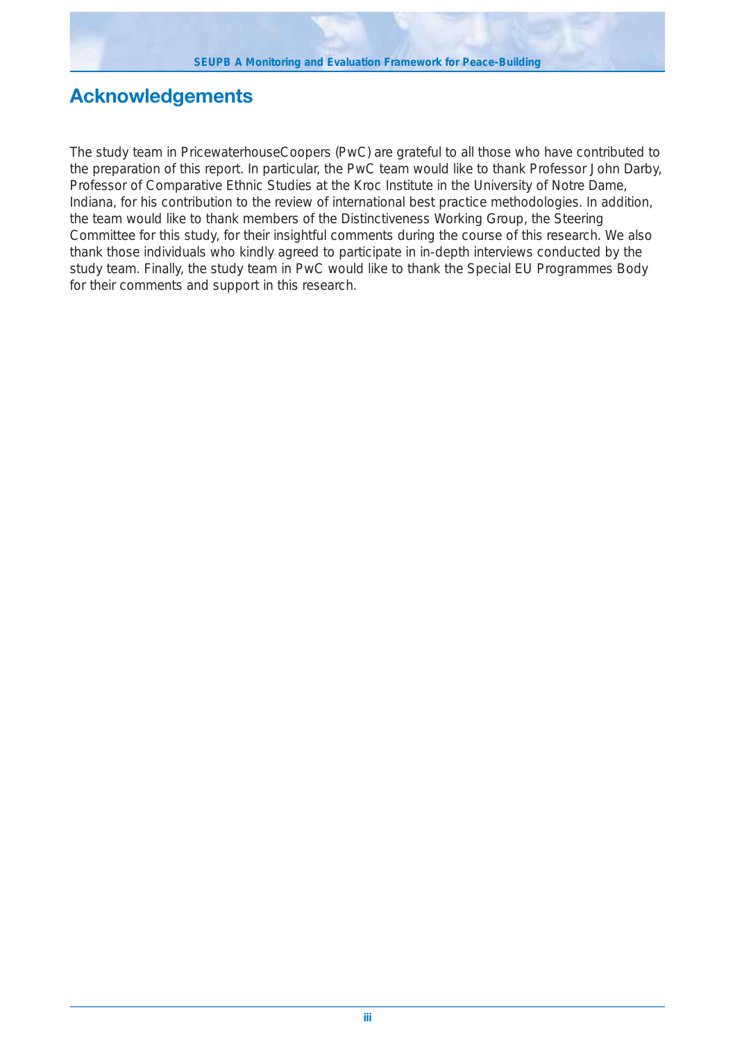# **Acknowledgements**

The study team in PricewaterhouseCoopers (PwC) are grateful to all those who have contributed to the preparation of this report. In particular, the PwC team would like to thank Professor John Darby, Professor of Comparative Ethnic Studies at the Kroc Institute in the University of Notre Dame, Indiana, for his contribution to the review of international best practice methodologies. In addition, the team would like to thank members of the Distinctiveness Working Group, the Steering Committee for this study, for their insightful comments during the course of this research. We also thank those individuals who kindly agreed to participate in in-depth interviews conducted by the study team. Finally, the study team in PwC would like to thank the Special EU Programmes Body for their comments and support in this research.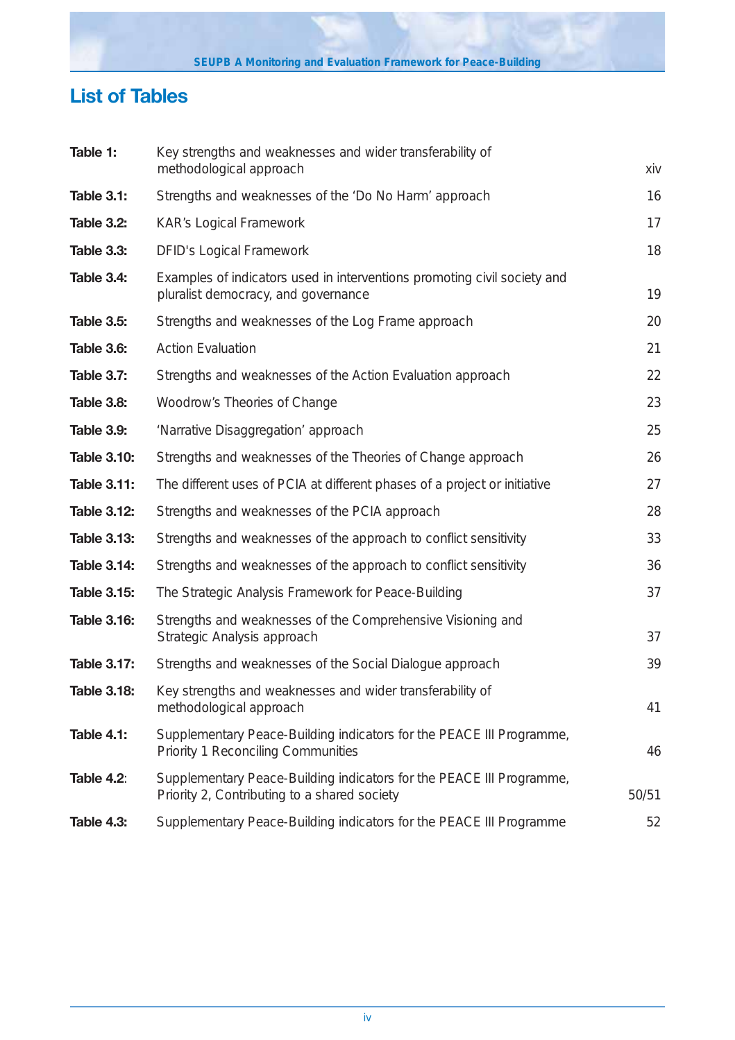# **List of Tables**

| Table 1:           | Key strengths and weaknesses and wider transferability of                                                            |       |
|--------------------|----------------------------------------------------------------------------------------------------------------------|-------|
|                    | methodological approach                                                                                              | xiv   |
| <b>Table 3.1:</b>  | Strengths and weaknesses of the 'Do No Harm' approach                                                                | 16    |
| Table 3.2:         | <b>KAR's Logical Framework</b>                                                                                       | 17    |
| <b>Table 3.3:</b>  | <b>DFID's Logical Framework</b>                                                                                      | 18    |
| Table 3.4:         | Examples of indicators used in interventions promoting civil society and<br>pluralist democracy, and governance      | 19    |
| <b>Table 3.5:</b>  | Strengths and weaknesses of the Log Frame approach                                                                   | 20    |
| <b>Table 3.6:</b>  | <b>Action Evaluation</b>                                                                                             | 21    |
| Table 3.7:         | Strengths and weaknesses of the Action Evaluation approach                                                           | 22    |
| <b>Table 3.8:</b>  | Woodrow's Theories of Change                                                                                         | 23    |
| <b>Table 3.9:</b>  | 'Narrative Disaggregation' approach                                                                                  | 25    |
| <b>Table 3.10:</b> | Strengths and weaknesses of the Theories of Change approach                                                          | 26    |
| <b>Table 3.11:</b> | The different uses of PCIA at different phases of a project or initiative                                            | 27    |
| <b>Table 3.12:</b> | Strengths and weaknesses of the PCIA approach                                                                        | 28    |
| <b>Table 3.13:</b> | Strengths and weaknesses of the approach to conflict sensitivity                                                     | 33    |
| <b>Table 3.14:</b> | Strengths and weaknesses of the approach to conflict sensitivity                                                     | 36    |
| <b>Table 3.15:</b> | The Strategic Analysis Framework for Peace-Building                                                                  | 37    |
| <b>Table 3.16:</b> | Strengths and weaknesses of the Comprehensive Visioning and<br>Strategic Analysis approach                           | 37    |
| <b>Table 3.17:</b> | Strengths and weaknesses of the Social Dialogue approach                                                             | 39    |
| <b>Table 3.18:</b> | Key strengths and weaknesses and wider transferability of<br>methodological approach                                 | 41    |
| <b>Table 4.1:</b>  | Supplementary Peace-Building indicators for the PEACE III Programme,<br><b>Priority 1 Reconciling Communities</b>    | 46    |
| <b>Table 4.2:</b>  | Supplementary Peace-Building indicators for the PEACE III Programme,<br>Priority 2, Contributing to a shared society | 50/51 |
| <b>Table 4.3:</b>  | Supplementary Peace-Building indicators for the PEACE III Programme                                                  | 52    |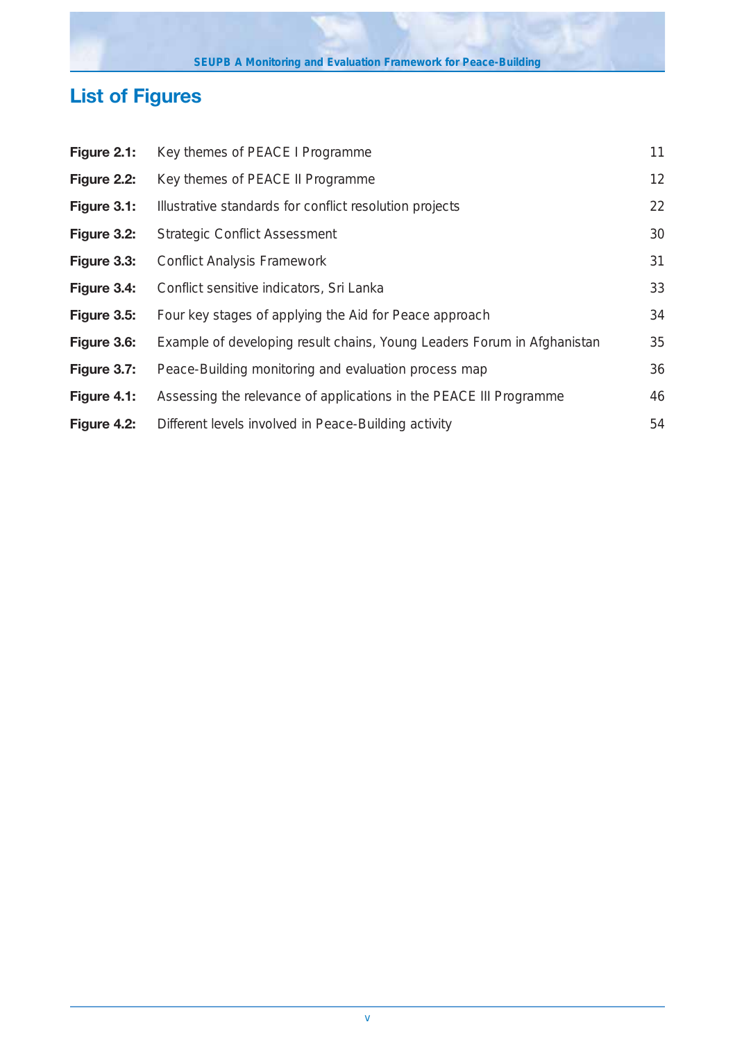# **List of Figures**

| Figure 2.1: | Key themes of PEACE I Programme                                         | 11 |
|-------------|-------------------------------------------------------------------------|----|
| Figure 2.2: | Key themes of PEACE II Programme                                        | 12 |
| Figure 3.1: | Illustrative standards for conflict resolution projects                 | 22 |
| Figure 3.2: | <b>Strategic Conflict Assessment</b>                                    | 30 |
| Figure 3.3: | <b>Conflict Analysis Framework</b>                                      | 31 |
| Figure 3.4: | Conflict sensitive indicators, Sri Lanka                                | 33 |
| Figure 3.5: | Four key stages of applying the Aid for Peace approach                  | 34 |
| Figure 3.6: | Example of developing result chains, Young Leaders Forum in Afghanistan | 35 |
| Figure 3.7: | Peace-Building monitoring and evaluation process map                    | 36 |
| Figure 4.1: | Assessing the relevance of applications in the PEACE III Programme      | 46 |
| Figure 4.2: | Different levels involved in Peace-Building activity                    | 54 |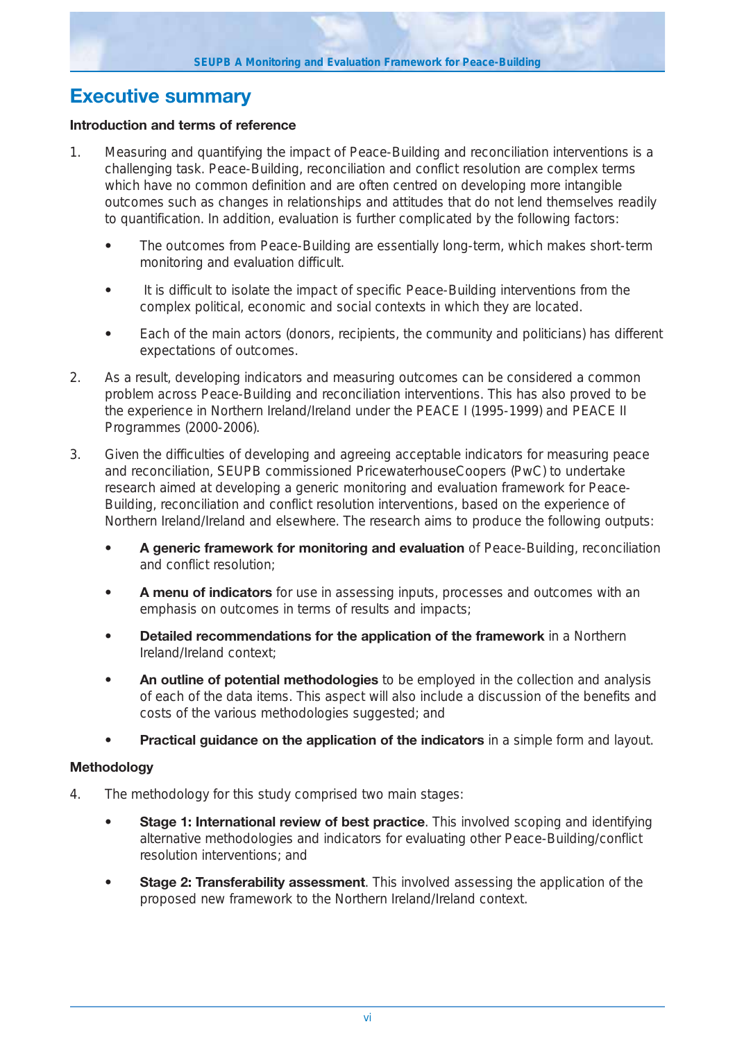## **Executive summary**

#### **Introduction and terms of reference**

- 1. Measuring and quantifying the impact of Peace-Building and reconciliation interventions is a challenging task. Peace-Building, reconciliation and conflict resolution are complex terms which have no common definition and are often centred on developing more intangible outcomes such as changes in relationships and attitudes that do not lend themselves readily to quantification. In addition, evaluation is further complicated by the following factors:
	- **•** The outcomes from Peace-Building are essentially long-term, which makes short-term monitoring and evaluation difficult.
	- **•** It is difficult to isolate the impact of specific Peace-Building interventions from the complex political, economic and social contexts in which they are located.
	- **•** Each of the main actors (donors, recipients, the community and politicians) has different expectations of outcomes.
- 2. As a result, developing indicators and measuring outcomes can be considered a common problem across Peace-Building and reconciliation interventions. This has also proved to be the experience in Northern Ireland/Ireland under the PEACE I (1995-1999) and PEACE II Programmes (2000-2006).
- 3. Given the difficulties of developing and agreeing acceptable indicators for measuring peace and reconciliation, SEUPB commissioned PricewaterhouseCoopers (PwC) to undertake research aimed at developing a generic monitoring and evaluation framework for Peace-Building, reconciliation and conflict resolution interventions, based on the experience of Northern Ireland/Ireland and elsewhere. The research aims to produce the following outputs:
	- **A generic framework for monitoring and evaluation** of Peace-Building, reconciliation and conflict resolution;
	- **A menu of indicators** for use in assessing inputs, processes and outcomes with an emphasis on outcomes in terms of results and impacts;
	- **Detailed recommendations for the application of the framework** in a Northern Ireland/Ireland context;
	- **An outline of potential methodologies** to be employed in the collection and analysis of each of the data items. This aspect will also include a discussion of the benefits and costs of the various methodologies suggested; and
	- **Practical guidance on the application of the indicators** in a simple form and layout.

## **Methodology**

- 4. The methodology for this study comprised two main stages:
	- **Stage 1: International review of best practice**. This involved scoping and identifying alternative methodologies and indicators for evaluating other Peace-Building/conflict resolution interventions; and
	- **Stage 2: Transferability assessment**. This involved assessing the application of the proposed new framework to the Northern Ireland/Ireland context.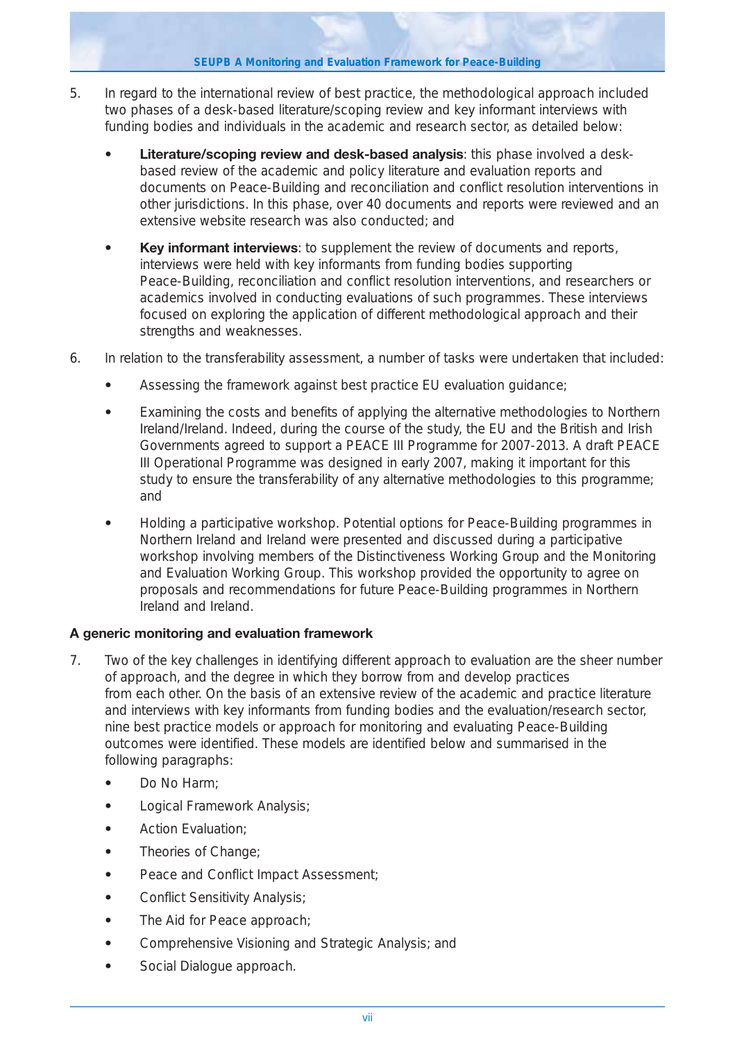**SEUPB A Monitoring and Evaluation Framework for Peace-Building** 

- 5. In regard to the international review of best practice, the methodological approach included two phases of a desk-based literature/scoping review and key informant interviews with funding bodies and individuals in the academic and research sector, as detailed below:
	- **Literature/scoping review and desk-based analysis**: this phase involved a deskbased review of the academic and policy literature and evaluation reports and documents on Peace-Building and reconciliation and conflict resolution interventions in other jurisdictions. In this phase, over 40 documents and reports were reviewed and an extensive website research was also conducted; and
	- **Key informant interviews**: to supplement the review of documents and reports, interviews were held with key informants from funding bodies supporting Peace-Building, reconciliation and conflict resolution interventions, and researchers or academics involved in conducting evaluations of such programmes. These interviews focused on exploring the application of different methodological approach and their strengths and weaknesses.
- 6. In relation to the transferability assessment, a number of tasks were undertaken that included:
	- **•** Assessing the framework against best practice EU evaluation guidance;
	- **•** Examining the costs and benefits of applying the alternative methodologies to Northern Ireland/Ireland. Indeed, during the course of the study, the EU and the British and Irish Governments agreed to support a PEACE III Programme for 2007-2013. A draft PEACE III Operational Programme was designed in early 2007, making it important for this study to ensure the transferability of any alternative methodologies to this programme; and
	- **•** Holding a participative workshop. Potential options for Peace-Building programmes in Northern Ireland and Ireland were presented and discussed during a participative workshop involving members of the Distinctiveness Working Group and the Monitoring and Evaluation Working Group. This workshop provided the opportunity to agree on proposals and recommendations for future Peace-Building programmes in Northern Ireland and Ireland.

## **A generic monitoring and evaluation framework**

- 7. Two of the key challenges in identifying different approach to evaluation are the sheer number of approach, and the degree in which they borrow from and develop practices from each other. On the basis of an extensive review of the academic and practice literature and interviews with key informants from funding bodies and the evaluation/research sector, nine best practice models or approach for monitoring and evaluating Peace-Building outcomes were identified. These models are identified below and summarised in the following paragraphs:
	- **•** Do No Harm;
	- **•** Logical Framework Analysis;
	- **•** Action Evaluation;
	- **•** Theories of Change;
	- **•** Peace and Conflict Impact Assessment;
	- **•** Conflict Sensitivity Analysis;
	- **•** The Aid for Peace approach;
	- **•** Comprehensive Visioning and Strategic Analysis; and
	- **•** Social Dialogue approach.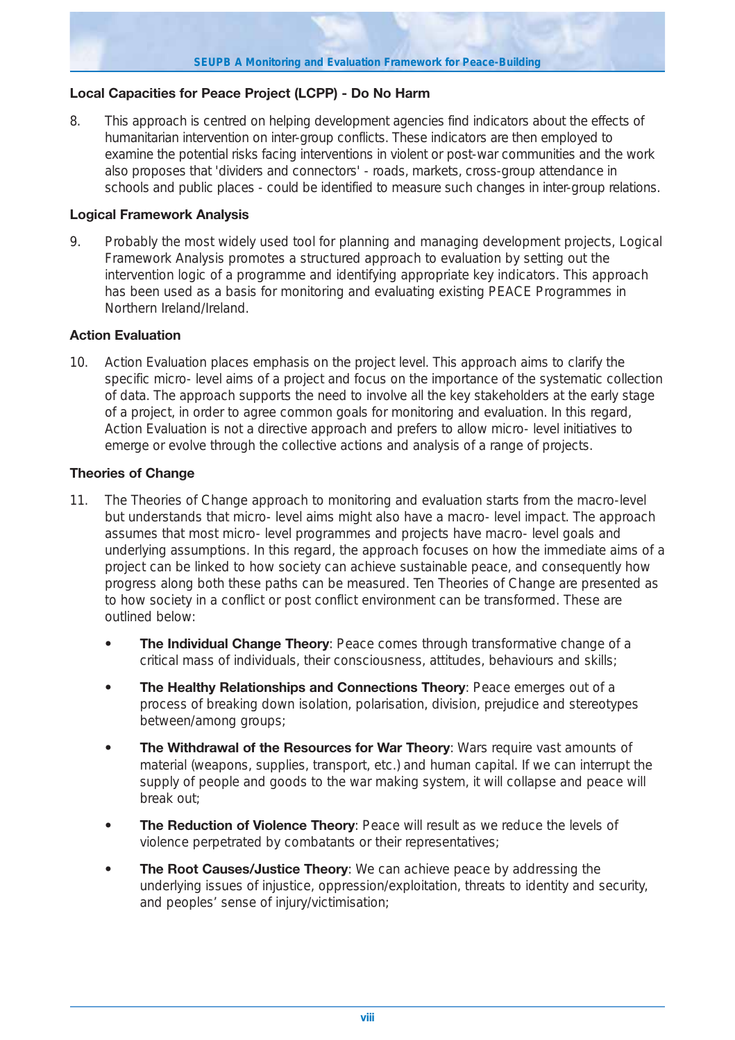## **Local Capacities for Peace Project (LCPP) - Do No Harm**

8. This approach is centred on helping development agencies find indicators about the effects of humanitarian intervention on inter-group conflicts. These indicators are then employed to examine the potential risks facing interventions in violent or post-war communities and the work also proposes that 'dividers and connectors' - roads, markets, cross-group attendance in schools and public places - could be identified to measure such changes in inter-group relations.

#### **Logical Framework Analysis**

9. Probably the most widely used tool for planning and managing development projects, Logical Framework Analysis promotes a structured approach to evaluation by setting out the intervention logic of a programme and identifying appropriate key indicators. This approach has been used as a basis for monitoring and evaluating existing PEACE Programmes in Northern Ireland/Ireland.

#### **Action Evaluation**

10. Action Evaluation places emphasis on the project level. This approach aims to clarify the specific micro- level aims of a project and focus on the importance of the systematic collection of data. The approach supports the need to involve all the key stakeholders at the early stage of a project, in order to agree common goals for monitoring and evaluation. In this regard, Action Evaluation is not a directive approach and prefers to allow micro- level initiatives to emerge or evolve through the collective actions and analysis of a range of projects.

#### **Theories of Change**

- 11. The Theories of Change approach to monitoring and evaluation starts from the macro-level but understands that micro- level aims might also have a macro- level impact. The approach assumes that most micro- level programmes and projects have macro- level goals and underlying assumptions. In this regard, the approach focuses on how the immediate aims of a project can be linked to how society can achieve sustainable peace, and consequently how progress along both these paths can be measured. Ten Theories of Change are presented as to how society in a conflict or post conflict environment can be transformed. These are outlined below:
	- **The Individual Change Theory:** Peace comes through transformative change of a critical mass of individuals, their consciousness, attitudes, behaviours and skills;
	- **The Healthy Relationships and Connections Theory: Peace emerges out of a** process of breaking down isolation, polarisation, division, prejudice and stereotypes between/among groups;
	- **The Withdrawal of the Resources for War Theory: Wars require vast amounts of** material (weapons, supplies, transport, etc.) and human capital. If we can interrupt the supply of people and goods to the war making system, it will collapse and peace will break out;
	- **The Reduction of Violence Theory: Peace will result as we reduce the levels of** violence perpetrated by combatants or their representatives;
	- **The Root Causes/Justice Theory:** We can achieve peace by addressing the underlying issues of injustice, oppression/exploitation, threats to identity and security, and peoples' sense of injury/victimisation;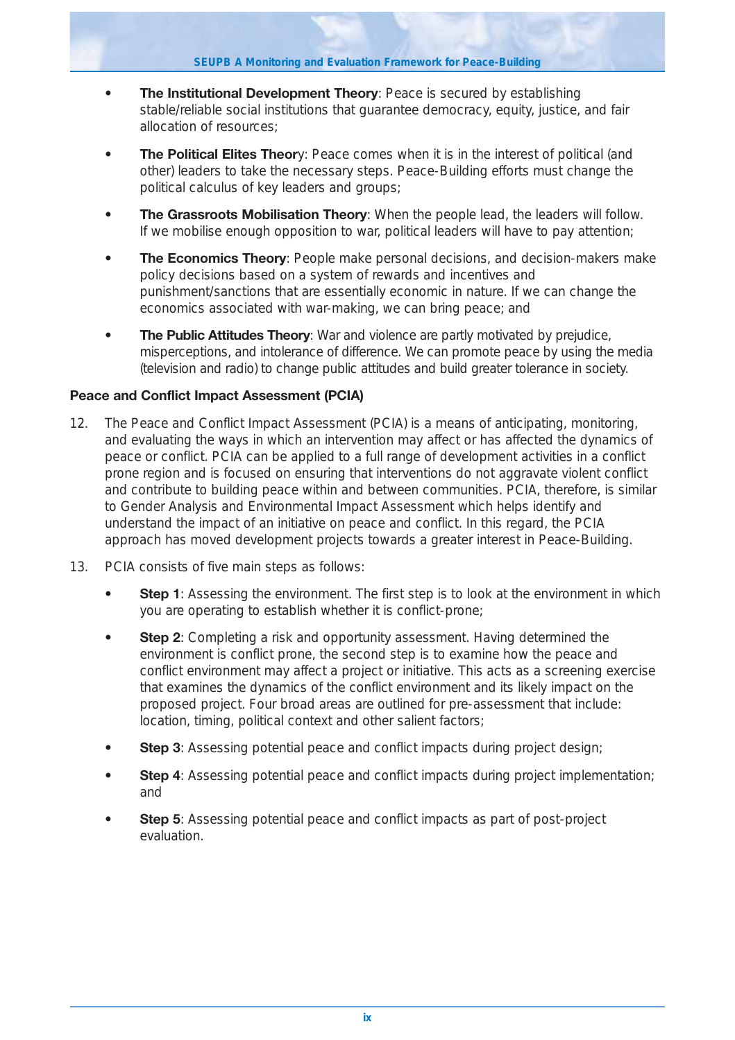- **The Institutional Development Theory: Peace is secured by establishing** stable/reliable social institutions that guarantee democracy, equity, justice, and fair allocation of resources;
- **The Political Elites Theory:** Peace comes when it is in the interest of political (and other) leaders to take the necessary steps. Peace-Building efforts must change the political calculus of key leaders and groups;
- **The Grassroots Mobilisation Theory**: When the people lead, the leaders will follow. If we mobilise enough opposition to war, political leaders will have to pay attention;
- **The Economics Theory**: People make personal decisions, and decision-makers make policy decisions based on a system of rewards and incentives and punishment/sanctions that are essentially economic in nature. If we can change the economics associated with war-making, we can bring peace; and
- **The Public Attitudes Theory**: War and violence are partly motivated by prejudice, misperceptions, and intolerance of difference. We can promote peace by using the media (television and radio) to change public attitudes and build greater tolerance in society.

## **Peace and Conflict Impact Assessment (PCIA)**

- 12. The Peace and Conflict Impact Assessment (PCIA) is a means of anticipating, monitoring, and evaluating the ways in which an intervention may affect or has affected the dynamics of peace or conflict. PCIA can be applied to a full range of development activities in a conflict prone region and is focused on ensuring that interventions do not aggravate violent conflict and contribute to building peace within and between communities. PCIA, therefore, is similar to Gender Analysis and Environmental Impact Assessment which helps identify and understand the impact of an initiative on peace and conflict. In this regard, the PCIA approach has moved development projects towards a greater interest in Peace-Building.
- 13. PCIA consists of five main steps as follows:
	- **Step 1**: Assessing the environment. The first step is to look at the environment in which you are operating to establish whether it is conflict-prone;
	- **Step 2**: Completing a risk and opportunity assessment. Having determined the environment is conflict prone, the second step is to examine how the peace and conflict environment may affect a project or initiative. This acts as a screening exercise that examines the dynamics of the conflict environment and its likely impact on the proposed project. Four broad areas are outlined for pre-assessment that include: location, timing, political context and other salient factors;
	- **Step 3**: Assessing potential peace and conflict impacts during project design;
	- **Step 4**: Assessing potential peace and conflict impacts during project implementation; and
	- **Step 5**: Assessing potential peace and conflict impacts as part of post-project evaluation.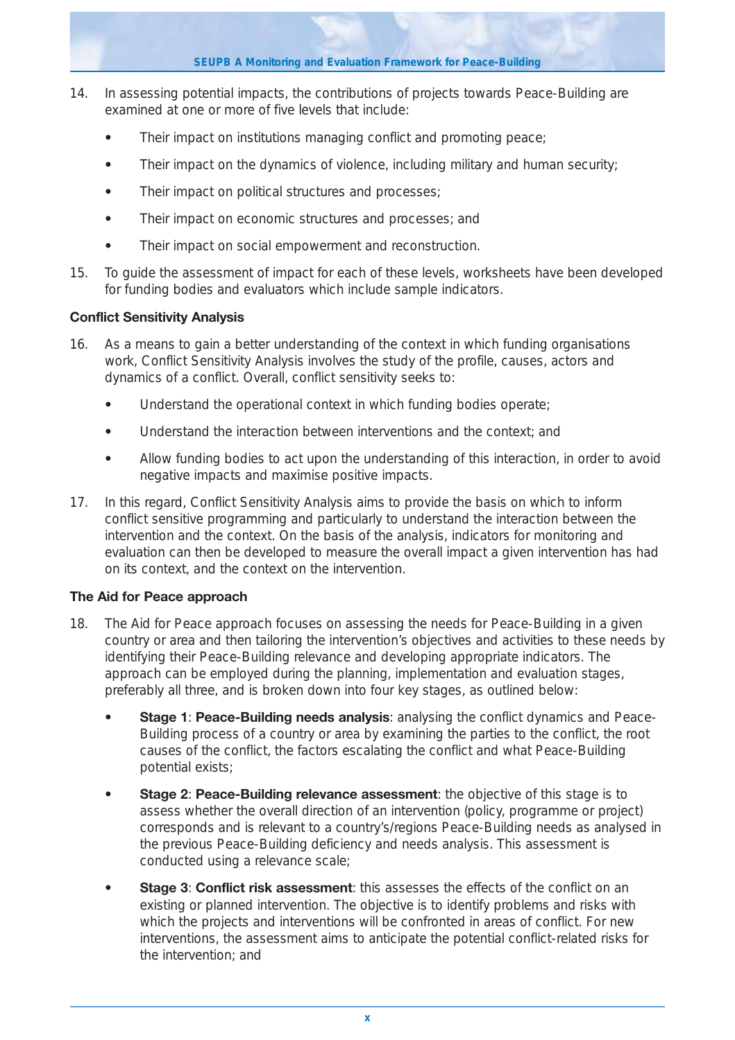**SEUPB A Monitoring and Evaluation Framework for Peace-Building**

- 14. In assessing potential impacts, the contributions of projects towards Peace-Building are examined at one or more of five levels that include:
	- **•** Their impact on institutions managing conflict and promoting peace;
	- **•** Their impact on the dynamics of violence, including military and human security;
	- **•** Their impact on political structures and processes;
	- **•** Their impact on economic structures and processes; and
	- **•** Their impact on social empowerment and reconstruction.
- 15. To guide the assessment of impact for each of these levels, worksheets have been developed for funding bodies and evaluators which include sample indicators.

## **Conflict Sensitivity Analysis**

- 16. As a means to gain a better understanding of the context in which funding organisations work, Conflict Sensitivity Analysis involves the study of the profile, causes, actors and dynamics of a conflict. Overall, conflict sensitivity seeks to:
	- **•** Understand the operational context in which funding bodies operate;
	- **•** Understand the interaction between interventions and the context; and
	- **•** Allow funding bodies to act upon the understanding of this interaction, in order to avoid negative impacts and maximise positive impacts.
- 17. In this regard, Conflict Sensitivity Analysis aims to provide the basis on which to inform conflict sensitive programming and particularly to understand the interaction between the intervention and the context. On the basis of the analysis, indicators for monitoring and evaluation can then be developed to measure the overall impact a given intervention has had on its context, and the context on the intervention.

## **The Aid for Peace approach**

- 18. The Aid for Peace approach focuses on assessing the needs for Peace-Building in a given country or area and then tailoring the intervention's objectives and activities to these needs by identifying their Peace-Building relevance and developing appropriate indicators. The approach can be employed during the planning, implementation and evaluation stages, preferably all three, and is broken down into four key stages, as outlined below:
	- **Stage 1**: **Peace-Building needs analysis**: analysing the conflict dynamics and Peace-Building process of a country or area by examining the parties to the conflict, the root causes of the conflict, the factors escalating the conflict and what Peace-Building potential exists;
	- **Stage 2**: **Peace-Building relevance assessment**: the objective of this stage is to assess whether the overall direction of an intervention (policy, programme or project) corresponds and is relevant to a country's/regions Peace-Building needs as analysed in the previous Peace-Building deficiency and needs analysis. This assessment is conducted using a relevance scale;
	- **Stage 3: Conflict risk assessment:** this assesses the effects of the conflict on an existing or planned intervention. The objective is to identify problems and risks with which the projects and interventions will be confronted in areas of conflict. For new interventions, the assessment aims to anticipate the potential conflict-related risks for the intervention; and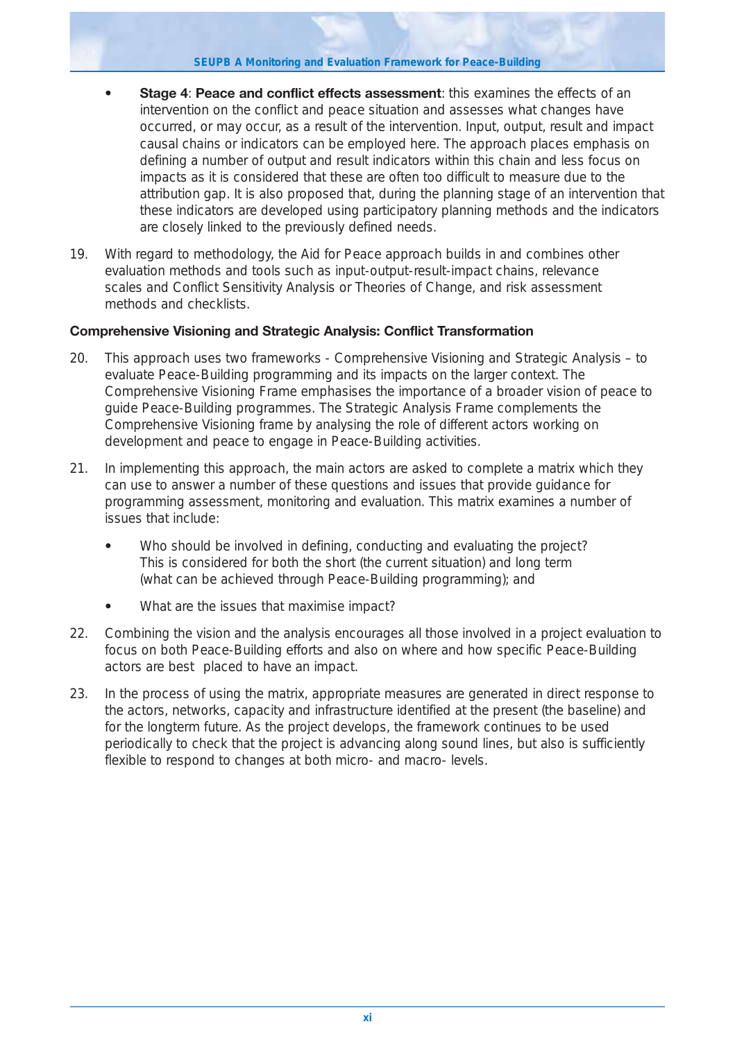- **Stage 4**: **Peace and conflict effects assessment**: this examines the effects of an intervention on the conflict and peace situation and assesses what changes have occurred, or may occur, as a result of the intervention. Input, output, result and impact causal chains or indicators can be employed here. The approach places emphasis on defining a number of output and result indicators within this chain and less focus on impacts as it is considered that these are often too difficult to measure due to the attribution gap. It is also proposed that, during the planning stage of an intervention that these indicators are developed using participatory planning methods and the indicators are closely linked to the previously defined needs.
- 19. With regard to methodology, the Aid for Peace approach builds in and combines other evaluation methods and tools such as input-output-result-impact chains, relevance scales and Conflict Sensitivity Analysis or Theories of Change, and risk assessment methods and checklists.

## **Comprehensive Visioning and Strategic Analysis: Conflict Transformation**

- 20. This approach uses two frameworks Comprehensive Visioning and Strategic Analysis to evaluate Peace-Building programming and its impacts on the larger context. The Comprehensive Visioning Frame emphasises the importance of a broader vision of peace to guide Peace-Building programmes. The Strategic Analysis Frame complements the Comprehensive Visioning frame by analysing the role of different actors working on development and peace to engage in Peace-Building activities.
- 21. In implementing this approach, the main actors are asked to complete a matrix which they can use to answer a number of these questions and issues that provide guidance for programming assessment, monitoring and evaluation. This matrix examines a number of issues that include:
	- **•** Who should be involved in defining, conducting and evaluating the project? This is considered for both the short (the current situation) and long term (what can be achieved through Peace-Building programming); and
	- **•** What are the issues that maximise impact?
- 22. Combining the vision and the analysis encourages all those involved in a project evaluation to focus on both Peace-Building efforts and also on where and how specific Peace-Building actors are best placed to have an impact.
- 23. In the process of using the matrix, appropriate measures are generated in direct response to the actors, networks, capacity and infrastructure identified at the present (the baseline) and for the longterm future. As the project develops, the framework continues to be used periodically to check that the project is advancing along sound lines, but also is sufficiently flexible to respond to changes at both micro- and macro- levels.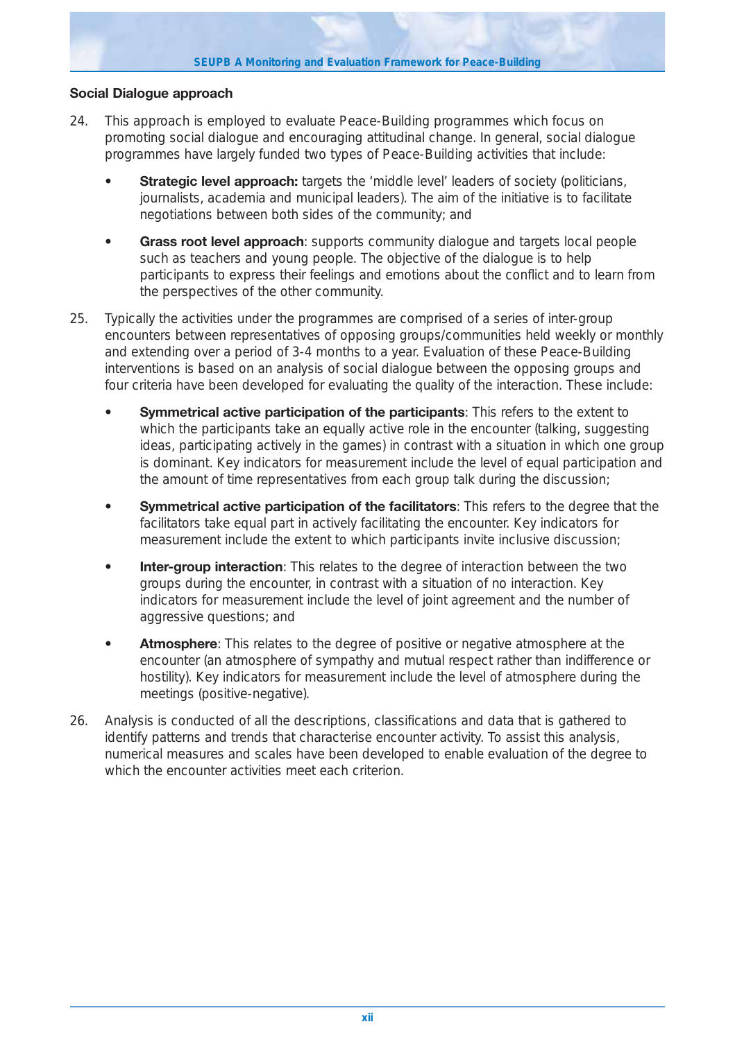#### **Social Dialogue approach**

- 24. This approach is employed to evaluate Peace-Building programmes which focus on promoting social dialogue and encouraging attitudinal change. In general, social dialogue programmes have largely funded two types of Peace-Building activities that include:
	- **Strategic level approach:** targets the 'middle level' leaders of society (politicians, journalists, academia and municipal leaders). The aim of the initiative is to facilitate negotiations between both sides of the community; and
	- **Grass root level approach**: supports community dialogue and targets local people such as teachers and young people. The objective of the dialogue is to help participants to express their feelings and emotions about the conflict and to learn from the perspectives of the other community.
- 25. Typically the activities under the programmes are comprised of a series of inter-group encounters between representatives of opposing groups/communities held weekly or monthly and extending over a period of 3-4 months to a year. Evaluation of these Peace-Building interventions is based on an analysis of social dialogue between the opposing groups and four criteria have been developed for evaluating the quality of the interaction. These include:
	- **Symmetrical active participation of the participants**: This refers to the extent to which the participants take an equally active role in the encounter (talking, suggesting ideas, participating actively in the games) in contrast with a situation in which one group is dominant. Key indicators for measurement include the level of equal participation and the amount of time representatives from each group talk during the discussion;
	- **Symmetrical active participation of the facilitators**: This refers to the degree that the facilitators take equal part in actively facilitating the encounter. Key indicators for measurement include the extent to which participants invite inclusive discussion;
	- **Inter-group interaction**: This relates to the degree of interaction between the two groups during the encounter, in contrast with a situation of no interaction. Key indicators for measurement include the level of joint agreement and the number of aggressive questions; and
	- **Atmosphere**: This relates to the degree of positive or negative atmosphere at the encounter (an atmosphere of sympathy and mutual respect rather than indifference or hostility). Key indicators for measurement include the level of atmosphere during the meetings (positive-negative).
- 26. Analysis is conducted of all the descriptions, classifications and data that is gathered to identify patterns and trends that characterise encounter activity. To assist this analysis, numerical measures and scales have been developed to enable evaluation of the degree to which the encounter activities meet each criterion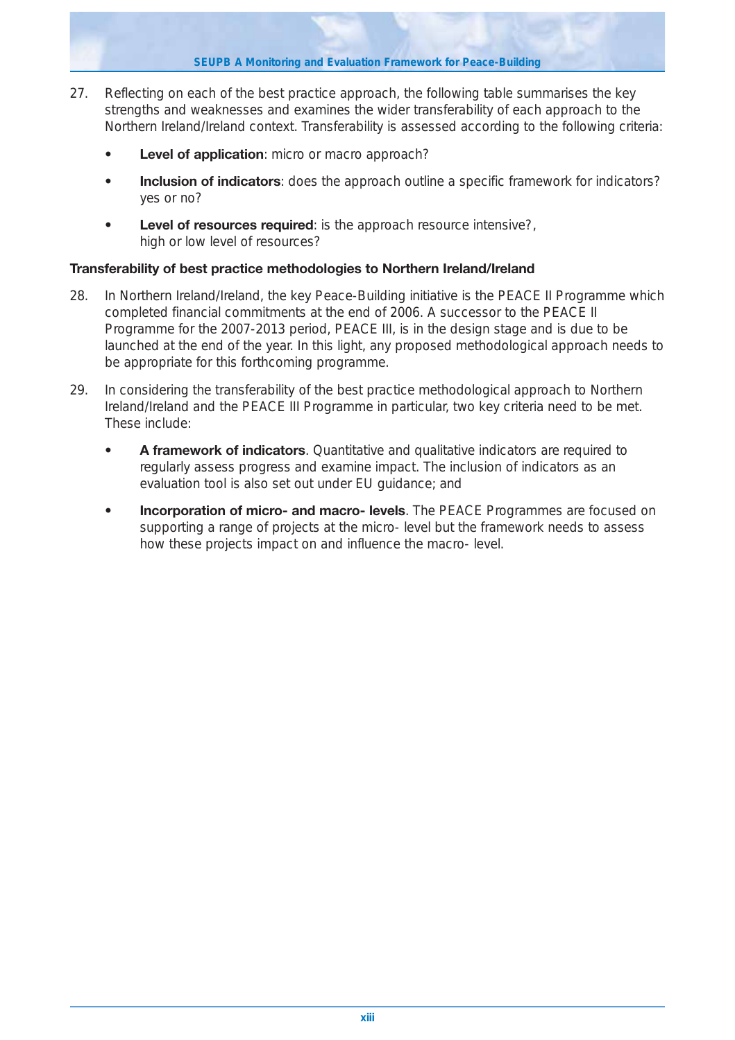**SEUPB A Monitoring and Evaluation Framework for Peace-Building**

- 27. Reflecting on each of the best practice approach, the following table summarises the key strengths and weaknesses and examines the wider transferability of each approach to the Northern Ireland/Ireland context. Transferability is assessed according to the following criteria:
	- **Level of application**: micro or macro approach?
	- **Inclusion of indicators**: does the approach outline a specific framework for indicators? yes or no?
	- **Level of resources required**: is the approach resource intensive?, high or low level of resources?

## **Transferability of best practice methodologies to Northern Ireland/Ireland**

- 28. In Northern Ireland/Ireland, the key Peace-Building initiative is the PEACE II Programme which completed financial commitments at the end of 2006. A successor to the PEACE II Programme for the 2007-2013 period, PEACE III, is in the design stage and is due to be launched at the end of the year. In this light, any proposed methodological approach needs to be appropriate for this forthcoming programme.
- 29. In considering the transferability of the best practice methodological approach to Northern Ireland/Ireland and the PEACE III Programme in particular, two key criteria need to be met. These include:
	- **A framework of indicators**. Quantitative and qualitative indicators are required to regularly assess progress and examine impact. The inclusion of indicators as an evaluation tool is also set out under EU guidance; and
	- **Incorporation of micro- and macro- levels**. The PEACE Programmes are focused on supporting a range of projects at the micro- level but the framework needs to assess how these projects impact on and influence the macro- level.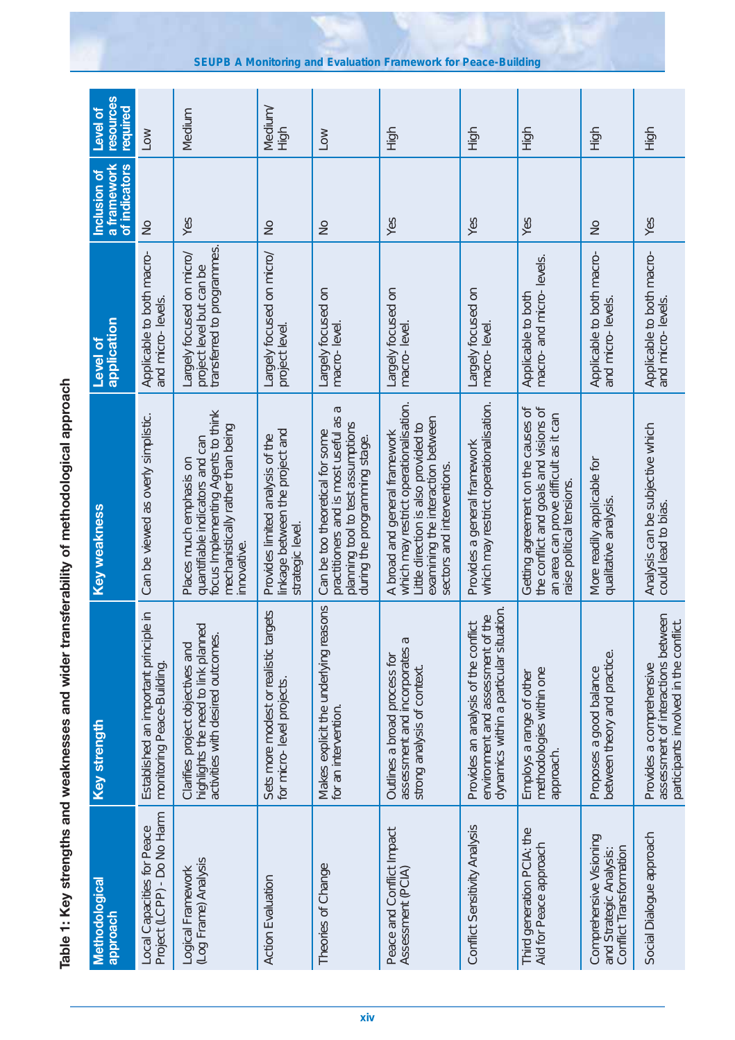| Methodological<br>doproach                                                    | Key strength                                                                                                        | Key weakness                                                                                                                                                                       | application<br><b>Level of</b>                                                      | a framework<br>of indicators<br>Inclusion of | resources<br>required<br><b>Level of</b> |
|-------------------------------------------------------------------------------|---------------------------------------------------------------------------------------------------------------------|------------------------------------------------------------------------------------------------------------------------------------------------------------------------------------|-------------------------------------------------------------------------------------|----------------------------------------------|------------------------------------------|
| Project (LCPP) - Do No Harm<br>Local Capacities for Peace                     | Established an important principle in<br>monitoring Peace-Building.                                                 | Can be viewed as overly simplistic.                                                                                                                                                | Applicable to both macro-<br>and micro-levels.                                      | $\frac{1}{2}$                                | Low                                      |
| (Log Frame) Analysis<br>Logical Framework                                     | highlights the need to link planned<br>activities with desired outcomes.<br>Clarifies project objectives and        | focus Implementing Agents to think<br>mechanistically rather than being<br>quantifiable indicators and can<br>Places much emphasis on<br>innovative.                               | transferred to programmes.<br>Largely focused on micro/<br>project level but can be | Yes                                          | Medium                                   |
| <b>Action Evaluation</b>                                                      | Sets more modest or realistic targets<br>for micro-level projects                                                   | inkage between the project and<br>Provides limited analysis of the<br>strategic level.                                                                                             | Largely focused on micro/<br>project level.                                         | $\frac{1}{2}$                                | Medium/<br>High                          |
| Theories of Change                                                            | Makes explicit the underlying reasons<br>for an intervention.                                                       | Б<br>practitioners and is most useful as<br>planning tool to test assumptions<br>Can be too theoretical for some<br>during the programming stage.                                  | Largely focused on<br>macro-level.                                                  | $\frac{1}{2}$                                | <b>NOT</b>                               |
| Peace and Conflict Impact<br>Assessment (PCIA)                                | assessment and incorporates a<br>Outlines a broad process for<br>strong analysis of context.                        | which may restrict operationalisation.<br>examining the interaction between<br>Little direction is also provided to<br>A broad and general framework<br>sectors and interventions. | Largely focused on<br>macro-level.                                                  | Yes                                          | High                                     |
| Conflict Sensitivity Analysis                                                 | dynamics within a particular situation<br>environment and assessment of the<br>Provides an analysis of the conflict | which may restrict operationalisation.<br>Provides a general framework                                                                                                             | Largely focused on<br>macro-level                                                   | Yes                                          | High                                     |
| Third generation PCIA: the<br>Aid for Peace approach                          | methodologies within one<br>Employs a range of other<br>approach.                                                   | the conflict and goals and visions of<br>Getting agreement on the causes of<br>an area can prove difficult as it can<br>raise political tensions                                   | macro- and micro- levels.<br>Applicable to both                                     | Yes                                          | High                                     |
| Comprehensive Visioning<br>Conflict Transformation<br>and Strategic Analysis: | between theory and practice.<br>Proposes a good balance                                                             | More readily applicable for<br>qualitative analysis.                                                                                                                               | Applicable to both macro-<br>and micro-levels.                                      | $\frac{1}{2}$                                | High                                     |
| Social Dialogue approach                                                      | assessment of interactions between<br>participants involved in the conflict.<br>Provides a comprehensive            | Analysis can be subjective which<br>could lead to bias                                                                                                                             | Applicable to both macro-<br>and micro-levels.                                      | Yes                                          | 동<br>도                                   |

Table 1: Key strengths and weaknesses and wider transferability of methodological approach **Table 1: Key strengths and weaknesses and wider transferability of methodological approach**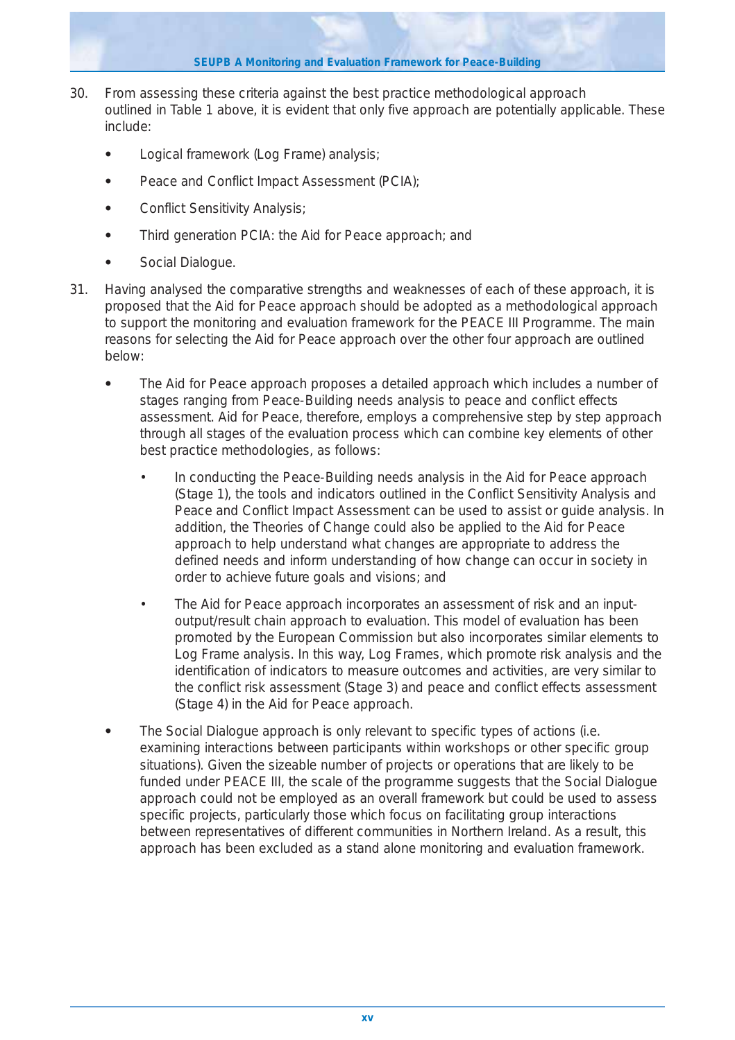**SEUPB A Monitoring and Evaluation Framework for Peace-Building**

- 30. From assessing these criteria against the best practice methodological approach outlined in Table 1 above, it is evident that only five approach are potentially applicable. These include:
	- **•** Logical framework (Log Frame) analysis;
	- Peace and Conflict Impact Assessment (PCIA);
	- **•** Conflict Sensitivity Analysis;
	- **•** Third generation PCIA: the Aid for Peace approach; and
	- **•** Social Dialogue.
- 31. Having analysed the comparative strengths and weaknesses of each of these approach, it is proposed that the Aid for Peace approach should be adopted as a methodological approach to support the monitoring and evaluation framework for the PEACE III Programme. The main reasons for selecting the Aid for Peace approach over the other four approach are outlined below:
	- **•** The Aid for Peace approach proposes a detailed approach which includes a number of stages ranging from Peace-Building needs analysis to peace and conflict effects assessment. Aid for Peace, therefore, employs a comprehensive step by step approach through all stages of the evaluation process which can combine key elements of other best practice methodologies, as follows:
		- In conducting the Peace-Building needs analysis in the Aid for Peace approach (Stage 1), the tools and indicators outlined in the Conflict Sensitivity Analysis and Peace and Conflict Impact Assessment can be used to assist or guide analysis. In addition, the Theories of Change could also be applied to the Aid for Peace approach to help understand what changes are appropriate to address the defined needs and inform understanding of how change can occur in society in order to achieve future goals and visions; and
		- The Aid for Peace approach incorporates an assessment of risk and an inputoutput/result chain approach to evaluation. This model of evaluation has been promoted by the European Commission but also incorporates similar elements to Log Frame analysis. In this way, Log Frames, which promote risk analysis and the identification of indicators to measure outcomes and activities, are very similar to the conflict risk assessment (Stage 3) and peace and conflict effects assessment (Stage 4) in the Aid for Peace approach.
	- **•** The Social Dialogue approach is only relevant to specific types of actions (i.e. examining interactions between participants within workshops or other specific group situations). Given the sizeable number of projects or operations that are likely to be funded under PEACE III, the scale of the programme suggests that the Social Dialogue approach could not be employed as an overall framework but could be used to assess specific projects, particularly those which focus on facilitating group interactions between representatives of different communities in Northern Ireland. As a result, this approach has been excluded as a stand alone monitoring and evaluation framework.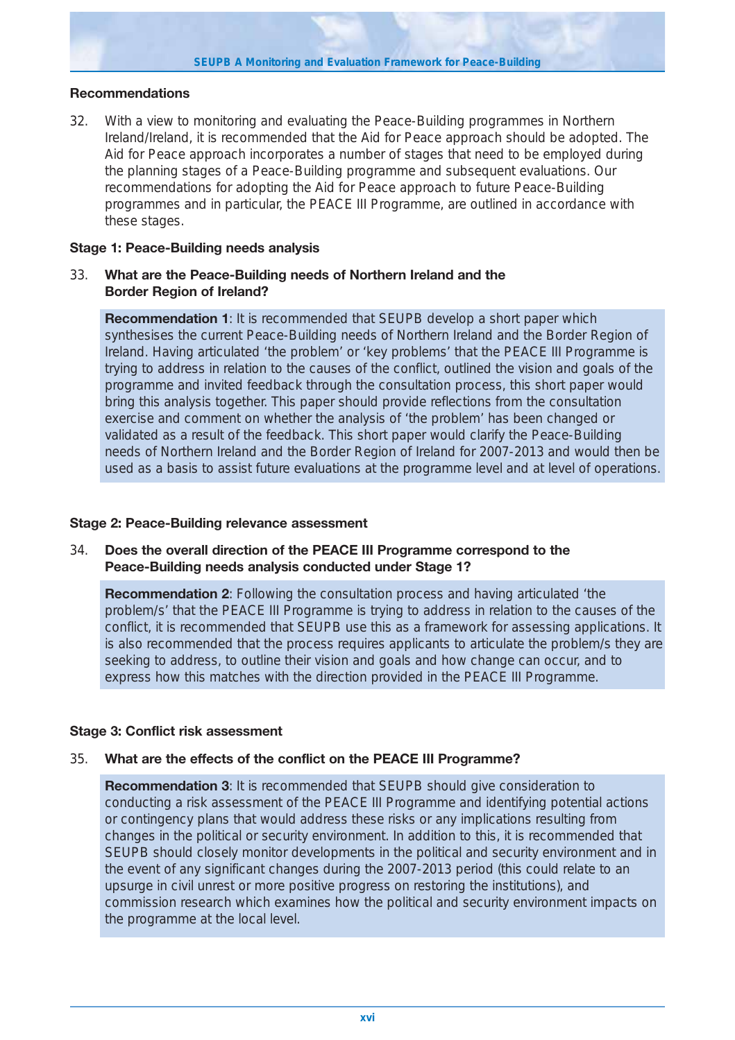#### **Recommendations**

32. With a view to monitoring and evaluating the Peace-Building programmes in Northern Ireland/Ireland, it is recommended that the Aid for Peace approach should be adopted. The Aid for Peace approach incorporates a number of stages that need to be employed during the planning stages of a Peace-Building programme and subsequent evaluations. Our recommendations for adopting the Aid for Peace approach to future Peace-Building programmes and in particular, the PEACE III Programme, are outlined in accordance with these stages.

#### **Stage 1: Peace-Building needs analysis**

## 33. **What are the Peace-Building needs of Northern Ireland and the Border Region of Ireland?**

**Recommendation 1**: It is recommended that SEUPB develop a short paper which synthesises the current Peace-Building needs of Northern Ireland and the Border Region of Ireland. Having articulated 'the problem' or 'key problems' that the PEACE III Programme is trying to address in relation to the causes of the conflict, outlined the vision and goals of the programme and invited feedback through the consultation process, this short paper would bring this analysis together. This paper should provide reflections from the consultation exercise and comment on whether the analysis of 'the problem' has been changed or validated as a result of the feedback. This short paper would clarify the Peace-Building needs of Northern Ireland and the Border Region of Ireland for 2007-2013 and would then be used as a basis to assist future evaluations at the programme level and at level of operations.

#### **Stage 2: Peace-Building relevance assessment**

## 34. **Does the overall direction of the PEACE III Programme correspond to the Peace-Building needs analysis conducted under Stage 1?**

**Recommendation 2**: Following the consultation process and having articulated 'the problem/s' that the PEACE III Programme is trying to address in relation to the causes of the conflict, it is recommended that SEUPB use this as a framework for assessing applications. It is also recommended that the process requires applicants to articulate the problem/s they are seeking to address, to outline their vision and goals and how change can occur, and to express how this matches with the direction provided in the PEACE III Programme.

## **Stage 3: Conflict risk assessment**

## 35. **What are the effects of the conflict on the PEACE III Programme?**

**Recommendation 3**: It is recommended that SEUPB should give consideration to conducting a risk assessment of the PEACE III Programme and identifying potential actions or contingency plans that would address these risks or any implications resulting from changes in the political or security environment. In addition to this, it is recommended that SEUPB should closely monitor developments in the political and security environment and in the event of any significant changes during the 2007-2013 period (this could relate to an upsurge in civil unrest or more positive progress on restoring the institutions), and commission research which examines how the political and security environment impacts on the programme at the local level.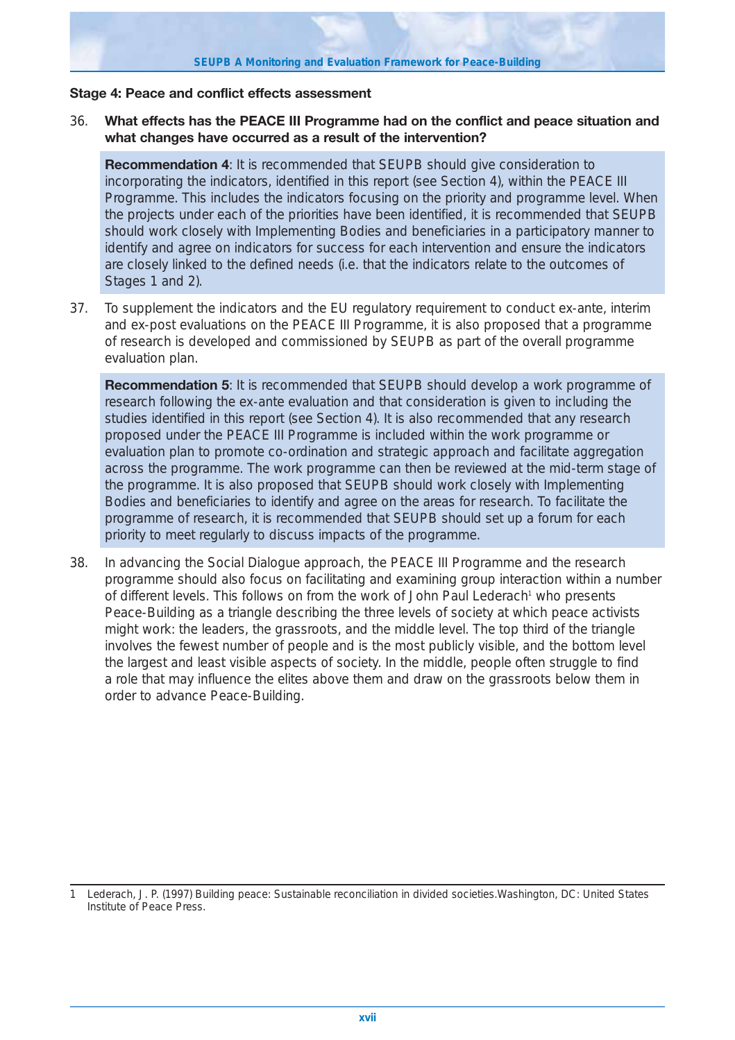#### **Stage 4: Peace and conflict effects assessment**

## 36. **What effects has the PEACE III Programme had on the conflict and peace situation and what changes have occurred as a result of the intervention?**

**Recommendation 4**: It is recommended that SEUPB should give consideration to incorporating the indicators, identified in this report (see Section 4), within the PEACE III Programme. This includes the indicators focusing on the priority and programme level. When the projects under each of the priorities have been identified, it is recommended that SEUPB should work closely with Implementing Bodies and beneficiaries in a participatory manner to identify and agree on indicators for success for each intervention and ensure the indicators are closely linked to the defined needs (i.e. that the indicators relate to the outcomes of Stages 1 and 2).

37. To supplement the indicators and the EU regulatory requirement to conduct *ex-ante, interim and ex-post* evaluations on the PEACE III Programme, it is also proposed that a programme of research is developed and commissioned by SEUPB as part of the overall programme evaluation plan.

**Recommendation 5**: It is recommended that SEUPB should develop a work programme of research following the ex-ante evaluation and that consideration is given to including the studies identified in this report (see Section 4). It is also recommended that any research proposed under the PEACE III Programme is included within the work programme or evaluation plan to promote co-ordination and strategic approach and facilitate aggregation across the programme. The work programme can then be reviewed at the mid-term stage of the programme. It is also proposed that SEUPB should work closely with Implementing Bodies and beneficiaries to identify and agree on the areas for research. To facilitate the programme of research, it is recommended that SEUPB should set up a forum for each priority to meet regularly to discuss impacts of the programme.

38. In advancing the Social Dialogue approach, the PEACE III Programme and the research programme should also focus on facilitating and examining group interaction within a number of different levels. This follows on from the work of John Paul Lederach<sup>1</sup> who presents Peace-Building as a triangle describing the three levels of society at which peace activists might work: the leaders, the grassroots, and the middle level. The top third of the triangle involves the fewest number of people and is the most publicly visible, and the bottom level the largest and least visible aspects of society. In the middle, people often struggle to find a role that may influence the elites above them and draw on the grassroots below them in order to advance Peace-Building.

<sup>1</sup> Lederach, J. P. (1997) Building peace: Sustainable reconciliation in divided societies.Washington, DC: United States Institute of Peace Press.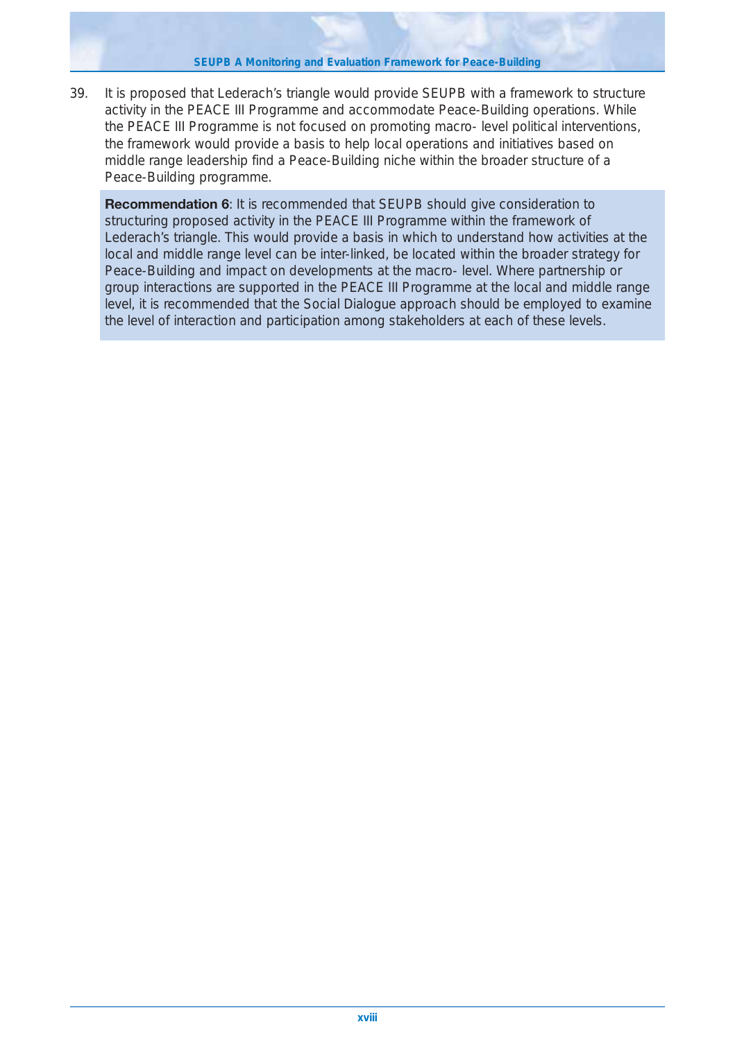39. It is proposed that Lederach's triangle would provide SEUPB with a framework to structure activity in the PEACE III Programme and accommodate Peace-Building operations. While the PEACE III Programme is not focused on promoting macro- level political interventions, the framework would provide a basis to help local operations and initiatives based on middle range leadership find a Peace-Building niche within the broader structure of a Peace-Building programme.

**Recommendation 6**: It is recommended that SEUPB should give consideration to structuring proposed activity in the PEACE III Programme within the framework of Lederach's triangle. This would provide a basis in which to understand how activities at the local and middle range level can be inter-linked, be located within the broader strategy for Peace-Building and impact on developments at the macro- level. Where partnership or group interactions are supported in the PEACE III Programme at the local and middle range level, it is recommended that the Social Dialogue approach should be employed to examine the level of interaction and participation among stakeholders at each of these levels.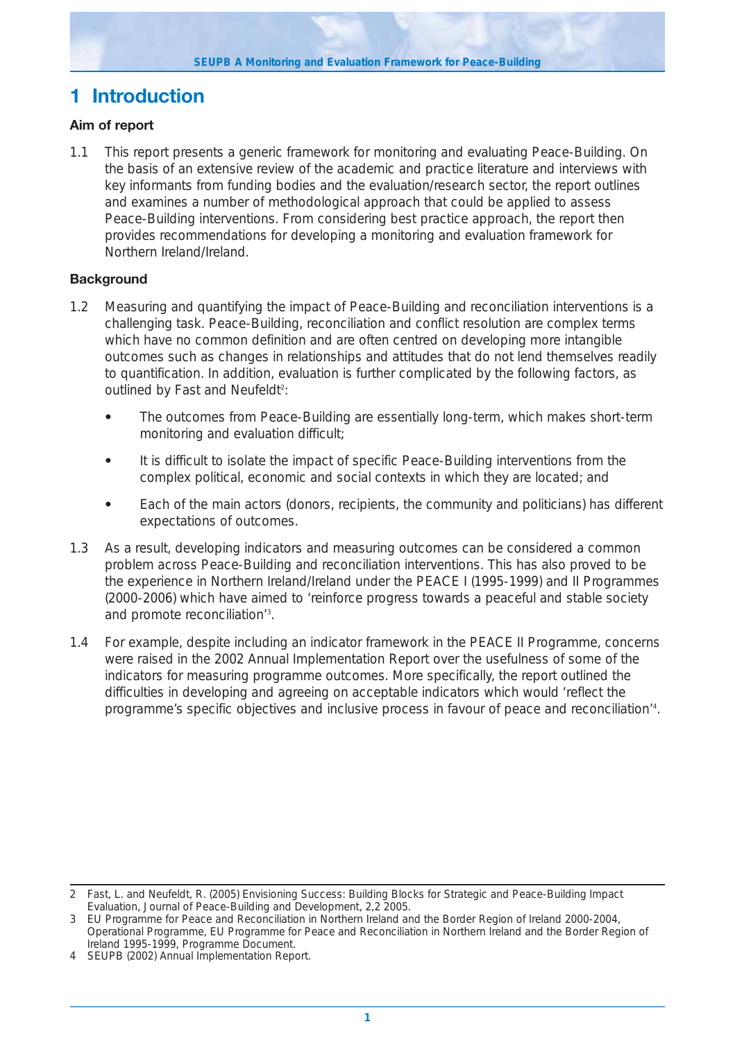# **1 Introduction**

## **Aim of report**

1.1 This report presents a generic framework for monitoring and evaluating Peace-Building. On the basis of an extensive review of the academic and practice literature and interviews with key informants from funding bodies and the evaluation/research sector, the report outlines and examines a number of methodological approach that could be applied to assess Peace-Building interventions. From considering best practice approach, the report then provides recommendations for developing a monitoring and evaluation framework for Northern Ireland/Ireland.

## **Background**

- 1.2 Measuring and quantifying the impact of Peace-Building and reconciliation interventions is a challenging task. Peace-Building, reconciliation and conflict resolution are complex terms which have no common definition and are often centred on developing more intangible outcomes such as changes in relationships and attitudes that do not lend themselves readily to quantification. In addition, evaluation is further complicated by the following factors, as outlined by Fast and Neufeldt<sup>2</sup>:
	- **•** The outcomes from Peace-Building are essentially long-term, which makes short-term monitoring and evaluation difficult;
	- **•** It is difficult to isolate the impact of specific Peace-Building interventions from the complex political, economic and social contexts in which they are located; and
	- **•** Each of the main actors (donors, recipients, the community and politicians) has different expectations of outcomes.
- 1.3 As a result, developing indicators and measuring outcomes can be considered a common problem across Peace-Building and reconciliation interventions. This has also proved to be the experience in Northern Ireland/Ireland under the PEACE I (1995-1999) and II Programmes (2000-2006) which have aimed to 'reinforce progress towards a peaceful and stable society and promote reconciliation<sup>'3</sup>.
- 1.4 For example, despite including an indicator framework in the PEACE II Programme, concerns were raised in the 2002 Annual Implementation Report over the usefulness of some of the indicators for measuring programme outcomes. More specifically, the report outlined the difficulties in developing and agreeing on acceptable indicators which would 'reflect the programme's specific objectives and inclusive process in favour of peace and reconciliation'4 .

<sup>2</sup> Fast, L. and Neufeldt, R. (2005) Envisioning Success: Building Blocks for Strategic and Peace-Building Impact Evaluation, Journal of Peace-Building and Development, 2,2 2005.

<sup>3</sup> EU Programme for Peace and Reconciliation in Northern Ireland and the Border Region of Ireland 2000-2004, Operational Programme, EU Programme for Peace and Reconciliation in Northern Ireland and the Border Region of Ireland 1995-1999, Programme Document.

<sup>4</sup> SEUPB (2002) Annual Implementation Report.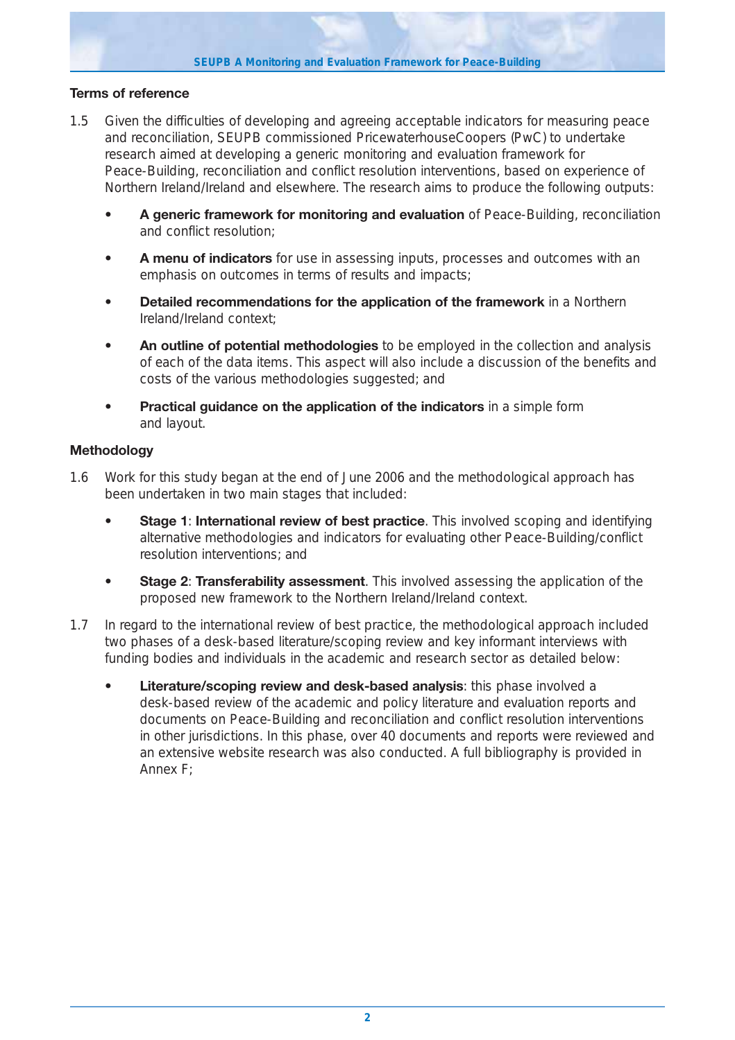## **Terms of reference**

- 1.5 Given the difficulties of developing and agreeing acceptable indicators for measuring peace and reconciliation, SEUPB commissioned PricewaterhouseCoopers (PwC) to undertake research aimed at developing a generic monitoring and evaluation framework for Peace-Building, reconciliation and conflict resolution interventions, based on experience of Northern Ireland/Ireland and elsewhere. The research aims to produce the following outputs:
	- **A generic framework for monitoring and evaluation** of Peace-Building, reconciliation and conflict resolution;
	- **A menu of indicators** for use in assessing inputs, processes and outcomes with an emphasis on outcomes in terms of results and impacts;
	- **Detailed recommendations for the application of the framework** in a Northern Ireland/Ireland context;
	- **An outline of potential methodologies** to be employed in the collection and analysis of each of the data items. This aspect will also include a discussion of the benefits and costs of the various methodologies suggested; and
	- **Practical guidance on the application of the indicators** in a simple form and layout.

## **Methodology**

- 1.6 Work for this study began at the end of June 2006 and the methodological approach has been undertaken in two main stages that included:
	- **Stage 1: International review of best practice**. This involved scoping and identifying alternative methodologies and indicators for evaluating other Peace-Building/conflict resolution interventions; and
	- **Stage 2: Transferability assessment**. This involved assessing the application of the proposed new framework to the Northern Ireland/Ireland context.
- 1.7 In regard to the international review of best practice, the methodological approach included two phases of a desk-based literature/scoping review and key informant interviews with funding bodies and individuals in the academic and research sector as detailed below:
	- **Literature/scoping review and desk-based analysis**: this phase involved a desk-based review of the academic and policy literature and evaluation reports and documents on Peace-Building and reconciliation and conflict resolution interventions in other jurisdictions. In this phase, over 40 documents and reports were reviewed and an extensive website research was also conducted. A full bibliography is provided in Annex F;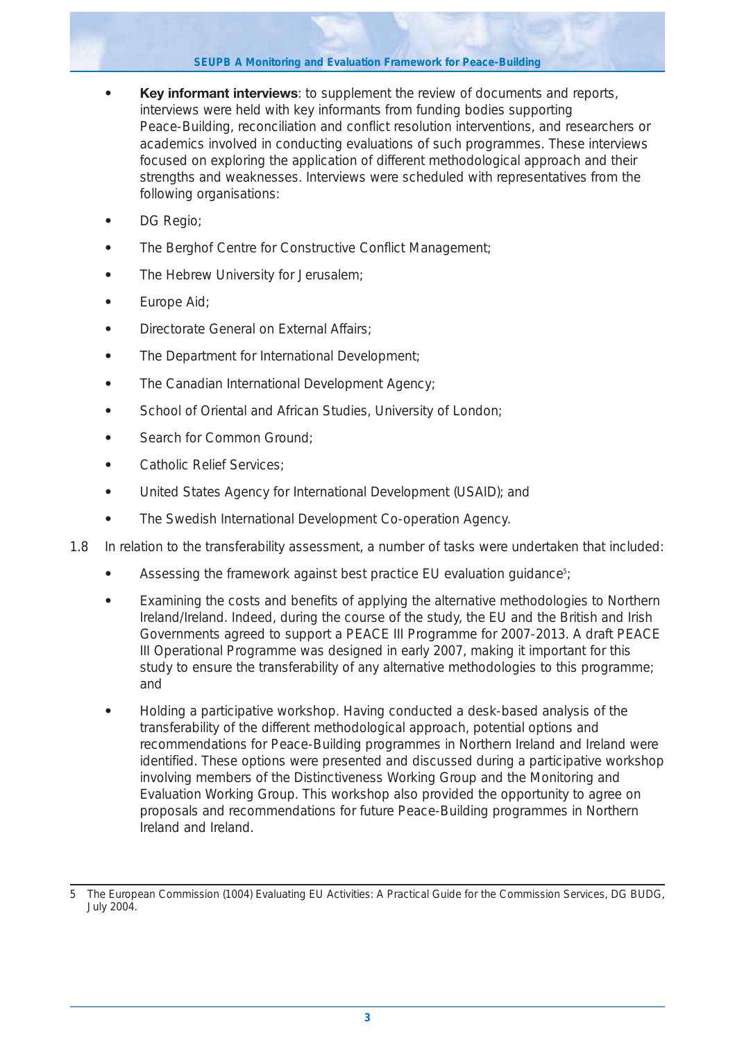- **Key informant interviews**: to supplement the review of documents and reports, interviews were held with key informants from funding bodies supporting Peace-Building, reconciliation and conflict resolution interventions, and researchers or academics involved in conducting evaluations of such programmes. These interviews focused on exploring the application of different methodological approach and their strengths and weaknesses. Interviews were scheduled with representatives from the following organisations:
- **•** DG Regio;
- **•** The Berghof Centre for Constructive Conflict Management;
- **•** The Hebrew University for Jerusalem;
- **•** Europe Aid;
- **•** Directorate General on External Affairs;
- **•** The Department for International Development;
- **•** The Canadian International Development Agency;
- **•** School of Oriental and African Studies, University of London;
- **•** Search for Common Ground;
- **•** Catholic Relief Services;
- **•** United States Agency for International Development (USAID); and
- **•** The Swedish International Development Co-operation Agency.
- 1.8 In relation to the transferability assessment, a number of tasks were undertaken that included:
	- Assessing the framework against best practice EU evaluation guidance<sup>5</sup>;
	- **•** Examining the costs and benefits of applying the alternative methodologies to Northern Ireland/Ireland. Indeed, during the course of the study, the EU and the British and Irish Governments agreed to support a PEACE III Programme for 2007-2013. A draft PEACE III Operational Programme was designed in early 2007, making it important for this study to ensure the transferability of any alternative methodologies to this programme; and
	- **•** Holding a participative workshop. Having conducted a desk-based analysis of the transferability of the different methodological approach, potential options and recommendations for Peace-Building programmes in Northern Ireland and Ireland were identified. These options were presented and discussed during a participative workshop involving members of the Distinctiveness Working Group and the Monitoring and Evaluation Working Group. This workshop also provided the opportunity to agree on proposals and recommendations for future Peace-Building programmes in Northern Ireland and Ireland.

<sup>5</sup> The European Commission (1004) Evaluating EU Activities: A Practical Guide for the Commission Services, DG BUDG, July 2004.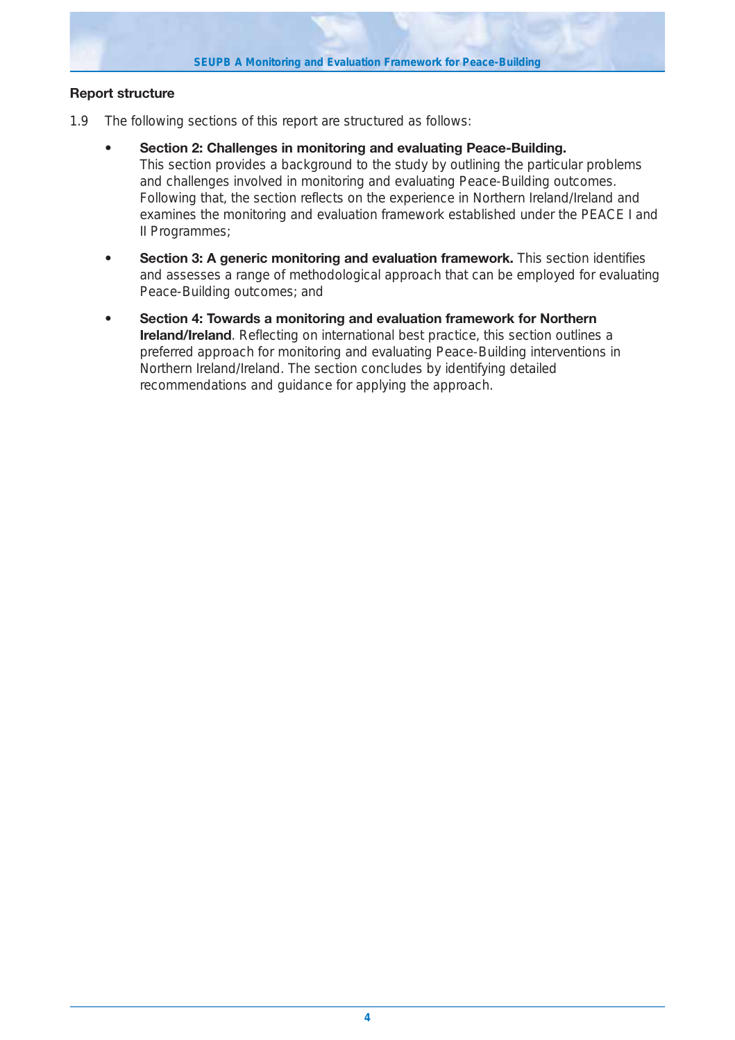

## **Report structure**

- 1.9 The following sections of this report are structured as follows:
	- **Section 2: Challenges in monitoring and evaluating Peace-Building.** This section provides a background to the study by outlining the particular problems and challenges involved in monitoring and evaluating Peace-Building outcomes. Following that, the section reflects on the experience in Northern Ireland/Ireland and examines the monitoring and evaluation framework established under the PEACE I and II Programmes;
	- **Section 3: A generic monitoring and evaluation framework.** This section identifies and assesses a range of methodological approach that can be employed for evaluating Peace-Building outcomes; and
	- **Section 4: Towards a monitoring and evaluation framework for Northern Ireland/Ireland**. Reflecting on international best practice, this section outlines a preferred approach for monitoring and evaluating Peace-Building interventions in Northern Ireland/Ireland. The section concludes by identifying detailed recommendations and guidance for applying the approach.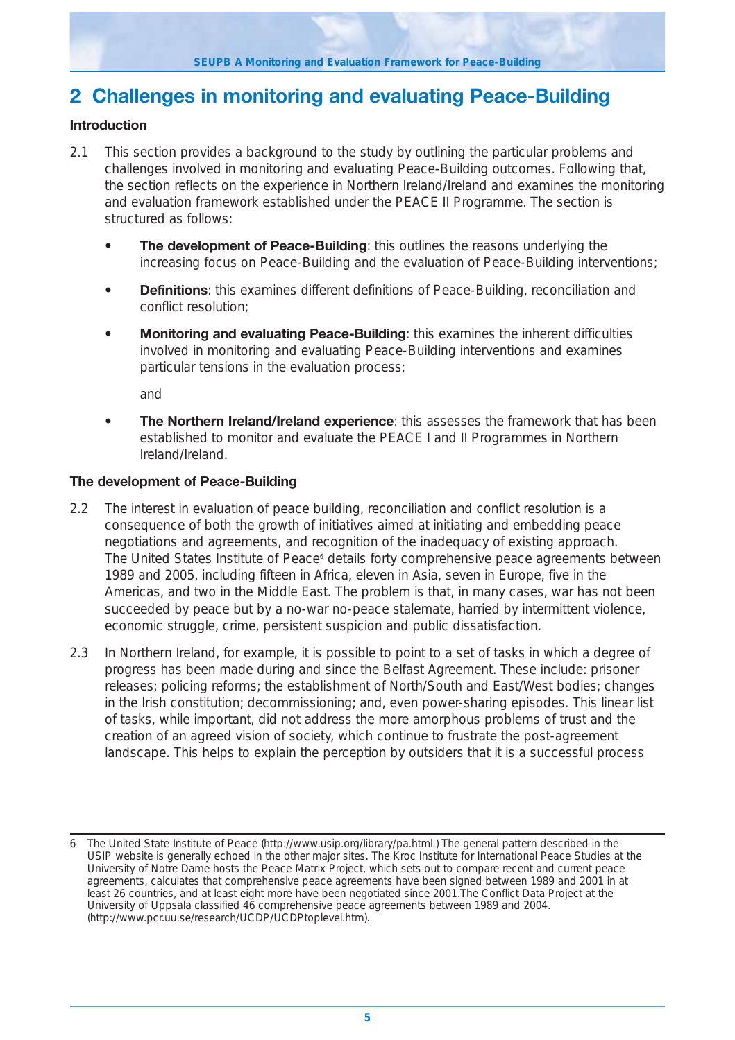# **2 Challenges in monitoring and evaluating Peace-Building**

## **Introduction**

- 2.1 This section provides a background to the study by outlining the particular problems and challenges involved in monitoring and evaluating Peace-Building outcomes. Following that, the section reflects on the experience in Northern Ireland/Ireland and examines the monitoring and evaluation framework established under the PEACE II Programme. The section is structured as follows:
	- **The development of Peace-Building:** this outlines the reasons underlying the increasing focus on Peace-Building and the evaluation of Peace-Building interventions;
	- **Definitions**: this examines different definitions of Peace-Building, reconciliation and conflict resolution;
	- **Monitoring and evaluating Peace-Building**: this examines the inherent difficulties involved in monitoring and evaluating Peace-Building interventions and examines particular tensions in the evaluation process;

and

**• The Northern Ireland/Ireland experience**: this assesses the framework that has been established to monitor and evaluate the PEACE I and II Programmes in Northern Ireland/Ireland.

## **The development of Peace-Building**

- 2.2 The interest in evaluation of peace building, reconciliation and conflict resolution is a consequence of both the growth of initiatives aimed at initiating and embedding peace negotiations and agreements, and recognition of the inadequacy of existing approach. The United States Institute of Peace<sup>6</sup> details forty comprehensive peace agreements between 1989 and 2005, including fifteen in Africa, eleven in Asia, seven in Europe, five in the Americas, and two in the Middle East. The problem is that, in many cases, war has not been succeeded by peace but by a no-war no-peace stalemate, harried by intermittent violence, economic struggle, crime, persistent suspicion and public dissatisfaction.
- 2.3 In Northern Ireland, for example, it is possible to point to a set of tasks in which a degree of progress has been made during and since the Belfast Agreement. These include: prisoner releases; policing reforms; the establishment of North/South and East/West bodies; changes in the Irish constitution; decommissioning; and, even power-sharing episodes. This linear list of tasks, while important, did not address the more amorphous problems of trust and the creation of an agreed vision of society, which continue to frustrate the post-agreement landscape. This helps to explain the perception by outsiders that it is a successful process

<sup>6</sup> The United State Institute of Peace (http://www.usip.org/library/pa.html.) The general pattern described in the USIP website is generally echoed in the other major sites. The Kroc Institute for International Peace Studies at the University of Notre Dame hosts the Peace Matrix Project, which sets out to compare recent and current peace agreements, calculates that comprehensive peace agreements have been signed between 1989 and 2001 in at least 26 countries, and at least eight more have been negotiated since 2001.The Conflict Data Project at the University of Uppsala classified 46 comprehensive peace agreements between 1989 and 2004. (http://www.pcr.uu.se/research/UCDP/UCDPtoplevel.htm).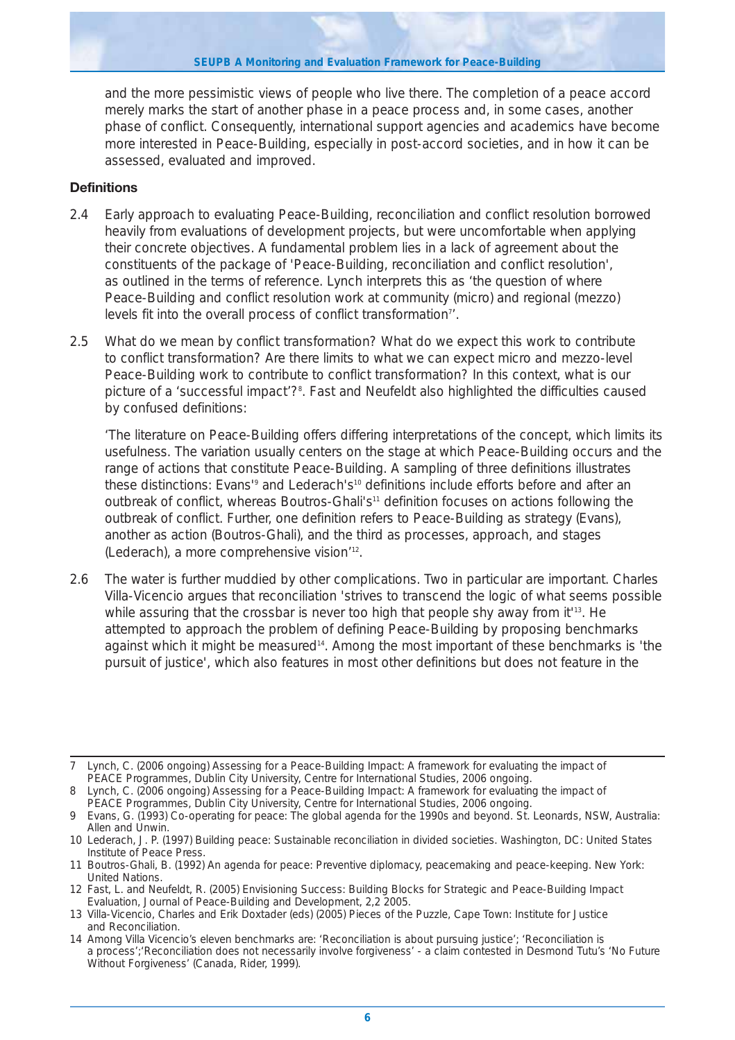and the more pessimistic views of people who live there. The completion of a peace accord merely marks the start of another phase in a peace process and, in some cases, another phase of conflict. Consequently, international support agencies and academics have become more interested in Peace-Building, especially in post-accord societies, and in how it can be assessed, evaluated and improved.

## **Definitions**

- 2.4 Early approach to evaluating Peace-Building, reconciliation and conflict resolution borrowed heavily from evaluations of development projects, but were uncomfortable when applying their concrete objectives. A fundamental problem lies in a lack of agreement about the constituents of the package of 'Peace-Building, reconciliation and conflict resolution', as outlined in the terms of reference. Lynch interprets this as 'the question of where Peace-Building and conflict resolution work at community (micro) and regional (mezzo) levels fit into the overall process of conflict transformation<sup>7'</sup>.
- 2.5 What do we mean by conflict transformation? What do we expect this work to contribute to conflict transformation? Are there limits to what we can expect micro and mezzo-level Peace-Building work to contribute to conflict transformation? In this context, what is our picture of a 'successful impact'?<sup>8</sup>. Fast and Neufeldt also highlighted the difficulties caused by confused definitions:

*'The literature on Peace-Building offers differing interpretations of the concept, which limits its usefulness. The variation usually centers on the stage at which Peace-Building occurs and the range of actions that constitute Peace-Building. A sampling of three definitions illustrates these distinctions: Evans'9 and Lederach's10 definitions include efforts before and after an outbreak of conflict, whereas Boutros-Ghali's11 definition focuses on actions following the outbreak of conflict. Further, one definition refers to Peace-Building as strategy (Evans), another as action (Boutros-Ghali), and the third as processes, approach, and stages (Lederach), a more comprehensive vision'*12.

2.6 The water is further muddied by other complications. Two in particular are important. Charles Villa-Vicencio argues that reconciliation 'strives to transcend the logic of what seems possible while assuring that the crossbar is never too high that people shy away from it'<sup>13</sup>. He attempted to approach the problem of defining Peace-Building by proposing benchmarks against which it might be measured<sup>14</sup>. Among the most important of these benchmarks is 'the pursuit of justice', which also features in most other definitions but does not feature in the

<sup>7</sup> Lynch, C. (2006 ongoing) Assessing for a Peace-Building Impact: A framework for evaluating the impact of PEACE Programmes, Dublin City University, Centre for International Studies, 2006 ongoing.

<sup>8</sup> Lynch, C. (2006 ongoing) Assessing for a Peace-Building Impact: A framework for evaluating the impact of

PEACE Programmes, Dublin City University, Centre for International Studies, 2006 ongoing.

<sup>9</sup> Evans, G. (1993) Co-operating for peace: The global agenda for the 1990s and beyond. St. Leonards, NSW, Australia: Allen and Unwin.

<sup>10</sup> Lederach, J. P. (1997) Building peace: Sustainable reconciliation in divided societies. Washington, DC: United States Institute of Peace Press.

<sup>11</sup> Boutros-Ghali, B. (1992) An agenda for peace: Preventive diplomacy, peacemaking and peace-keeping. New York: United Nations.

<sup>12</sup> Fast, L. and Neufeldt, R. (2005) Envisioning Success: Building Blocks for Strategic and Peace-Building Impact Evaluation, Journal of Peace-Building and Development, 2,2 2005.

<sup>13</sup> Villa-Vicencio, Charles and Erik Doxtader (eds) (2005) Pieces of the Puzzle, Cape Town: Institute for Justice and Reconciliation.

<sup>14</sup> Among Villa Vicencio's eleven benchmarks are: 'Reconciliation is about pursuing justice'; 'Reconciliation is a process';'Reconciliation does not necessarily involve forgiveness' - a claim contested in Desmond Tutu's 'No Future Without Forgiveness' (Canada, Rider, 1999).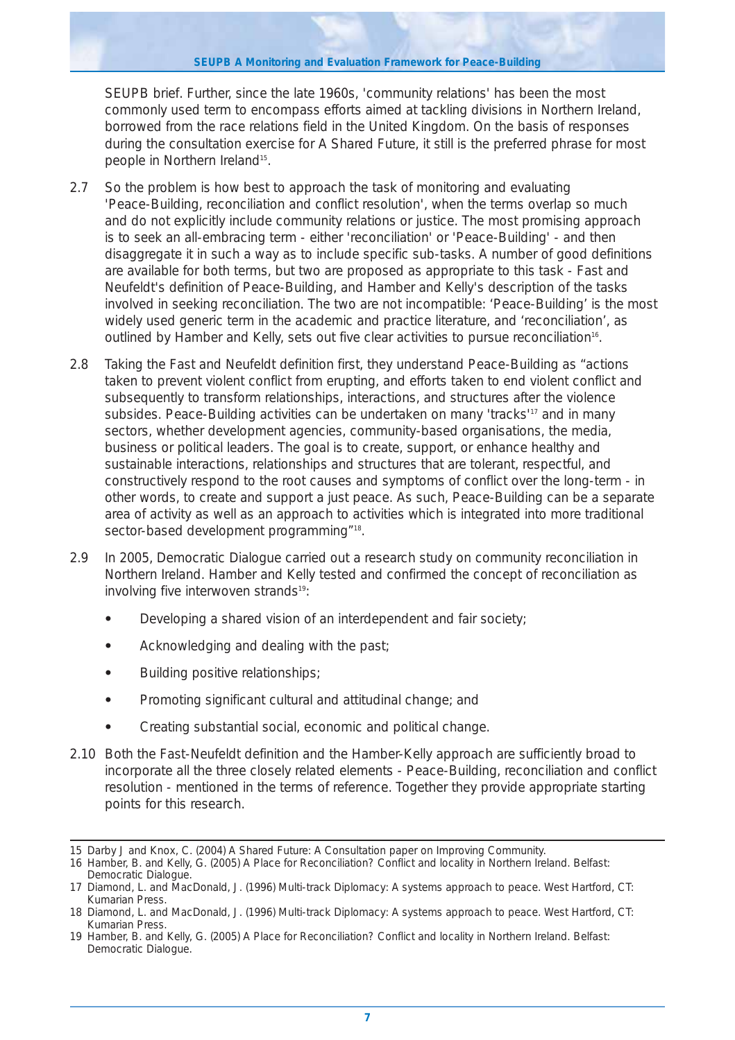SEUPB brief. Further, since the late 1960s, 'community relations' has been the most commonly used term to encompass efforts aimed at tackling divisions in Northern Ireland, borrowed from the race relations field in the United Kingdom. On the basis of responses during the consultation exercise for A Shared Future, it still is the preferred phrase for most people in Northern Ireland<sup>15</sup>.

- 2.7 So the problem is how best to approach the task of monitoring and evaluating 'Peace-Building, reconciliation and conflict resolution', when the terms overlap so much and do not explicitly include community relations or justice. The most promising approach is to seek an all-embracing term - either 'reconciliation' or 'Peace-Building' - and then disaggregate it in such a way as to include specific sub-tasks. A number of good definitions are available for both terms, but two are proposed as appropriate to this task - Fast and Neufeldt's definition of Peace-Building, and Hamber and Kelly's description of the tasks involved in seeking reconciliation. The two are not incompatible: 'Peace-Building' is the most widely used generic term in the academic and practice literature, and 'reconciliation', as outlined by Hamber and Kelly, sets out five clear activities to pursue reconciliation<sup>16</sup>.
- 2.8 Taking the Fast and Neufeldt definition first, they understand Peace-Building as "actions taken to prevent violent conflict from erupting, and efforts taken to end violent conflict and subsequently to transform relationships, interactions, and structures after the violence subsides. Peace-Building activities can be undertaken on many 'tracks'<sup>17</sup> and in many sectors, whether development agencies, community-based organisations, the media, business or political leaders. The goal is to create, support, or enhance healthy and sustainable interactions, relationships and structures that are tolerant, respectful, and constructively respond to the root causes and symptoms of conflict over the long-term - in other words, to create and support a just peace. As such, Peace-Building can be a separate area of activity as well as an approach to activities which is integrated into more traditional sector-based development programming"<sup>18</sup>.
- 2.9 In 2005, Democratic Dialogue carried out a research study on community reconciliation in Northern Ireland. Hamber and Kelly tested and confirmed the concept of reconciliation as involving five interwoven strands<sup>19</sup>:
	- **•** Developing a shared vision of an interdependent and fair society;
	- **•** Acknowledging and dealing with the past;
	- **•** Building positive relationships;
	- **•** Promoting significant cultural and attitudinal change; and
	- **•** Creating substantial social, economic and political change.
- 2.10 Both the Fast-Neufeldt definition and the Hamber-Kelly approach are sufficiently broad to incorporate all the three closely related elements - Peace-Building, reconciliation and conflict resolution - mentioned in the terms of reference. Together they provide appropriate starting points for this research.

<sup>15</sup> Darby J and Knox, C. (2004) A Shared Future: A Consultation paper on Improving Community.

<sup>16</sup> Hamber, B. and Kelly, G. (2005) A Place for Reconciliation? Conflict and locality in Northern Ireland. Belfast: Democratic Dialogue.

<sup>17</sup> Diamond, L. and MacDonald, J. (1996) Multi-track Diplomacy: A systems approach to peace. West Hartford, CT: Kumarian Press.

<sup>18</sup> Diamond, L. and MacDonald, J. (1996) Multi-track Diplomacy: A systems approach to peace. West Hartford, CT: Kumarian Press.

<sup>19</sup> Hamber, B. and Kelly, G. (2005) A Place for Reconciliation? Conflict and locality in Northern Ireland. Belfast: Democratic Dialogue.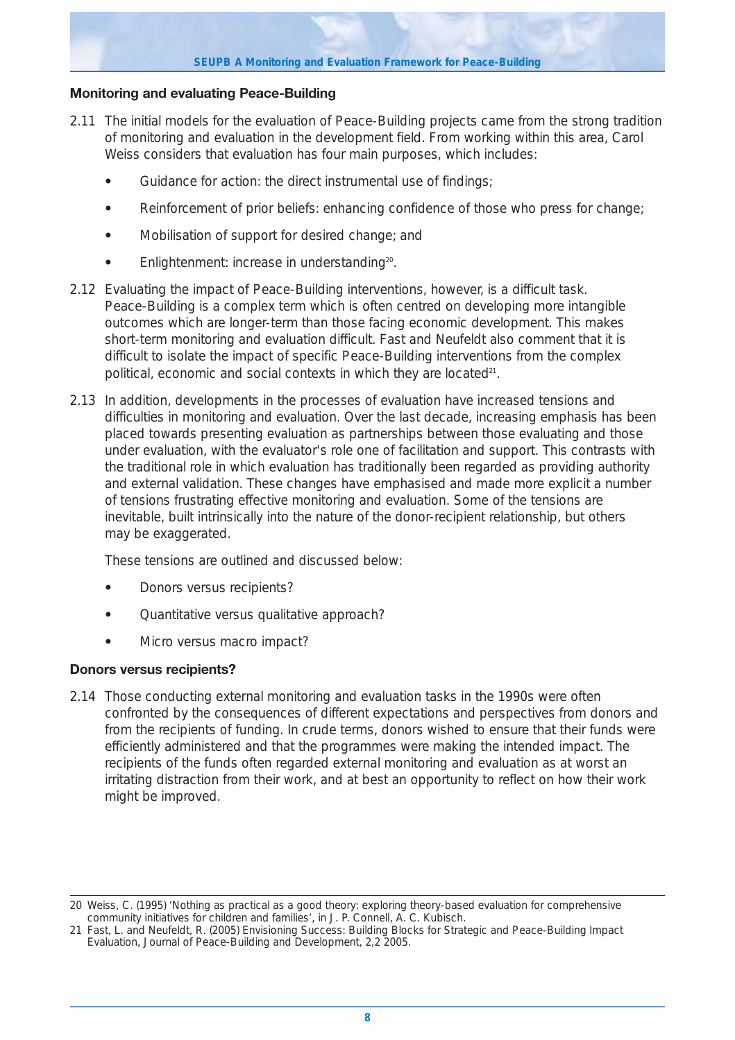## **Monitoring and evaluating Peace-Building**

- 2.11 The initial models for the evaluation of Peace-Building projects came from the strong tradition of monitoring and evaluation in the development field. From working within this area, Carol Weiss considers that evaluation has four main purposes, which includes:
	- **•** Guidance for action: the direct instrumental use of findings;
	- **•** Reinforcement of prior beliefs: enhancing confidence of those who press for change;
	- **•** Mobilisation of support for desired change; and
	- Enlightenment: increase in understanding<sup>20</sup>.
- 2.12 Evaluating the impact of Peace-Building interventions, however, is a difficult task. Peace-Building is a complex term which is often centred on developing more intangible outcomes which are longer-term than those facing economic development. This makes short-term monitoring and evaluation difficult. Fast and Neufeldt also comment that it is difficult to isolate the impact of specific Peace-Building interventions from the complex political, economic and social contexts in which they are located<sup>21</sup>.
- 2.13 In addition, developments in the processes of evaluation have increased tensions and difficulties in monitoring and evaluation. Over the last decade, increasing emphasis has been placed towards presenting evaluation as partnerships between those evaluating and those under evaluation, with the evaluator's role one of facilitation and support. This contrasts with the traditional role in which evaluation has traditionally been regarded as providing authority and external validation. These changes have emphasised and made more explicit a number of tensions frustrating effective monitoring and evaluation. Some of the tensions are inevitable, built intrinsically into the nature of the donor-recipient relationship, but others may be exaggerated.

These tensions are outlined and discussed below:

- **•** Donors versus recipients?
- **•** Quantitative versus qualitative approach?
- **•** Micro versus macro impact?

## **Donors versus recipients?**

2.14 Those conducting external monitoring and evaluation tasks in the 1990s were often confronted by the consequences of different expectations and perspectives from donors and from the recipients of funding. In crude terms, donors wished to ensure that their funds were efficiently administered and that the programmes were making the intended impact. The recipients of the funds often regarded external monitoring and evaluation as at worst an irritating distraction from their work, and at best an opportunity to reflect on how their work might be improved.

<sup>20</sup> Weiss, C. (1995) 'Nothing as practical as a good theory: exploring theory-based evaluation for comprehensive community initiatives for children and families', in J. P. Connell, A. C. Kubisch.

<sup>21</sup> Fast, L. and Neufeldt, R. (2005) Envisioning Success: Building Blocks for Strategic and Peace-Building Impact Evaluation, Journal of Peace-Building and Development, 2,2 2005.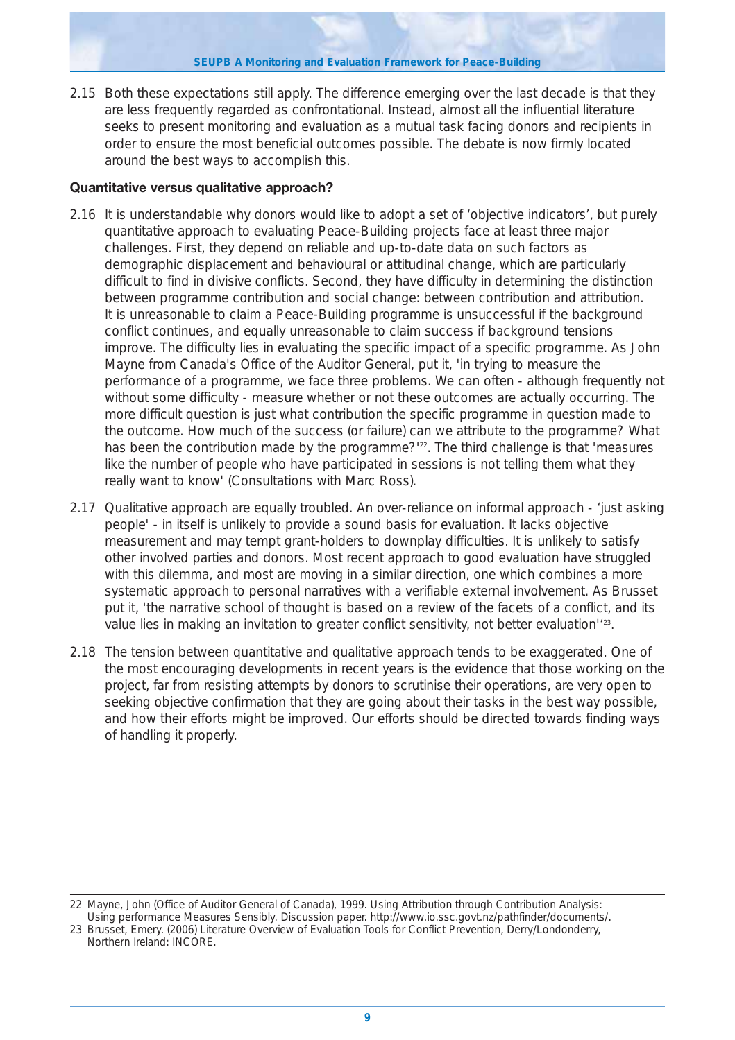2.15 Both these expectations still apply. The difference emerging over the last decade is that they are less frequently regarded as confrontational. Instead, almost all the influential literature seeks to present monitoring and evaluation as a mutual task facing donors and recipients in order to ensure the most beneficial outcomes possible. The debate is now firmly located around the best ways to accomplish this.

## **Quantitative versus qualitative approach?**

- 2.16 It is understandable why donors would like to adopt a set of 'objective indicators', but purely quantitative approach to evaluating Peace-Building projects face at least three major challenges. First, they depend on reliable and up-to-date data on such factors as demographic displacement and behavioural or attitudinal change, which are particularly difficult to find in divisive conflicts. Second, they have difficulty in determining the distinction between programme contribution and social change: between contribution and attribution. It is unreasonable to claim a Peace-Building programme is unsuccessful if the background conflict continues, and equally unreasonable to claim success if background tensions improve. The difficulty lies in evaluating the specific impact of a specific programme. As John Mayne from Canada's Office of the Auditor General, put it, 'in trying to measure the performance of a programme, we face three problems. We can often - although frequently not without some difficulty - measure whether or not these outcomes are actually occurring. The more difficult question is just what contribution the specific programme in question made to the outcome. How much of the success (or failure) can we attribute to the programme? What has been the contribution made by the programme?'<sup>22</sup>. The third challenge is that 'measures like the number of people who have participated in sessions is not telling them what they really want to know' (Consultations with Marc Ross).
- 2.17 Qualitative approach are equally troubled. An over-reliance on informal approach 'just asking people' - in itself is unlikely to provide a sound basis for evaluation. It lacks objective measurement and may tempt grant-holders to downplay difficulties. It is unlikely to satisfy other involved parties and donors. Most recent approach to good evaluation have struggled with this dilemma, and most are moving in a similar direction, one which combines a more systematic approach to personal narratives with a verifiable external involvement. As Brusset put it, 'the narrative school of thought is based on a review of the facets of a conflict, and its value lies in making an invitation to greater conflict sensitivity, not better evaluation'<sup>123</sup>.
- 2.18 The tension between quantitative and qualitative approach tends to be exaggerated. One of the most encouraging developments in recent years is the evidence that those working on the project, far from resisting attempts by donors to scrutinise their operations, are very open to seeking objective confirmation that they are going about their tasks in the best way possible, and how their efforts might be improved. Our efforts should be directed towards finding ways of handling it properly.

<sup>22</sup> Mayne, John (Office of Auditor General of Canada), 1999. Using Attribution through Contribution Analysis: Using performance Measures Sensibly. Discussion paper. http://www.io.ssc.govt.nz/pathfinder/documents/.

<sup>23</sup> Brusset, Emery. (2006) Literature Overview of Evaluation Tools for Conflict Prevention, Derry/Londonderry, Northern Ireland: INCORE.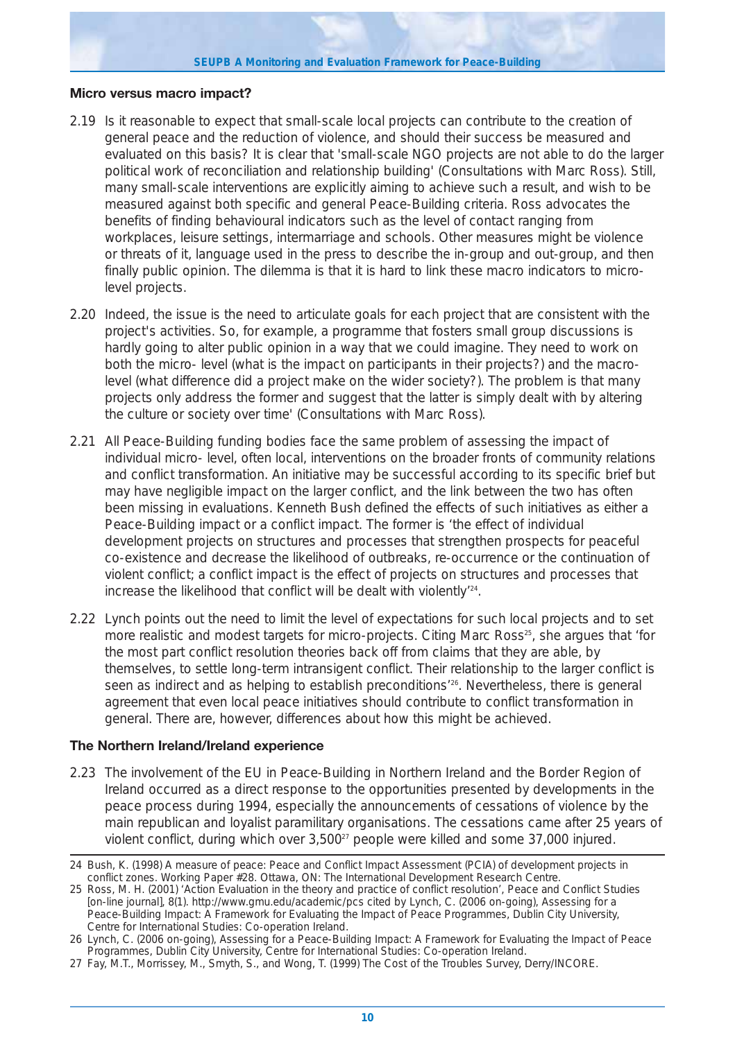#### **Micro versus macro impact?**

- 2.19 Is it reasonable to expect that small-scale local projects can contribute to the creation of general peace and the reduction of violence, and should their success be measured and evaluated on this basis? It is clear that 'small-scale NGO projects are not able to do the larger political work of reconciliation and relationship building' (Consultations with Marc Ross). Still, many small-scale interventions are explicitly aiming to achieve such a result, and wish to be measured against both specific and general Peace-Building criteria. Ross advocates the benefits of finding behavioural indicators such as the level of contact ranging from workplaces, leisure settings, intermarriage and schools. Other measures might be violence or threats of it, language used in the press to describe the in-group and out-group, and then finally public opinion. The dilemma is that it is hard to link these macro indicators to microlevel projects.
- 2.20 Indeed, the issue is the need to articulate goals for each project that are consistent with the project's activities. So, for example, a programme that fosters small group discussions is hardly going to alter public opinion in a way that we could imagine. They need to work on both the micro- level (what is the impact on participants in their projects?) and the macrolevel (what difference did a project make on the wider society?). The problem is that many projects only address the former and suggest that the latter is simply dealt with by altering the culture or society over time' (Consultations with Marc Ross).
- 2.21 All Peace-Building funding bodies face the same problem of assessing the impact of individual micro- level, often local, interventions on the broader fronts of community relations and conflict transformation. An initiative may be successful according to its specific brief but may have negligible impact on the larger conflict, and the link between the two has often been missing in evaluations. Kenneth Bush defined the effects of such initiatives as either a Peace-Building impact or a conflict impact. The former is 'the effect of individual development projects on structures and processes that strengthen prospects for peaceful co-existence and decrease the likelihood of outbreaks, re-occurrence or the continuation of violent conflict; a conflict impact is the effect of projects on structures and processes that increase the likelihood that conflict will be dealt with violently'24.
- 2.22 Lynch points out the need to limit the level of expectations for such local projects and to set more realistic and modest targets for micro-projects. Citing Marc Ross<sup>25</sup>, she argues that 'for the most part conflict resolution theories back off from claims that they are able, by themselves, to settle long-term intransigent conflict. Their relationship to the larger conflict is seen as indirect and as helping to establish preconditions'26. Nevertheless, there is general agreement that even local peace initiatives should contribute to conflict transformation in general. There are, however, differences about how this might be achieved.

## **The Northern Ireland/Ireland experience**

2.23 The involvement of the EU in Peace-Building in Northern Ireland and the Border Region of Ireland occurred as a direct response to the opportunities presented by developments in the peace process during 1994, especially the announcements of cessations of violence by the main republican and loyalist paramilitary organisations. The cessations came after 25 years of violent conflict, during which over 3,500<sup>27</sup> people were killed and some 37,000 injured.

<sup>24</sup> Bush, K. (1998) A measure of peace: Peace and Conflict Impact Assessment (PCIA) of development projects in conflict zones. Working Paper #28. Ottawa, ON: The International Development Research Centre.

<sup>25</sup> Ross, M. H. (2001) 'Action Evaluation in the theory and practice of conflict resolution', Peace and Conflict Studies [on-line journal], 8(1). http://www.gmu.edu/academic/pcs cited by Lynch, C. (2006 on-going), Assessing for a Peace-Building Impact: A Framework for Evaluating the Impact of Peace Programmes, Dublin City University, Centre for International Studies: Co-operation Ireland.

<sup>26</sup> Lynch, C. (2006 on-going), Assessing for a Peace-Building Impact: A Framework for Evaluating the Impact of Peace Programmes, Dublin City University, Centre for International Studies: Co-operation Ireland.

<sup>27</sup> Fay, M.T., Morrissey, M., Smyth, S., and Wong, T. (1999) The Cost of the Troubles Survey, Derry/INCORE.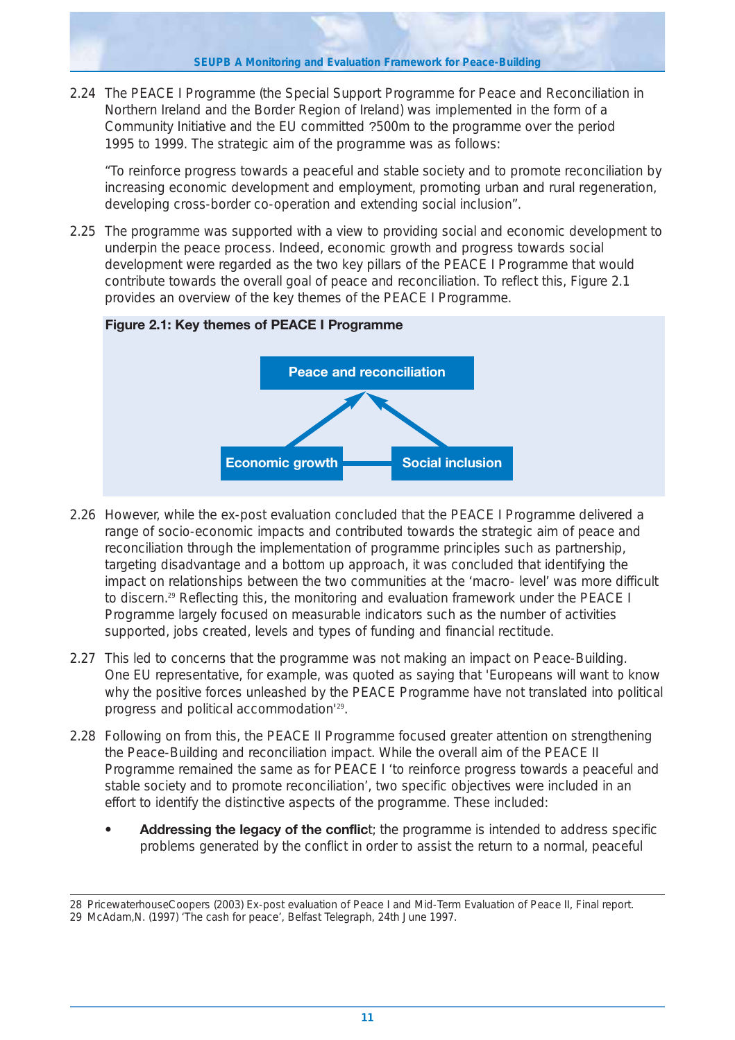**SEUPB A Monitoring and Evaluation Framework for Peace-Building**

2.24 The PEACE I Programme (the Special Support Programme for Peace and Reconciliation in Northern Ireland and the Border Region of Ireland) was implemented in the form of a Community Initiative and the EU committed ?500m to the programme over the period 1995 to 1999. The strategic aim of the programme was as follows:

"*To reinforce progress towards a peaceful and stable society and to promote reconciliation by increasing economic development and employment, promoting urban and rural regeneration, developing cross-border co-operation and extending social inclusion*".

2.25 The programme was supported with a view to providing social and economic development to underpin the peace process. Indeed, economic growth and progress towards social development were regarded as the two key pillars of the PEACE I Programme that would contribute towards the overall goal of peace and reconciliation. To reflect this, Figure 2.1 provides an overview of the key themes of the PEACE I Programme.



## **Figure 2.1: Key themes of PEACE I Programme**

- 2.26 However, while the ex-post evaluation concluded that the PEACE I Programme delivered a range of socio-economic impacts and contributed towards the strategic aim of peace and reconciliation through the implementation of programme principles such as partnership, targeting disadvantage and a bottom up approach, it was concluded that identifying the impact on relationships between the two communities at the 'macro- level' was more difficult to discern.<sup>29</sup> Reflecting this, the monitoring and evaluation framework under the PEACE I Programme largely focused on measurable indicators such as the number of activities supported, jobs created, levels and types of funding and financial rectitude.
- 2.27 This led to concerns that the programme was not making an impact on Peace-Building. One EU representative, for example, was quoted as saying that 'Europeans will want to know why the positive forces unleashed by the PEACE Programme have not translated into political progress and political accommodation'29.
- 2.28 Following on from this, the PEACE II Programme focused greater attention on strengthening the Peace-Building and reconciliation impact. While the overall aim of the PEACE II Programme remained the same as for PEACE I '*to reinforce progress towards a peaceful and stable society and to promote reconciliation*', two specific objectives were included in an effort to identify the distinctive aspects of the programme. These included:
	- **Addressing the legacy of the conflic**t; the programme is intended to address specific problems generated by the conflict in order to assist the return to a normal, peaceful

<sup>28</sup> PricewaterhouseCoopers (2003) Ex-post evaluation of Peace I and Mid-Term Evaluation of Peace II, Final report. 29 McAdam,N. (1997) 'The cash for peace', Belfast Telegraph, 24th June 1997.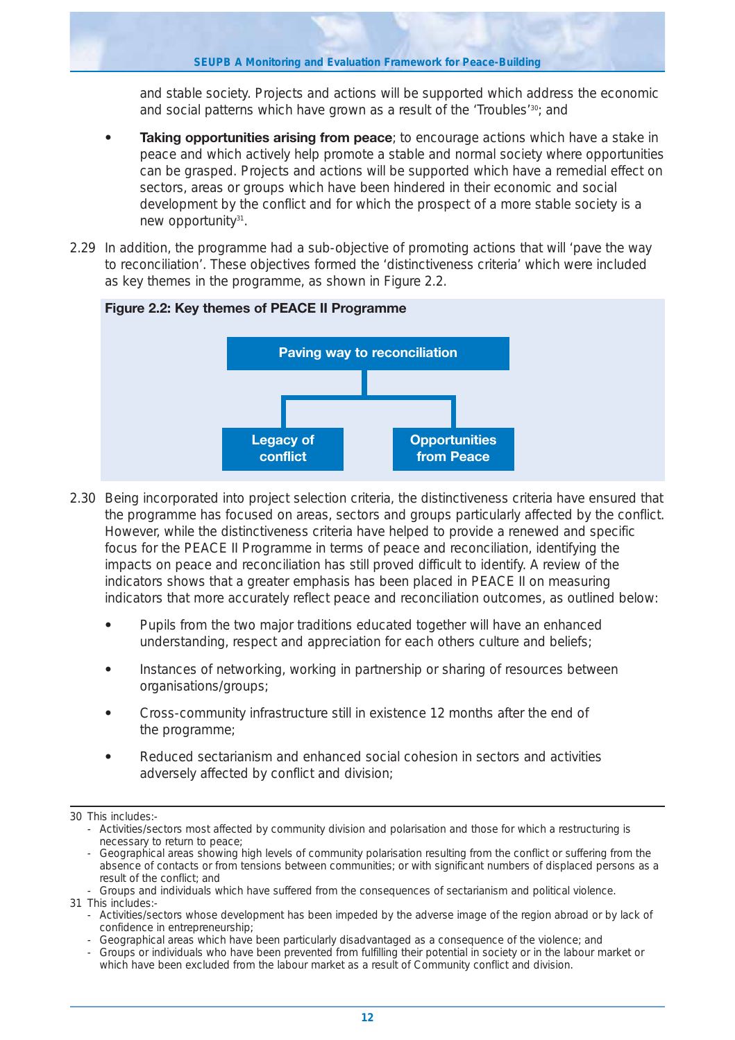and stable society. Projects and actions will be supported which address the economic and social patterns which have grown as a result of the 'Troubles'<sup>30</sup>; and

- **Taking opportunities arising from peace**; to encourage actions which have a stake in peace and which actively help promote a stable and normal society where opportunities can be grasped. Projects and actions will be supported which have a remedial effect on sectors, areas or groups which have been hindered in their economic and social development by the conflict and for which the prospect of a more stable society is a new opportunity<sup>31</sup>.
- 2.29 In addition, the programme had a sub-objective of promoting actions that will '*pave the way to reconciliation*'. These objectives formed the '*distinctiveness criteria*' which were included as key themes in the programme, as shown in Figure 2.2.



## **Figure 2.2: Key themes of PEACE II Programme**

- 2.30 Being incorporated into project selection criteria, the distinctiveness criteria have ensured that the programme has focused on areas, sectors and groups particularly affected by the conflict. However, while the distinctiveness criteria have helped to provide a renewed and specific focus for the PEACE II Programme in terms of peace and reconciliation, identifying the impacts on peace and reconciliation has still proved difficult to identify. A review of the indicators shows that a greater emphasis has been placed in PEACE II on measuring indicators that more accurately reflect peace and reconciliation outcomes, as outlined below:
	- **•** Pupils from the two major traditions educated together will have an enhanced understanding, respect and appreciation for each others culture and beliefs;
	- **•** Instances of networking, working in partnership or sharing of resources between organisations/groups;
	- **•** Cross-community infrastructure still in existence 12 months after the end of the programme;
	- **•** Reduced sectarianism and enhanced social cohesion in sectors and activities adversely affected by conflict and division;

<sup>30</sup> This includes:-

<sup>-</sup> Activities/sectors most affected by community division and polarisation and those for which a restructuring is necessary to return to peace;

<sup>-</sup> Geographical areas showing high levels of community polarisation resulting from the conflict or suffering from the absence of contacts or from tensions between communities; or with significant numbers of displaced persons as a result of the conflict; and

<sup>-</sup> Groups and individuals which have suffered from the consequences of sectarianism and political violence. 31 This includes:-

<sup>-</sup> Activities/sectors whose development has been impeded by the adverse image of the region abroad or by lack of confidence in entrepreneurship;

<sup>-</sup> Geographical areas which have been particularly disadvantaged as a consequence of the violence; and

<sup>-</sup> Groups or individuals who have been prevented from fulfilling their potential in society or in the labour market or which have been excluded from the labour market as a result of Community conflict and division.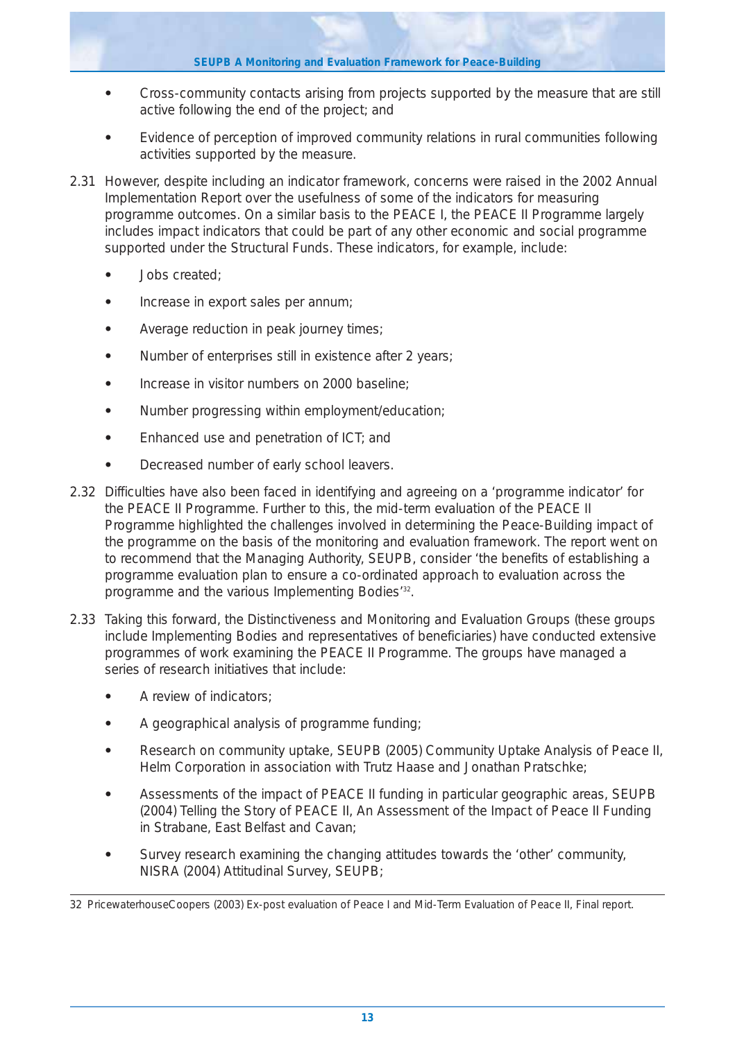- **•** Cross-community contacts arising from projects supported by the measure that are still active following the end of the project; and
- **•** Evidence of perception of improved community relations in rural communities following activities supported by the measure.
- 2.31 However, despite including an indicator framework, concerns were raised in the 2002 Annual Implementation Report over the usefulness of some of the indicators for measuring programme outcomes. On a similar basis to the PEACE I, the PEACE II Programme largely includes impact indicators that could be part of any other economic and social programme supported under the Structural Funds. These indicators, for example, include:
	- **•** Jobs created;
	- **•** Increase in export sales per annum;
	- **•** Average reduction in peak journey times;
	- **•** Number of enterprises still in existence after 2 years;
	- **•** Increase in visitor numbers on 2000 baseline;
	- **•** Number progressing within employment/education;
	- **•** Enhanced use and penetration of ICT; and
	- **•** Decreased number of early school leavers.
- 2.32 Difficulties have also been faced in identifying and agreeing on a 'programme indicator' for the PEACE II Programme. Further to this, the mid-term evaluation of the PEACE II Programme highlighted the challenges involved in determining the Peace-Building impact of the programme on the basis of the monitoring and evaluation framework. The report went on to recommend that the Managing Authority, SEUPB, consider 'the benefits of establishing a programme evaluation plan to ensure a co-ordinated approach to evaluation across the programme and the various Implementing Bodies<sup>'32</sup>.
- 2.33 Taking this forward, the Distinctiveness and Monitoring and Evaluation Groups (these groups include Implementing Bodies and representatives of beneficiaries) have conducted extensive programmes of work examining the PEACE II Programme. The groups have managed a series of research initiatives that include:
	- **•** A review of indicators;
	- **•** A geographical analysis of programme funding;
	- **•** Research on community uptake, SEUPB (2005) *Community Uptake Analysis of Peace II,* Helm Corporation in association with Trutz Haase and Jonathan Pratschke;
	- **•** Assessments of the impact of PEACE II funding in particular geographic areas, SEUPB (2004) *Telling the Story of PEACE II, An Assessment of the Impact of Peace II Funding in Strabane, East Belfast and Cavan*;
	- **•** Survey research examining the changing attitudes towards the 'other' community, NISRA (2004) *Attitudinal Survey*, SEUPB;

<sup>32</sup> PricewaterhouseCoopers (2003) Ex-post evaluation of Peace I and Mid-Term Evaluation of Peace II, Final report.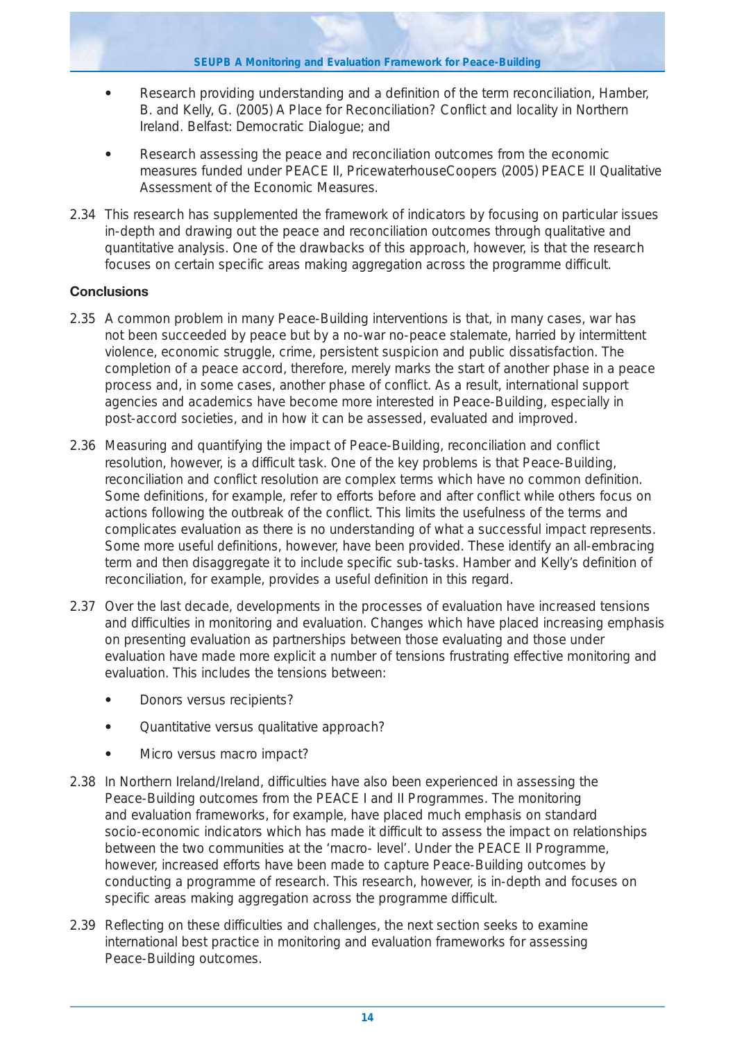- **•** Research providing understanding and a definition of the term reconciliation, Hamber, B. and Kelly, G. (2005) A Place for Reconciliation? Conflict and locality in Northern Ireland. Belfast: Democratic Dialogue; and
- **•** Research assessing the peace and reconciliation outcomes from the economic measures funded under PEACE II, PricewaterhouseCoopers (2005) *PEACE II Qualitative Assessment of the Economic Measures*.
- 2.34 This research has supplemented the framework of indicators by focusing on particular issues in-depth and drawing out the peace and reconciliation outcomes through qualitative and quantitative analysis. One of the drawbacks of this approach, however, is that the research focuses on certain specific areas making aggregation across the programme difficult.

## **Conclusions**

- 2.35 A common problem in many Peace-Building interventions is that, in many cases, war has not been succeeded by peace but by a no-war no-peace stalemate, harried by intermittent violence, economic struggle, crime, persistent suspicion and public dissatisfaction. The completion of a peace accord, therefore, merely marks the start of another phase in a peace process and, in some cases, another phase of conflict. As a result, international support agencies and academics have become more interested in Peace-Building, especially in post-accord societies, and in how it can be assessed, evaluated and improved.
- 2.36 Measuring and quantifying the impact of Peace-Building, reconciliation and conflict resolution, however, is a difficult task. One of the key problems is that Peace-Building, reconciliation and conflict resolution are complex terms which have no common definition. Some definitions, for example, refer to efforts before and after conflict while others focus on actions following the outbreak of the conflict. This limits the usefulness of the terms and complicates evaluation as there is no understanding of what a successful impact represents. Some more useful definitions, however, have been provided. These identify an all-embracing term and then disaggregate it to include specific sub-tasks. Hamber and Kelly's definition of reconciliation, for example, provides a useful definition in this regard.
- 2.37 Over the last decade, developments in the processes of evaluation have increased tensions and difficulties in monitoring and evaluation. Changes which have placed increasing emphasis on presenting evaluation as partnerships between those evaluating and those under evaluation have made more explicit a number of tensions frustrating effective monitoring and evaluation. This includes the tensions between:
	- **•** Donors versus recipients?
	- **•** Quantitative versus qualitative approach?
	- **•** Micro versus macro impact?
- 2.38 In Northern Ireland/Ireland, difficulties have also been experienced in assessing the Peace-Building outcomes from the PEACE I and II Programmes. The monitoring and evaluation frameworks, for example, have placed much emphasis on standard socio-economic indicators which has made it difficult to assess the impact on relationships between the two communities at the 'macro- level'. Under the PEACE II Programme, however, increased efforts have been made to capture Peace-Building outcomes by conducting a programme of research. This research, however, is in-depth and focuses on specific areas making aggregation across the programme difficult.
- 2.39 Reflecting on these difficulties and challenges, the next section seeks to examine international best practice in monitoring and evaluation frameworks for assessing Peace-Building outcomes.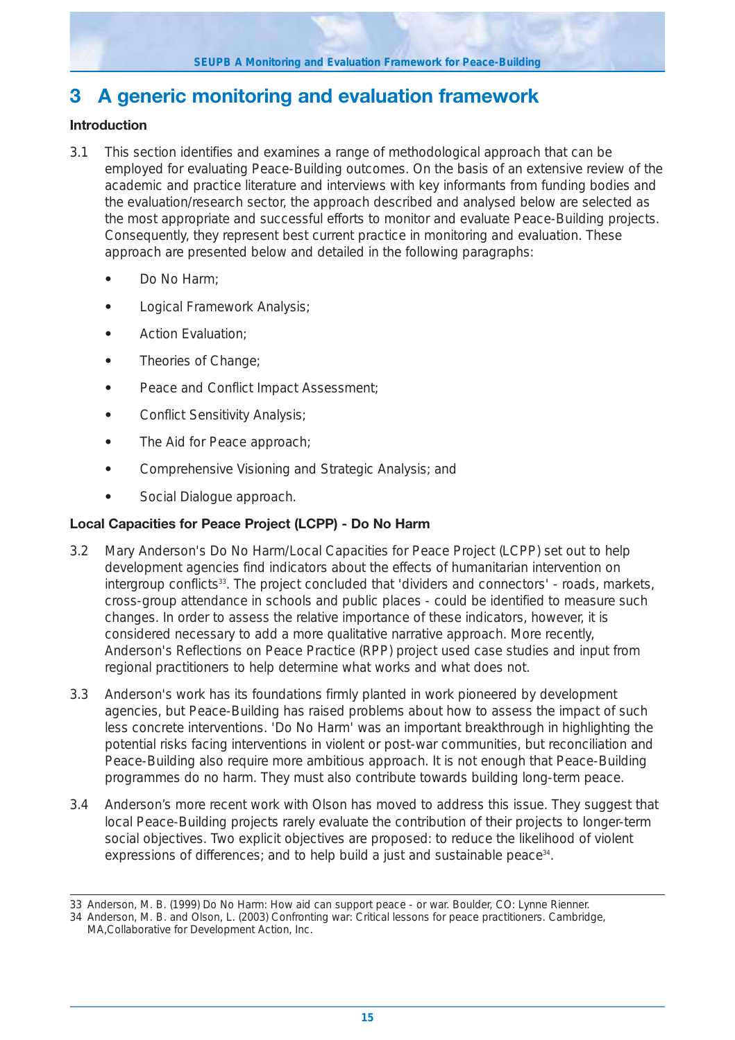# **3 A generic monitoring and evaluation framework**

## **Introduction**

- 3.1 This section identifies and examines a range of methodological approach that can be employed for evaluating Peace-Building outcomes. On the basis of an extensive review of the academic and practice literature and interviews with key informants from funding bodies and the evaluation/research sector, the approach described and analysed below are selected as the most appropriate and successful efforts to monitor and evaluate Peace-Building projects. Consequently, they represent best current practice in monitoring and evaluation. These approach are presented below and detailed in the following paragraphs:
	- **•** Do No Harm;
	- **•** Logical Framework Analysis;
	- **•** Action Evaluation;
	- **•** Theories of Change;
	- **•** Peace and Conflict Impact Assessment;
	- **•** Conflict Sensitivity Analysis;
	- **•** The Aid for Peace approach;
	- **•** Comprehensive Visioning and Strategic Analysis; and
	- **•** Social Dialogue approach.

## **Local Capacities for Peace Project (LCPP) - Do No Harm**

- 3.2 Mary Anderson's Do No Harm/Local Capacities for Peace Project (LCPP) set out to help development agencies find indicators about the effects of humanitarian intervention on intergroup conflicts<sup>33</sup>. The project concluded that 'dividers and connectors' - roads, markets, cross-group attendance in schools and public places - could be identified to measure such changes. In order to assess the relative importance of these indicators, however, it is considered necessary to add a more qualitative narrative approach. More recently, Anderson's Reflections on Peace Practice (RPP) project used case studies and input from regional practitioners to help determine what works and what does not.
- 3.3 Anderson's work has its foundations firmly planted in work pioneered by development agencies, but Peace-Building has raised problems about how to assess the impact of such less concrete interventions. 'Do No Harm' was an important breakthrough in highlighting the potential risks facing interventions in violent or post-war communities, but reconciliation and Peace-Building also require more ambitious approach. It is not enough that Peace-Building programmes do no harm. They must also contribute towards building long-term peace.
- 3.4 Anderson's more recent work with Olson has moved to address this issue. They suggest that local Peace-Building projects rarely evaluate the contribution of their projects to longer-term social objectives. Two explicit objectives are proposed: to reduce the likelihood of violent expressions of differences; and to help build a just and sustainable peace<sup>34</sup>.

<sup>33</sup> Anderson, M. B. (1999) Do No Harm: How aid can support peace - or war. Boulder, CO: Lynne Rienner.

<sup>34</sup> Anderson, M. B. and Olson, L. (2003) Confronting war: Critical lessons for peace practitioners. Cambridge,

MA,Collaborative for Development Action, Inc.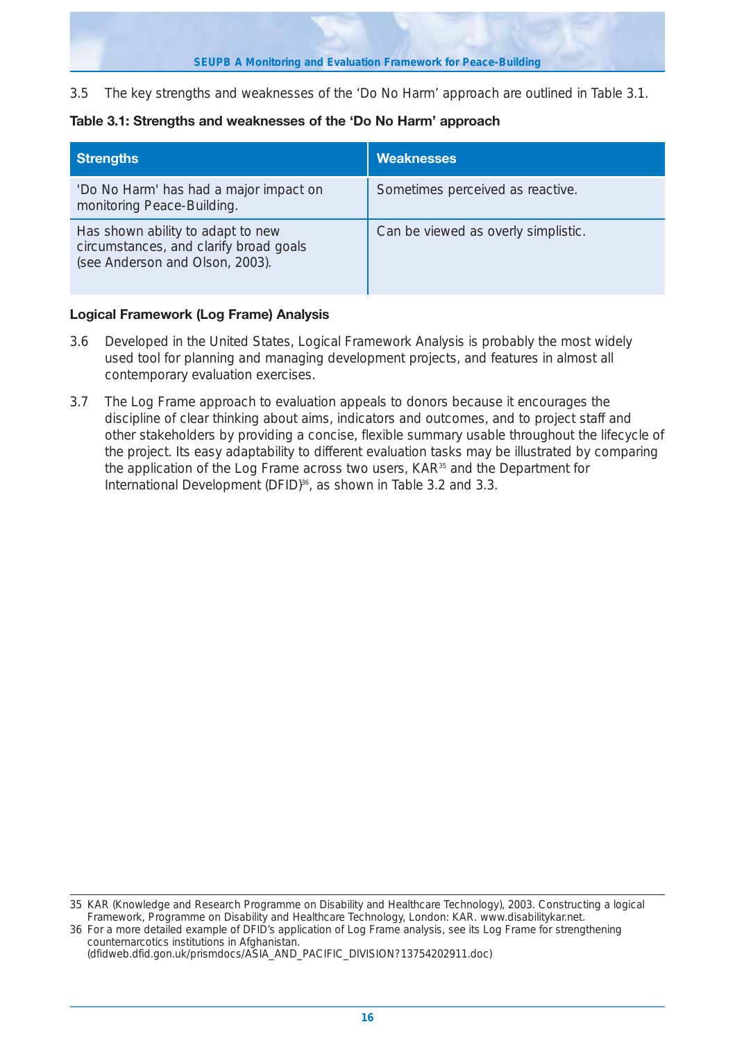3.5 The key strengths and weaknesses of the 'Do No Harm' approach are outlined in Table 3.1.

## **Table 3.1: Strengths and weaknesses of the 'Do No Harm' approach**

| <b>Strengths</b>                                                                                               | <b>Weaknesses</b>                   |
|----------------------------------------------------------------------------------------------------------------|-------------------------------------|
| 'Do No Harm' has had a major impact on<br>monitoring Peace-Building.                                           | Sometimes perceived as reactive.    |
| Has shown ability to adapt to new<br>circumstances, and clarify broad goals<br>(see Anderson and Olson, 2003). | Can be viewed as overly simplistic. |

## **Logical Framework (Log Frame) Analysis**

- 3.6 Developed in the United States, Logical Framework Analysis is probably the most widely used tool for planning and managing development projects, and features in almost all contemporary evaluation exercises.
- 3.7 The Log Frame approach to evaluation appeals to donors because it encourages the discipline of clear thinking about aims, indicators and outcomes, and to project staff and other stakeholders by providing a concise, flexible summary usable throughout the lifecycle of the project. Its easy adaptability to different evaluation tasks may be illustrated by comparing the application of the Log Frame across two users, KAR<sup>35</sup> and the Department for International Development (DFID)<sup>36</sup>, as shown in Table 3.2 and 3.3.

<sup>35</sup> KAR (Knowledge and Research Programme on Disability and Healthcare Technology), 2003. Constructing a logical Framework, Programme on Disability and Healthcare Technology, London: KAR. www.disabilitykar.net.

<sup>36</sup> For a more detailed example of DFID's application of Log Frame analysis, see its Log Frame for strengthening counternarcotics institutions in Afghanistan.

<sup>(</sup>dfidweb.dfid.gon.uk/prismdocs/ASIA\_AND\_PACIFIC\_DIVISION?13754202911.doc)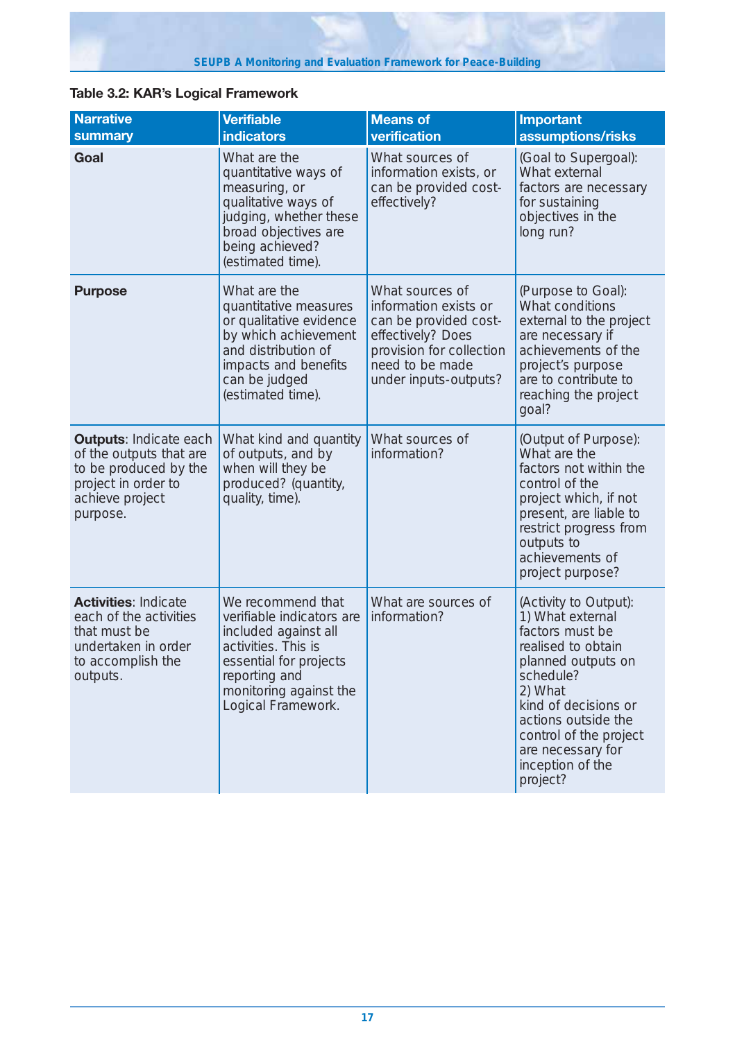| <b>Narrative</b><br>summary                                                                                                             | <b>Verifiable</b><br><b>indicators</b>                                                                                                                                                   | <b>Means of</b><br>verification                                                                                                                                | <b>Important</b><br>assumptions/risks                                                                                                                                                                                                                          |
|-----------------------------------------------------------------------------------------------------------------------------------------|------------------------------------------------------------------------------------------------------------------------------------------------------------------------------------------|----------------------------------------------------------------------------------------------------------------------------------------------------------------|----------------------------------------------------------------------------------------------------------------------------------------------------------------------------------------------------------------------------------------------------------------|
| Goal                                                                                                                                    | What are the<br>quantitative ways of<br>measuring, or<br>qualitative ways of<br>judging, whether these<br>broad objectives are<br>being achieved?<br>(estimated time).                   | What sources of<br>information exists, or<br>can be provided cost-<br>effectively?                                                                             | (Goal to Supergoal):<br>What external<br>factors are necessary<br>for sustaining<br>objectives in the<br>long run?                                                                                                                                             |
| <b>Purpose</b>                                                                                                                          | What are the<br>quantitative measures<br>or qualitative evidence<br>by which achievement<br>and distribution of<br>impacts and benefits<br>can be judged<br>(estimated time).            | What sources of<br>information exists or<br>can be provided cost-<br>effectively? Does<br>provision for collection<br>need to be made<br>under inputs-outputs? | (Purpose to Goal):<br>What conditions<br>external to the project<br>are necessary if<br>achievements of the<br>project's purpose<br>are to contribute to<br>reaching the project<br>goal?                                                                      |
| <b>Outputs: Indicate each</b><br>of the outputs that are<br>to be produced by the<br>project in order to<br>achieve project<br>purpose. | What kind and quantity<br>of outputs, and by<br>when will they be<br>produced? (quantity,<br>quality, time).                                                                             | What sources of<br>information?                                                                                                                                | (Output of Purpose):<br>What are the<br>factors not within the<br>control of the<br>project which, if not<br>present, are liable to<br>restrict progress from<br>outputs to<br>achievements of<br>project purpose?                                             |
| <b>Activities: Indicate</b><br>each of the activities<br>that must be<br>undertaken in order<br>to accomplish the<br>outputs.           | We recommend that<br>verifiable indicators are<br>included against all<br>activities. This is<br>essential for projects<br>reporting and<br>monitoring against the<br>Logical Framework. | What are sources of<br>information?                                                                                                                            | (Activity to Output):<br>1) What external<br>factors must be<br>realised to obtain<br>planned outputs on<br>schedule?<br>2) What<br>kind of decisions or<br>actions outside the<br>control of the project<br>are necessary for<br>inception of the<br>project? |

## **Table 3.2: KAR's Logical Framework**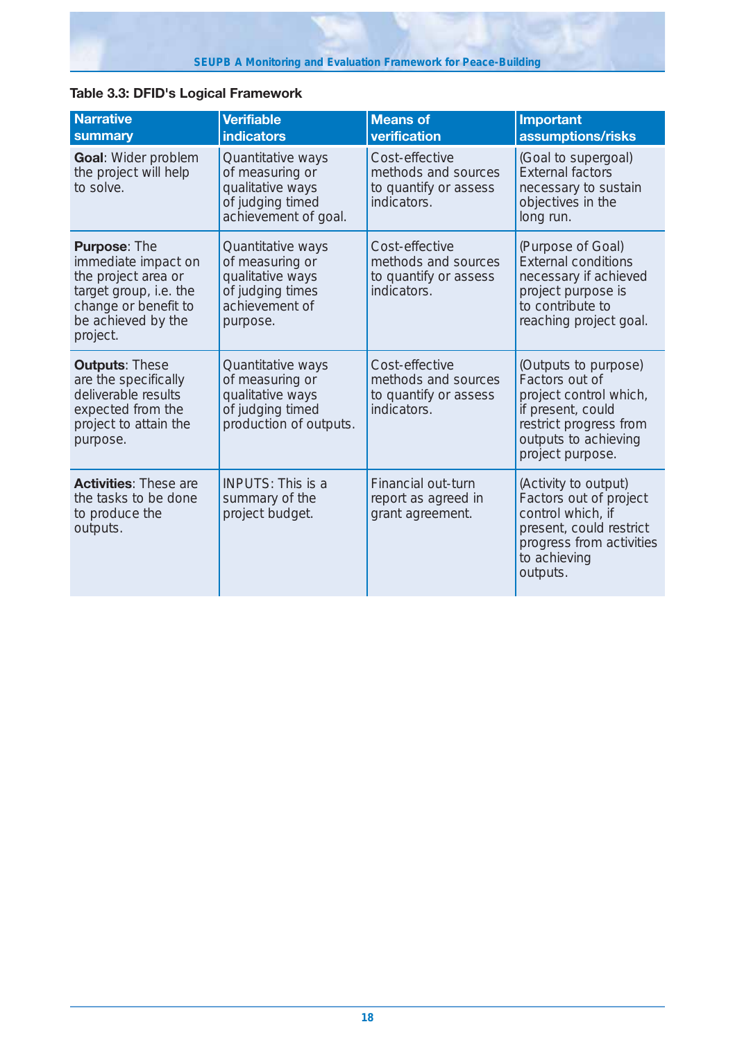| <b>Narrative</b><br>summary                                                                                                                           | <b>Verifiable</b><br><b>indicators</b>                                                                     | <b>Means of</b><br>verification                                               | <b>Important</b><br>assumptions/risks                                                                                                                       |
|-------------------------------------------------------------------------------------------------------------------------------------------------------|------------------------------------------------------------------------------------------------------------|-------------------------------------------------------------------------------|-------------------------------------------------------------------------------------------------------------------------------------------------------------|
| Goal: Wider problem<br>the project will help<br>to solve.                                                                                             | Quantitative ways<br>of measuring or<br>qualitative ways<br>of judging timed<br>achievement of goal.       | Cost-effective<br>methods and sources<br>to quantify or assess<br>indicators. | (Goal to supergoal)<br><b>External factors</b><br>necessary to sustain<br>objectives in the<br>long run.                                                    |
| <b>Purpose: The</b><br>immediate impact on<br>the project area or<br>target group, i.e. the<br>change or benefit to<br>be achieved by the<br>project. | Quantitative ways<br>of measuring or<br>qualitative ways<br>of judging times<br>achievement of<br>purpose. | Cost-effective<br>methods and sources<br>to quantify or assess<br>indicators. | (Purpose of Goal)<br><b>External conditions</b><br>necessary if achieved<br>project purpose is<br>to contribute to<br>reaching project goal.                |
| <b>Outputs: These</b><br>are the specifically<br>deliverable results<br>expected from the<br>project to attain the<br>purpose.                        | Quantitative ways<br>of measuring or<br>qualitative ways<br>of judging timed<br>production of outputs.     | Cost-effective<br>methods and sources<br>to quantify or assess<br>indicators. | (Outputs to purpose)<br>Factors out of<br>project control which,<br>if present, could<br>restrict progress from<br>outputs to achieving<br>project purpose. |
| <b>Activities:</b> These are<br>the tasks to be done<br>to produce the<br>outputs.                                                                    | <b>INPUTS: This is a</b><br>summary of the<br>project budget.                                              | Financial out-turn<br>report as agreed in<br>grant agreement.                 | (Activity to output)<br>Factors out of project<br>control which, if<br>present, could restrict<br>progress from activities<br>to achieving<br>outputs.      |

## **Table 3.3: DFID's Logical Framework**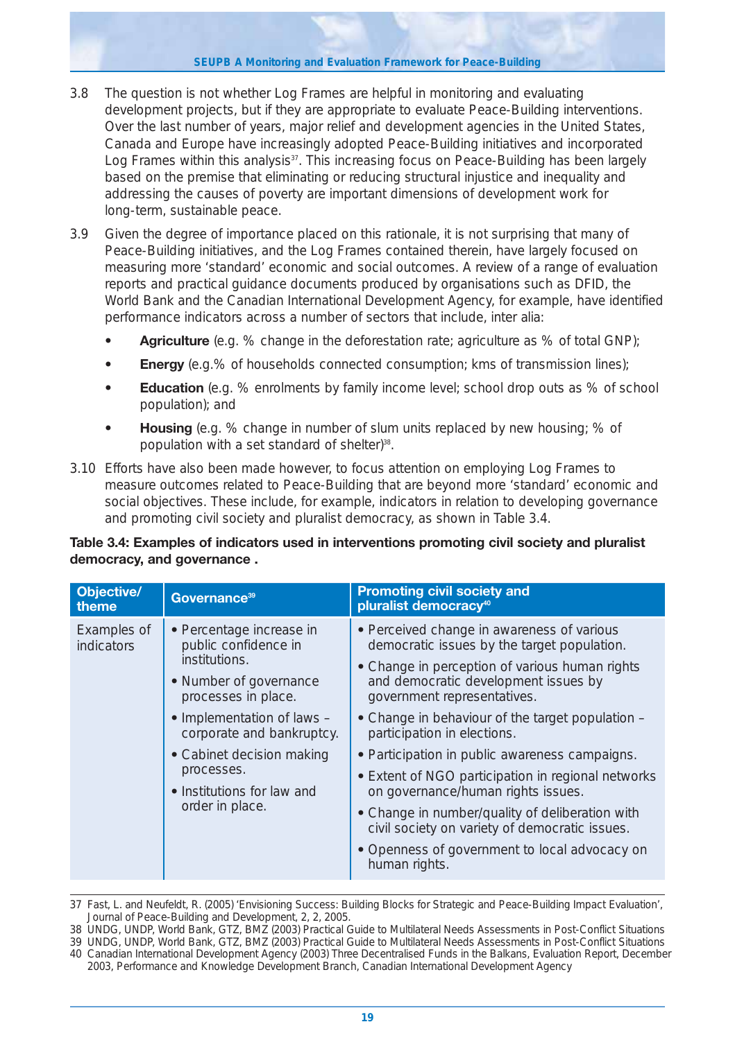#### **SEUPB A Monitoring and Evaluation Framework for Peace-Building**

- 3.8 The question is not whether Log Frames are helpful in monitoring and evaluating development projects, but if they are appropriate to evaluate Peace-Building interventions. Over the last number of years, major relief and development agencies in the United States, Canada and Europe have increasingly adopted Peace-Building initiatives and incorporated Log Frames within this analysis<sup>37</sup>. This increasing focus on Peace-Building has been largely based on the premise that eliminating or reducing structural injustice and inequality and addressing the causes of poverty are important dimensions of development work for long-term, sustainable peace.
- 3.9 Given the degree of importance placed on this rationale, it is not surprising that many of Peace-Building initiatives, and the Log Frames contained therein, have largely focused on measuring more 'standard' economic and social outcomes. A review of a range of evaluation reports and practical guidance documents produced by organisations such as DFID, the World Bank and the Canadian International Development Agency, for example, have identified performance indicators across a number of sectors that include, *inter alia*:
	- **Agriculture** (e.g. % change in the deforestation rate; agriculture as % of total GNP);
	- **Energy** (e.g.% of households connected consumption; kms of transmission lines);
	- **Education** (e.g. % enrolments by family income level; school drop outs as % of school population); and
	- **Housing** (e.g. % change in number of slum units replaced by new housing; % of population with a set standard of shelter)<sup>38</sup>.
- 3.10 Efforts have also been made however, to focus attention on employing Log Frames to measure outcomes related to Peace-Building that are beyond more 'standard' economic and social objectives. These include, for example, indicators in relation to developing governance and promoting civil society and pluralist democracy, as shown in Table 3.4.

## **Table 3.4: Examples of indicators used in interventions promoting civil society and pluralist democracy, and governance .**

| <b>Objective/</b><br>theme       | Governance <sup>39</sup>                                                                                                                                                                                                                                                  | <b>Promoting civil society and</b><br>pluralist democracy <sup>40</sup>                                                                                                                                                                                                                                                                                                                                                                                                                                                                                                                                                    |
|----------------------------------|---------------------------------------------------------------------------------------------------------------------------------------------------------------------------------------------------------------------------------------------------------------------------|----------------------------------------------------------------------------------------------------------------------------------------------------------------------------------------------------------------------------------------------------------------------------------------------------------------------------------------------------------------------------------------------------------------------------------------------------------------------------------------------------------------------------------------------------------------------------------------------------------------------------|
| Examples of<br><b>indicators</b> | • Percentage increase in<br>public confidence in<br>institutions.<br>• Number of governance<br>processes in place.<br>• Implementation of laws -<br>corporate and bankruptcy.<br>• Cabinet decision making<br>processes.<br>• Institutions for law and<br>order in place. | • Perceived change in awareness of various<br>democratic issues by the target population.<br>• Change in perception of various human rights<br>and democratic development issues by<br>government representatives.<br>• Change in behaviour of the target population -<br>participation in elections.<br>• Participation in public awareness campaigns.<br>• Extent of NGO participation in regional networks<br>on governance/human rights issues.<br>• Change in number/quality of deliberation with<br>civil society on variety of democratic issues.<br>• Openness of government to local advocacy on<br>human rights. |

37 Fast, L. and Neufeldt, R. (2005) 'Envisioning Success: Building Blocks for Strategic and Peace-Building Impact Evaluation', Journal of Peace-Building and Development, 2, 2, 2005.

38 UNDG, UNDP, World Bank, GTZ, BMZ (2003) Practical Guide to Multilateral Needs Assessments in Post-Conflict Situations

<sup>39</sup> UNDG, UNDP, World Bank, GTZ, BMZ (2003) Practical Guide to Multilateral Needs Assessments in Post-Conflict Situations 40 Canadian International Development Agency (2003) Three Decentralised Funds in the Balkans, Evaluation Report, December 2003, Performance and Knowledge Development Branch, Canadian International Development Agency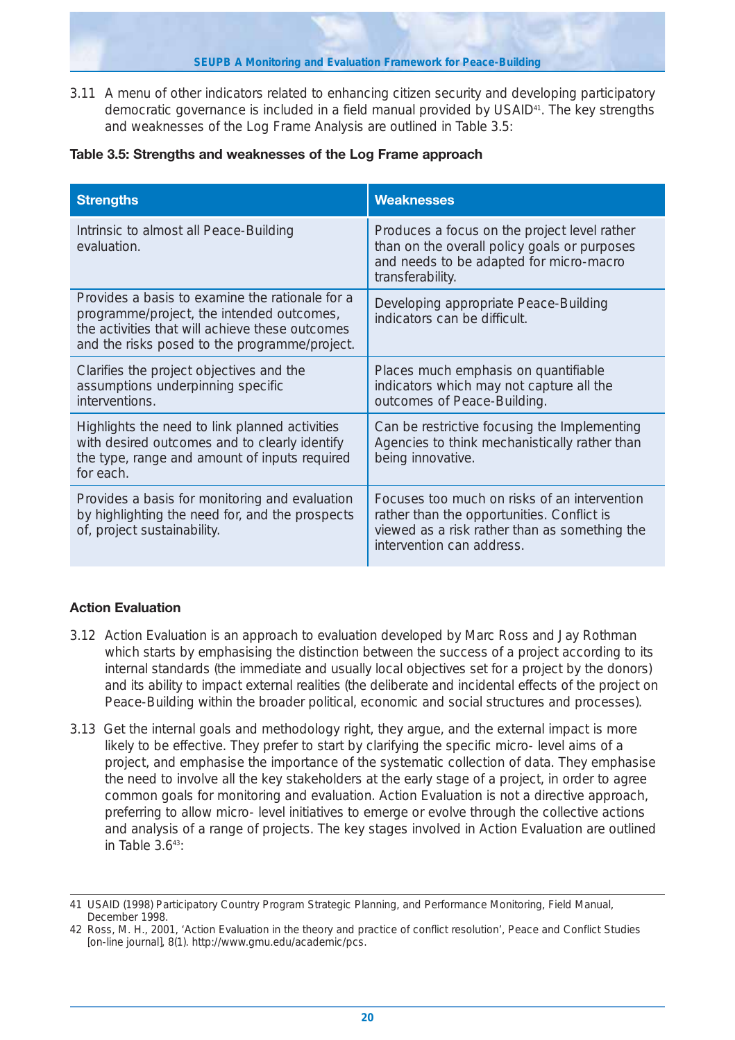**SEUPB A Monitoring and Evaluation Framework for Peace-Building**

3.11 A menu of other indicators related to enhancing citizen security and developing participatory democratic governance is included in a field manual provided by USAID<sup>41</sup>. The key strengths and weaknesses of the Log Frame Analysis are outlined in Table 3.5:

|  |  |  |  | Table 3.5: Strengths and weaknesses of the Log Frame approach |
|--|--|--|--|---------------------------------------------------------------|
|--|--|--|--|---------------------------------------------------------------|

| <b>Strengths</b>                                                                                                                                                                                 | <b>Weaknesses</b>                                                                                                                                                        |
|--------------------------------------------------------------------------------------------------------------------------------------------------------------------------------------------------|--------------------------------------------------------------------------------------------------------------------------------------------------------------------------|
| Intrinsic to almost all Peace-Building<br>evaluation.                                                                                                                                            | Produces a focus on the project level rather<br>than on the overall policy goals or purposes<br>and needs to be adapted for micro-macro<br>transferability.              |
| Provides a basis to examine the rationale for a<br>programme/project, the intended outcomes,<br>the activities that will achieve these outcomes<br>and the risks posed to the programme/project. | Developing appropriate Peace-Building<br>indicators can be difficult.                                                                                                    |
| Clarifies the project objectives and the<br>assumptions underpinning specific<br>interventions.                                                                                                  | Places much emphasis on quantifiable<br>indicators which may not capture all the<br>outcomes of Peace-Building.                                                          |
| Highlights the need to link planned activities<br>with desired outcomes and to clearly identify<br>the type, range and amount of inputs required<br>for each.                                    | Can be restrictive focusing the Implementing<br>Agencies to think mechanistically rather than<br>being innovative.                                                       |
| Provides a basis for monitoring and evaluation<br>by highlighting the need for, and the prospects<br>of, project sustainability.                                                                 | Focuses too much on risks of an intervention<br>rather than the opportunities. Conflict is<br>viewed as a risk rather than as something the<br>intervention can address. |

## **Action Evaluation**

- 3.12 Action Evaluation is an approach to evaluation developed by Marc Ross and Jay Rothman which starts by emphasising the distinction between the success of a project according to its internal standards (the immediate and usually local objectives set for a project by the donors) and its ability to impact external realities (the deliberate and incidental effects of the project on Peace-Building within the broader political, economic and social structures and processes).
- 3.13 Get the internal goals and methodology right, they argue, and the external impact is more likely to be effective. They prefer to start by clarifying the specific micro- level aims of a project, and emphasise the importance of the systematic collection of data. They emphasise the need to involve all the key stakeholders at the early stage of a project, in order to agree common goals for monitoring and evaluation. Action Evaluation is not a directive approach, preferring to allow micro- level initiatives to emerge or evolve through the collective actions and analysis of a range of projects. The key stages involved in Action Evaluation are outlined in Table  $3.643$ :

<sup>41</sup> USAID (1998) Participatory Country Program Strategic Planning, and Performance Monitoring, Field Manual, December 1998.

<sup>42</sup> Ross, M. H., 2001, 'Action Evaluation in the theory and practice of conflict resolution', Peace and Conflict Studies [on-line journal], 8(1). http://www.gmu.edu/academic/pcs.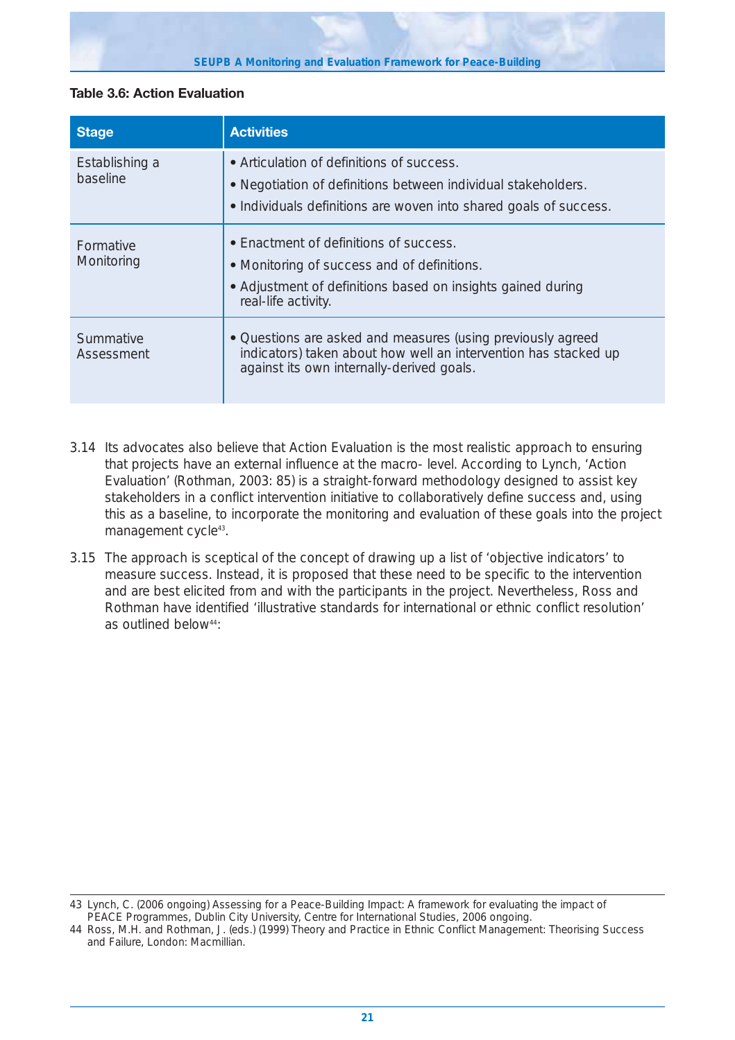#### **SEUPB A Monitoring and Evaluation Framework for Peace-Building**

## **Table 3.6: Action Evaluation**

| <b>Stage</b>               | <b>Activities</b>                                                                                                                                                               |
|----------------------------|---------------------------------------------------------------------------------------------------------------------------------------------------------------------------------|
| Establishing a<br>baseline | • Articulation of definitions of success.<br>. Negotiation of definitions between individual stakeholders.<br>• Individuals definitions are woven into shared goals of success. |
| Formative<br>Monitoring    | • Enactment of definitions of success.<br>• Monitoring of success and of definitions.<br>• Adjustment of definitions based on insights gained during<br>real-life activity.     |
| Summative<br>Assessment    | • Questions are asked and measures (using previously agreed<br>indicators) taken about how well an intervention has stacked up<br>against its own internally-derived goals.     |

- 3.14 Its advocates also believe that Action Evaluation is the most realistic approach to ensuring that projects have an external influence at the macro- level. According to Lynch, 'Action Evaluation' (Rothman, 2003: 85) is a straight-forward methodology designed to assist key stakeholders in a conflict intervention initiative to collaboratively define success and, using this as a baseline, to incorporate the monitoring and evaluation of these goals into the project management cycle<sup>43</sup>.
- 3.15 The approach is sceptical of the concept of drawing up a list of 'objective indicators' to measure success. Instead, it is proposed that these need to be specific to the intervention and are best elicited from and with the participants in the project. Nevertheless, Ross and Rothman have identified 'illustrative standards for international or ethnic conflict resolution' as outlined below<sup>44</sup>:

<sup>43</sup> Lynch, C. (2006 ongoing) Assessing for a Peace-Building Impact: A framework for evaluating the impact of PEACE Programmes, Dublin City University, Centre for International Studies, 2006 ongoing.

<sup>44</sup> Ross, M.H. and Rothman, J. (eds.) (1999) Theory and Practice in Ethnic Conflict Management: Theorising Success and Failure, London: Macmillian.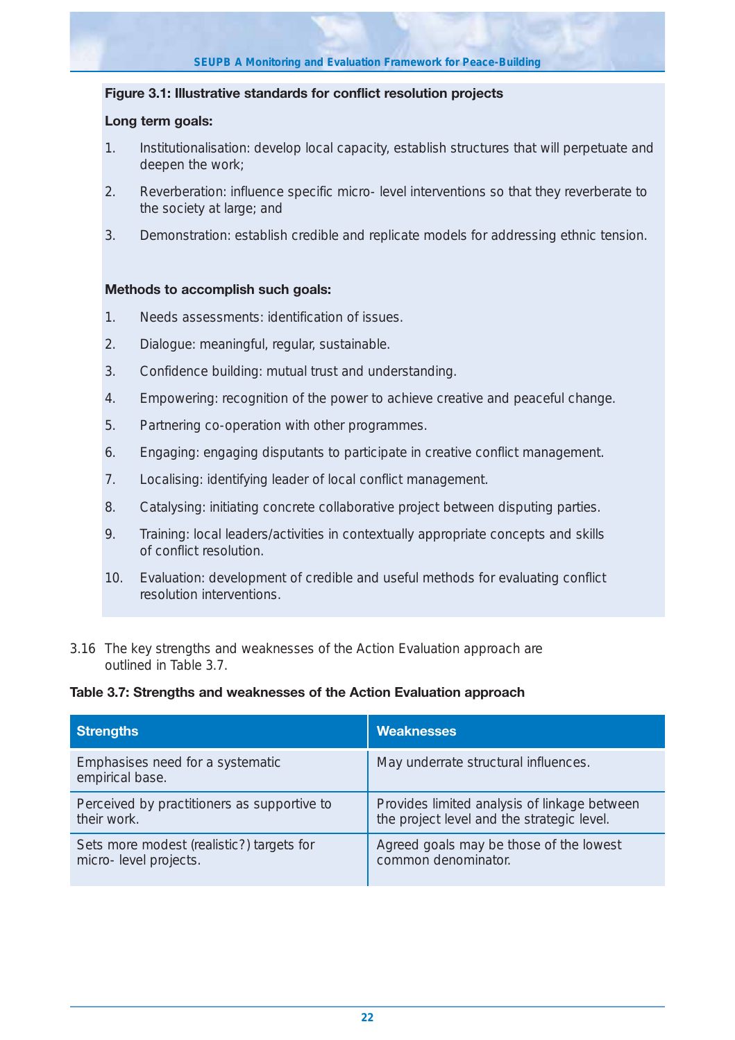### **Figure 3.1: Illustrative standards for conflict resolution projects**

### **Long term goals:**

- 1. Institutionalisation: develop local capacity, establish structures that will perpetuate and deepen the work;
- 2. Reverberation: influence specific micro- level interventions so that they reverberate to the society at large; and
- 3. Demonstration: establish credible and replicate models for addressing ethnic tension.

### **Methods to accomplish such goals:**

- 1. Needs assessments: identification of issues.
- 2. Dialogue: meaningful, regular, sustainable.
- 3. Confidence building: mutual trust and understanding.
- 4. Empowering: recognition of the power to achieve creative and peaceful change.
- 5. Partnering co-operation with other programmes.
- 6. Engaging: engaging disputants to participate in creative conflict management.
- 7. Localising: identifying leader of local conflict management.
- 8. Catalysing: initiating concrete collaborative project between disputing parties.
- 9. Training: local leaders/activities in contextually appropriate concepts and skills of conflict resolution.
- 10. Evaluation: development of credible and useful methods for evaluating conflict resolution interventions.
- 3.16 The key strengths and weaknesses of the Action Evaluation approach are outlined in Table 3.7.

#### **Table 3.7: Strengths and weaknesses of the Action Evaluation approach**

| <b>Strengths</b>                                    | <b>Weaknesses</b>                            |
|-----------------------------------------------------|----------------------------------------------|
| Emphasises need for a systematic<br>empirical base. | May underrate structural influences.         |
| Perceived by practitioners as supportive to         | Provides limited analysis of linkage between |
| their work.                                         | the project level and the strategic level.   |
| Sets more modest (realistic?) targets for           | Agreed goals may be those of the lowest      |
| micro-level projects.                               | common denominator.                          |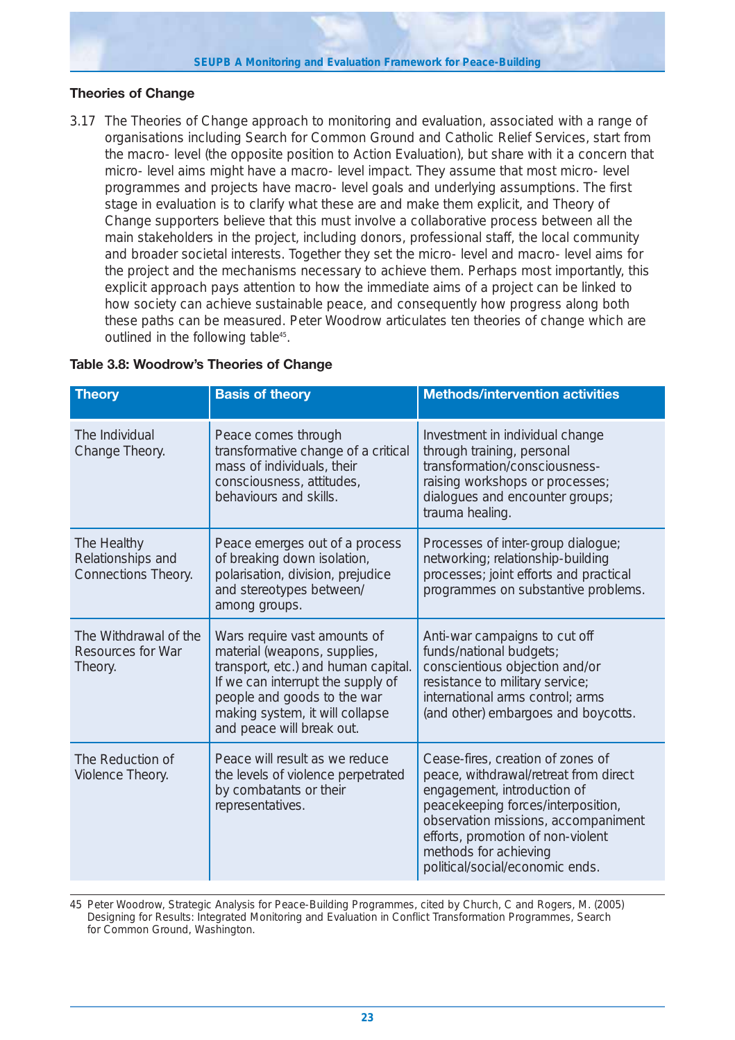#### **SEUPB A Monitoring and Evaluation Framework for Peace-Building**

## **Theories of Change**

3.17 The Theories of Change approach to monitoring and evaluation, associated with a range of organisations including Search for Common Ground and Catholic Relief Services, start from the macro- level (the opposite position to Action Evaluation), but share with it a concern that micro- level aims might have a macro- level impact. They assume that most micro- level programmes and projects have macro- level goals and underlying assumptions. The first stage in evaluation is to clarify what these are and make them explicit, and Theory of Change supporters believe that this must involve a collaborative process between all the main stakeholders in the project, including donors, professional staff, the local community and broader societal interests. Together they set the micro- level and macro- level aims for the project and the mechanisms necessary to achieve them. Perhaps most importantly, this explicit approach pays attention to how the immediate aims of a project can be linked to how society can achieve sustainable peace, and consequently how progress along both these paths can be measured. Peter Woodrow articulates ten theories of change which are outlined in the following table<sup>45</sup>.

| <b>Theory</b>                                                | <b>Basis of theory</b>                                                                                                                                                                                                                  | <b>Methods/intervention activities</b>                                                                                                                                                                                                                                                  |
|--------------------------------------------------------------|-----------------------------------------------------------------------------------------------------------------------------------------------------------------------------------------------------------------------------------------|-----------------------------------------------------------------------------------------------------------------------------------------------------------------------------------------------------------------------------------------------------------------------------------------|
| The Individual<br>Change Theory.                             | Peace comes through<br>transformative change of a critical<br>mass of individuals, their<br>consciousness, attitudes,<br>behaviours and skills.                                                                                         | Investment in individual change<br>through training, personal<br>transformation/consciousness-<br>raising workshops or processes;<br>dialogues and encounter groups;<br>trauma healing.                                                                                                 |
| The Healthy<br>Relationships and<br>Connections Theory.      | Peace emerges out of a process<br>of breaking down isolation,<br>polarisation, division, prejudice<br>and stereotypes between/<br>among groups.                                                                                         | Processes of inter-group dialogue;<br>networking; relationship-building<br>processes; joint efforts and practical<br>programmes on substantive problems.                                                                                                                                |
| The Withdrawal of the<br><b>Resources for War</b><br>Theory. | Wars require vast amounts of<br>material (weapons, supplies,<br>transport, etc.) and human capital.<br>If we can interrupt the supply of<br>people and goods to the war<br>making system, it will collapse<br>and peace will break out. | Anti-war campaigns to cut off<br>funds/national budgets;<br>conscientious objection and/or<br>resistance to military service;<br>international arms control; arms<br>(and other) embargoes and boycotts.                                                                                |
| The Reduction of<br>Violence Theory.                         | Peace will result as we reduce<br>the levels of violence perpetrated<br>by combatants or their<br>representatives.                                                                                                                      | Cease-fires, creation of zones of<br>peace, withdrawal/retreat from direct<br>engagement, introduction of<br>peacekeeping forces/interposition,<br>observation missions, accompaniment<br>efforts, promotion of non-violent<br>methods for achieving<br>political/social/economic ends. |

45 Peter Woodrow, Strategic Analysis for Peace-Building Programmes, cited by Church, C and Rogers, M. (2005) Designing for Results: Integrated Monitoring and Evaluation in Conflict Transformation Programmes, Search for Common Ground, Washington.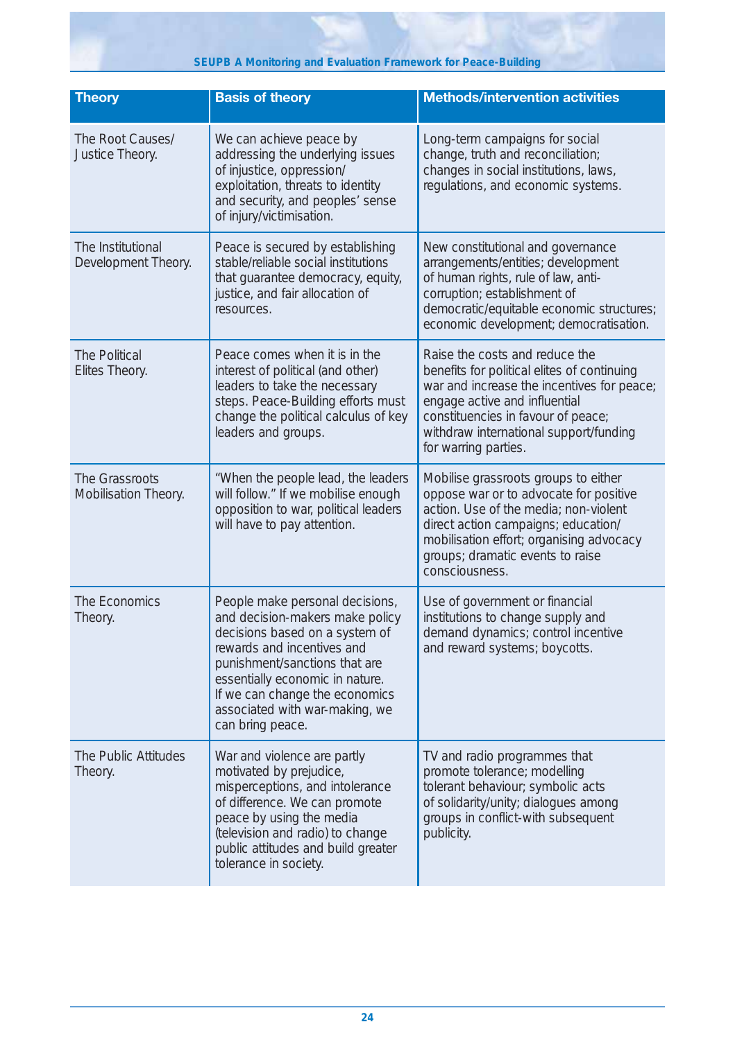**SEUPB A Monitoring and Evaluation Framework for Peace-Building**

| <b>Theory</b>                            | <b>Basis of theory</b>                                                                                                                                                                                                                                                                         | <b>Methods/intervention activities</b>                                                                                                                                                                                                                               |
|------------------------------------------|------------------------------------------------------------------------------------------------------------------------------------------------------------------------------------------------------------------------------------------------------------------------------------------------|----------------------------------------------------------------------------------------------------------------------------------------------------------------------------------------------------------------------------------------------------------------------|
| The Root Causes/<br>Justice Theory.      | We can achieve peace by<br>addressing the underlying issues<br>of injustice, oppression/<br>exploitation, threats to identity<br>and security, and peoples' sense<br>of injury/victimisation.                                                                                                  | Long-term campaigns for social<br>change, truth and reconciliation;<br>changes in social institutions, laws,<br>regulations, and economic systems.                                                                                                                   |
| The Institutional<br>Development Theory. | Peace is secured by establishing<br>stable/reliable social institutions<br>that guarantee democracy, equity,<br>justice, and fair allocation of<br>resources.                                                                                                                                  | New constitutional and governance<br>arrangements/entities; development<br>of human rights, rule of law, anti-<br>corruption; establishment of<br>democratic/equitable economic structures;<br>economic development; democratisation.                                |
| The Political<br>Elites Theory.          | Peace comes when it is in the<br>interest of political (and other)<br>leaders to take the necessary<br>steps. Peace-Building efforts must<br>change the political calculus of key<br>leaders and groups.                                                                                       | Raise the costs and reduce the<br>benefits for political elites of continuing<br>war and increase the incentives for peace;<br>engage active and influential<br>constituencies in favour of peace;<br>withdraw international support/funding<br>for warring parties. |
| The Grassroots<br>Mobilisation Theory.   | "When the people lead, the leaders<br>will follow." If we mobilise enough<br>opposition to war, political leaders<br>will have to pay attention.                                                                                                                                               | Mobilise grassroots groups to either<br>oppose war or to advocate for positive<br>action. Use of the media; non-violent<br>direct action campaigns; education/<br>mobilisation effort; organising advocacy<br>groups; dramatic events to raise<br>consciousness.     |
| The Economics<br>Theory.                 | People make personal decisions,<br>and decision-makers make policy<br>decisions based on a system of<br>rewards and incentives and<br>punishment/sanctions that are<br>essentially economic in nature.<br>If we can change the economics<br>associated with war-making, we<br>can bring peace. | Use of government or financial<br>institutions to change supply and<br>demand dynamics; control incentive<br>and reward systems; boycotts.                                                                                                                           |
| The Public Attitudes<br>Theory.          | War and violence are partly<br>motivated by prejudice,<br>misperceptions, and intolerance<br>of difference. We can promote<br>peace by using the media<br>(television and radio) to change<br>public attitudes and build greater<br>tolerance in society.                                      | TV and radio programmes that<br>promote tolerance; modelling<br>tolerant behaviour; symbolic acts<br>of solidarity/unity; dialogues among<br>groups in conflict-with subsequent<br>publicity.                                                                        |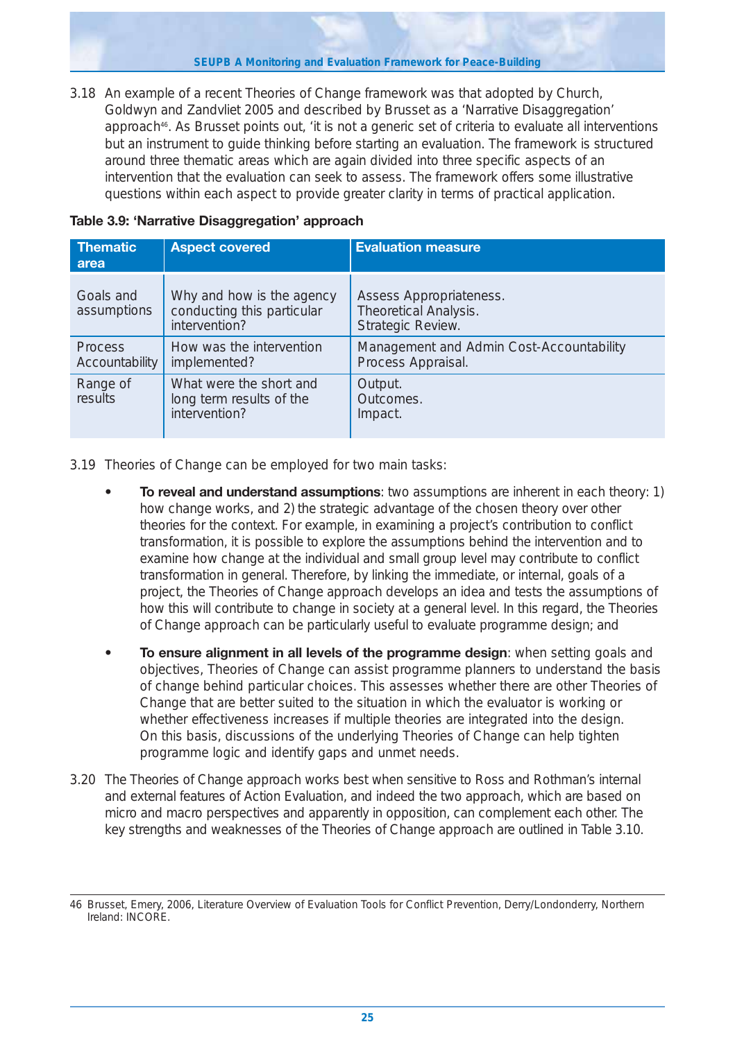**SEUPB A Monitoring and Evaluation Framework for Peace-Building**

3.18 An example of a recent Theories of Change framework was that adopted by Church, Goldwyn and Zandvliet 2005 and described by Brusset as a 'Narrative Disaggregation' approach<sup>46</sup>. As Brusset points out, 'it is not a generic set of criteria to evaluate all interventions but an instrument to guide thinking before starting an evaluation. The framework is structured around three thematic areas which are again divided into three specific aspects of an intervention that the evaluation can seek to assess. The framework offers some illustrative questions within each aspect to provide greater clarity in terms of practical application.

| <b>Thematic</b><br>area          | <b>Aspect covered</b>                                                    | <b>Evaluation measure</b>                                                    |
|----------------------------------|--------------------------------------------------------------------------|------------------------------------------------------------------------------|
| Goals and<br>assumptions         | Why and how is the agency<br>conducting this particular<br>intervention? | Assess Appropriateness.<br><b>Theoretical Analysis.</b><br>Strategic Review. |
| <b>Process</b><br>Accountability | How was the intervention<br>implemented?                                 | Management and Admin Cost-Accountability<br>Process Appraisal.               |
| Range of<br>results              | What were the short and<br>long term results of the<br>intervention?     | Output.<br>Outcomes.<br>Impact.                                              |

## **Table 3.9: 'Narrative Disaggregation' approach**

3.19 Theories of Change can be employed for two main tasks:

- **To reveal and understand assumptions**: two assumptions are inherent in each theory: 1) how change works, and 2) the strategic advantage of the chosen theory over other theories for the context. For example, in examining a project's contribution to conflict transformation, it is possible to explore the assumptions behind the intervention and to examine how change at the individual and small group level may contribute to conflict transformation in general. Therefore, by linking the immediate, or internal, goals of a project, the Theories of Change approach develops an idea and tests the assumptions of how this will contribute to change in society at a general level. In this regard, the Theories of Change approach can be particularly useful to evaluate programme design; and
- **To ensure alignment in all levels of the programme design**: when setting goals and objectives, Theories of Change can assist programme planners to understand the basis of change behind particular choices. This assesses whether there are other Theories of Change that are better suited to the situation in which the evaluator is working or whether effectiveness increases if multiple theories are integrated into the design. On this basis, discussions of the underlying Theories of Change can help tighten programme logic and identify gaps and unmet needs.
- 3.20 The Theories of Change approach works best when sensitive to Ross and Rothman's internal and external features of Action Evaluation, and indeed the two approach, which are based on micro and macro perspectives and apparently in opposition, can complement each other. The key strengths and weaknesses of the Theories of Change approach are outlined in Table 3.10.

<sup>46</sup> Brusset, Emery, 2006, Literature Overview of Evaluation Tools for Conflict Prevention, Derry/Londonderry, Northern Ireland: INCORE.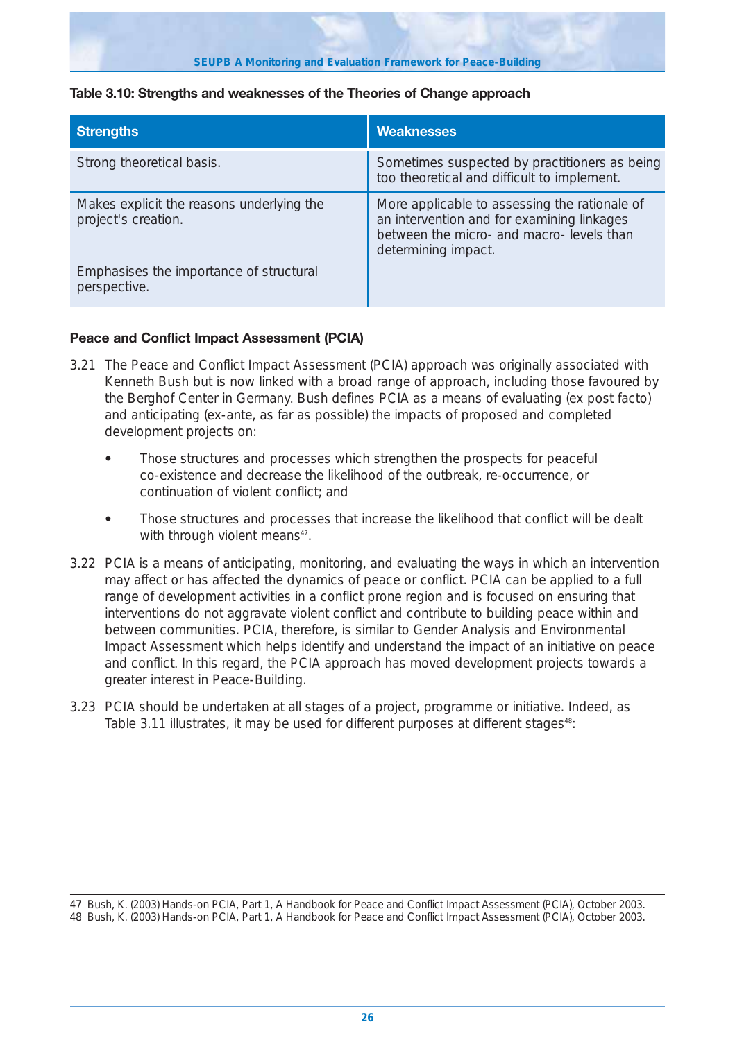#### **Table 3.10: Strengths and weaknesses of the Theories of Change approach**

| <b>Strengths</b>                                                 | <b>Weaknesses</b>                                                                                                                                               |
|------------------------------------------------------------------|-----------------------------------------------------------------------------------------------------------------------------------------------------------------|
| Strong theoretical basis.                                        | Sometimes suspected by practitioners as being<br>too theoretical and difficult to implement.                                                                    |
| Makes explicit the reasons underlying the<br>project's creation. | More applicable to assessing the rationale of<br>an intervention and for examining linkages<br>between the micro- and macro- levels than<br>determining impact. |
| Emphasises the importance of structural<br>perspective.          |                                                                                                                                                                 |

## **Peace and Conflict Impact Assessment (PCIA)**

- 3.21 The Peace and Conflict Impact Assessment (PCIA) approach was originally associated with Kenneth Bush but is now linked with a broad range of approach, including those favoured by the Berghof Center in Germany. Bush defines PCIA as a means of evaluating (ex post facto) and anticipating (ex-ante, as far as possible) the impacts of proposed and completed development projects on:
	- **•** Those structures and processes which strengthen the prospects for peaceful co-existence and decrease the likelihood of the outbreak, re-occurrence, or continuation of violent conflict; and
	- **•** Those structures and processes that increase the likelihood that conflict will be dealt with through violent means<sup>47</sup>.
- 3.22 PCIA is a means of anticipating, monitoring, and evaluating the ways in which an intervention may affect or has affected the dynamics of peace or conflict. PCIA can be applied to a full range of development activities in a conflict prone region and is focused on ensuring that interventions do not aggravate violent conflict and contribute to building peace within and between communities. PCIA, therefore, is similar to Gender Analysis and Environmental Impact Assessment which helps identify and understand the impact of an initiative on peace and conflict. In this regard, the PCIA approach has moved development projects towards a greater interest in Peace-Building.
- 3.23 PCIA should be undertaken at all stages of a project, programme or initiative. Indeed, as Table 3.11 illustrates, it may be used for different purposes at different stages<sup>48</sup>:

<sup>47</sup> Bush, K. (2003) Hands-on PCIA, Part 1, A Handbook for Peace and Conflict Impact Assessment (PCIA), October 2003. 48 Bush, K. (2003) Hands-on PCIA, Part 1, A Handbook for Peace and Conflict Impact Assessment (PCIA), October 2003.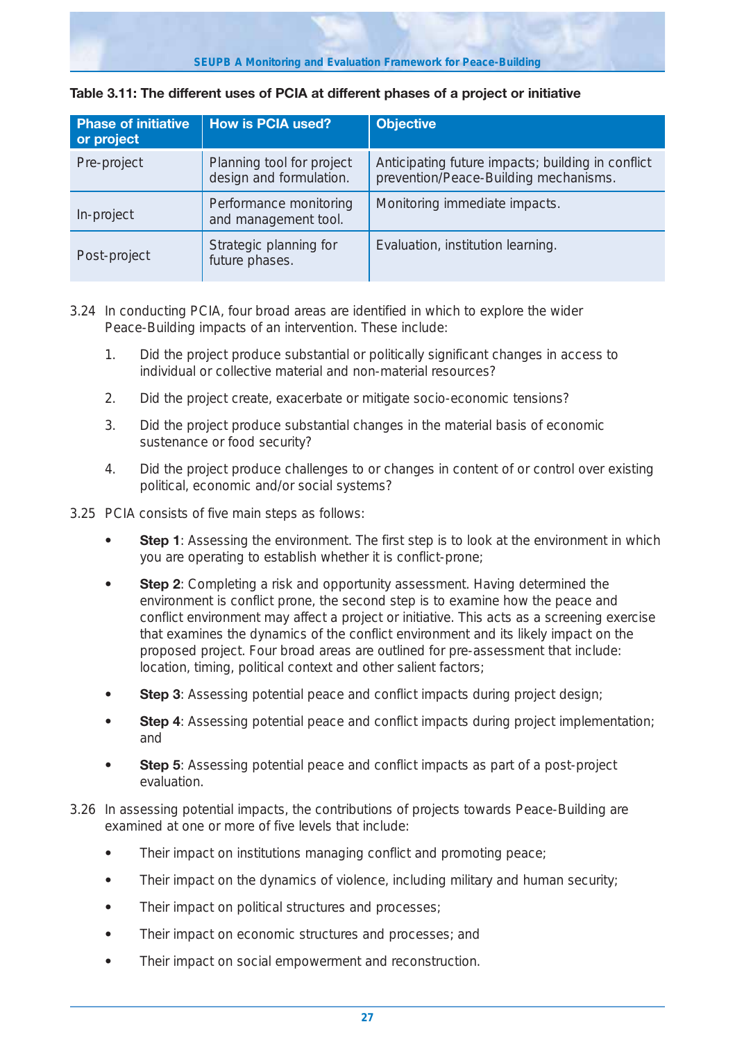| <b>Phase of initiative</b><br>or project | <b>How is PCIA used?</b>                             | <b>Objective</b>                                                                           |
|------------------------------------------|------------------------------------------------------|--------------------------------------------------------------------------------------------|
| Pre-project                              | Planning tool for project<br>design and formulation. | Anticipating future impacts; building in conflict<br>prevention/Peace-Building mechanisms. |
| In-project                               | Performance monitoring<br>and management tool.       | Monitoring immediate impacts.                                                              |
| Post-project                             | Strategic planning for<br>future phases.             | Evaluation, institution learning.                                                          |

#### **Table 3.11: The different uses of PCIA at different phases of a project or initiative**

- 3.24 In conducting PCIA, four broad areas are identified in which to explore the wider Peace-Building impacts of an intervention. These include:
	- 1. Did the project produce substantial or politically significant changes in access to individual or collective material and non-material resources?
	- 2. Did the project create, exacerbate or mitigate socio-economic tensions?
	- 3. Did the project produce substantial changes in the material basis of economic sustenance or food security?
	- 4. Did the project produce challenges to or changes in content of or control over existing political, economic and/or social systems?
- 3.25 PCIA consists of five main steps as follows:
	- **Step 1**: Assessing the environment. The first step is to look at the environment in which you are operating to establish whether it is conflict-prone;
	- **Step 2**: Completing a risk and opportunity assessment. Having determined the environment is conflict prone, the second step is to examine how the peace and conflict environment may affect a project or initiative. This acts as a screening exercise that examines the dynamics of the conflict environment and its likely impact on the proposed project. Four broad areas are outlined for pre-assessment that include: location, timing, political context and other salient factors;
	- **Step 3**: Assessing potential peace and conflict impacts during project design;
	- **Step 4**: Assessing potential peace and conflict impacts during project implementation; and
	- **Step 5**: Assessing potential peace and conflict impacts as part of a post-project evaluation.
- 3.26 In assessing potential impacts, the contributions of projects towards Peace-Building are examined at one or more of five levels that include:
	- **•** Their impact on institutions managing conflict and promoting peace;
	- **•** Their impact on the dynamics of violence, including military and human security;
	- **•** Their impact on political structures and processes;
	- **•** Their impact on economic structures and processes; and
	- **•** Their impact on social empowerment and reconstruction.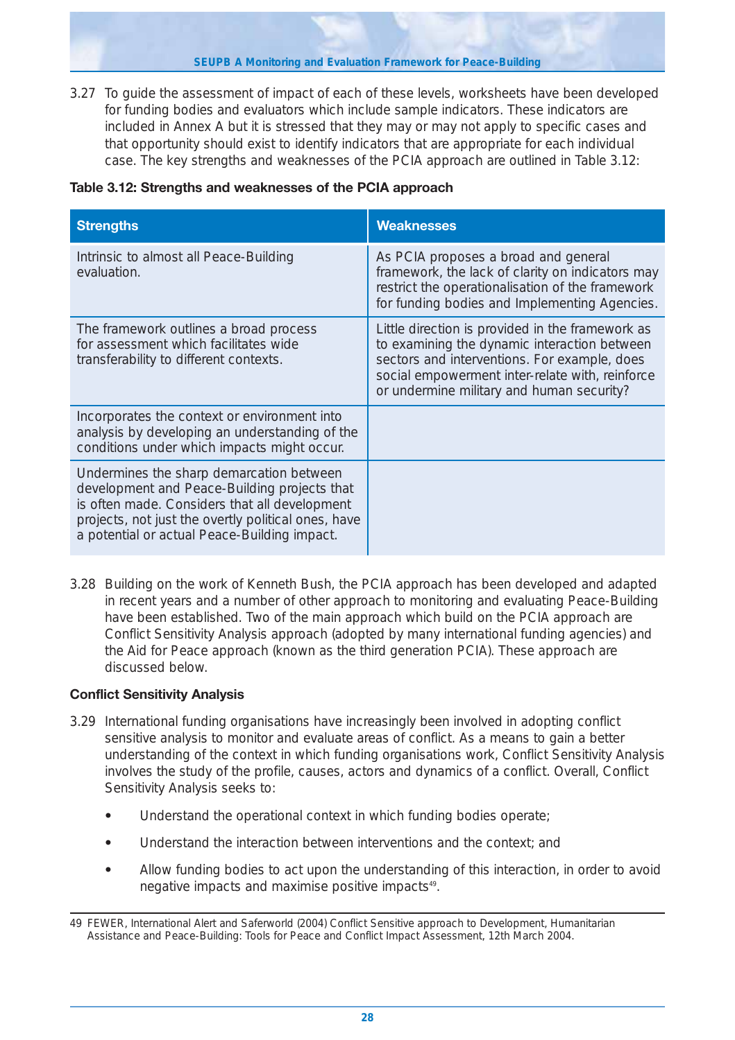**SEUPB A Monitoring and Evaluation Framework for Peace-Building**

3.27 To guide the assessment of impact of each of these levels, worksheets have been developed for funding bodies and evaluators which include sample indicators. These indicators are included in Annex A but it is stressed that they may or may not apply to specific cases and that opportunity should exist to identify indicators that are appropriate for each individual case. The key strengths and weaknesses of the PCIA approach are outlined in Table 3.12:

|  | Table 3.12: Strengths and weaknesses of the PCIA approach |  |  |
|--|-----------------------------------------------------------|--|--|
|  |                                                           |  |  |

| <b>Strengths</b>                                                                                                                                                                                                                                 | <b>Weaknesses</b>                                                                                                                                                                                                                                |
|--------------------------------------------------------------------------------------------------------------------------------------------------------------------------------------------------------------------------------------------------|--------------------------------------------------------------------------------------------------------------------------------------------------------------------------------------------------------------------------------------------------|
| Intrinsic to almost all Peace-Building<br>evaluation.                                                                                                                                                                                            | As PCIA proposes a broad and general<br>framework, the lack of clarity on indicators may<br>restrict the operationalisation of the framework<br>for funding bodies and Implementing Agencies.                                                    |
| The framework outlines a broad process<br>for assessment which facilitates wide<br>transferability to different contexts.                                                                                                                        | Little direction is provided in the framework as<br>to examining the dynamic interaction between<br>sectors and interventions. For example, does<br>social empowerment inter-relate with, reinforce<br>or undermine military and human security? |
| Incorporates the context or environment into<br>analysis by developing an understanding of the<br>conditions under which impacts might occur.                                                                                                    |                                                                                                                                                                                                                                                  |
| Undermines the sharp demarcation between<br>development and Peace-Building projects that<br>is often made. Considers that all development<br>projects, not just the overtly political ones, have<br>a potential or actual Peace-Building impact. |                                                                                                                                                                                                                                                  |

3.28 Building on the work of Kenneth Bush, the PCIA approach has been developed and adapted in recent years and a number of other approach to monitoring and evaluating Peace-Building have been established. Two of the main approach which build on the PCIA approach are Conflict Sensitivity Analysis approach (adopted by many international funding agencies) and the Aid for Peace approach (known as the third generation PCIA). These approach are discussed below.

## **Conflict Sensitivity Analysis**

- 3.29 International funding organisations have increasingly been involved in adopting conflict sensitive analysis to monitor and evaluate areas of conflict. As a means to gain a better understanding of the context in which funding organisations work, Conflict Sensitivity Analysis involves the study of the profile, causes, actors and dynamics of a conflict. Overall, Conflict Sensitivity Analysis seeks to:
	- **•** Understand the operational context in which funding bodies operate;
	- **•** Understand the interaction between interventions and the context; and
	- **•** Allow funding bodies to act upon the understanding of this interaction, in order to avoid negative impacts and maximise positive impacts<sup>49</sup>.

<sup>49</sup> FEWER, International Alert and Saferworld (2004) Conflict Sensitive approach to Development, Humanitarian Assistance and Peace-Building: Tools for Peace and Conflict Impact Assessment, 12th March 2004.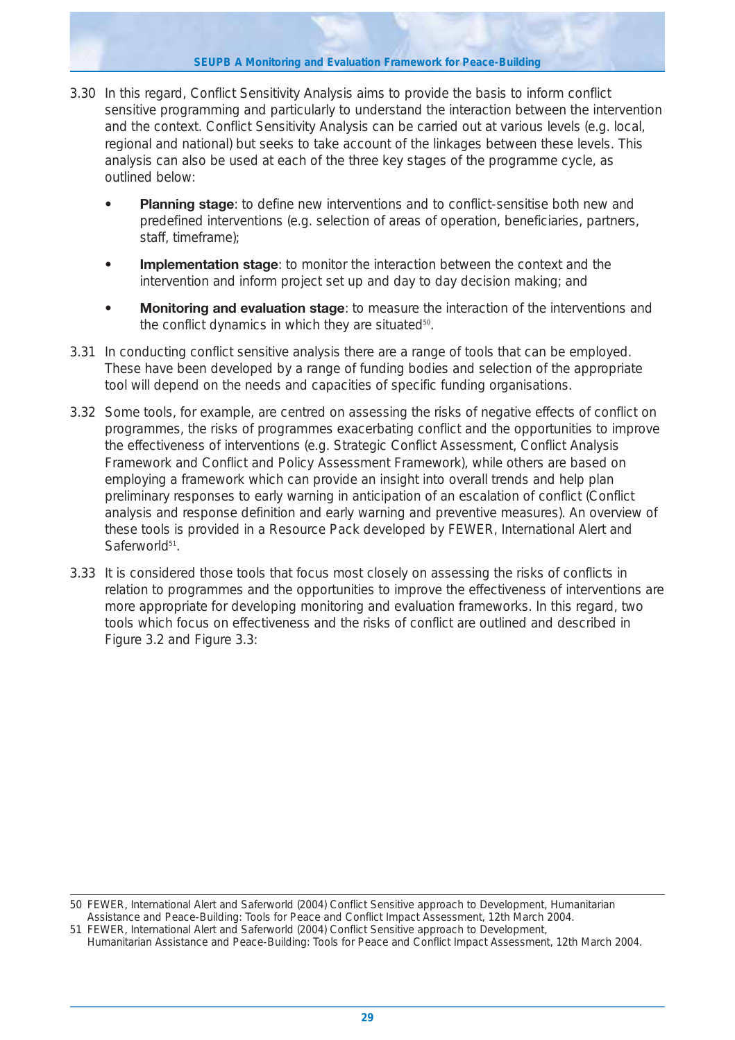**SEUPB A Monitoring and Evaluation Framework for Peace-Building**

- 3.30 In this regard, Conflict Sensitivity Analysis aims to provide the basis to inform conflict sensitive programming and particularly to understand the interaction between the intervention and the context. Conflict Sensitivity Analysis can be carried out at various levels (e.g. local, regional and national) but seeks to take account of the linkages between these levels. This analysis can also be used at each of the three key stages of the programme cycle, as outlined below:
	- **Planning stage**: to define new interventions and to conflict-sensitise both new and predefined interventions (e.g. selection of areas of operation, beneficiaries, partners, staff, timeframe);
	- **Implementation stage**: to monitor the interaction between the context and the intervention and inform project set up and day to day decision making; and
	- **Monitoring and evaluation stage**: to measure the interaction of the interventions and the conflict dynamics in which they are situated<sup>50</sup>.
- 3.31 In conducting conflict sensitive analysis there are a range of tools that can be employed. These have been developed by a range of funding bodies and selection of the appropriate tool will depend on the needs and capacities of specific funding organisations.
- 3.32 Some tools, for example, are centred on assessing the risks of negative effects of conflict on programmes, the risks of programmes exacerbating conflict and the opportunities to improve the effectiveness of interventions (e.g. Strategic Conflict Assessment, Conflict Analysis Framework and Conflict and Policy Assessment Framework), while others are based on employing a framework which can provide an insight into overall trends and help plan preliminary responses to early warning in anticipation of an escalation of conflict (Conflict analysis and response definition and early warning and preventive measures). An overview of these tools is provided in a Resource Pack developed by FEWER, International Alert and Saferworld<sup>51</sup>.
- 3.33 It is considered those tools that focus most closely on assessing the risks of conflicts in relation to programmes and the opportunities to improve the effectiveness of interventions are more appropriate for developing monitoring and evaluation frameworks. In this regard, two tools which focus on effectiveness and the risks of conflict are outlined and described in Figure 3.2 and Figure 3.3:

<sup>50</sup> FEWER, International Alert and Saferworld (2004) Conflict Sensitive approach to Development, Humanitarian Assistance and Peace-Building: Tools for Peace and Conflict Impact Assessment, 12th March 2004.

<sup>51</sup> FEWER, International Alert and Saferworld (2004) Conflict Sensitive approach to Development, Humanitarian Assistance and Peace-Building: Tools for Peace and Conflict Impact Assessment, 12th March 2004.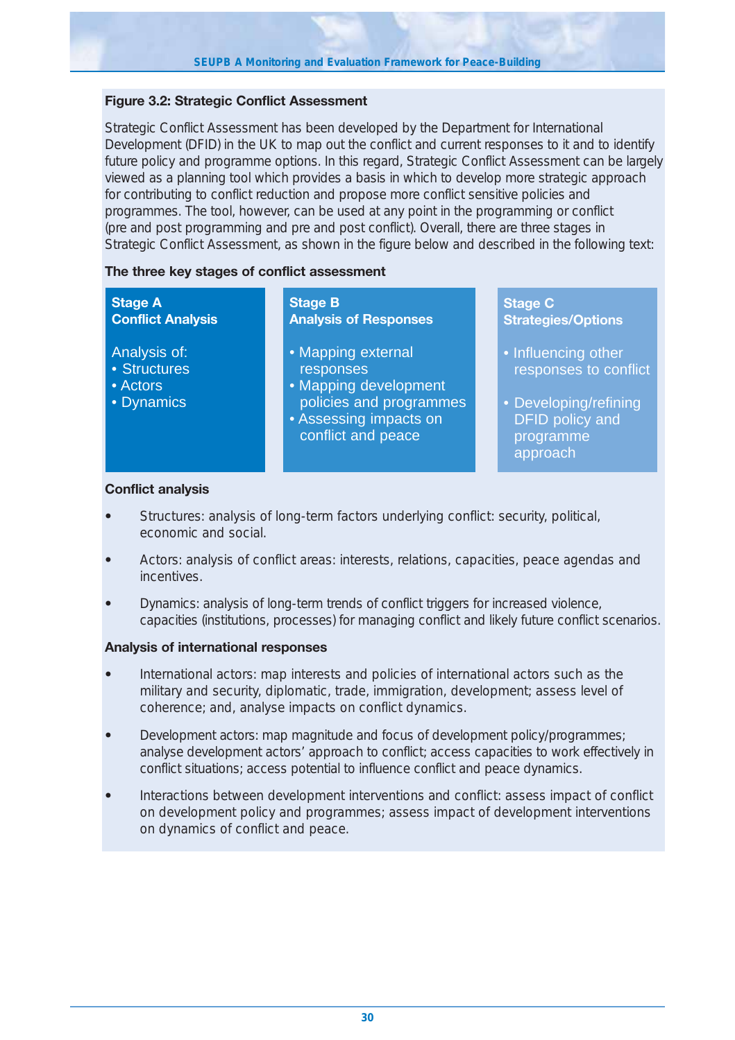## **Figure 3.2: Strategic Conflict Assessment**

Strategic Conflict Assessment has been developed by the Department for International Development (DFID) in the UK to map out the conflict and current responses to it and to identify future policy and programme options. In this regard, Strategic Conflict Assessment can be largely viewed as a planning tool which provides a basis in which to develop more strategic approach for contributing to conflict reduction and propose more conflict sensitive policies and programmes. The tool, however, can be used at any point in the programming or conflict (pre and post programming and pre and post conflict). Overall, there are three stages in Strategic Conflict Assessment, as shown in the figure below and described in the following text:

## **The three key stages of conflict assessment**

| <b>Stage A</b>                                         | <b>Stage B</b>                                                                                                                      | <b>Stage C</b>                                                                                                           |
|--------------------------------------------------------|-------------------------------------------------------------------------------------------------------------------------------------|--------------------------------------------------------------------------------------------------------------------------|
| <b>Conflict Analysis</b>                               | <b>Analysis of Responses</b>                                                                                                        | <b>Strategies/Options</b>                                                                                                |
| Analysis of:<br>• Structures<br>• Actors<br>• Dynamics | • Mapping external<br>responses<br>• Mapping development<br>policies and programmes<br>• Assessing impacts on<br>conflict and peace | • Influencing other<br>responses to conflict<br>• Developing/refining<br><b>DFID policy and</b><br>programme<br>approach |

## **Conflict analysis**

- **•** *Structures*: analysis of long-term factors underlying conflict: security, political, economic and social.
- **•** *Actors*: analysis of conflict areas: interests, relations, capacities, peace agendas and **incentives**
- **•** *Dynamics*: analysis of long-term trends of conflict triggers for increased violence, capacities (institutions, processes) for managing conflict and likely future conflict scenarios.

## **Analysis of international responses**

- **•** *International actors*: map interests and policies of international actors such as the military and security, diplomatic, trade, immigration, development; assess level of coherence; and, analyse impacts on conflict dynamics.
- **•** *Development actors*: map magnitude and focus of development policy/programmes; analyse development actors' approach to conflict; access capacities to work effectively in conflict situations; access potential to influence conflict and peace dynamics.
- **•** *Interactions between development interventions and conflict*: assess impact of conflict on development policy and programmes; assess impact of development interventions on dynamics of conflict and peace.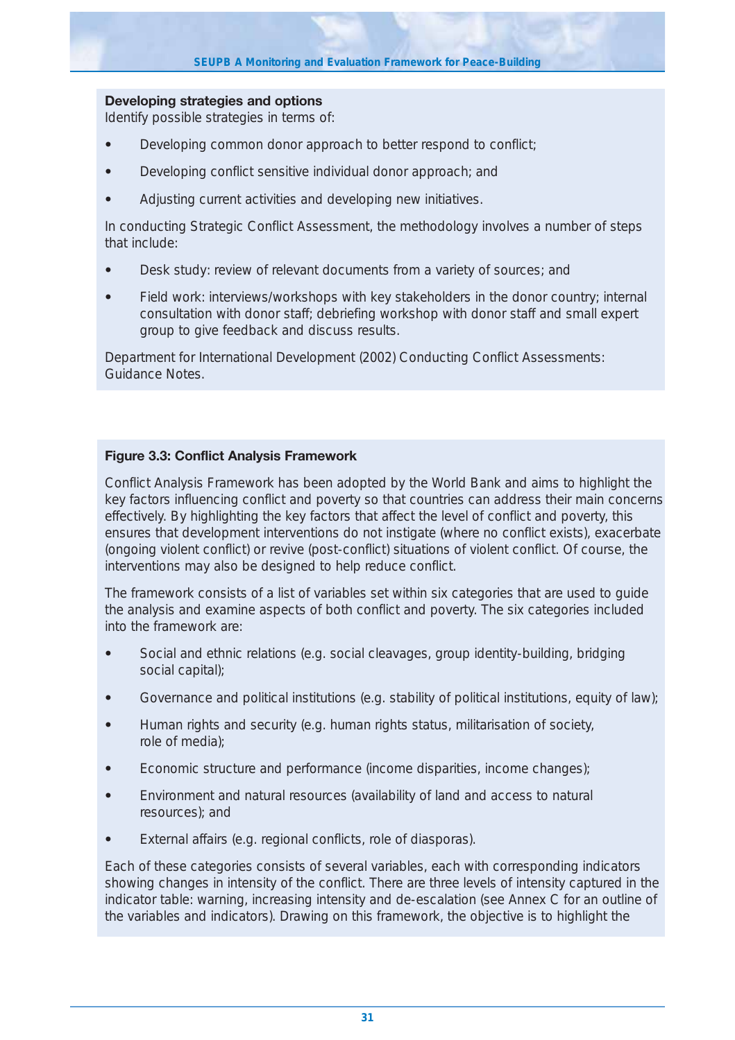## **Developing strategies and options**

Identify possible strategies in terms of:

- **•** Developing common donor approach to better respond to conflict;
- **•** Developing conflict sensitive individual donor approach; and
- **•** Adjusting current activities and developing new initiatives.

In conducting Strategic Conflict Assessment, the methodology involves a number of steps that include:

- **•** Desk study: review of relevant documents from a variety of sources; and
- **•** Field work: interviews/workshops with key stakeholders in the donor country; internal consultation with donor staff; debriefing workshop with donor staff and small expert group to give feedback and discuss results.

Department for International Development (2002) Conducting Conflict Assessments: Guidance Notes.

## **Figure 3.3: Conflict Analysis Framework**

Conflict Analysis Framework has been adopted by the World Bank and aims to highlight the key factors influencing conflict and poverty so that countries can address their main concerns effectively. By highlighting the key factors that affect the level of conflict and poverty, this ensures that development interventions do not instigate (where no conflict exists), exacerbate (ongoing violent conflict) or revive (post-conflict) situations of violent conflict. Of course, the interventions may also be designed to help reduce conflict.

The framework consists of a list of variables set within six categories that are used to guide the analysis and examine aspects of both conflict and poverty. The six categories included into the framework are:

- **•** Social and ethnic relations (e.g. social cleavages, group identity-building, bridging social capital);
- Governance and political institutions (e.g. stability of political institutions, equity of law);
- **•** Human rights and security (e.g. human rights status, militarisation of society, role of media);
- **•** Economic structure and performance (income disparities, income changes);
- **•** Environment and natural resources (availability of land and access to natural resources); and
- **•** External affairs (e.g. regional conflicts, role of diasporas).

Each of these categories consists of several variables, each with corresponding indicators showing changes in intensity of the conflict. There are three levels of intensity captured in the indicator table: warning, increasing intensity and de-escalation (see Annex C for an outline of the variables and indicators). Drawing on this framework, the objective is to highlight the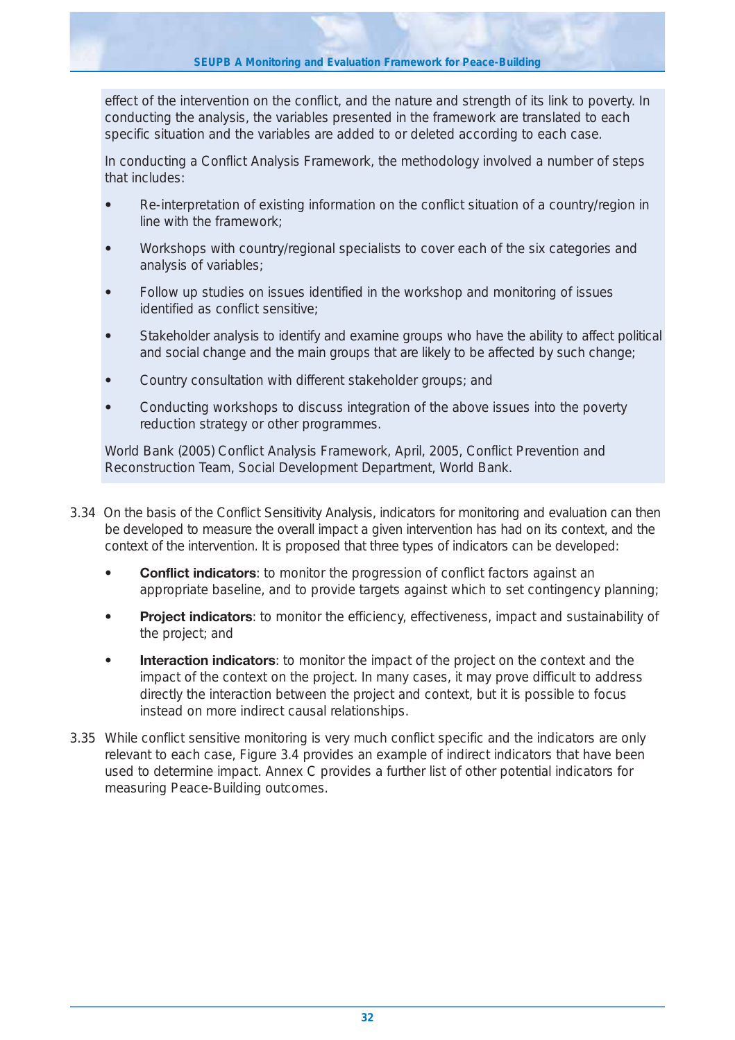effect of the intervention on the conflict, and the nature and strength of its link to poverty. In conducting the analysis, the variables presented in the framework are translated to each specific situation and the variables are added to or deleted according to each case.

In conducting a Conflict Analysis Framework, the methodology involved a number of steps that includes:

- **•** Re-interpretation of existing information on the conflict situation of a country/region in line with the framework;
- **•** Workshops with country/regional specialists to cover each of the six categories and analysis of variables;
- **•** Follow up studies on issues identified in the workshop and monitoring of issues identified as conflict sensitive;
- **•** Stakeholder analysis to identify and examine groups who have the ability to affect political and social change and the main groups that are likely to be affected by such change;
- **•** Country consultation with different stakeholder groups; and
- **•** Conducting workshops to discuss integration of the above issues into the poverty reduction strategy or other programmes.

World Bank (2005) Conflict Analysis Framework, April, 2005, Conflict Prevention and Reconstruction Team, Social Development Department, World Bank.

- 3.34 On the basis of the Conflict Sensitivity Analysis, indicators for monitoring and evaluation can then be developed to measure the overall impact a given intervention has had on its context, and the context of the intervention. It is proposed that three types of indicators can be developed:
	- **Conflict indicators**: to monitor the progression of conflict factors against an appropriate baseline, and to provide targets against which to set contingency planning;
	- **Project indicators**: to monitor the efficiency, effectiveness, impact and sustainability of the project; and
	- **Interaction indicators**: to monitor the impact of the project on the context and the impact of the context on the project. In many cases, it may prove difficult to address directly the interaction between the project and context, but it is possible to focus instead on more indirect causal relationships.
- 3.35 While conflict sensitive monitoring is very much conflict specific and the indicators are only relevant to each case, Figure 3.4 provides an example of indirect indicators that have been used to determine impact. Annex C provides a further list of other potential indicators for measuring Peace-Building outcomes.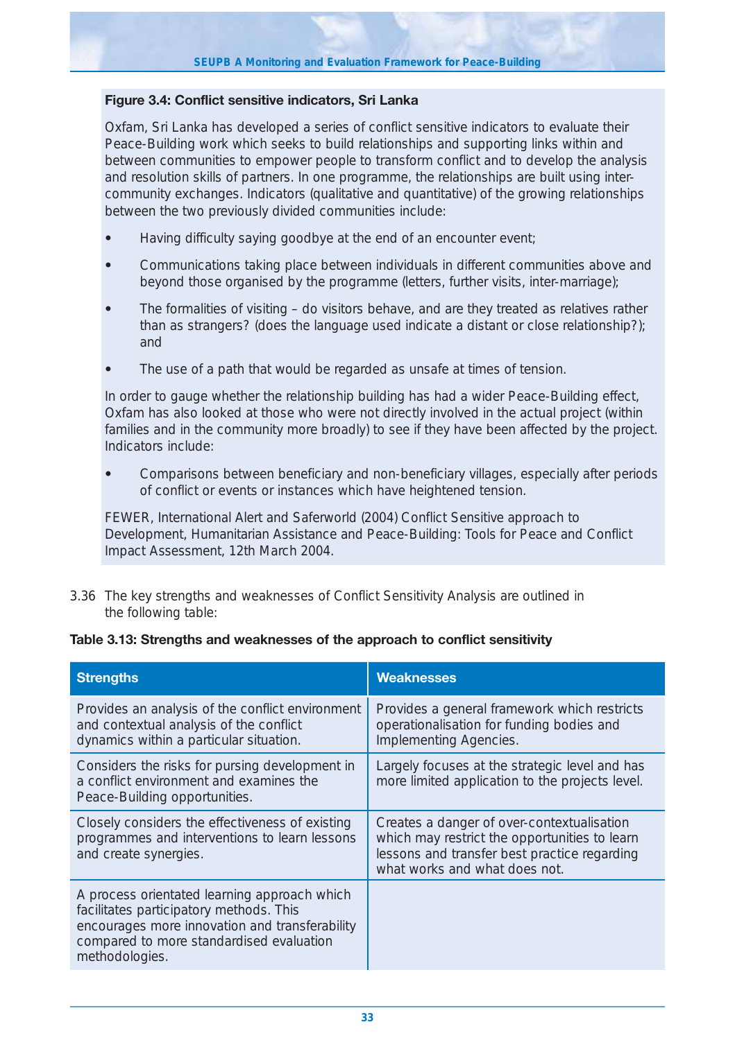## **Figure 3.4: Conflict sensitive indicators, Sri Lanka**

Oxfam, Sri Lanka has developed a series of conflict sensitive indicators to evaluate their Peace-Building work which seeks to build relationships and supporting links within and between communities to empower people to transform conflict and to develop the analysis and resolution skills of partners. In one programme, the relationships are built using intercommunity exchanges. Indicators (qualitative and quantitative) of the growing relationships between the two previously divided communities include:

- **•** Having difficulty saying goodbye at the end of an encounter event;
- **•** Communications taking place between individuals in different communities above and beyond those organised by the programme (letters, further visits, inter-marriage);
- **•** The formalities of visiting do visitors behave, and are they treated as relatives rather than as strangers? (does the language used indicate a distant or close relationship?); and
- **•** The use of a path that would be regarded as unsafe at times of tension.

In order to gauge whether the relationship building has had a wider Peace-Building effect, Oxfam has also looked at those who were not directly involved in the actual project (within families and in the community more broadly) to see if they have been affected by the project. Indicators include:

**•** Comparisons between beneficiary and non-beneficiary villages, especially after periods of conflict or events or instances which have heightened tension.

FEWER, International Alert and Saferworld (2004) *Conflict Sensitive approach to Development, Humanitarian Assistance and Peace-Building: Tools for Peace and Conflict Impact Assessment*, 12th March 2004.

3.36 The key strengths and weaknesses of Conflict Sensitivity Analysis are outlined in the following table:

#### **Table 3.13: Strengths and weaknesses of the approach to conflict sensitivity**

| <b>Strengths</b>                                                                                                                                                                                        | <b>Weaknesses</b>                                                                                                                                                            |
|---------------------------------------------------------------------------------------------------------------------------------------------------------------------------------------------------------|------------------------------------------------------------------------------------------------------------------------------------------------------------------------------|
| Provides an analysis of the conflict environment<br>and contextual analysis of the conflict<br>dynamics within a particular situation.                                                                  | Provides a general framework which restricts<br>operationalisation for funding bodies and<br>Implementing Agencies.                                                          |
| Considers the risks for pursing development in<br>a conflict environment and examines the<br>Peace-Building opportunities.                                                                              | Largely focuses at the strategic level and has<br>more limited application to the projects level.                                                                            |
| Closely considers the effectiveness of existing<br>programmes and interventions to learn lessons<br>and create synergies.                                                                               | Creates a danger of over-contextualisation<br>which may restrict the opportunities to learn<br>lessons and transfer best practice regarding<br>what works and what does not. |
| A process orientated learning approach which<br>facilitates participatory methods. This<br>encourages more innovation and transferability<br>compared to more standardised evaluation<br>methodologies. |                                                                                                                                                                              |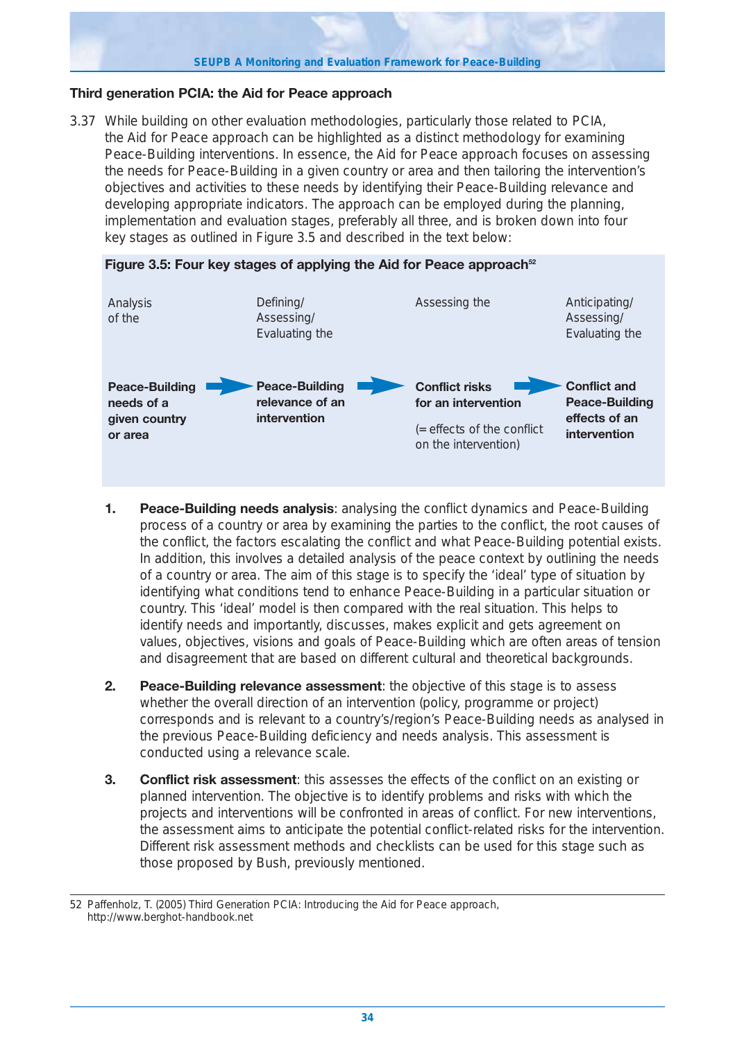#### **SEUPB A Monitoring and Evaluation Framework for Peace-Building**

## **Third generation PCIA: the Aid for Peace approach**

3.37 While building on other evaluation methodologies, particularly those related to PCIA, the Aid for Peace approach can be highlighted as a distinct methodology for examining Peace-Building interventions. In essence, the Aid for Peace approach focuses on assessing the needs for Peace-Building in a given country or area and then tailoring the intervention's objectives and activities to these needs by identifying their Peace-Building relevance and developing appropriate indicators. The approach can be employed during the planning, implementation and evaluation stages, preferably all three, and is broken down into four key stages as outlined in Figure 3.5 and described in the text below:



Figure 3.5: Four key stages of applying the Aid for Peace approach<sup>52</sup>

- **1. Peace-Building needs analysis**: analysing the conflict dynamics and Peace-Building process of a country or area by examining the parties to the conflict, the root causes of the conflict, the factors escalating the conflict and what Peace-Building potential exists. In addition, this involves a detailed analysis of the peace context by outlining the needs of a country or area. The aim of this stage is to specify the 'ideal' type of situation by identifying what conditions tend to enhance Peace-Building in a particular situation or country. This 'ideal' model is then compared with the real situation. This helps to identify needs and importantly, discusses, makes explicit and gets agreement on values, objectives, visions and goals of Peace-Building which are often areas of tension and disagreement that are based on different cultural and theoretical backgrounds.
- **2. Peace-Building relevance assessment**: the objective of this stage is to assess whether the overall direction of an intervention (policy, programme or project) corresponds and is relevant to a country's/region's Peace-Building needs as analysed in the previous Peace-Building deficiency and needs analysis. This assessment is conducted using a relevance scale.
- **3. Conflict risk assessment**: this assesses the effects of the conflict on an existing or planned intervention. The objective is to identify problems and risks with which the projects and interventions will be confronted in areas of conflict. For new interventions, the assessment aims to anticipate the potential conflict-related risks for the intervention. Different risk assessment methods and checklists can be used for this stage such as those proposed by Bush, previously mentioned.

<sup>52</sup> Paffenholz, T. (2005) Third Generation PCIA: Introducing the Aid for Peace approach, http://www.berghot-handbook.net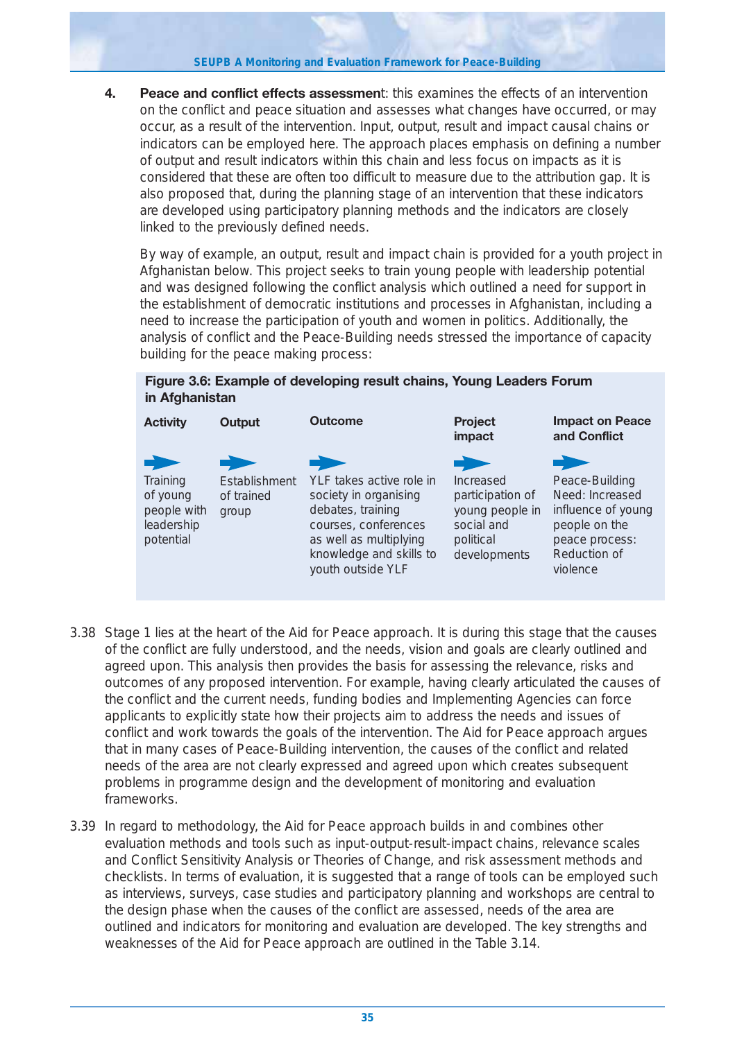**SEUPB A Monitoring and Evaluation Framework for Peace-Building**

**4. Peace and conflict effects assessmen**t: this examines the effects of an intervention on the conflict and peace situation and assesses what changes have occurred, or may occur, as a result of the intervention. Input, output, result and impact causal chains or indicators can be employed here. The approach places emphasis on defining a number of output and result indicators within this chain and less focus on impacts as it is considered that these are often too difficult to measure due to the attribution gap. It is also proposed that, during the planning stage of an intervention that these indicators are developed using participatory planning methods and the indicators are closely linked to the previously defined needs.

By way of example, an output, result and impact chain is provided for a youth project in Afghanistan below. This project seeks to train young people with leadership potential and was designed following the conflict analysis which outlined a need for support in the establishment of democratic institutions and processes in Afghanistan, including a need to increase the participation of youth and women in politics. Additionally, the analysis of conflict and the Peace-Building needs stressed the importance of capacity building for the peace making process:

## **Figure 3.6: Example of developing result chains, Young Leaders Forum in Afghanistan**



- 3.38 Stage 1 lies at the heart of the Aid for Peace approach. It is during this stage that the causes of the conflict are fully understood, and the needs, vision and goals are clearly outlined and agreed upon. This analysis then provides the basis for assessing the relevance, risks and outcomes of any proposed intervention. For example, having clearly articulated the causes of the conflict and the current needs, funding bodies and Implementing Agencies can force applicants to explicitly state how their projects aim to address the needs and issues of conflict and work towards the goals of the intervention. The Aid for Peace approach argues that in many cases of Peace-Building intervention, the causes of the conflict and related needs of the area are not clearly expressed and agreed upon which creates subsequent problems in programme design and the development of monitoring and evaluation frameworks.
- 3.39 In regard to methodology, the Aid for Peace approach builds in and combines other evaluation methods and tools such as input-output-result-impact chains, relevance scales and Conflict Sensitivity Analysis or Theories of Change, and risk assessment methods and checklists. In terms of evaluation, it is suggested that a range of tools can be employed such as interviews, surveys, case studies and participatory planning and workshops are central to the design phase when the causes of the conflict are assessed, needs of the area are outlined and indicators for monitoring and evaluation are developed. The key strengths and weaknesses of the Aid for Peace approach are outlined in the Table 3.14.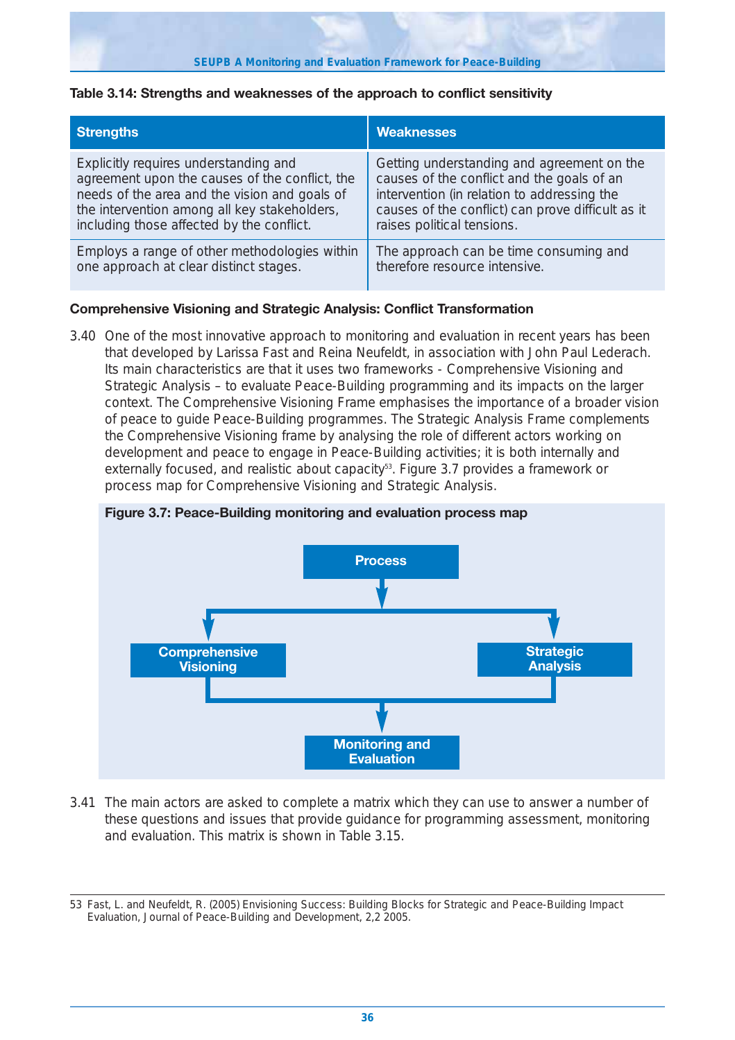### **Table 3.14: Strengths and weaknesses of the approach to conflict sensitivity**

| <b>Strengths</b>                               | <b>Weaknesses</b>                                 |
|------------------------------------------------|---------------------------------------------------|
| Explicitly requires understanding and          | Getting understanding and agreement on the        |
| agreement upon the causes of the conflict, the | causes of the conflict and the goals of an        |
| needs of the area and the vision and goals of  | intervention (in relation to addressing the       |
| the intervention among all key stakeholders,   | causes of the conflict) can prove difficult as it |
| including those affected by the conflict.      | raises political tensions.                        |
| Employs a range of other methodologies within  | The approach can be time consuming and            |
| one approach at clear distinct stages.         | therefore resource intensive.                     |

## **Comprehensive Visioning and Strategic Analysis: Conflict Transformation**

3.40 One of the most innovative approach to monitoring and evaluation in recent years has been that developed by Larissa Fast and Reina Neufeldt, in association with John Paul Lederach. Its main characteristics are that it uses two frameworks - Comprehensive Visioning and Strategic Analysis – to evaluate Peace-Building programming and its impacts on the larger context. The Comprehensive Visioning Frame emphasises the importance of a broader vision of peace to guide Peace-Building programmes. The Strategic Analysis Frame complements the Comprehensive Visioning frame by analysing the role of different actors working on development and peace to engage in Peace-Building activities; it is both internally and externally focused, and realistic about capacity<sup>53</sup>. Figure 3.7 provides a framework or process map for Comprehensive Visioning and Strategic Analysis.

## **Figure 3.7: Peace-Building monitoring and evaluation process map**



3.41 The main actors are asked to complete a matrix which they can use to answer a number of these questions and issues that provide guidance for programming assessment, monitoring and evaluation. This matrix is shown in Table 3.15.

<sup>53</sup> Fast, L. and Neufeldt, R. (2005) Envisioning Success: Building Blocks for Strategic and Peace-Building Impact Evaluation, Journal of Peace-Building and Development, 2,2 2005.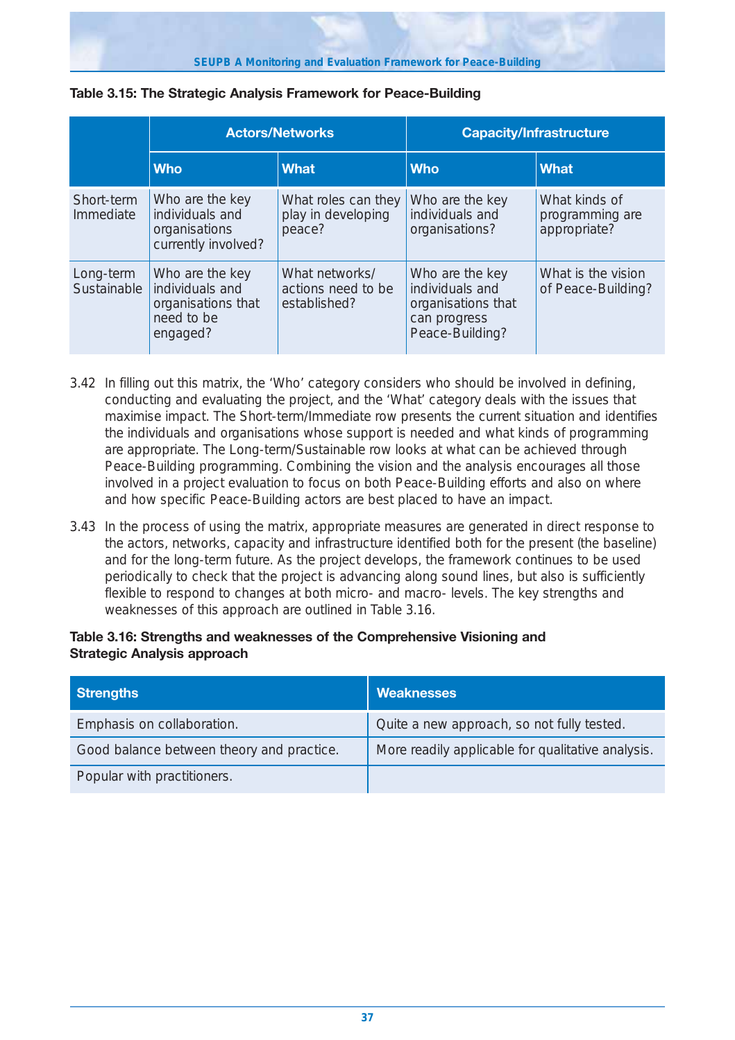|                          |                                                                                    | <b>Actors/Networks</b>                               |                                                                                             | <b>Capacity/Infrastructure</b>                   |
|--------------------------|------------------------------------------------------------------------------------|------------------------------------------------------|---------------------------------------------------------------------------------------------|--------------------------------------------------|
|                          | <b>Who</b>                                                                         | <b>What</b>                                          | <b>Who</b>                                                                                  | <b>What</b>                                      |
| Short-term<br>Immediate  | Who are the key<br>individuals and<br>organisations<br>currently involved?         | What roles can they<br>play in developing<br>peace?  | Who are the key<br>individuals and<br>organisations?                                        | What kinds of<br>programming are<br>appropriate? |
| Long-term<br>Sustainable | Who are the key<br>individuals and<br>organisations that<br>need to be<br>engaged? | What networks/<br>actions need to be<br>established? | Who are the key<br>individuals and<br>organisations that<br>can progress<br>Peace-Building? | What is the vision<br>of Peace-Building?         |

## **Table 3.15: The Strategic Analysis Framework for Peace-Building**

- 3.42 In filling out this matrix, the 'Who' category considers who should be involved in defining, conducting and evaluating the project, and the 'What' category deals with the issues that maximise impact. The Short-term/Immediate row presents the current situation and identifies the individuals and organisations whose support is needed and what kinds of programming are appropriate. The Long-term/Sustainable row looks at what can be achieved through Peace-Building programming. Combining the vision and the analysis encourages all those involved in a project evaluation to focus on both Peace-Building efforts and also on where and how specific Peace-Building actors are best placed to have an impact.
- 3.43 In the process of using the matrix, appropriate measures are generated in direct response to the actors, networks, capacity and infrastructure identified both for the present (the baseline) and for the long-term future. As the project develops, the framework continues to be used periodically to check that the project is advancing along sound lines, but also is sufficiently flexible to respond to changes at both micro- and macro- levels. The key strengths and weaknesses of this approach are outlined in Table 3.16.

## **Table 3.16: Strengths and weaknesses of the Comprehensive Visioning and Strategic Analysis approach**

| <b>Strengths</b>                          | <b>Weaknesses</b>                                 |
|-------------------------------------------|---------------------------------------------------|
| Emphasis on collaboration.                | Quite a new approach, so not fully tested.        |
| Good balance between theory and practice. | More readily applicable for qualitative analysis. |
| Popular with practitioners.               |                                                   |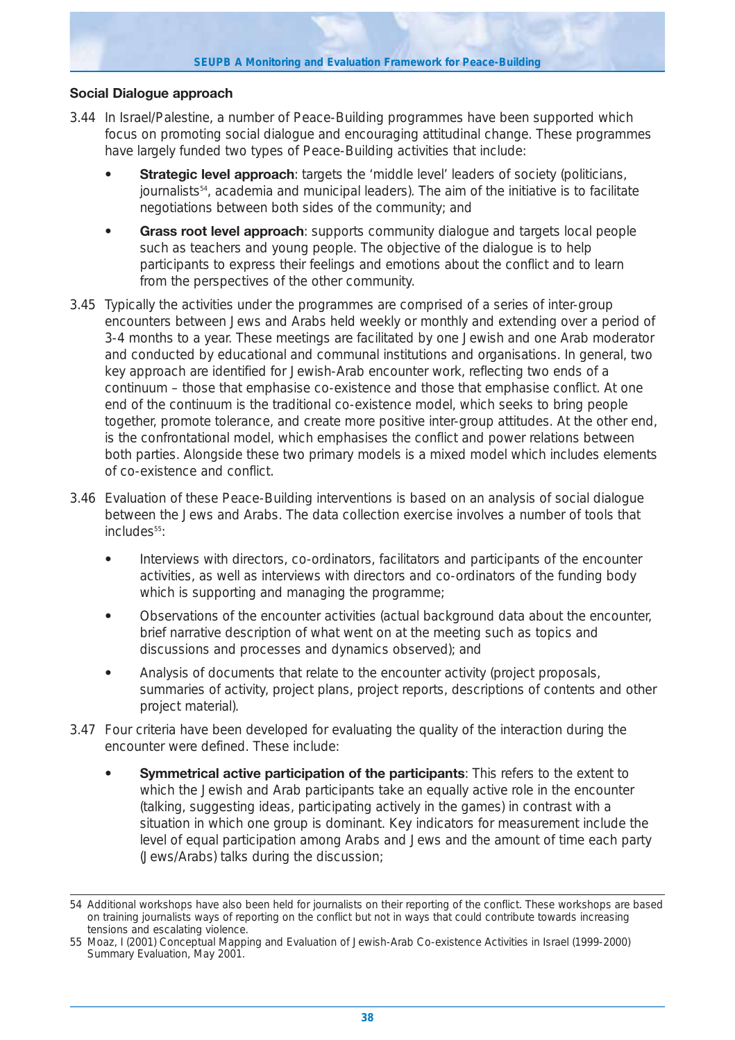## **Social Dialogue approach**

- 3.44 In Israel/Palestine, a number of Peace-Building programmes have been supported which focus on promoting social dialogue and encouraging attitudinal change. These programmes have largely funded two types of Peace-Building activities that include:
	- **Strategic level approach**: targets the 'middle level' leaders of society (politicians, journalists54, academia and municipal leaders). The aim of the initiative is to facilitate negotiations between both sides of the community; and
	- **Grass root level approach**: supports community dialogue and targets local people such as teachers and young people. The objective of the dialogue is to help participants to express their feelings and emotions about the conflict and to learn from the perspectives of the other community.
- 3.45 Typically the activities under the programmes are comprised of a series of inter-group encounters between Jews and Arabs held weekly or monthly and extending over a period of 3-4 months to a year. These meetings are facilitated by one Jewish and one Arab moderator and conducted by educational and communal institutions and organisations. In general, two key approach are identified for Jewish-Arab encounter work, reflecting two ends of a continuum – those that emphasise co-existence and those that emphasise conflict. At one end of the continuum is the traditional co-existence model, which seeks to bring people together, promote tolerance, and create more positive inter-group attitudes. At the other end, is the confrontational model, which emphasises the conflict and power relations between both parties. Alongside these two primary models is a mixed model which includes elements of co-existence and conflict.
- 3.46 Evaluation of these Peace-Building interventions is based on an analysis of social dialogue between the Jews and Arabs. The data collection exercise involves a number of tools that includes<sup>55</sup>:
	- **•** Interviews with directors, co-ordinators, facilitators and participants of the encounter activities, as well as interviews with directors and co-ordinators of the funding body which is supporting and managing the programme;
	- **•** Observations of the encounter activities (actual background data about the encounter, brief narrative description of what went on at the meeting such as topics and discussions and processes and dynamics observed); and
	- **•** Analysis of documents that relate to the encounter activity (project proposals, summaries of activity, project plans, project reports, descriptions of contents and other project material).
- 3.47 Four criteria have been developed for evaluating the quality of the interaction during the encounter were defined. These include:
	- **Symmetrical active participation of the participants**: This refers to the extent to which the Jewish and Arab participants take an equally active role in the encounter (talking, suggesting ideas, participating actively in the games) in contrast with a situation in which one group is dominant. Key indicators for measurement include the level of equal participation among Arabs and Jews and the amount of time each party (Jews/Arabs) talks during the discussion;

<sup>54</sup> Additional workshops have also been held for journalists on their reporting of the conflict. These workshops are based on training journalists ways of reporting on the conflict but not in ways that could contribute towards increasing tensions and escalating violence.

<sup>55</sup> Moaz, I (2001) Conceptual Mapping and Evaluation of Jewish-Arab Co-existence Activities in Israel (1999-2000) Summary Evaluation, May 2001.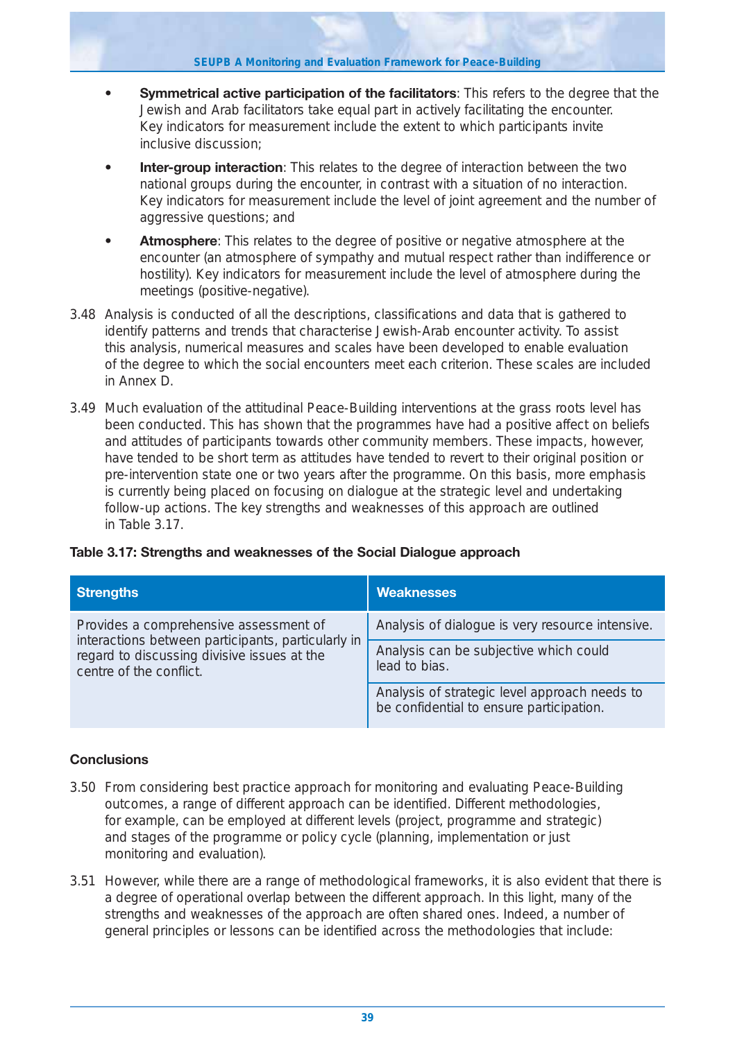- **Symmetrical active participation of the facilitators**: This refers to the degree that the Jewish and Arab facilitators take equal part in actively facilitating the encounter. Key indicators for measurement include the extent to which participants invite inclusive discussion;
- **Inter-group interaction**: This relates to the degree of interaction between the two national groups during the encounter, in contrast with a situation of no interaction. Key indicators for measurement include the level of joint agreement and the number of aggressive questions; and
- **Atmosphere**: This relates to the degree of positive or negative atmosphere at the encounter (an atmosphere of sympathy and mutual respect rather than indifference or hostility). Key indicators for measurement include the level of atmosphere during the meetings (positive-negative).
- 3.48 Analysis is conducted of all the descriptions, classifications and data that is gathered to identify patterns and trends that characterise Jewish-Arab encounter activity. To assist this analysis, numerical measures and scales have been developed to enable evaluation of the degree to which the social encounters meet each criterion. These scales are included in Annex D.
- 3.49 Much evaluation of the attitudinal Peace-Building interventions at the grass roots level has been conducted. This has shown that the programmes have had a positive affect on beliefs and attitudes of participants towards other community members. These impacts, however, have tended to be short term as attitudes have tended to revert to their original position or pre-intervention state one or two years after the programme. On this basis, more emphasis is currently being placed on focusing on dialogue at the strategic level and undertaking follow-up actions. The key strengths and weaknesses of this approach are outlined in Table 3.17.

| Table 3.17: Strengths and weaknesses of the Social Dialogue approach |  |
|----------------------------------------------------------------------|--|
|----------------------------------------------------------------------|--|

| <b>Strengths</b>                                                                                                             | <b>Weaknesses</b>                                                                         |
|------------------------------------------------------------------------------------------------------------------------------|-------------------------------------------------------------------------------------------|
| Provides a comprehensive assessment of                                                                                       | Analysis of dialogue is very resource intensive.                                          |
| interactions between participants, particularly in<br>regard to discussing divisive issues at the<br>centre of the conflict. | Analysis can be subjective which could<br>lead to bias.                                   |
|                                                                                                                              | Analysis of strategic level approach needs to<br>be confidential to ensure participation. |

## **Conclusions**

- 3.50 From considering best practice approach for monitoring and evaluating Peace-Building outcomes, a range of different approach can be identified. Different methodologies, for example, can be employed at different levels (project, programme and strategic) and stages of the programme or policy cycle (planning, implementation or just monitoring and evaluation).
- 3.51 However, while there are a range of methodological frameworks, it is also evident that there is a degree of operational overlap between the different approach. In this light, many of the strengths and weaknesses of the approach are often shared ones. Indeed, a number of general principles or lessons can be identified across the methodologies that include: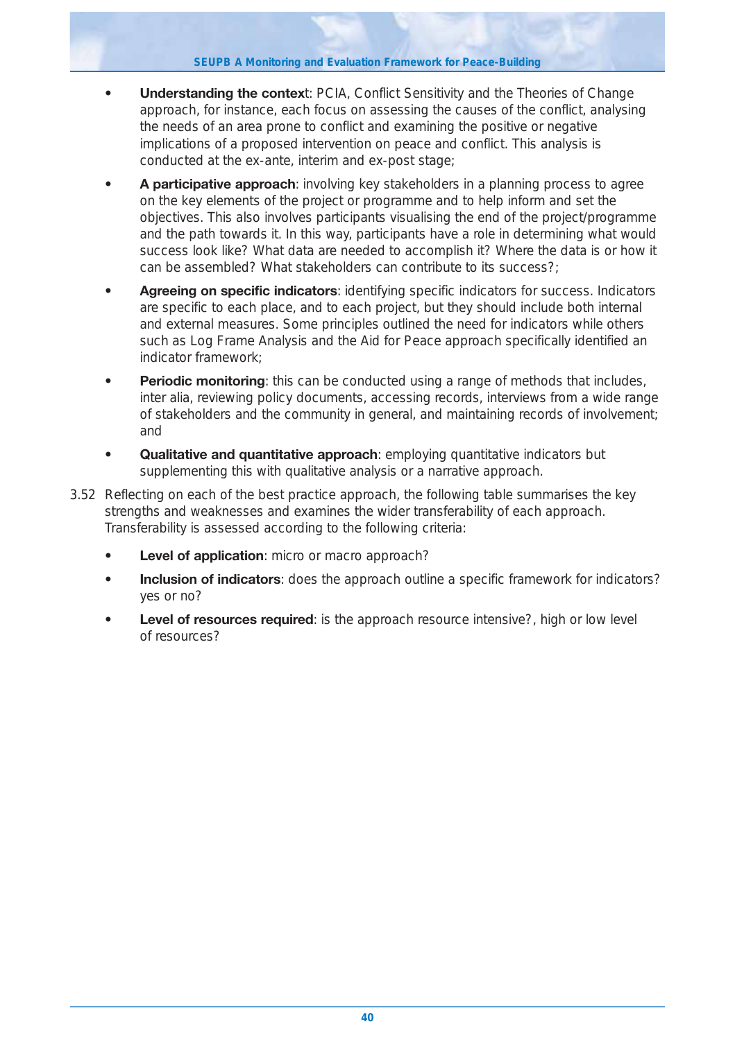- **Understanding the contex**t: PCIA, Conflict Sensitivity and the Theories of Change approach, for instance, each focus on assessing the causes of the conflict, analysing the needs of an area prone to conflict and examining the positive or negative implications of a proposed intervention on peace and conflict. This analysis is conducted at the ex-ante, interim and ex-post stage;
- **A participative approach**: involving key stakeholders in a planning process to agree on the key elements of the project or programme and to help inform and set the objectives. This also involves participants visualising the end of the project/programme and the path towards it. In this way, participants have a role in determining what would success look like? What data are needed to accomplish it? Where the data is or how it can be assembled? What stakeholders can contribute to its success?;
- **Agreeing on specific indicators**: identifying specific indicators for success. Indicators are specific to each place, and to each project, but they should include both internal and external measures. Some principles outlined the need for indicators while others such as Log Frame Analysis and the Aid for Peace approach specifically identified an indicator framework;
- **Periodic monitoring**: this can be conducted using a range of methods that includes, inter alia, reviewing policy documents, accessing records, interviews from a wide range of stakeholders and the community in general, and maintaining records of involvement; and
- **Qualitative and quantitative approach**: employing quantitative indicators but supplementing this with qualitative analysis or a narrative approach.
- 3.52 Reflecting on each of the best practice approach, the following table summarises the key strengths and weaknesses and examines the wider transferability of each approach. Transferability is assessed according to the following criteria:
	- **Level of application**: micro or macro approach?
	- **Inclusion of indicators**: does the approach outline a specific framework for indicators? yes or no?
	- **Level of resources required**: is the approach resource intensive?, high or low level of resources?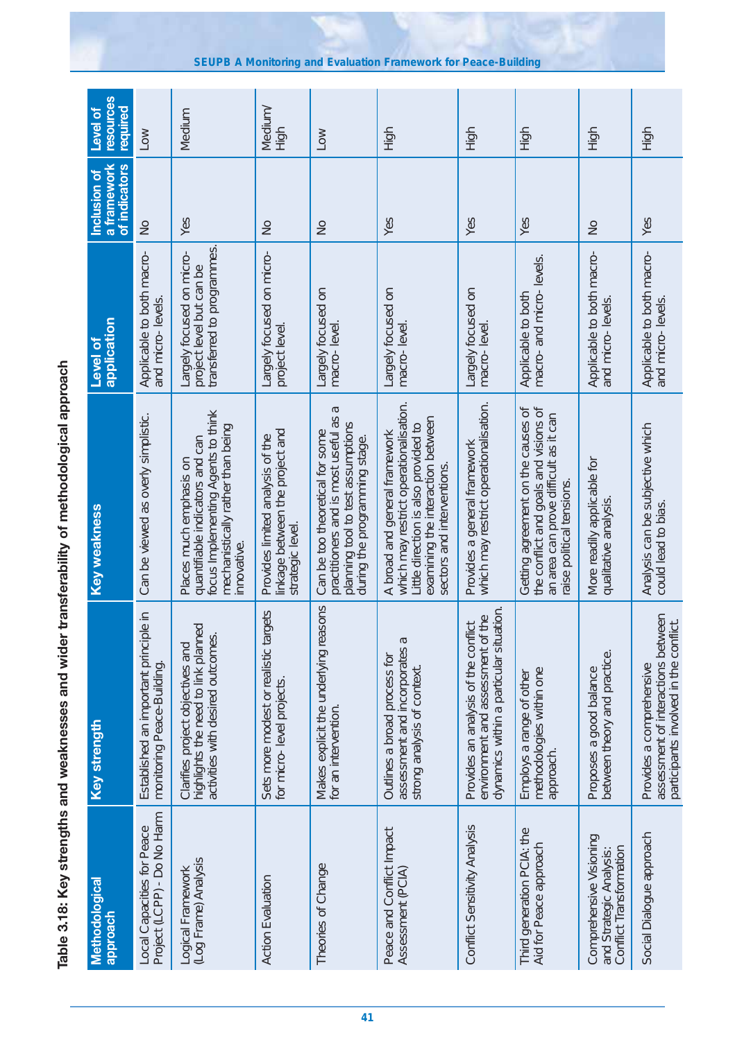| "","","","",""。                                         |
|---------------------------------------------------------|
|                                                         |
|                                                         |
|                                                         |
| ופייטוריים של היינו ומים המסיינים ו<br>)<br>)<br>)<br>) |
| こうりょう こうこうしょう こうこう                                      |
| ٦<br>$\frac{1}{2}$<br>テーエーエフ                            |

| <b>Methodological</b><br>doproach                                             | Key strength                                                                                                                    | <b>Key weakness</b>                                                                                                                                                                | application<br>Level of                                                             | a framework<br>of indicators<br>Inclusion of | resources<br>required<br><b>Level of</b> |
|-------------------------------------------------------------------------------|---------------------------------------------------------------------------------------------------------------------------------|------------------------------------------------------------------------------------------------------------------------------------------------------------------------------------|-------------------------------------------------------------------------------------|----------------------------------------------|------------------------------------------|
| Project (LCPP) - Do No Harm<br>Local Capacities for Peace                     | $\frac{1}{2}$<br>Established an important princip<br>monitoring Peace-Building.                                                 | Can be viewed as overly simplistic.                                                                                                                                                | Applicable to both macro-<br>and micro-levels.                                      | $\frac{1}{2}$                                | <b>NOT</b>                               |
| (Log Frame) Analysis<br>Logical Framework                                     | highlights the need to link planned<br>activities with desired outcomes.<br>Clarifies project objectives and                    | focus Implementing Agents to think<br>mechanistically rather than being<br>quantifiable indicators and can<br>Places much emphasis on<br>nnovative.                                | transferred to programmes.<br>Largely focused on micro-<br>project level but can be | Yes                                          | Medium                                   |
| <b>Action Evaluation</b>                                                      | Sets more modest or realistic targets<br>for micro-level projects.                                                              | linkage between the project and<br>Provides limited analysis of the<br>strategic level                                                                                             | Largely focused on micro-<br>project level.                                         | $\frac{1}{2}$                                | Vedium/<br>High                          |
| Theories of Change                                                            | Makes explicit the underlying reasons<br>for an intervention.                                                                   | Б<br>practitioners and is most useful as<br>planning tool to test assumptions<br>Can be too theoretical for some<br>during the programming stage.                                  | Largely focused on<br>macro-level                                                   | $\frac{1}{2}$                                | Low                                      |
| Peace and Conflict Impact<br>Assessment (PCIA)                                | assessment and incorporates a<br>Outlines a broad process for<br>strong analysis of context.                                    | which may restrict operationalisation.<br>examining the interaction between<br>Little direction is also provided to<br>A broad and general framework<br>sectors and interventions. | Largely focused on<br>macro-level                                                   | Yes                                          | High                                     |
| Conflict Sensitivity Analysis                                                 | dynamics within a particular situation.<br>environment and assessment of the<br><u> ㅎ</u><br>Provides an analysis of the confli | which may restrict operationalisation.<br>Provides a general framework                                                                                                             | Largely focused on<br>macro-level                                                   | Yes                                          | High                                     |
| Third generation PCIA: the<br>Aid for Peace approach                          | methodologies within one<br>Employs a range of other<br>approach.                                                               | the conflict and goals and visions of<br>Getting agreement on the causes of<br>an area can prove difficult as it can<br>raise political tensions                                   | macro- and micro- levels.<br>Applicable to both                                     | Yes                                          | High                                     |
| Comprehensive Visioning<br>Conflict Transformation<br>and Strategic Analysis: | between theory and practice.<br>Proposes a good balance                                                                         | More readily applicable for<br>qualitative analysis.                                                                                                                               | Applicable to both macro-<br>and micro-levels.                                      | $\frac{1}{2}$                                | High                                     |
| Social Dialogue approach                                                      | assessment of interactions between<br>participants involved in the conflict.<br>Provides a comprehensive                        | Analysis can be subjective which<br>could lead to bias.                                                                                                                            | Applicable to both macro-<br>and micro-levels                                       | Yes                                          | High                                     |

**SEUPB A Monitoring and Evaluation Framework for Peace-Building**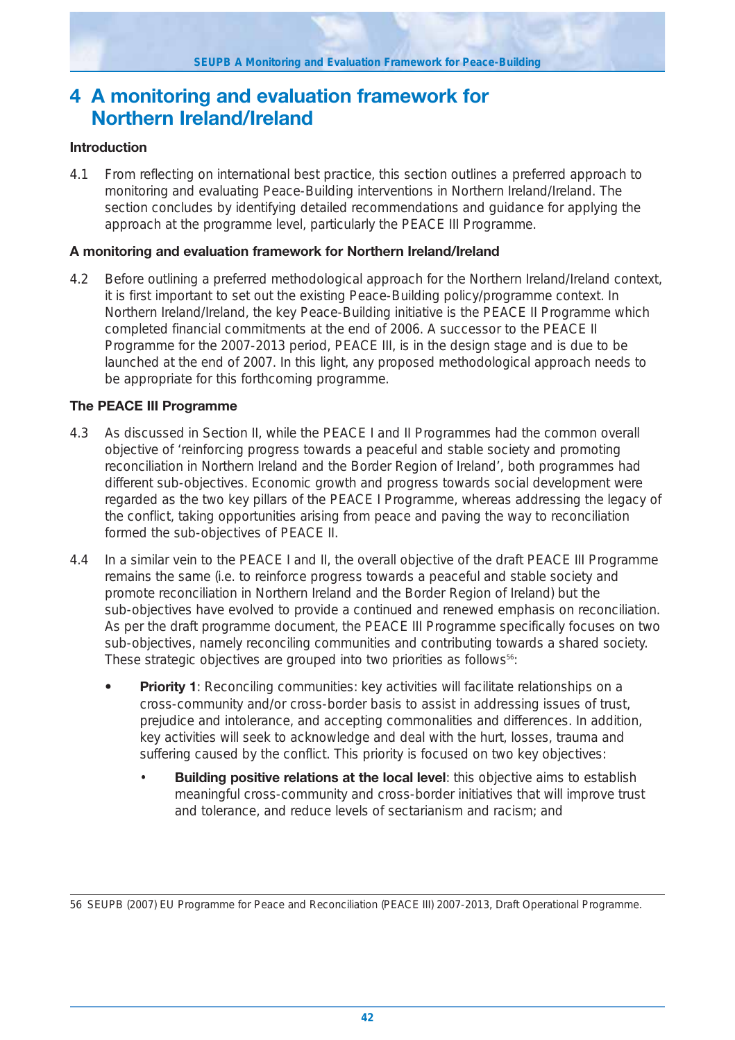# **4 A monitoring and evaluation framework for Northern Ireland/Ireland**

## **Introduction**

4.1 From reflecting on international best practice, this section outlines a preferred approach to monitoring and evaluating Peace-Building interventions in Northern Ireland/Ireland. The section concludes by identifying detailed recommendations and guidance for applying the approach at the programme level, particularly the PEACE III Programme.

### **A monitoring and evaluation framework for Northern Ireland/Ireland**

4.2 Before outlining a preferred methodological approach for the Northern Ireland/Ireland context, it is first important to set out the existing Peace-Building policy/programme context. In Northern Ireland/Ireland, the key Peace-Building initiative is the PEACE II Programme which completed financial commitments at the end of 2006. A successor to the PEACE II Programme for the 2007-2013 period, PEACE III, is in the design stage and is due to be launched at the end of 2007. In this light, any proposed methodological approach needs to be appropriate for this forthcoming programme.

## **The PEACE III Programme**

- 4.3 As discussed in Section II, while the PEACE I and II Programmes had the common overall objective of 'reinforcing progress towards a peaceful and stable society and promoting reconciliation in Northern Ireland and the Border Region of Ireland', both programmes had different sub-objectives. Economic growth and progress towards social development were regarded as the two key pillars of the PEACE I Programme, whereas addressing the legacy of the conflict, taking opportunities arising from peace and paving the way to reconciliation formed the sub-objectives of PEACE II.
- 4.4 In a similar vein to the PEACE I and II, the overall objective of the draft PEACE III Programme remains the same (i.e. to reinforce progress towards a peaceful and stable society and promote reconciliation in Northern Ireland and the Border Region of Ireland) but the sub-objectives have evolved to provide a continued and renewed emphasis on reconciliation. As per the draft programme document, the PEACE III Programme specifically focuses on two sub-objectives, namely reconciling communities and contributing towards a shared society. These strategic objectives are grouped into two priorities as follows<sup>56</sup>:
	- **Priority 1**: Reconciling communities: key activities will facilitate relationships on a cross-community and/or cross-border basis to assist in addressing issues of trust, prejudice and intolerance, and accepting commonalities and differences. In addition, key activities will seek to acknowledge and deal with the hurt, losses, trauma and suffering caused by the conflict. This priority is focused on two key objectives:
		- **Building positive relations at the local level:** this objective aims to establish meaningful cross-community and cross-border initiatives that will improve trust and tolerance, and reduce levels of sectarianism and racism; and

56 SEUPB (2007) EU Programme for Peace and Reconciliation (PEACE III) 2007-2013, Draft Operational Programme.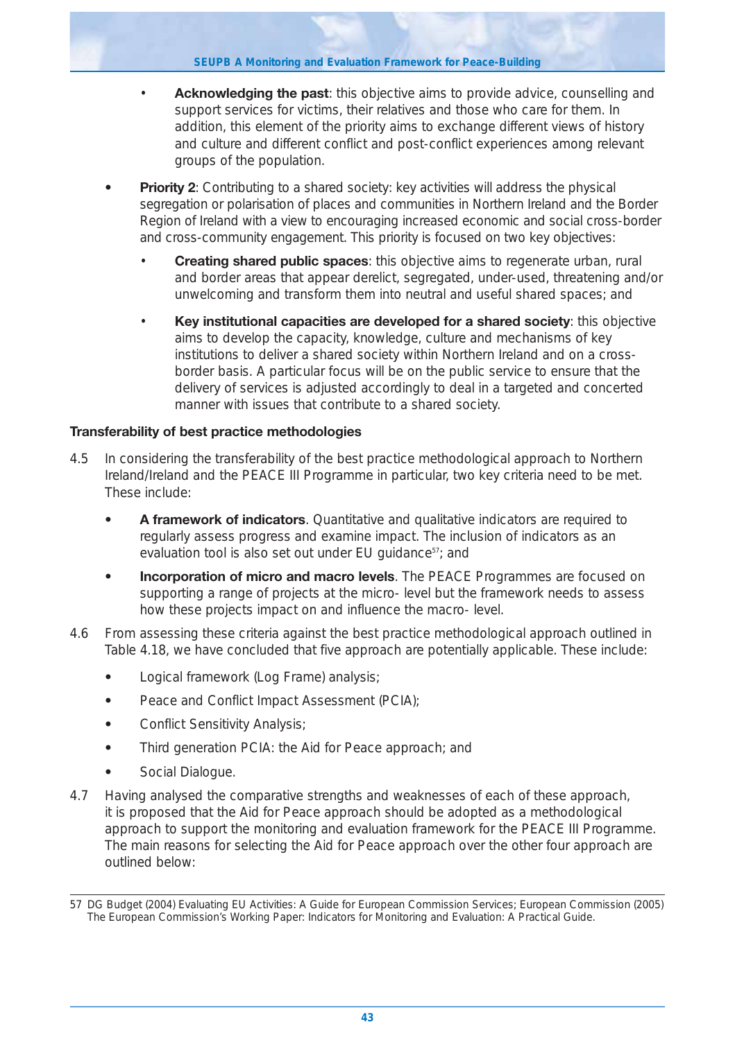- **Acknowledging the past**: this objective aims to provide advice, counselling and support services for victims, their relatives and those who care for them. In addition, this element of the priority aims to exchange different views of history and culture and different conflict and post-conflict experiences among relevant groups of the population.
- **Priority 2**: Contributing to a shared society: key activities will address the physical segregation or polarisation of places and communities in Northern Ireland and the Border Region of Ireland with a view to encouraging increased economic and social cross-border and cross-community engagement. This priority is focused on two key objectives:
	- **Creating shared public spaces**: this objective aims to regenerate urban, rural and border areas that appear derelict, segregated, under-used, threatening and/or unwelcoming and transform them into neutral and useful shared spaces; and
	- **Key institutional capacities are developed for a shared society**: this objective aims to develop the capacity, knowledge, culture and mechanisms of key institutions to deliver a shared society within Northern Ireland and on a crossborder basis. A particular focus will be on the public service to ensure that the delivery of services is adjusted accordingly to deal in a targeted and concerted manner with issues that contribute to a shared society.

## **Transferability of best practice methodologies**

- 4.5 In considering the transferability of the best practice methodological approach to Northern Ireland/Ireland and the PEACE III Programme in particular, two key criteria need to be met. These include:
	- **A framework of indicators**. Quantitative and qualitative indicators are required to regularly assess progress and examine impact. The inclusion of indicators as an evaluation tool is also set out under EU guidance<sup>57</sup>; and
	- **Incorporation of micro and macro levels**. The PEACE Programmes are focused on supporting a range of projects at the micro- level but the framework needs to assess how these projects impact on and influence the macro- level.
- 4.6 From assessing these criteria against the best practice methodological approach outlined in Table 4.18, we have concluded that five approach are potentially applicable. These include:
	- **•** Logical framework (Log Frame) analysis;
	- **•** Peace and Conflict Impact Assessment (PCIA);
	- **•** Conflict Sensitivity Analysis;
	- **•** Third generation PCIA: the Aid for Peace approach; and
	- **•** Social Dialogue.
- 4.7 Having analysed the comparative strengths and weaknesses of each of these approach, it is proposed that the Aid for Peace approach should be adopted as a methodological approach to support the monitoring and evaluation framework for the PEACE III Programme. The main reasons for selecting the Aid for Peace approach over the other four approach are outlined below:

<sup>57</sup> DG Budget (2004) Evaluating EU Activities: A Guide for European Commission Services; European Commission (2005) The European Commission's Working Paper: *Indicators for Monitoring and Evaluation: A Practical Guide*.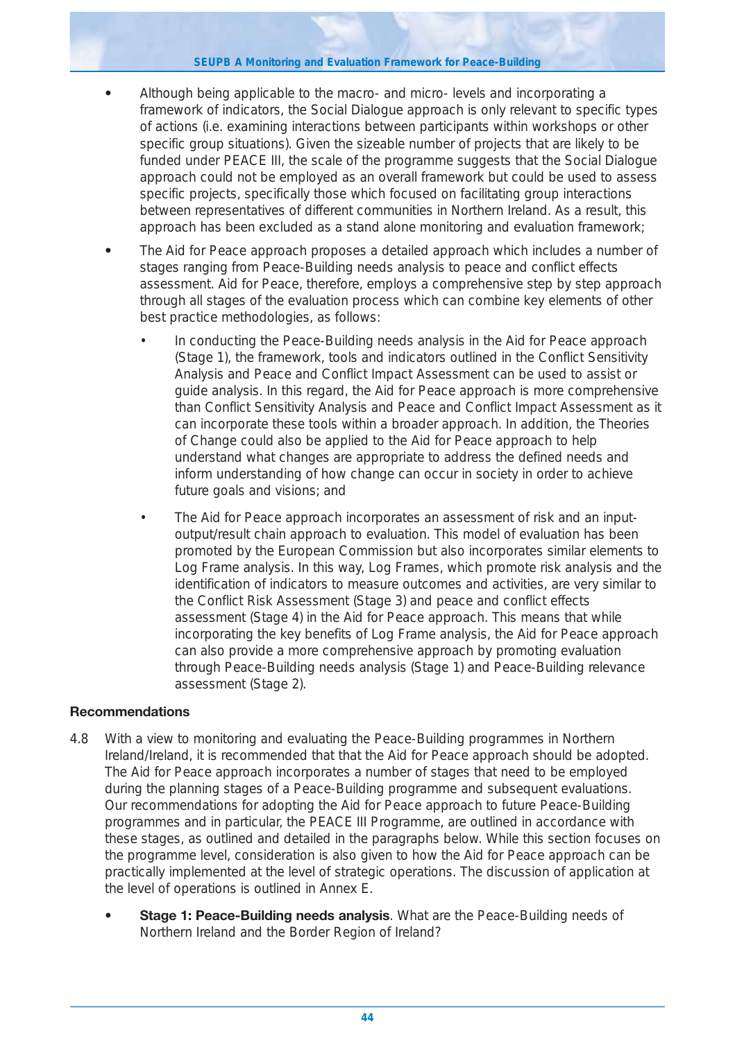#### **SEUPB A Monitoring and Evaluation Framework for Peace-Building**

- **•** Although being applicable to the macro- and micro- levels and incorporating a framework of indicators, the Social Dialogue approach is only relevant to specific types of actions (i.e. examining interactions between participants within workshops or other specific group situations). Given the sizeable number of projects that are likely to be funded under PEACE III, the scale of the programme suggests that the Social Dialogue approach could not be employed as an overall framework but could be used to assess specific projects, specifically those which focused on facilitating group interactions between representatives of different communities in Northern Ireland. As a result, this approach has been excluded as a stand alone monitoring and evaluation framework;
- **•** The Aid for Peace approach proposes a detailed approach which includes a number of stages ranging from Peace-Building needs analysis to peace and conflict effects assessment. Aid for Peace, therefore, employs a comprehensive step by step approach through all stages of the evaluation process which can combine key elements of other best practice methodologies, as follows:
	- In conducting the Peace-Building needs analysis in the Aid for Peace approach (Stage 1), the framework, tools and indicators outlined in the Conflict Sensitivity Analysis and Peace and Conflict Impact Assessment can be used to assist or guide analysis. In this regard, the Aid for Peace approach is more comprehensive than Conflict Sensitivity Analysis and Peace and Conflict Impact Assessment as it can incorporate these tools within a broader approach. In addition, the Theories of Change could also be applied to the Aid for Peace approach to help understand what changes are appropriate to address the defined needs and inform understanding of how change can occur in society in order to achieve future goals and visions; and
	- The Aid for Peace approach incorporates an assessment of risk and an inputoutput/result chain approach to evaluation. This model of evaluation has been promoted by the European Commission but also incorporates similar elements to Log Frame analysis. In this way, Log Frames, which promote risk analysis and the identification of indicators to measure outcomes and activities, are very similar to the Conflict Risk Assessment (Stage 3) and peace and conflict effects assessment (Stage 4) in the Aid for Peace approach. This means that while incorporating the key benefits of Log Frame analysis, the Aid for Peace approach can also provide a more comprehensive approach by promoting evaluation through Peace-Building needs analysis (Stage 1) and Peace-Building relevance assessment (Stage 2).

## **Recommendations**

- 4.8 With a view to monitoring and evaluating the Peace-Building programmes in Northern Ireland/Ireland, it is recommended that that the Aid for Peace approach should be adopted. The Aid for Peace approach incorporates a number of stages that need to be employed during the planning stages of a Peace-Building programme and subsequent evaluations. Our recommendations for adopting the Aid for Peace approach to future Peace-Building programmes and in particular, the PEACE III Programme, are outlined in accordance with these stages, as outlined and detailed in the paragraphs below. While this section focuses on the programme level, consideration is also given to how the Aid for Peace approach can be practically implemented at the level of strategic operations. The discussion of application at the level of operations is outlined in Annex E.
	- **Stage 1: Peace-Building needs analysis**. What are the Peace-Building needs of Northern Ireland and the Border Region of Ireland?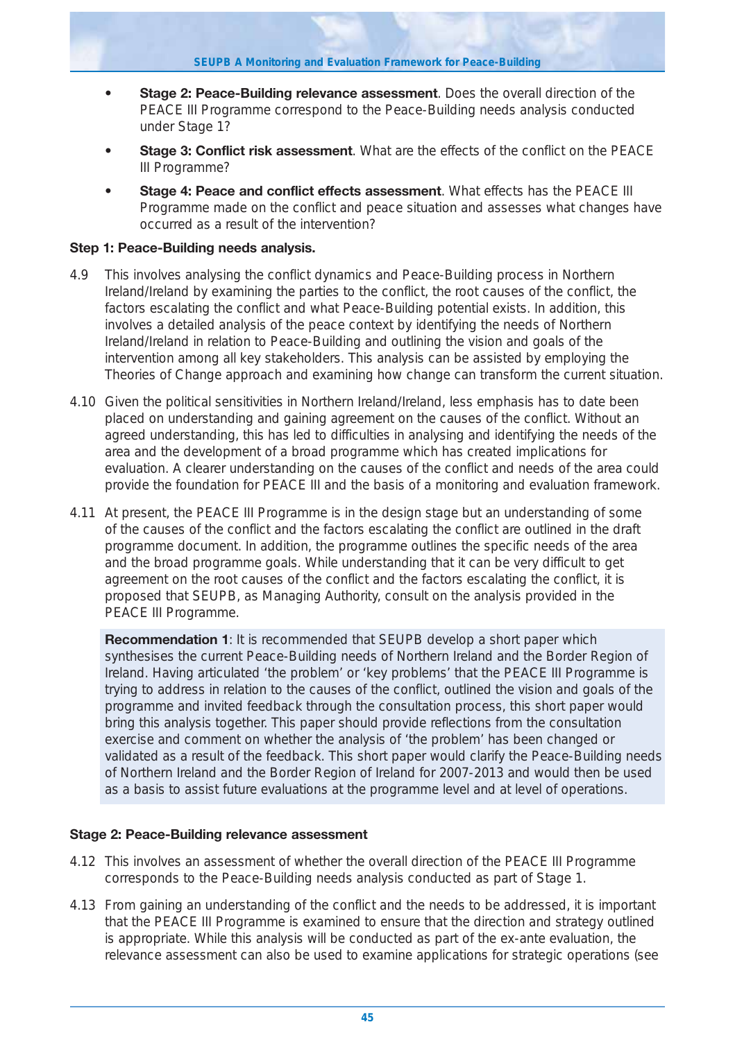- **Stage 2: Peace-Building relevance assessment**. Does the overall direction of the PEACE III Programme correspond to the Peace-Building needs analysis conducted under Stage 1?
- **Stage 3: Conflict risk assessment**. What are the effects of the conflict on the PEACE III Programme?
- **Stage 4: Peace and conflict effects assessment**. What effects has the PEACE III Programme made on the conflict and peace situation and assesses what changes have occurred as a result of the intervention?

## **Step 1: Peace-Building needs analysis.**

- 4.9 This involves analysing the conflict dynamics and Peace-Building process in Northern Ireland/Ireland by examining the parties to the conflict, the root causes of the conflict, the factors escalating the conflict and what Peace-Building potential exists. In addition, this involves a detailed analysis of the peace context by identifying the needs of Northern Ireland/Ireland in relation to Peace-Building and outlining the vision and goals of the intervention among all key stakeholders. This analysis can be assisted by employing the Theories of Change approach and examining how change can transform the current situation.
- 4.10 Given the political sensitivities in Northern Ireland/Ireland, less emphasis has to date been placed on understanding and gaining agreement on the causes of the conflict. Without an agreed understanding, this has led to difficulties in analysing and identifying the needs of the area and the development of a broad programme which has created implications for evaluation. A clearer understanding on the causes of the conflict and needs of the area could provide the foundation for PEACE III and the basis of a monitoring and evaluation framework.
- 4.11 At present, the PEACE III Programme is in the design stage but an understanding of some of the causes of the conflict and the factors escalating the conflict are outlined in the draft programme document. In addition, the programme outlines the specific needs of the area and the broad programme goals. While understanding that it can be very difficult to get agreement on the root causes of the conflict and the factors escalating the conflict, it is proposed that SEUPB, as Managing Authority, consult on the analysis provided in the PEACE III Programme.

**Recommendation 1**: It is recommended that SEUPB develop a short paper which synthesises the current Peace-Building needs of Northern Ireland and the Border Region of Ireland. Having articulated 'the problem' or 'key problems' that the PEACE III Programme is trying to address in relation to the causes of the conflict, outlined the vision and goals of the programme and invited feedback through the consultation process, this short paper would bring this analysis together. This paper should provide reflections from the consultation exercise and comment on whether the analysis of 'the problem' has been changed or validated as a result of the feedback. This short paper would clarify the Peace-Building needs of Northern Ireland and the Border Region of Ireland for 2007-2013 and would then be used as a basis to assist future evaluations at the programme level and at level of operations.

#### **Stage 2: Peace-Building relevance assessment**

- 4.12 This involves an assessment of whether the overall direction of the PEACE III Programme corresponds to the Peace-Building needs analysis conducted as part of Stage 1.
- 4.13 From gaining an understanding of the conflict and the needs to be addressed, it is important that the PEACE III Programme is examined to ensure that the direction and strategy outlined is appropriate. While this analysis will be conducted as part of the ex-ante evaluation, the relevance assessment can also be used to examine applications for strategic operations (see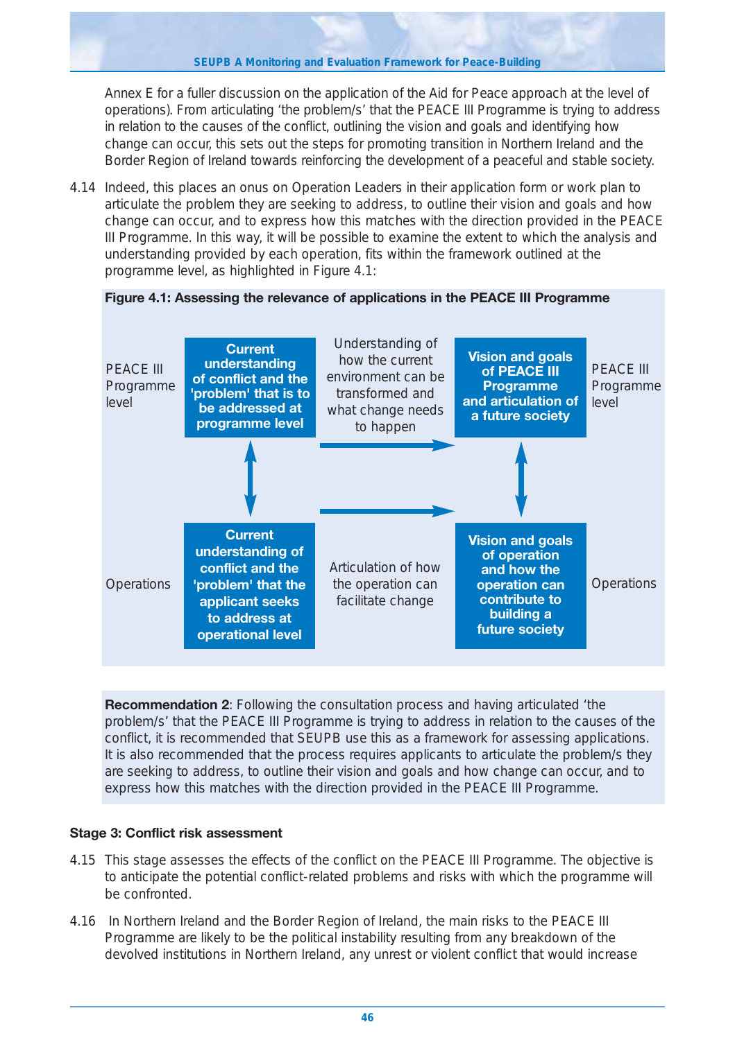Annex E for a fuller discussion on the application of the Aid for Peace approach at the level of operations). From articulating 'the problem/s' that the PEACE III Programme is trying to address in relation to the causes of the conflict, outlining the vision and goals and identifying how change can occur, this sets out the steps for promoting transition in Northern Ireland and the Border Region of Ireland towards reinforcing the development of a peaceful and stable society.

4.14 Indeed, this places an onus on Operation Leaders in their application form or work plan to articulate the problem they are seeking to address, to outline their vision and goals and how change can occur, and to express how this matches with the direction provided in the PEACE III Programme. In this way, it will be possible to examine the extent to which the analysis and understanding provided by each operation, fits within the framework outlined at the programme level, as highlighted in Figure 4.1:



**Recommendation 2**: Following the consultation process and having articulated 'the problem/s' that the PEACE III Programme is trying to address in relation to the causes of the conflict, it is recommended that SEUPB use this as a framework for assessing applications. It is also recommended that the process requires applicants to articulate the problem/s they are seeking to address, to outline their vision and goals and how change can occur, and to express how this matches with the direction provided in the PEACE III Programme.

## **Stage 3: Conflict risk assessment**

- 4.15 This stage assesses the effects of the conflict on the PEACE III Programme. The objective is to anticipate the potential conflict-related problems and risks with which the programme will be confronted.
- 4.16 In Northern Ireland and the Border Region of Ireland, the main risks to the PEACE III Programme are likely to be the political instability resulting from any breakdown of the devolved institutions in Northern Ireland, any unrest or violent conflict that would increase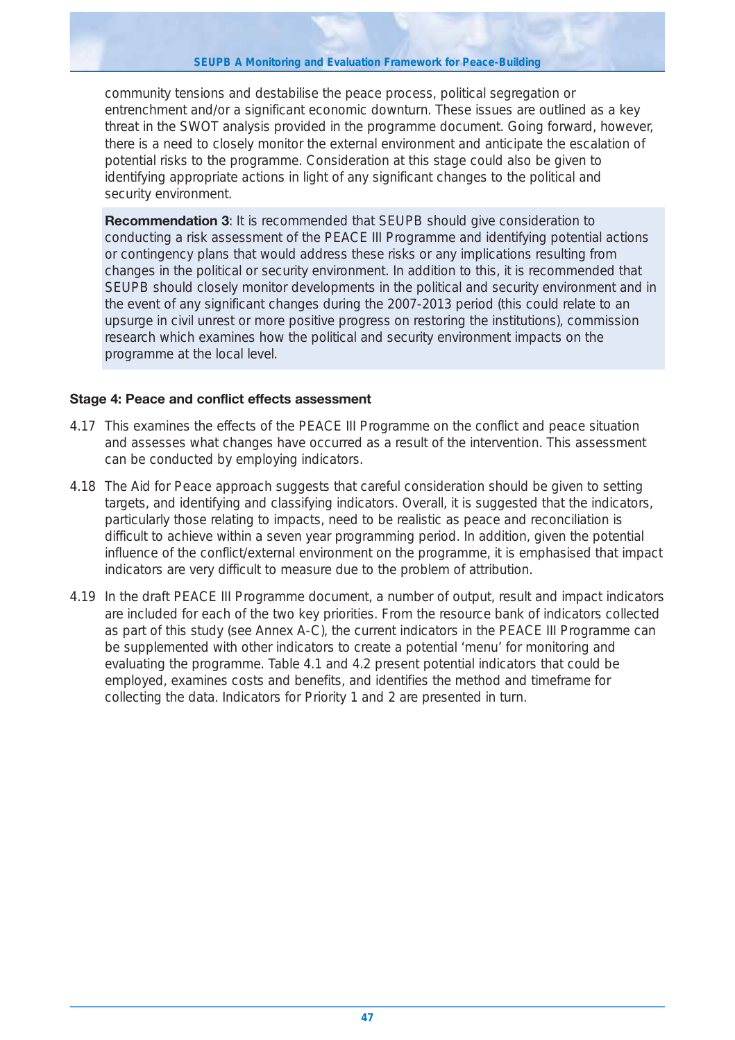community tensions and destabilise the peace process, political segregation or entrenchment and/or a significant economic downturn. These issues are outlined as a key threat in the SWOT analysis provided in the programme document. Going forward, however, there is a need to closely monitor the external environment and anticipate the escalation of potential risks to the programme. Consideration at this stage could also be given to identifying appropriate actions in light of any significant changes to the political and security environment.

**Recommendation 3**: It is recommended that SEUPB should give consideration to conducting a risk assessment of the PEACE III Programme and identifying potential actions or contingency plans that would address these risks or any implications resulting from changes in the political or security environment. In addition to this, it is recommended that SEUPB should closely monitor developments in the political and security environment and in the event of any significant changes during the 2007-2013 period (this could relate to an upsurge in civil unrest or more positive progress on restoring the institutions), commission research which examines how the political and security environment impacts on the programme at the local level.

## **Stage 4: Peace and conflict effects assessment**

- 4.17 This examines the effects of the PEACE III Programme on the conflict and peace situation and assesses what changes have occurred as a result of the intervention. This assessment can be conducted by employing indicators.
- 4.18 The Aid for Peace approach suggests that careful consideration should be given to setting targets, and identifying and classifying indicators. Overall, it is suggested that the indicators, particularly those relating to impacts, need to be realistic as peace and reconciliation is difficult to achieve within a seven year programming period. In addition, given the potential influence of the conflict/external environment on the programme, it is emphasised that impact indicators are very difficult to measure due to the problem of attribution.
- 4.19 In the draft PEACE III Programme document, a number of output, result and impact indicators are included for each of the two key priorities. From the resource bank of indicators collected as part of this study (see Annex A-C), the current indicators in the PEACE III Programme can be supplemented with other indicators to create a potential 'menu' for monitoring and evaluating the programme. Table 4.1 and 4.2 present potential indicators that could be employed, examines costs and benefits, and identifies the method and timeframe for collecting the data. Indicators for Priority 1 and 2 are presented in turn.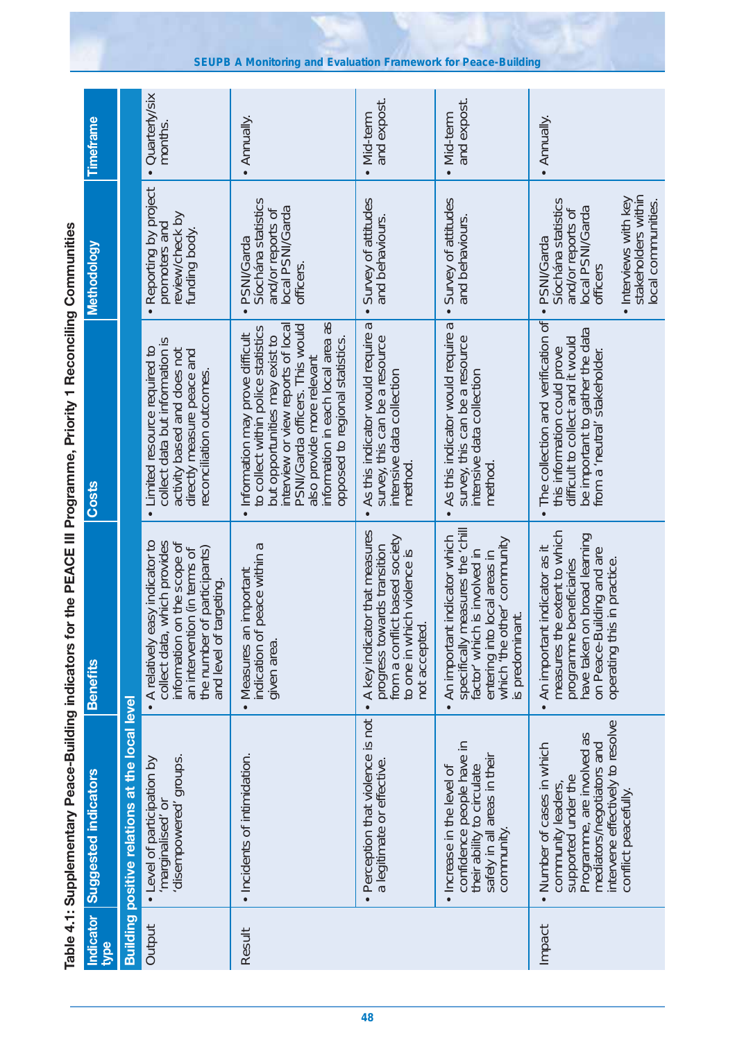Table 4.1: Supplementary Peace-Building indicators for the PEACE III Programme, Priority 1 Reconciling Communities **Table 4.1: Supplementary Peace-Building indicators for the PEACE III Programme, Priority 1 Reconciling Communities**

| <b>Indicator</b><br>type | <b>Suggested indicators</b>                                                                                                                                            | <b>Benefits</b>                                                                                                                                                                                     | <b>Costs</b>                                                                                                                                                                                                                                                                                         | Methodology                                                                                         | Timeframe                  |
|--------------------------|------------------------------------------------------------------------------------------------------------------------------------------------------------------------|-----------------------------------------------------------------------------------------------------------------------------------------------------------------------------------------------------|------------------------------------------------------------------------------------------------------------------------------------------------------------------------------------------------------------------------------------------------------------------------------------------------------|-----------------------------------------------------------------------------------------------------|----------------------------|
|                          | Building positive relations at the local level                                                                                                                         |                                                                                                                                                                                                     |                                                                                                                                                                                                                                                                                                      |                                                                                                     |                            |
| Output                   | disempowered groups.<br>• Level of participation by<br>'marginalised' or                                                                                               | • A relatively easy indicator to<br>which provides<br>information on the scope of<br>an intervention (in terms of<br>of participants)<br>argeting.<br>collect data,<br>the number<br>and level of t | collect data but information is<br>• Limited resource required to<br>activity based and does not<br>directly measure peace and<br>reconciliation outcomes                                                                                                                                            | • Reporting by project<br>review/check by<br>promoters and<br>funding body.                         | • Quarterly/six<br>months. |
| Result                   | • Incidents of intimidation.                                                                                                                                           | peace within a<br>important<br>Measures an<br>indication of<br>given area.<br>$\bullet$                                                                                                             | information in each local area as<br>interview or view reports of local<br>PSNI/Garda officers. This would<br>to collect within police statistics<br>Information may prove difficult<br>but opportunities may exist to<br>opposed to regional statistics.<br>also provide more relevant<br>$\bullet$ | Siochána statistics<br>local PSNI/Garda<br>and/or reports of<br>PSNI/Garda<br>officers.             | • Annually.                |
|                          | Perception that violence is not<br>a legitimate or effective.                                                                                                          | A key indicator that measures<br>from a conflict based society<br>progress towards transition<br>to one in which violence is<br>not accepted<br>$\bullet$                                           | В<br>As this indicator would require<br>survey, this can be a resource<br>intensive data collection<br>method                                                                                                                                                                                        | Survey of attitudes<br>and behaviours.                                                              | and expost.<br>· Mid-term  |
|                          | confidence people have in<br>safely in all areas in their<br>their ability to circulate<br>. Increase in the level of<br>community                                     | specifically measures the 'chill<br>An important indicator which<br>entering into local areas in<br>which 'the other' community<br>is involved in<br>s predominant.<br>factor which<br>$\bullet$    | a<br>As this indicator would require<br>survey, this can be a resource<br>intensive data collection<br>method<br>$\bullet$                                                                                                                                                                           | Survey of attitudes<br>and behaviours.                                                              | and expost.<br>• Mid-term  |
| Impact                   | intervene effectively to resolve<br>Programme, are involved as<br>mediators/negotiators and<br>• Number of cases in which<br>supported under the<br>community leaders, | measures the extent to which<br>have taken on broad learning<br>An important indicator as it<br>on Peace-Building and are<br>operating this in practice.<br>beneficiaries<br>programme<br>$\bullet$ | The collection and verification of<br>be important to gather the data<br>from a 'neutral' stakeholder.<br>difficult to collect and it would<br>this information could prove<br>$\bullet$                                                                                                             | Síochána statistics<br>local PSNI/Garda<br>and/or reports of<br>PSNI/Garda<br>officers<br>$\bullet$ | • Annually.                |
|                          | conflict peacefully                                                                                                                                                    |                                                                                                                                                                                                     |                                                                                                                                                                                                                                                                                                      | stakeholders within<br>· Interviews with key<br>local communities.                                  |                            |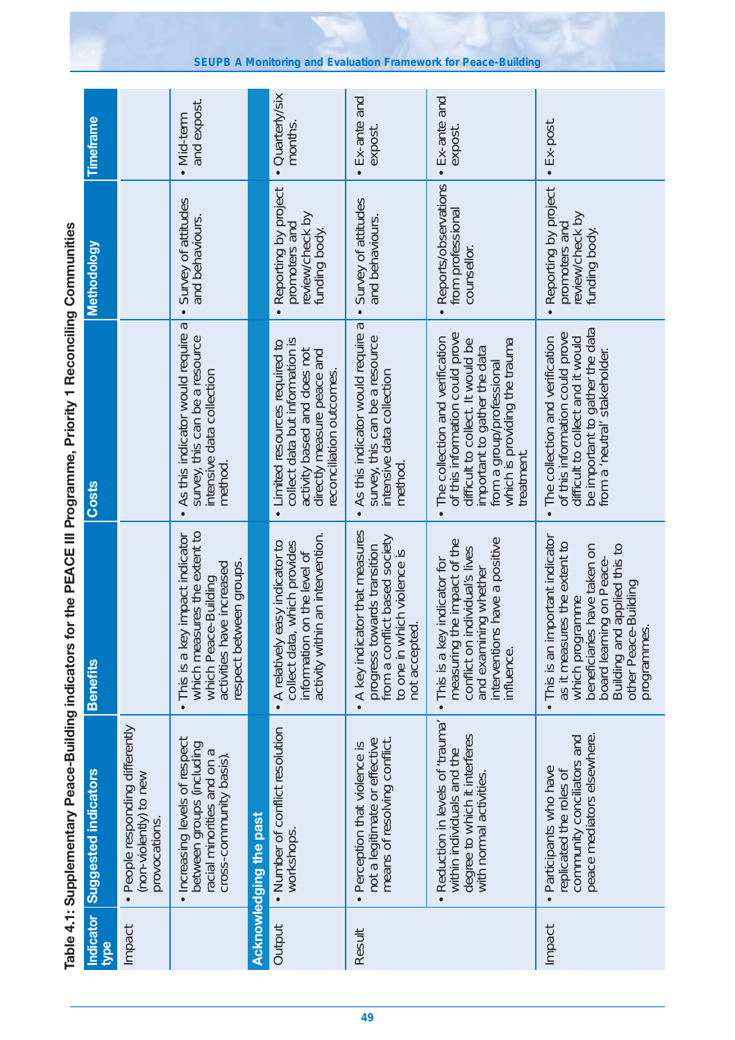|                   |                                                                                                                                       |                                                                                                                                                                                                                        | Table 4.1: Supplementary Peace-Building indicators for the PEACE III Programme, Priority 1 Reconciling Communities                                                                                                               |                                                                             |                            |
|-------------------|---------------------------------------------------------------------------------------------------------------------------------------|------------------------------------------------------------------------------------------------------------------------------------------------------------------------------------------------------------------------|----------------------------------------------------------------------------------------------------------------------------------------------------------------------------------------------------------------------------------|-----------------------------------------------------------------------------|----------------------------|
| Indicator<br>type | <b>Suggested indicators</b>                                                                                                           | <b>Benefits</b>                                                                                                                                                                                                        | Costs                                                                                                                                                                                                                            | <b>Methodology</b>                                                          | <b>Timeframe</b>           |
| Impact            | · People responding differently<br>(non-violently) to new<br>provocations.                                                            |                                                                                                                                                                                                                        |                                                                                                                                                                                                                                  |                                                                             |                            |
|                   | Increasing levels of respect<br>between groups (including<br>racial minorities and on a<br>cross-community basis)<br>$\bullet$        | which measures the extent to<br>This is a key impact indicator<br>respect between groups.<br>activities have increased<br>which Peace-Building                                                                         | Б<br>As this indicator would require<br>survey, this can be a resource<br>intensive data collection<br>method                                                                                                                    | Survey of attitudes<br>and behaviours.                                      | and expost.<br>• Mid-term  |
|                   | Acknowledging the past                                                                                                                |                                                                                                                                                                                                                        |                                                                                                                                                                                                                                  |                                                                             |                            |
| Output            | • Number of conflict resolution<br>workshops.                                                                                         | activity within an intervention.<br>• A relatively easy indicator to<br>ta, which provides<br>information on the level of<br>collect dai                                                                               | collect data but information is<br>Limited resources required to<br>activity based and does not<br>directly measure peace and<br>reconciliation outcomes.<br>$\bullet$                                                           | . Reporting by project<br>review/check by<br>promoters and<br>funding body. | • Quarterly/six<br>months. |
| Result            | not a legitimate or effective<br>means of resolving conflict.<br>Perception that violence is<br>$\bullet$                             | A key indicator that measures<br>from a conflict based society<br>progress towards transition<br>to one in which violence is<br>not accepted.<br>$\bullet$                                                             | Б<br>As this indicator would require<br>survey, this can be a resource<br>intensive data collection<br>method<br>$\bullet$                                                                                                       | Survey of attitudes<br>and behaviours.                                      | • Ex-ante and<br>expost.   |
|                   | Reduction in levels of 'trauma'<br>degree to which it interferes<br>within individuals and the<br>with normal activities<br>$\bullet$ | interventions have a positive<br>the impact of the<br>individual's lives<br>This is a key indicator for<br>ining whether<br>measuring<br>conflict on<br>and exam<br>influence.<br>$\bullet$                            | of this information could prove<br>The collection and verification<br>difficult to collect. It would be<br>from a group/professional<br>which is providing the trauma<br>important to gather the data<br>treatment.<br>$\bullet$ | Reports/observations<br>from professional<br>counsellor.                    | • Ex-ante and<br>expost    |
| Impact            | peace mediators elsewhere.<br>community conciliators and<br>Participants who have<br>replicated the roles of                          | important indicator<br>as it measures the extent to<br>beneficiaries have taken on<br>board learning on Peace-<br>Building and applied this to<br>other Peace-Building<br>which programme<br>programmes.<br>This is an | be important to gather the data<br>from a 'neutral' stakeholder.<br>of this information could prove<br>difficult to collect and it would<br>The collection and verification                                                      | Reporting by project<br>review/check by<br>promoters and<br>funding body    | $\cdot$ Ex-post.           |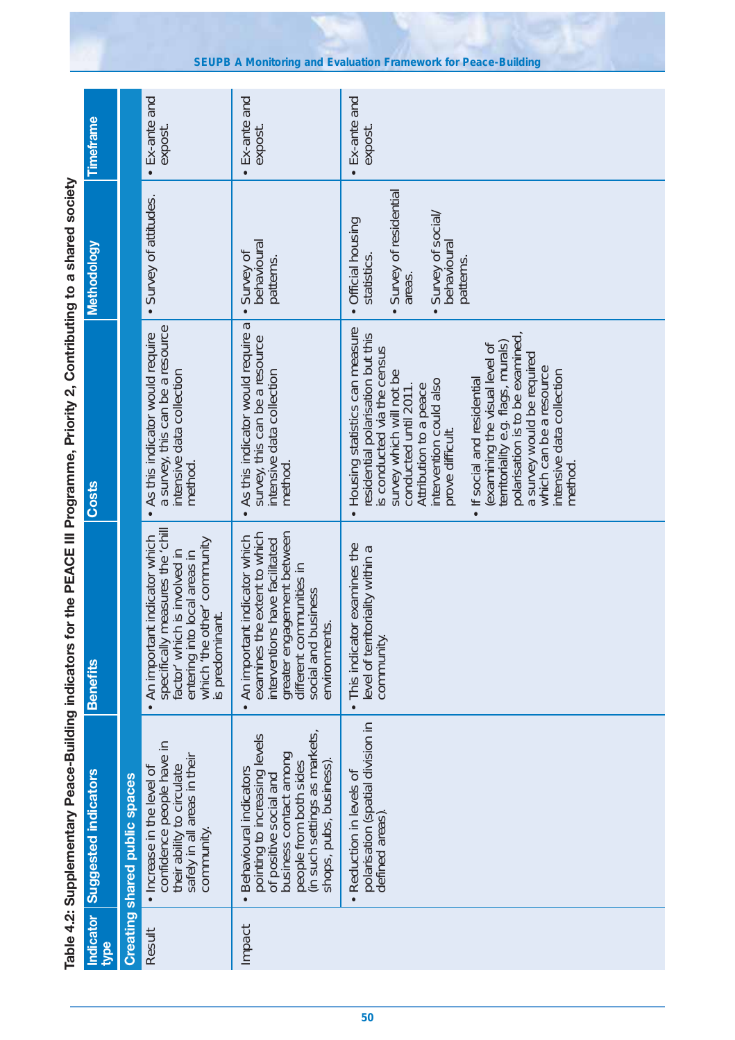Table 4.2: Supplementary Peace-Building indicators for the PEACE III Programme, Priority 2, Contributing to a shared society **Table 4.2: Supplementary Peace-Building indicators for the PEACE III Programme, Priority 2, Contributing to a shared society**

| Indicator<br><b>type</b> | <b>Suggested indicators</b>                                                                                                                                                                     | <b>Benefits</b>                                                                                                                                                                                           | <b>Costs</b>                                                                                                                                                                                                                                                                                                                                                                                                                                                                                       | Methodology                                                                                                         | Timeframe                       |
|--------------------------|-------------------------------------------------------------------------------------------------------------------------------------------------------------------------------------------------|-----------------------------------------------------------------------------------------------------------------------------------------------------------------------------------------------------------|----------------------------------------------------------------------------------------------------------------------------------------------------------------------------------------------------------------------------------------------------------------------------------------------------------------------------------------------------------------------------------------------------------------------------------------------------------------------------------------------------|---------------------------------------------------------------------------------------------------------------------|---------------------------------|
|                          | <b>Creating shared public spaces</b>                                                                                                                                                            |                                                                                                                                                                                                           |                                                                                                                                                                                                                                                                                                                                                                                                                                                                                                    |                                                                                                                     |                                 |
| Result                   | confidence people have in<br>safely in all areas in their<br>their ability to circulate<br>• Increase in the level of<br>community                                                              | neasures the 'chill<br>indicator which<br>entering into local areas in<br>which "the other" community<br>is involved in<br>s predominant.<br>An important<br>factor' which<br>specifically m<br>$\bullet$ | a survey, this can be a resource<br>As this indicator would require<br>intensive data collection<br>method                                                                                                                                                                                                                                                                                                                                                                                         | Survey of attitudes.                                                                                                | $\cdot$ Ex-ante and<br>expost.  |
| Impact                   | (in such settings as markets<br>pointing to increasing levels<br>business contact among<br>people from both sides<br>shops, pubs, business)<br>Behavioural indicators<br>of positive social and | greater engagement between<br>examines the extent to which<br>indicator which<br>have facilitated<br>different communities in<br>social and business<br>environments<br>An important<br>interventions     | As this indicator would require a<br>survey, this can be a resource<br>intensive data collection<br>method<br>$\bullet$                                                                                                                                                                                                                                                                                                                                                                            | behavioural<br>Survey of<br>patterns.                                                                               | $\cdot$ Ex-ante and<br>expost   |
|                          | polarisation (spatial division in<br>Reduction in levels of<br>defined areas)                                                                                                                   | This indicator examines the<br>level of territoriality within a<br>community.                                                                                                                             | Housing statistics can measure<br>territoriality e.g. flags, murals)<br>polarisation is to be examined,<br>residential polarisation but this<br>examining the visual level of<br>is conducted via the census<br>a survey would be required<br>which can be a resource<br>survey which will not be<br>intensive data collection<br>If social and residential<br>intervention could also<br>conducted until 2011.<br>Attribution to a peace<br>prove difficult.<br>method.<br>$\bullet$<br>$\bullet$ | Survey of residential<br>Survey of social/<br>Official housing<br>behavioural<br>statistics.<br>patterns.<br>areas. | $\bullet$ Ex-ante and<br>expost |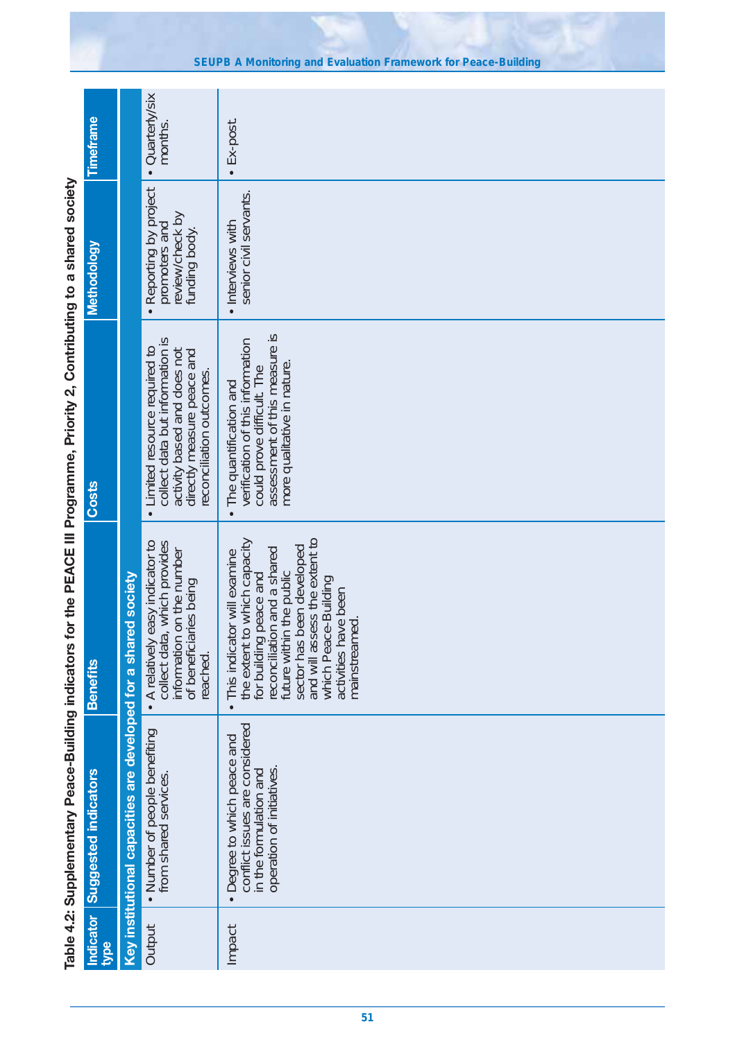|                                                                                                                              | Timeframe                   |                                                                 | · Quarterly/six<br>months.                                                                                                                                            | Ex-post.                                                                                                                                                                                                                                                                                        |
|------------------------------------------------------------------------------------------------------------------------------|-----------------------------|-----------------------------------------------------------------|-----------------------------------------------------------------------------------------------------------------------------------------------------------------------|-------------------------------------------------------------------------------------------------------------------------------------------------------------------------------------------------------------------------------------------------------------------------------------------------|
|                                                                                                                              | Methodology                 |                                                                 | • Reporting by project<br>review/check by<br>promoters and<br>funding body.                                                                                           | senior civil servants.<br>· Interviews with                                                                                                                                                                                                                                                     |
| Table 4.2: Supplementary Peace-Building indicators for the PEACE III Programme, Priority 2, Contributing to a shared society | <b>Costs</b>                |                                                                 | collect data but information is<br>Limited resource required to<br>activity based and does not<br>directly measure peace and<br>reconciliation outcomes.<br>$\bullet$ | assessment of this measure is<br>verification of this information<br>more qualitative in nature<br>could prove difficult. The<br>The quantification and<br>$\bullet$                                                                                                                            |
|                                                                                                                              | <b>Benefits</b>             |                                                                 | y easy indicator to<br>collect data, which provides<br>information on the number<br>of beneficiaries being<br>• A relativel<br>reached.                               | and will assess the extent to<br>to which capacity<br>future within the public<br>sector has been developed<br>reconciliation and a shared<br>This indicator will examine<br>for building peace and<br>which Peace-Building<br>activities have been<br>mainstreamed.<br>the extent<br>$\bullet$ |
|                                                                                                                              | <b>Suggested indicators</b> | Key institutional capacities are developed for a shared society | . Number of people benefiting<br>from shared services.                                                                                                                | conflict issues are considered<br>Degree to which peace and<br>operation of initiatives.<br>in the formulation and<br>$\bullet$                                                                                                                                                                 |
|                                                                                                                              | <b>Indicator</b><br>type    |                                                                 | Output                                                                                                                                                                | Impact                                                                                                                                                                                                                                                                                          |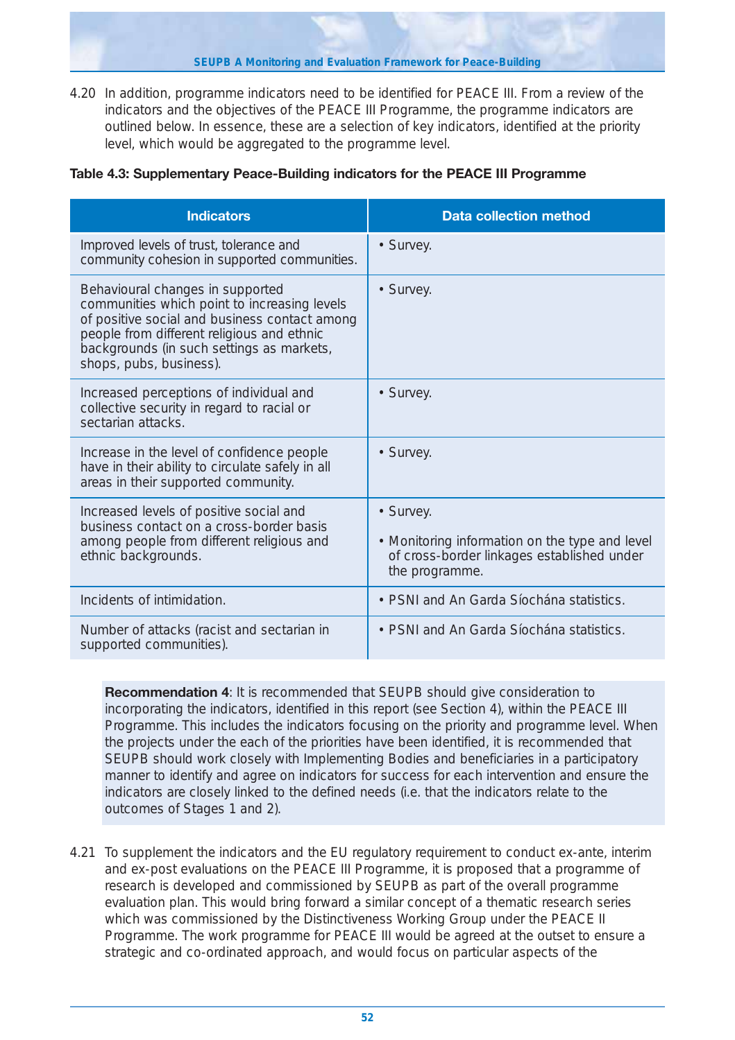4.20 In addition, programme indicators need to be identified for PEACE III. From a review of the indicators and the objectives of the PEACE III Programme, the programme indicators are outlined below. In essence, these are a selection of key indicators, identified at the priority level, which would be aggregated to the programme level.

## **Table 4.3: Supplementary Peace-Building indicators for the PEACE III Programme**

| <b>Indicators</b>                                                                                                                                                                                                                                       | <b>Data collection method</b>                                                                                               |
|---------------------------------------------------------------------------------------------------------------------------------------------------------------------------------------------------------------------------------------------------------|-----------------------------------------------------------------------------------------------------------------------------|
| Improved levels of trust, tolerance and<br>community cohesion in supported communities.                                                                                                                                                                 | • Survey.                                                                                                                   |
| Behavioural changes in supported<br>communities which point to increasing levels<br>of positive social and business contact among<br>people from different religious and ethnic<br>backgrounds (in such settings as markets,<br>shops, pubs, business). | • Survey.                                                                                                                   |
| Increased perceptions of individual and<br>collective security in regard to racial or<br>sectarian attacks.                                                                                                                                             | • Survey.                                                                                                                   |
| Increase in the level of confidence people<br>have in their ability to circulate safely in all<br>areas in their supported community.                                                                                                                   | • Survey.                                                                                                                   |
| Increased levels of positive social and<br>business contact on a cross-border basis<br>among people from different religious and<br>ethnic backgrounds.                                                                                                 | • Survey.<br>• Monitoring information on the type and level<br>of cross-border linkages established under<br>the programme. |
| Incidents of intimidation.                                                                                                                                                                                                                              | · PSNI and An Garda Síochána statistics.                                                                                    |
| Number of attacks (racist and sectarian in<br>supported communities).                                                                                                                                                                                   | • PSNI and An Garda Síochána statistics.                                                                                    |

**Recommendation 4**: It is recommended that SEUPB should give consideration to incorporating the indicators, identified in this report (see Section 4), within the PEACE III Programme. This includes the indicators focusing on the priority and programme level. When the projects under the each of the priorities have been identified, it is recommended that SEUPB should work closely with Implementing Bodies and beneficiaries in a participatory manner to identify and agree on indicators for success for each intervention and ensure the indicators are closely linked to the defined needs (i.e. that the indicators relate to the outcomes of Stages 1 and 2).

4.21 To supplement the indicators and the EU regulatory requirement to conduct ex-ante, interim and ex-post evaluations on the PEACE III Programme, it is proposed that a programme of research is developed and commissioned by SEUPB as part of the overall programme evaluation plan. This would bring forward a similar concept of a thematic research series which was commissioned by the Distinctiveness Working Group under the PEACE II Programme. The work programme for PEACE III would be agreed at the outset to ensure a strategic and co-ordinated approach, and would focus on particular aspects of the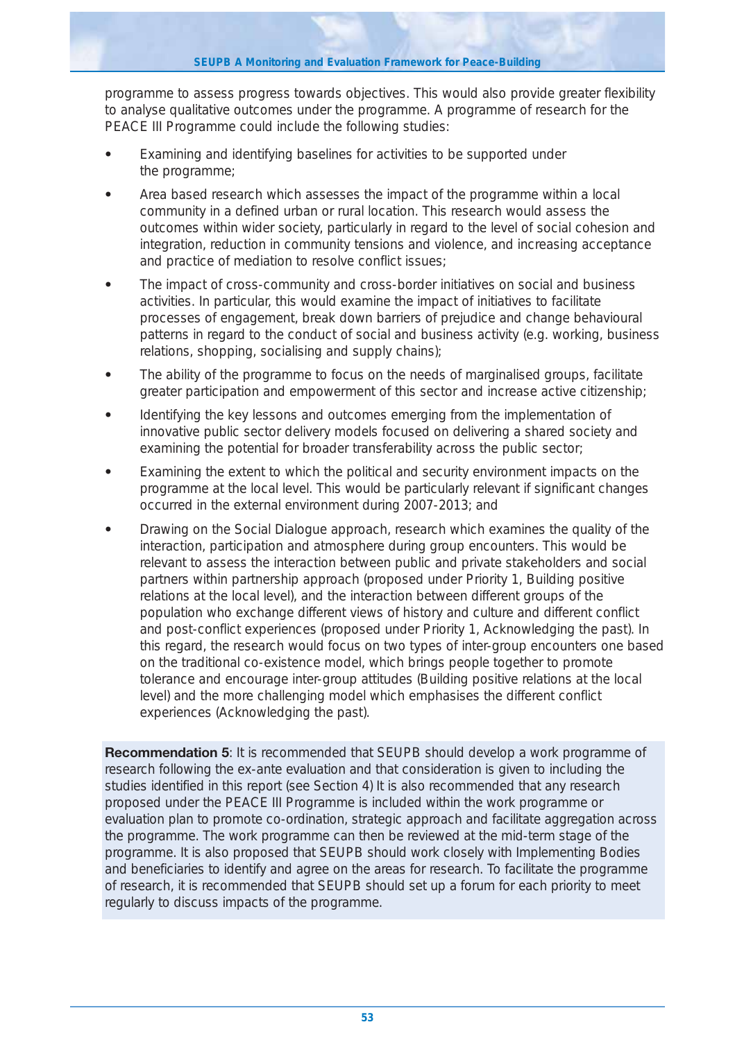programme to assess progress towards objectives. This would also provide greater flexibility to analyse qualitative outcomes under the programme. A programme of research for the PEACE III Programme could include the following studies:

- **•** Examining and identifying baselines for activities to be supported under the programme;
- **•** Area based research which assesses the impact of the programme within a local community in a defined urban or rural location. This research would assess the outcomes within wider society, particularly in regard to the level of social cohesion and integration, reduction in community tensions and violence, and increasing acceptance and practice of mediation to resolve conflict issues;
- **•** The impact of cross-community and cross-border initiatives on social and business activities. In particular, this would examine the impact of initiatives to facilitate processes of engagement, break down barriers of prejudice and change behavioural patterns in regard to the conduct of social and business activity (e.g. working, business relations, shopping, socialising and supply chains);
- **•** The ability of the programme to focus on the needs of marginalised groups, facilitate greater participation and empowerment of this sector and increase active citizenship;
- **•** Identifying the key lessons and outcomes emerging from the implementation of innovative public sector delivery models focused on delivering a shared society and examining the potential for broader transferability across the public sector;
- **•** Examining the extent to which the political and security environment impacts on the programme at the local level. This would be particularly relevant if significant changes occurred in the external environment during 2007-2013; and
- **•** Drawing on the Social Dialogue approach, research which examines the quality of the interaction, participation and atmosphere during group encounters. This would be relevant to assess the interaction between public and private stakeholders and social partners within partnership approach (proposed under Priority 1, Building positive relations at the local level), and the interaction between different groups of the population who exchange different views of history and culture and different conflict and post-conflict experiences (proposed under Priority 1, Acknowledging the past). In this regard, the research would focus on two types of inter-group encounters one based on the traditional co-existence model, which brings people together to promote tolerance and encourage inter-group attitudes (Building positive relations at the local level) and the more challenging model which emphasises the different conflict experiences (Acknowledging the past).

**Recommendation 5**: It is recommended that SEUPB should develop a work programme of research following the ex-ante evaluation and that consideration is given to including the studies identified in this report (see Section 4) It is also recommended that any research proposed under the PEACE III Programme is included within the work programme or evaluation plan to promote co-ordination, strategic approach and facilitate aggregation across the programme. The work programme can then be reviewed at the mid-term stage of the programme. It is also proposed that SEUPB should work closely with Implementing Bodies and beneficiaries to identify and agree on the areas for research. To facilitate the programme of research, it is recommended that SEUPB should set up a forum for each priority to meet regularly to discuss impacts of the programme.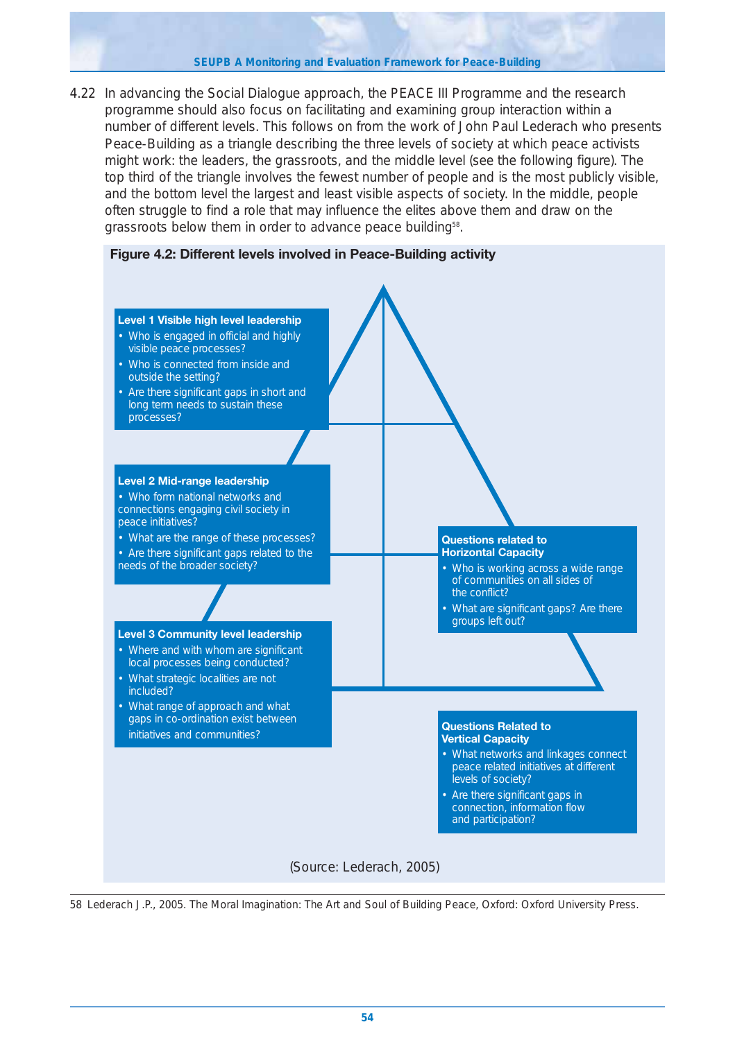#### **SEUPB A Monitoring and Evaluation Framework for Peace-Building**

4.22 In advancing the Social Dialogue approach, the PEACE III Programme and the research programme should also focus on facilitating and examining group interaction within a number of different levels. This follows on from the work of John Paul Lederach who presents Peace-Building as a triangle describing the three levels of society at which peace activists might work: the leaders, the grassroots, and the middle level (see the following figure). The top third of the triangle involves the fewest number of people and is the most publicly visible, and the bottom level the largest and least visible aspects of society. In the middle, people often struggle to find a role that may influence the elites above them and draw on the grassroots below them in order to advance peace building<sup>58</sup>.





58 Lederach J.P., 2005. The Moral Imagination: The Art and Soul of Building Peace, Oxford: Oxford University Press.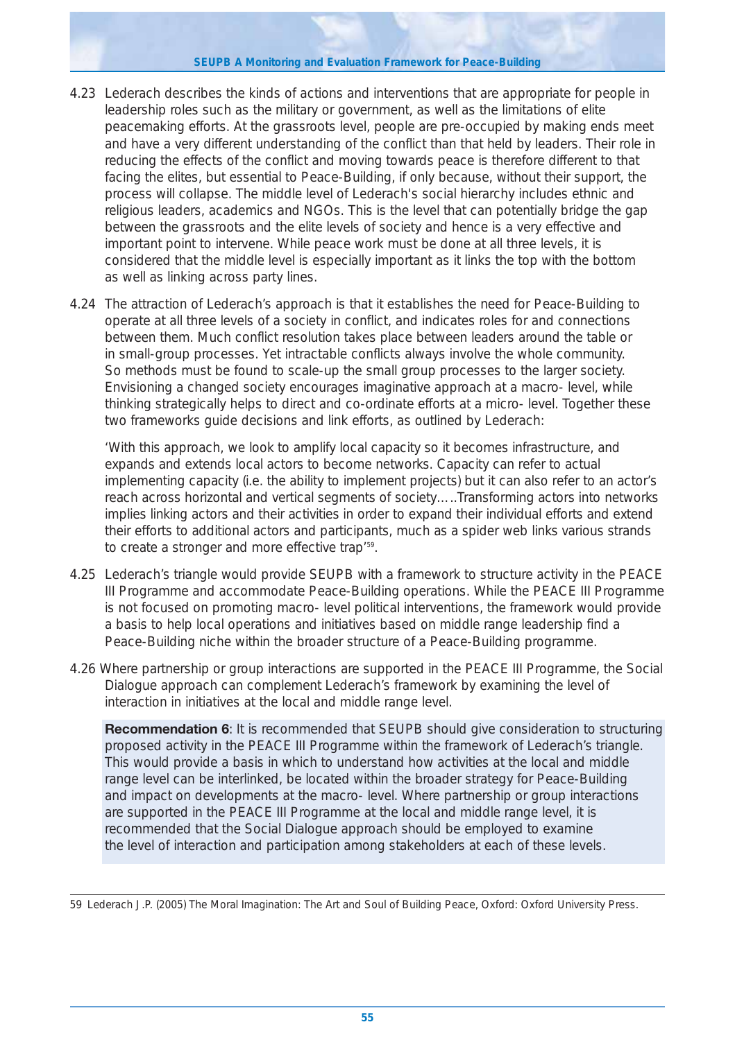#### **SEUPB A Monitoring and Evaluation Framework for Peace-Building**

- 4.23 Lederach describes the kinds of actions and interventions that are appropriate for people in leadership roles such as the military or government, as well as the limitations of elite peacemaking efforts. At the grassroots level, people are pre-occupied by making ends meet and have a very different understanding of the conflict than that held by leaders. Their role in reducing the effects of the conflict and moving towards peace is therefore different to that facing the elites, but essential to Peace-Building, if only because, without their support, the process will collapse. The middle level of Lederach's social hierarchy includes ethnic and religious leaders, academics and NGOs. This is the level that can potentially bridge the gap between the grassroots and the elite levels of society and hence is a very effective and important point to intervene. While peace work must be done at all three levels, it is considered that the middle level is especially important as it links the top with the bottom as well as linking across party lines.
- 4.24 The attraction of Lederach's approach is that it establishes the need for Peace-Building to operate at all three levels of a society in conflict, and indicates roles for and connections between them. Much conflict resolution takes place between leaders around the table or in small-group processes. Yet intractable conflicts always involve the whole community. So methods must be found to scale-up the small group processes to the larger society. Envisioning a changed society encourages imaginative approach at a macro- level, while thinking strategically helps to direct and co-ordinate efforts at a micro- level. Together these two frameworks guide decisions and link efforts, as outlined by Lederach:

*'With this approach, we look to amplify local capacity so it becomes infrastructure, and expands and extends local actors to become networks. Capacity can refer to actual implementing capacity (i.e. the ability to implement projects) but it can also refer to an actor's reach across horizontal and vertical segments of society…..Transforming actors into networks implies linking actors and their activities in order to expand their individual efforts and extend their efforts to additional actors and participants, much as a spider web links various strands to create a stronger and more effective trap'59.*

- 4.25 Lederach's triangle would provide SEUPB with a framework to structure activity in the PEACE III Programme and accommodate Peace-Building operations. While the PEACE III Programme is not focused on promoting macro- level political interventions, the framework would provide a basis to help local operations and initiatives based on middle range leadership find a Peace-Building niche within the broader structure of a Peace-Building programme.
- 4.26 Where partnership or group interactions are supported in the PEACE III Programme, the Social Dialogue approach can complement Lederach's framework by examining the level of interaction in initiatives at the local and middle range level.

**Recommendation 6:** It is recommended that SEUPB should give consideration to structuring proposed activity in the PEACE III Programme within the framework of Lederach's triangle. This would provide a basis in which to understand how activities at the local and middle range level can be interlinked, be located within the broader strategy for Peace-Building and impact on developments at the macro- level. Where partnership or group interactions are supported in the PEACE III Programme at the local and middle range level, it is recommended that the Social Dialogue approach should be employed to examine the level of interaction and participation among stakeholders at each of these levels.

<sup>59</sup> Lederach J.P. (2005) The Moral Imagination: The Art and Soul of Building Peace, Oxford: Oxford University Press.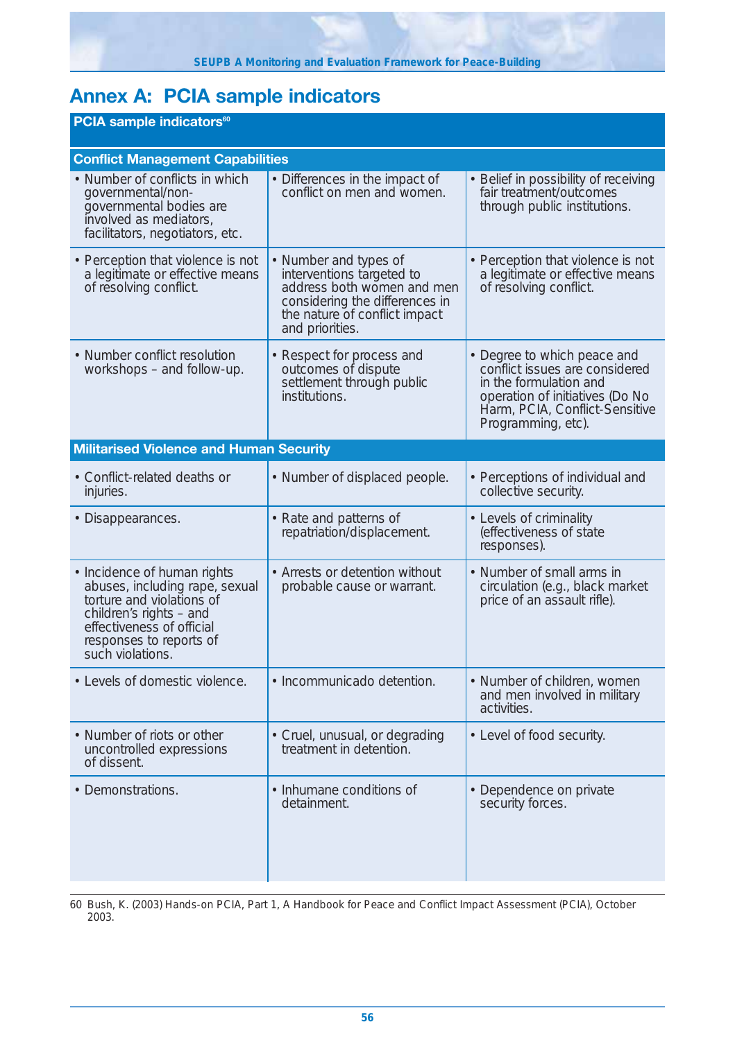# **Annex A: PCIA sample indicators**

| <b>PCIA sample indicators<sup>60</sup></b>                                                                                                                                                        |                                                                                                                                                                        |                                                                                                                                                                                    |  |  |  |  |  |  |  |  |
|---------------------------------------------------------------------------------------------------------------------------------------------------------------------------------------------------|------------------------------------------------------------------------------------------------------------------------------------------------------------------------|------------------------------------------------------------------------------------------------------------------------------------------------------------------------------------|--|--|--|--|--|--|--|--|
| <b>Conflict Management Capabilities</b>                                                                                                                                                           |                                                                                                                                                                        |                                                                                                                                                                                    |  |  |  |  |  |  |  |  |
| • Number of conflicts in which<br>governmental/non-<br>governmental bodies are<br>involved as mediators,<br>facilitators, negotiators, etc.                                                       | • Differences in the impact of<br>conflict on men and women.                                                                                                           | • Belief in possibility of receiving<br>fair treatment/outcomes<br>through public institutions.                                                                                    |  |  |  |  |  |  |  |  |
| • Perception that violence is not<br>a legitimate or effective means<br>of resolving conflict.                                                                                                    | • Number and types of<br>interventions targeted to<br>address both women and men<br>considering the differences in<br>the nature of conflict impact<br>and priorities. | • Perception that violence is not<br>a legitimate or effective means<br>of resolving conflict.                                                                                     |  |  |  |  |  |  |  |  |
| • Number conflict resolution<br>workshops – and follow-up.                                                                                                                                        | • Respect for process and<br>outcomes of dispute<br>settlement through public<br>institutions.                                                                         | • Degree to which peace and<br>conflict issues are considered<br>in the formulation and<br>operation of initiatives (Do No<br>Harm, PCIA, Conflict-Sensitive<br>Programming, etc). |  |  |  |  |  |  |  |  |
| <b>Militarised Violence and Human Security</b>                                                                                                                                                    |                                                                                                                                                                        |                                                                                                                                                                                    |  |  |  |  |  |  |  |  |
| • Conflict-related deaths or<br>injuries.                                                                                                                                                         | • Number of displaced people.                                                                                                                                          | • Perceptions of individual and<br>collective security.                                                                                                                            |  |  |  |  |  |  |  |  |
| • Disappearances.                                                                                                                                                                                 | • Rate and patterns of<br>repatriation/displacement.                                                                                                                   | • Levels of criminality<br>(effectiveness of state<br>responses).                                                                                                                  |  |  |  |  |  |  |  |  |
| • Incidence of human rights<br>abuses, including rape, sexual<br>torture and violations of<br>children's rights - and<br>effectiveness of official<br>responses to reports of<br>such violations. | • Arrests or detention without<br>probable cause or warrant.                                                                                                           | • Number of small arms in<br>circulation (e.g., black market<br>price of an assault rifle).                                                                                        |  |  |  |  |  |  |  |  |
| • Levels of domestic violence.                                                                                                                                                                    | · Incommunicado detention.                                                                                                                                             | • Number of children, women<br>and men involved in military<br>activities.                                                                                                         |  |  |  |  |  |  |  |  |
| • Number of riots or other<br>uncontrolled expressions<br>of dissent.                                                                                                                             | • Cruel, unusual, or degrading<br>treatment in detention.                                                                                                              | • Level of food security.                                                                                                                                                          |  |  |  |  |  |  |  |  |
| • Demonstrations.                                                                                                                                                                                 | • Inhumane conditions of<br>detainment.                                                                                                                                | • Dependence on private<br>security forces.                                                                                                                                        |  |  |  |  |  |  |  |  |

60 Bush, K. (2003) Hands-on PCIA, Part 1, A Handbook for Peace and Conflict Impact Assessment (PCIA), October 2003.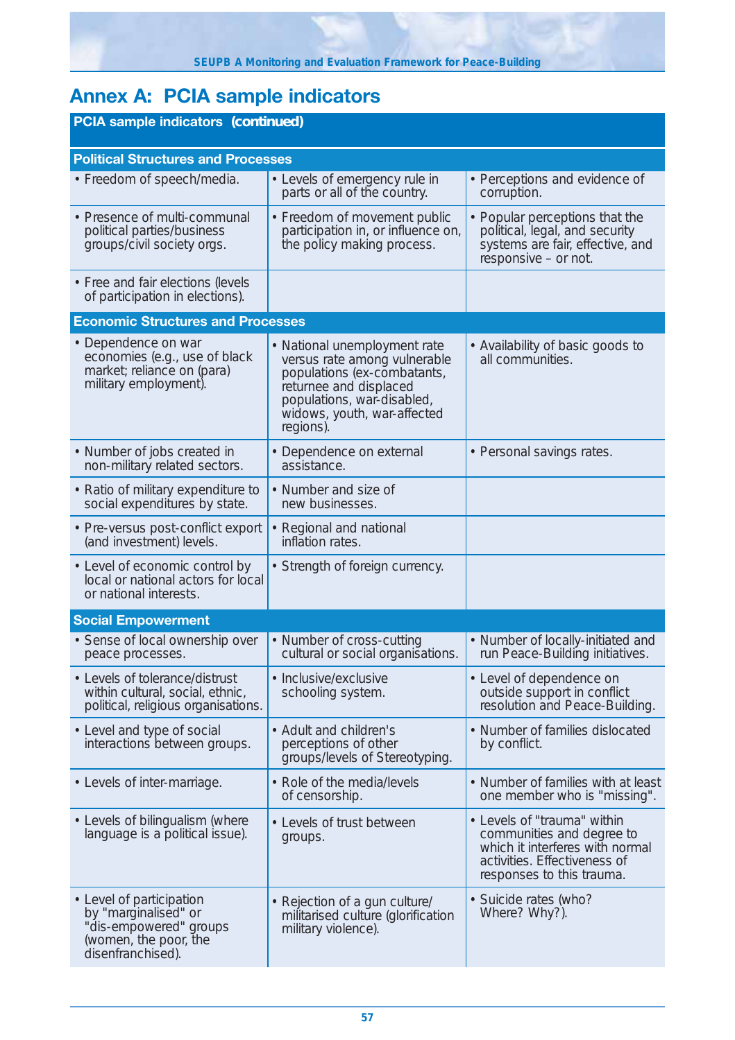# **Annex A: PCIA sample indicators**

| <b>PCIA sample indicators (continued)</b>                                                                                |                                                                                                                                                                                                 |                                                                                                                                                          |  |  |  |  |  |  |  |
|--------------------------------------------------------------------------------------------------------------------------|-------------------------------------------------------------------------------------------------------------------------------------------------------------------------------------------------|----------------------------------------------------------------------------------------------------------------------------------------------------------|--|--|--|--|--|--|--|
| <b>Political Structures and Processes</b>                                                                                |                                                                                                                                                                                                 |                                                                                                                                                          |  |  |  |  |  |  |  |
| • Freedom of speech/media.                                                                                               | • Levels of emergency rule in<br>parts or all of the country.                                                                                                                                   | • Perceptions and evidence of<br>corruption.                                                                                                             |  |  |  |  |  |  |  |
| • Presence of multi-communal<br>political parties/business<br>groups/civil society orgs.                                 | • Freedom of movement public<br>participation in, or influence on,<br>the policy making process.                                                                                                | • Popular perceptions that the<br>political, legal, and security<br>systems are fair, effective, and<br>responsive - or not.                             |  |  |  |  |  |  |  |
| • Free and fair elections (levels<br>of participation in elections).                                                     |                                                                                                                                                                                                 |                                                                                                                                                          |  |  |  |  |  |  |  |
| <b>Economic Structures and Processes</b>                                                                                 |                                                                                                                                                                                                 |                                                                                                                                                          |  |  |  |  |  |  |  |
| • Dependence on war<br>economies (e.g., use of black<br>market; reliance on (para)<br>military employment).              | • National unemployment rate<br>versus rate among vulnerable<br>populations (ex-combatants,<br>returnee and displaced<br>populations, war-disabled,<br>widows, youth, war-affected<br>regions). | • Availability of basic goods to<br>all communities.                                                                                                     |  |  |  |  |  |  |  |
| • Number of jobs created in<br>non-military related sectors.                                                             | • Dependence on external<br>assistance.                                                                                                                                                         | • Personal savings rates.                                                                                                                                |  |  |  |  |  |  |  |
| • Ratio of military expenditure to<br>social expenditures by state.                                                      | • Number and size of<br>new businesses.                                                                                                                                                         |                                                                                                                                                          |  |  |  |  |  |  |  |
| • Pre-versus post-conflict export<br>(and investment) levels.                                                            | • Regional and national<br>inflation rates.                                                                                                                                                     |                                                                                                                                                          |  |  |  |  |  |  |  |
| • Level of economic control by<br>local or national actors for local<br>or national interests.                           | • Strength of foreign currency.                                                                                                                                                                 |                                                                                                                                                          |  |  |  |  |  |  |  |
| <b>Social Empowerment</b>                                                                                                |                                                                                                                                                                                                 |                                                                                                                                                          |  |  |  |  |  |  |  |
| • Sense of local ownership over<br>peace processes.                                                                      | • Number of cross-cutting<br>cultural or social organisations.                                                                                                                                  | • Number of locally-initiated and<br>run Peace-Building initiatives.                                                                                     |  |  |  |  |  |  |  |
| • Levels of tolerance/distrust<br>within cultural, social, ethnic,<br>political, religious organisations.                | • Inclusive/exclusive<br>schooling system.                                                                                                                                                      | • Level of dependence on<br>outside support in conflict<br>resolution and Peace-Building.                                                                |  |  |  |  |  |  |  |
| • Level and type of social<br>interactions between groups.                                                               | • Adult and children's<br>perceptions of other<br>groups/levels of Stereotyping.                                                                                                                | • Number of families dislocated<br>by conflict.                                                                                                          |  |  |  |  |  |  |  |
| • Levels of inter-marriage.                                                                                              | • Role of the media/levels<br>of censorship.                                                                                                                                                    | • Number of families with at least<br>one member who is "missing".                                                                                       |  |  |  |  |  |  |  |
| • Levels of bilingualism (where<br>language is a political issue).                                                       | • Levels of trust between<br>groups.                                                                                                                                                            | • Levels of "trauma" within<br>communities and degree to<br>which it interferes with normal<br>activities. Effectiveness of<br>responses to this trauma. |  |  |  |  |  |  |  |
| • Level of participation<br>by "marginalised" or<br>"dis-empowered" groups<br>(women, the poor, the<br>disenfranchised). | • Rejection of a gun culture/<br>militarised culture (glorification<br>military violence).                                                                                                      | · Suicide rates (who?<br>Where? Why?).                                                                                                                   |  |  |  |  |  |  |  |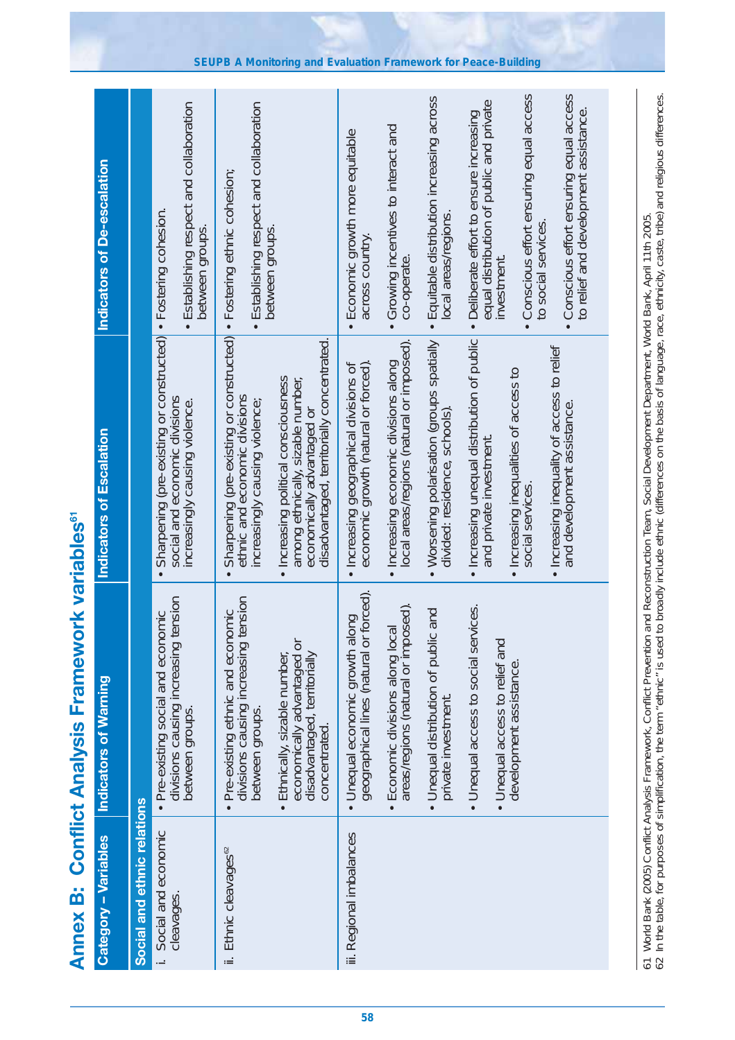| r                                              |
|------------------------------------------------|
| j<br>֧֧֚֬֝֓֓֡֬֓֓ <u>֓</u>                      |
| ä<br>i<br><b>The Contract of Second Second</b> |

| Category - Variables               | Indicators of Warning                                                                                                                                                                                                                                                                                                   | Indicators of Escalation                                                                                                                                                                                                                                                                                                                                                                                                                                               | Indicators of De-escalation                                                                                                                                                                                                                                                                                                                                                                                                                                                   |
|------------------------------------|-------------------------------------------------------------------------------------------------------------------------------------------------------------------------------------------------------------------------------------------------------------------------------------------------------------------------|------------------------------------------------------------------------------------------------------------------------------------------------------------------------------------------------------------------------------------------------------------------------------------------------------------------------------------------------------------------------------------------------------------------------------------------------------------------------|-------------------------------------------------------------------------------------------------------------------------------------------------------------------------------------------------------------------------------------------------------------------------------------------------------------------------------------------------------------------------------------------------------------------------------------------------------------------------------|
| Social and ethnic relations        |                                                                                                                                                                                                                                                                                                                         |                                                                                                                                                                                                                                                                                                                                                                                                                                                                        |                                                                                                                                                                                                                                                                                                                                                                                                                                                                               |
| Social and economic<br>cleavages.  | tension<br>• Pre-existing social and economic<br>divisions causing increasing<br>between groups.                                                                                                                                                                                                                        | Sharpening (pre-existing or constructed)<br>social and economic divisions<br>increasingly causing violence.                                                                                                                                                                                                                                                                                                                                                            | · Establishing respect and collaboration<br>• Fostering cohesion.<br>between groups.                                                                                                                                                                                                                                                                                                                                                                                          |
| ii. Ethnic cleavages <sup>62</sup> | tension<br>Pre-existing ethnic and economic<br>economically advantaged or<br>divisions causing increasing<br>disadvantaged, territorially<br>Ethnically, sizable number,<br>between groups.<br>concentrated.<br>$\bullet$                                                                                               | Sharpening (pre-existing or constructed) . Fostering ethnic cohesion;<br>disadvantaged, territorially concentrated.<br>Increasing political consciousness<br>among ethnically, sizable number,<br>ethnic and economic divisions<br>increasingly causing violence;<br>economically advantaged or<br>$\bullet$<br>$\bullet$                                                                                                                                              | • Establishing respect and collaboration<br>between groups.                                                                                                                                                                                                                                                                                                                                                                                                                   |
| iii. Regional imbalances           | geographical lines (natural or forced).<br>areas/regions (natural or imposed).<br>· Unequal access to social services.<br>• Unequal distribution of public and<br>• Unequal economic growth along<br>Economic divisions along local<br>• Unequal access to relief and<br>development assistance.<br>private investment. | • Increasing unequal distribution of public<br>Worsening polarisation (groups spatially<br>local areas/regions (natural or imposed).<br>. Increasing inequality of access to relief<br>· Increasing economic divisions along<br>• Increasing geographical divisions of<br>economic growth (natural or forced).<br>· Increasing inequalities of access to<br>and development assistance.<br>divided: residence, schools)<br>and private investment.<br>social services. | Conscious effort ensuring equal access<br>· Conscious effort ensuring equal access<br>· Equitable distribution increasing across<br>equal distribution of public and private<br>to relief and development assistance.<br>Deliberate effort to ensure increasing<br>Growing incentives to interact and<br>Economic growth more equitable<br>local areas/regions<br>to social services.<br>across country.<br>co-operate.<br>investment.<br>$\bullet$<br>$\bullet$<br>$\bullet$ |
|                                    |                                                                                                                                                                                                                                                                                                                         | to broadly include ethnic (differences on the basis of language, race, ethnicity, caste, tribe) and religious differences.<br>61 World Bank (2005) Conflict Analysis Framework, Conflict Prevention and Reconstruction Team, Social Development Department, World Bank, April 11th 2005.<br>62 In the table, for purposes of simplification, the term "ethnic"                                                                                                         |                                                                                                                                                                                                                                                                                                                                                                                                                                                                               |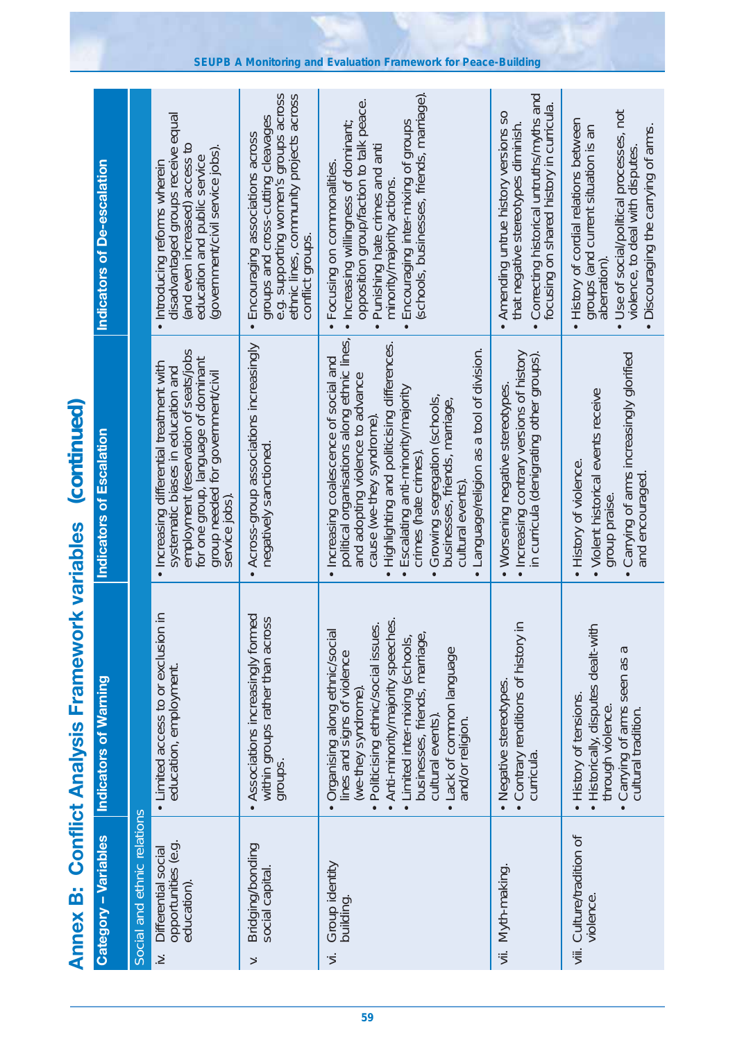| <b>Annex B:</b>                                                     | <b>Conflict Analysis Framework variables</b>                                                                                                                                                                                                                                                       | (continued)                                                                                                                                                                                                                                                                                                                                                                                                      |                                                                                                                                                                                                                                                                   |
|---------------------------------------------------------------------|----------------------------------------------------------------------------------------------------------------------------------------------------------------------------------------------------------------------------------------------------------------------------------------------------|------------------------------------------------------------------------------------------------------------------------------------------------------------------------------------------------------------------------------------------------------------------------------------------------------------------------------------------------------------------------------------------------------------------|-------------------------------------------------------------------------------------------------------------------------------------------------------------------------------------------------------------------------------------------------------------------|
| <b>Category - Variables</b>                                         | <b>Indicators of Warning</b>                                                                                                                                                                                                                                                                       | Indicators of Escalation                                                                                                                                                                                                                                                                                                                                                                                         | <b>Indicators of De-escalation</b>                                                                                                                                                                                                                                |
| Social and ethnic relations                                         |                                                                                                                                                                                                                                                                                                    |                                                                                                                                                                                                                                                                                                                                                                                                                  |                                                                                                                                                                                                                                                                   |
| opportunities (e.g.<br>Differential social<br>education).<br>$\geq$ | • Limited access to or exclusion in<br>education, employment.                                                                                                                                                                                                                                      | employment (reservation of seats/jobs<br>for one group, language of dominant<br>group needed for government/civil<br>· Increasing differential treatment with<br>systematic biases in education and<br>service jobs).                                                                                                                                                                                            | disadvantaged groups receive equal<br>(and even increased) access to<br>(government/civil service jobs)<br>education and public service<br>· Introducing reforms wherein                                                                                          |
| Bridging/bonding<br>social capital<br>$\ddot{ }$                    | Associations increasingly formed<br>within groups rather than across<br>groups.<br>$\bullet$                                                                                                                                                                                                       | Across-group associations increasingly<br>negatively sanctioned.<br>$\bullet$                                                                                                                                                                                                                                                                                                                                    | e.g. supporting women's groups across<br>ethnic lines, community projects across<br>groups and cross-cutting cleavages<br>Encouraging associations across<br>conflict groups.<br>$\bullet$                                                                        |
| Group identity<br>building.<br>'S                                   | Anti-minority/majority speeches.<br>Politicising ethnic/social issues.<br>Organising along ethnic/social<br>Limited inter-mixing (schools,<br>businesses, friends, marriage<br>Lack of common language<br>lines and signs of violence<br>(we-they syndrome)<br>cultural events)<br>and/or religion | political organisations along ethnic lines,<br>Highlighting and politicising differences.<br>Language/religion as a tool of division.<br>· Increasing coalescence of social and<br>and adopting violence to advance<br>Escalating anti-minority/majority<br>Growing segregation (schools,<br>businesses, friends, marriage,<br>cause (we-they syndrome)<br>crimes (hate crimes)<br>cultural events)<br>$\bullet$ | (schools, businesses, friends, marriage).<br>opposition group/faction to talk peace.<br>Encouraging inter-mixing of groups<br>· Increasing willingness of dominant;<br>Punishing hate crimes and anti<br>Focusing on commonalities.<br>minority/majority actions. |
| Myth-making<br>$\ddot{=}$                                           | $\equiv$<br>• Contrary renditions of history<br>curricula.<br>. Negative stereotypes                                                                                                                                                                                                               | · Increasing contrary versions of history<br>in curricula (denigrating other groups).<br>• Worsening negative stereotypes                                                                                                                                                                                                                                                                                        | Correcting historical untruths/myths and<br>focusing on shared history in curricula.<br>SO<br>that negative stereotypes diminish<br>Amending untrue history versions                                                                                              |
| viii. Culture/tradition of<br>violence.                             | Historically, disputes dealt-with<br>Carrying of arms seen as a<br>• History of tensions.<br>through violence<br>cultural tradition.<br>$\bullet$                                                                                                                                                  | • Carrying of arms increasingly glorified<br>• Violent historical events receive<br>• History of violence.<br>and encouraged<br>group praise.                                                                                                                                                                                                                                                                    | Use of social/political processes, not<br>. History of cordial relations between<br>groups (and current situation is an<br>Discouraging the carrying of arms.<br>violence, to deal with disputes<br>aberration)                                                   |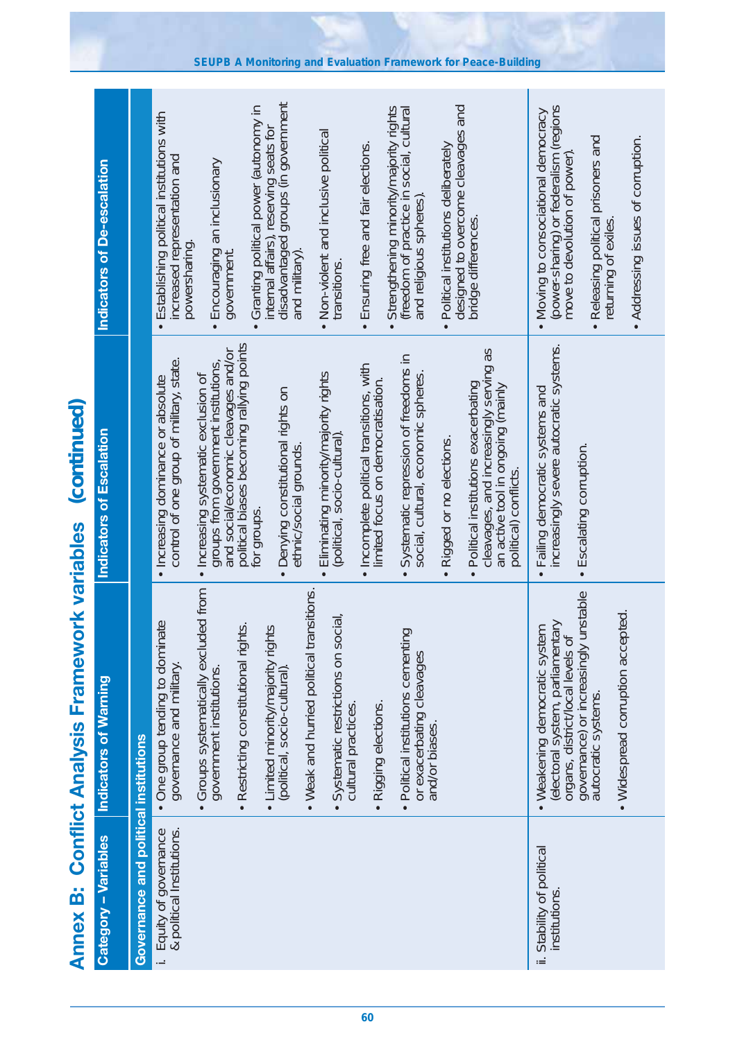| <b>Annex B:</b>                                      | <b>Conflict Analysis Framework variables</b>                                                                    | (continued)                                                                                                                                 |                                                                                                                |
|------------------------------------------------------|-----------------------------------------------------------------------------------------------------------------|---------------------------------------------------------------------------------------------------------------------------------------------|----------------------------------------------------------------------------------------------------------------|
| <b>Category - Variables</b>                          | <b>Indicators of Warning</b>                                                                                    | <b>Indicators of Escalation</b>                                                                                                             | Indicators of De-escalation                                                                                    |
| <b>Governance and political institutions</b>         |                                                                                                                 |                                                                                                                                             |                                                                                                                |
| & political Institutions.<br>i. Equity of governance | • One group tending to dominate<br>governance and military.                                                     | control of one group of military, state.<br>. Increasing dominance or absolute                                                              | · Establishing political institutions with<br>increased representation and<br>powersharing.                    |
|                                                      | · Groups systematically excluded from<br>government institutions                                                | and social/economic cleavages and/or<br>groups from government institutions,<br>· Increasing systematic exclusion of                        | Encouraging an inclusionary<br>government.<br>$\bullet$                                                        |
|                                                      | <u>is</u><br>• Limited minority/majority rights<br>Restricting constitutional right                             | political biases becoming rallying points<br>for groups.                                                                                    | Granting political power (autonomy in<br>internal affairs), reserving seats for                                |
|                                                      | (political, socio-cultural).                                                                                    | Denying constitutional rights on<br>ethnic/social grounds.                                                                                  | disadvantaged groups (in government<br>and military).                                                          |
|                                                      | • Weak and hurried political transitions.<br>Systematic restrictions on social,<br>cultural practices.          | Eliminating minority/majority rights<br>(political, socio-cultural)                                                                         | • Non-violent and inclusive political<br>transitions.                                                          |
|                                                      | · Rigging elections.                                                                                            | · Incomplete political transitions, with<br>limited focus on democratisation.                                                               | Ensuring free and fair elections.<br>$\bullet$                                                                 |
|                                                      | · Political institutions cementing<br>or exacerbating cleavages<br>and/or biases.                               | Systematic repression of freedoms in<br>social, cultural, economic spheres.                                                                 | Strengthening minority/majority rights<br>(freedom of practice in social, cultural<br>and religious spheres).  |
|                                                      |                                                                                                                 | · Rigged or no elections.                                                                                                                   | Political institutions deliberately<br>$\bullet$                                                               |
|                                                      |                                                                                                                 | cleavages, and increasingly serving as<br>Political institutions exacerbating<br>an active tool in ongoing (mainly<br>political) conflicts. | designed to overcome cleavages and<br>bridge differences.                                                      |
| ii. Stability of political<br>institutions           | electoral system, parliamentary<br>Weakening democratic system<br>organs, district/local levels of<br>$\bullet$ | increasingly severe autocratic systems.<br>• Failing democratic systems and                                                                 | (power-sharing) or federalism (regions<br>• Moving to consociational democracy<br>move to devolution of power) |
|                                                      | governance) or increasingly unstable<br>• Widespread corruption accepted.<br>autocratic systems.                | · Escalating corruption.                                                                                                                    | • Releasing political prisoners and<br>returning of exiles                                                     |
|                                                      |                                                                                                                 |                                                                                                                                             | • Addressing issues of corruption.                                                                             |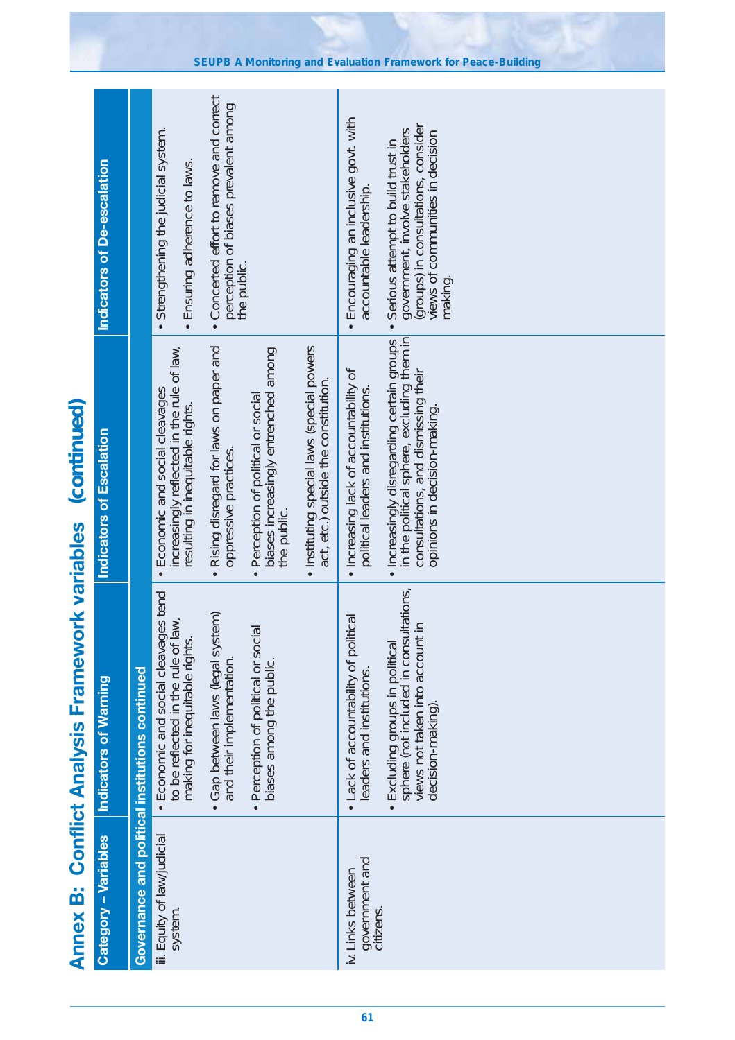|                                                  | Indicators of De-escalation  |                                                 | • Strengthening the judicial system.<br>· Ensuring adherence to laws.                                             | Concerted effort to remove and correct<br>perception of biases prevalent among<br>$\bullet$ | the public.                                                                                           |                                                                                    | Encouraging an inclusive govt. with<br>accountable leadership.<br>$\bullet$   | government, involve stakeholders<br>(groups) in consultations, consider<br>views of communities in decision<br>Serious attempt to build trust in<br>making.<br>$\bullet$ |
|--------------------------------------------------|------------------------------|-------------------------------------------------|-------------------------------------------------------------------------------------------------------------------|---------------------------------------------------------------------------------------------|-------------------------------------------------------------------------------------------------------|------------------------------------------------------------------------------------|-------------------------------------------------------------------------------|--------------------------------------------------------------------------------------------------------------------------------------------------------------------------|
| (continued)                                      | Indicators of Escalation     |                                                 | increasingly reflected in the rule of law,<br>• Economic and social cleavages<br>resulting in inequitable rights. | . Rising disregard for laws on paper and<br>oppressive practices.                           | biases increasingly entrenched among<br>Perception of political or social<br>the public.<br>$\bullet$ | · Instituting special laws (special powers<br>act, etc.) outside the constitution. | • Increasing lack of accountability of<br>political leaders and institutions  | in the political sphere, excluding them in<br>• Increasingly disregarding certain groups<br>consultations, and dismissing their<br>opinions in decision-making.          |
| ork variables<br><b>Conflict Analysis Framew</b> | <b>Indicators of Warning</b> | Governance and political institutions continued | • Economic and social cleavages tend<br>to be reflected in the rule of law,<br>making for inequitable rights      | Gap between laws (legal system)<br>and their implementation.                                | Perception of political or social<br>biases among the public                                          |                                                                                    | Lack of accountability of political<br>leaders and institutions.<br>$\bullet$ | Excluding groups in political<br>sphere (not included in consultations,<br>views not taken into account in<br>decision-making).<br>$\bullet$                             |
| ö<br><b>Annex</b>                                | Category - Variables         |                                                 | iii. Equity of law/judicial<br>system.                                                                            |                                                                                             |                                                                                                       |                                                                                    | government and<br>citizens.<br>iv. Links between                              |                                                                                                                                                                          |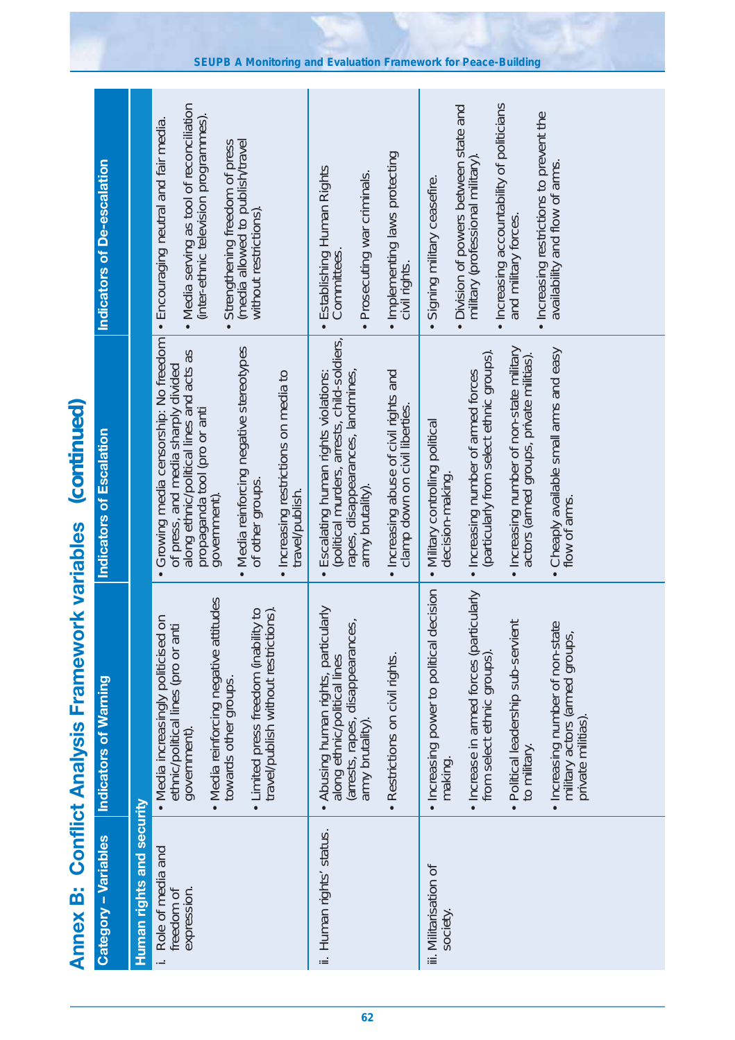|                                              | Indicators of De-escalation  |                           | Media serving as tool of reconciliation<br>(inter-ethnic television programmes).<br>• Encouraging neutral and fair media.<br>(media allowed to publish/travel<br>without restrictions).<br>Strengthening freedom of press<br>$\bullet$                                                              | · Implementing laws protecting<br>· Establishing Human Rights<br>Prosecuting war criminals.<br>Committees<br>civil rights.                                                                                                            | · Increasing accountability of politicians<br>• Division of powers between state and<br>• Increasing restrictions to prevent the<br>availability and flow of arms.<br>military (professional military)<br>Signing military ceasefire.<br>and military forces.                                 |
|----------------------------------------------|------------------------------|---------------------------|-----------------------------------------------------------------------------------------------------------------------------------------------------------------------------------------------------------------------------------------------------------------------------------------------------|---------------------------------------------------------------------------------------------------------------------------------------------------------------------------------------------------------------------------------------|-----------------------------------------------------------------------------------------------------------------------------------------------------------------------------------------------------------------------------------------------------------------------------------------------|
| (continued)                                  | Indicators of Escalation     |                           | Growing media censorship: No freedom<br>• Media reinforcing negative stereotypes<br>along ethnic/political lines and acts as<br>of press, and media sharply divided<br>• Increasing restrictions on media to<br>travel/publish.<br>propaganda tool (pro or anti<br>of other groups.<br>government). | (political murders, arrests, child-soldiers,<br>rapes, disappearances, landmines,<br>Escalating human rights violations:<br>· Increasing abuse of civil rights and<br>clamp down on civil liberties.<br>army brutality).<br>$\bullet$ | · Increasing number of non-state military<br>• Cheaply available small arms and easy<br>(particularly from select ethnic groups).<br>actors (armed groups, private militias).<br>. Increasing number of armed forces<br>· Military controlling political<br>decision-making.<br>flow of arms. |
| <b>Conflict Analysis Framework variables</b> | <b>Indicators of Warning</b> |                           | • Media reinforcing negative attitudes<br>travel/publish without restrictions).<br>• Limited press freedom (inability to<br>$\overline{5}$<br>ethnic/political lines (pro or anti<br>• Media increasingly politicised<br>towards other groups.<br>government).                                      | Abusing human rights, particularly<br>along ethnic/political lines<br>(arrests, rapes, disappearances,<br>army brutality).<br>· Restrictions on civil rights.                                                                         | · Increasing power to political decision<br>· Increase in armed forces (particularly<br>Political leadership sub-servient<br>· Increasing number of non-state<br>military actors (armed groups,<br>from select ethnic groups).<br>privaté militias)<br>to military.<br>making                 |
| <b>Annex B:</b>                              | <b>Category - Variables</b>  | Human rights and security | Role of media and<br>freedom of<br>expression.                                                                                                                                                                                                                                                      | ii. Human rights' status.                                                                                                                                                                                                             | iii. Militarisation of<br>society.                                                                                                                                                                                                                                                            |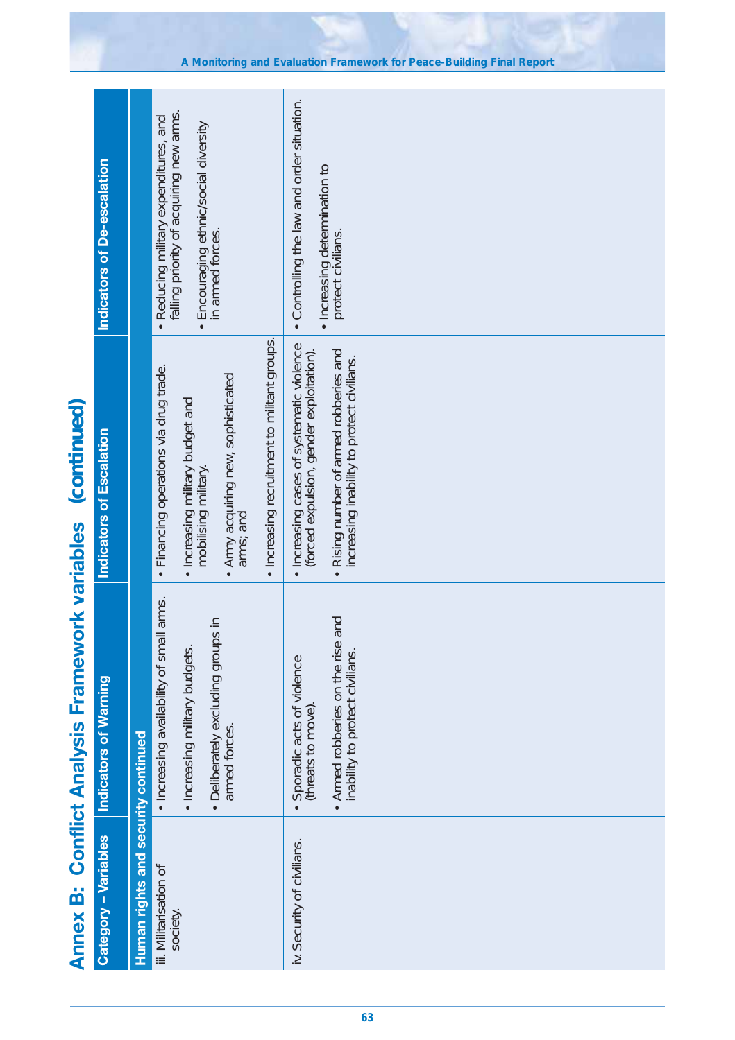|                                              | Indicators of De-escalation  | falling priority of acquiring new arms.<br>· Reducing military expenditures, and<br>• Encouraging ethnic/social diversity<br>in armed forces.                                                          | . Controlling the law and order situation.<br>· Increasing determination to<br>protect civilians.                                                                             |
|----------------------------------------------|------------------------------|--------------------------------------------------------------------------------------------------------------------------------------------------------------------------------------------------------|-------------------------------------------------------------------------------------------------------------------------------------------------------------------------------|
| (continued)                                  | Indicators of Escalation     | · Increasing recruitment to militant groups.<br>· Financing operations via drug trade.<br>• Army acquiring new, sophisticated<br>arms; and<br>• Increasing military budget and<br>mobilising military. | · Increasing cases of systematic violence<br>. Rising number of armed robberies and<br>(forced expulsion, gender exploitation).<br>increasing inability to protect civilians. |
| <b>Conflict Analysis Framework variables</b> | <b>Indicators of Warning</b> | l arms.<br>· Deliberately excluding groups in<br>Increasing availability of smal<br>· Increasing military budgets.<br>armed forces.                                                                    | • Armed robberies on the rise and<br>inability to protect civilians.<br>Sporadic acts of violence<br>(threats to move)                                                        |
| <b>Annex B:</b>                              | Category - Variables         | Human rights and security continued<br>iii. Militarisation of<br>society.                                                                                                                              | iv. Security of civilians.                                                                                                                                                    |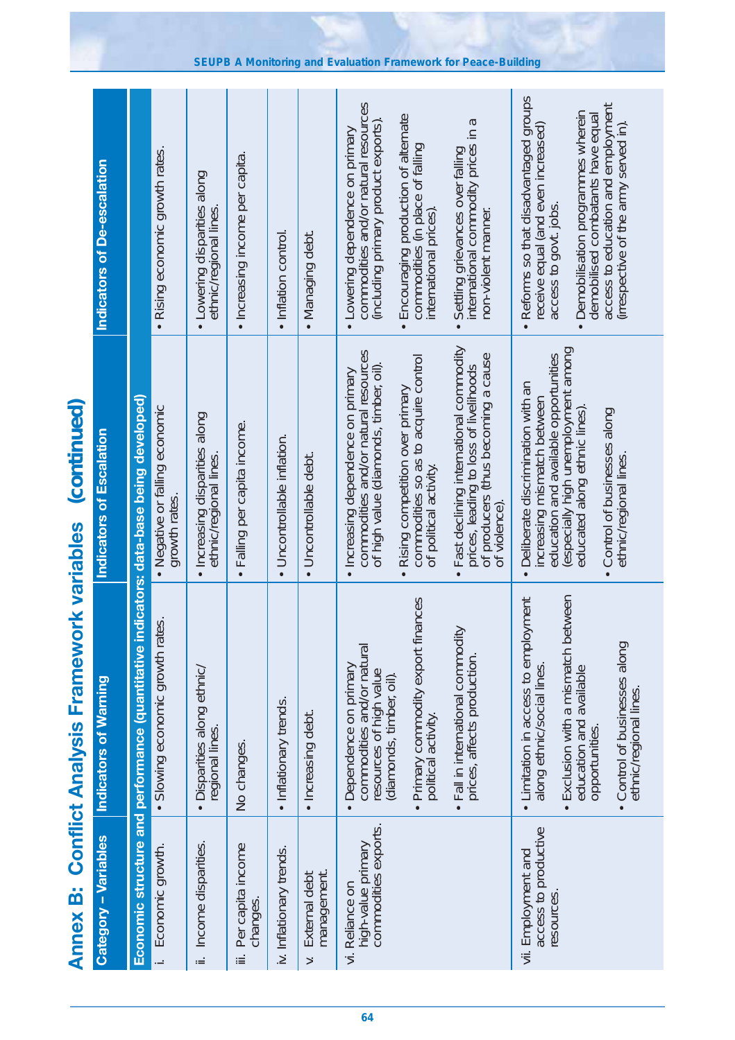Reforms so that disadvantaged groups • Reforms so that disadvantaged groups commodities and/or natural resources commodities and/or natural resources access to education and employment access to education and employment Demobilisation programmes wherein<br>demobilised combatants have equal Encouraging production of alternate<br>commodities (in place of falling<br>international prices). • Demobilisation programmes wherein • Encouraging production of alternate demobilised combatants have equal Settling grievances over falling<br>international commodity prices in a (including primary product exports). international commodity prices in a (including primary product exports) irrespective of the army served in). receive equal (and even increased) receive equal (and even increased) (irrespective of the army served in). • Lowering dependence on primary Lowering dependence on primary commodities (in place of falling • Settling grievances over falling · Rising economic growth rates. • Rising economic growth rates. · Increasing income per capita. • Increasing income per capita. **Indicators of De-escalation Indicators of De-escalation** · Lowering disparities along • Lowering disparities along access to govt. jobs. access to govt. jobs. ethnic/regional lines. ethnic/regional lines. international prices). non-violent manner. non-violent manner. • Inflation control. • Managing debt. • Inflation control Managing debt • Fast declining international commodity · Fast declining international commodity especially high unemployment among (especially high unemployment among commodities and/or natural resources commodities and/or natural resources prices, leading to loss of livelhoods<br>of producers (thus becoming a cause<br>of violence). of producers (thus becoming a cause commodities so as to acquire control education and available opportunities education and available opportunities commodities so as to acquire control prices, leading to loss of livelihoods of high value (diamonds, timber, oil). of high value (diamonds, timber, oil) · Increasing dependence on primary • Increasing dependence on primary • Deliberate discrimination with an • Deliberate discrimination with an · Rising competition over primary • Rising competition over primary increasing mismatch between **Economic structure and performance (quantitative indicators: data-base being developed)** increasing mismatch between Economic structure and performance (quantitative indicators: data-base being developed) *(continued)*Annex B: Conflict Analysis Framework variables (continued) • Negative or falling economic . Negative or falling economic educated along ethnic lines). educated along ethnic lines) • Control of businesses along • Control of businesses along · Increasing disparities along • Increasing disparities along · Falling per capita income. • Falling per capita income. ndicators of Escalation **Indicators of Escalation** • Uncontrollable inflation. · Uncontrollable inflation. ethnic/regional lines. ethnic/regional lines. · Uncontrollable debt. • Uncontrollable debt. ethnic/regional lines. ethnic/regional lines. of political activity. of political activity. growth rates. growth rates. of violence). **Annex B: Conflict Analysis Framework variables**  • Exclusion with a mismatch between Primary commodity export finances • Primary commodity export finances • Limitation in access to employment Exclusion with a mismatch between • Limitation in access to employment • Slowing economic growth rates. · Slowing economic growth rates. • Fall in international commodity · Fall in international commodity • Control of businesses along • Control of businesses along commodities and/or natural commodities and/or natural prices, affects production. prices, affects production. • Disparities along ethnic/ • Dependence on primary along ethnic/social lines. Dependence on primary along ethnic/social lines. · Disparities along ethnic/ resources of high value education and available education and available resources of high value (diamonds, timber, oil). **Indicators of Warning** diamonds, timber, oil). **Indicators of Warning** ethnic/regional lines. ethnic/regional lines. • Inflationary trends. · Inflationary trends. • Increasing debt. · Increasing debt. political activity. political activity. opportunities. opportunities. regional lines. regional lines. No changes. No changes. commodities exports. commodities exports. access to productive access to productive Category - Variables **Category – Variables** i. Economic growth. ii. Income disparities. ii. Income disparities. high-value primary high-value primary iii. Per capita income Economic growth. Per capita income iv. Inflationary trends. iv. Inflationary trends. vii. Employment and vii. Employment and v. External debt management. External debt management Reliance on vi. Reliance on resources. resources changes. Ë  $\overline{z}$  $\leq$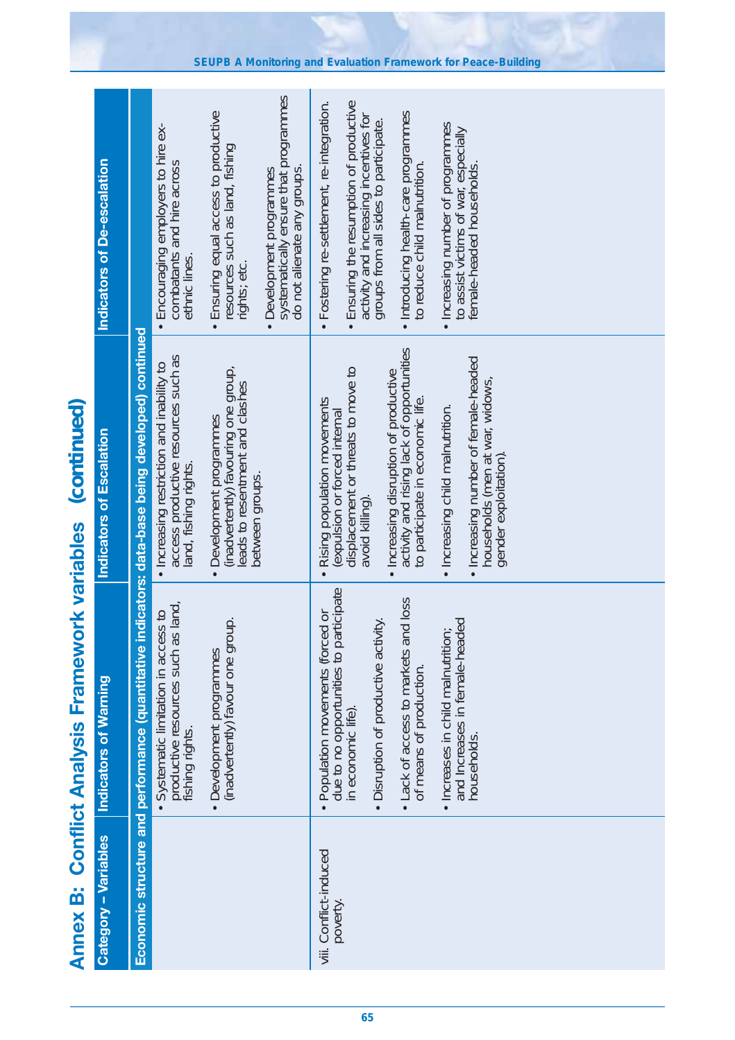|                                                  | Indicators of De-escalation  |                                                  | Encouraging employers to hire ex-<br>combatants and hire across<br>ethnic lines.<br>$\bullet$             | Ensuring equal access to productive<br>resources such as land, fishing<br>rights; etc.<br>$\bullet$                               | systematically ensure that programmes<br>do not alienate any groups.<br>Development programmes<br>$\bullet$ | Fostering re-settlement, re-integration.<br>Ensuring the resumption of productive<br>• Introducing health-care programmes<br>to reduce child malnutrition.<br>activity and increasing incentives for<br>groups from all sides to participate.<br>Increasing number of programmes<br>to assist victims of war, especially<br>female-headed households.<br>$\bullet$<br>$\bullet$                     |
|--------------------------------------------------|------------------------------|--------------------------------------------------|-----------------------------------------------------------------------------------------------------------|-----------------------------------------------------------------------------------------------------------------------------------|-------------------------------------------------------------------------------------------------------------|-----------------------------------------------------------------------------------------------------------------------------------------------------------------------------------------------------------------------------------------------------------------------------------------------------------------------------------------------------------------------------------------------------|
| (continued)                                      | Indicators of Escalation     | indicators: data-base being developed) continued | access productive resources such as<br>. Increasing restriction and inability to<br>land, fishing rights. | (inadvertently) favouring one group,<br>leads to resentment and clashes<br>Development programmes<br>between groups.<br>$\bullet$ |                                                                                                             | activity and rising lack of opportunities<br>. Increasing number of female-headed<br>displacement or threats to move to<br>· Increasing disruption of productive<br>households (men at war, widows,<br>Rising population movements<br>to participate in economic life.<br>· Increasing child malnutrition.<br>expulsion or forced internal<br>gender exploitation).<br>avoid killing).<br>$\bullet$ |
| ork variables<br><b>Conflict Analysis Framew</b> | <b>Indicators of Warning</b> | Economic structure and performance (quantitative | productive resources such as land,<br>fishing rights.<br>Systematic limitation in access to               | (inadvertently) favour one group.<br>Development programmes<br>$\bullet$                                                          |                                                                                                             | due to no opportunities to participate<br>. Lack of access to markets and loss<br>Population movements (forced or<br>and Increases in female-headed<br>Disruption of productive activity.<br>Increases in child malnutrition;<br>of means of production.<br>in economic life)<br>households.<br>$\bullet$<br>$\bullet$                                                                              |
| <b>Annex B:</b>                                  | Category - Variables         |                                                  |                                                                                                           |                                                                                                                                   |                                                                                                             | viii. Conflict-induced<br>poverty.                                                                                                                                                                                                                                                                                                                                                                  |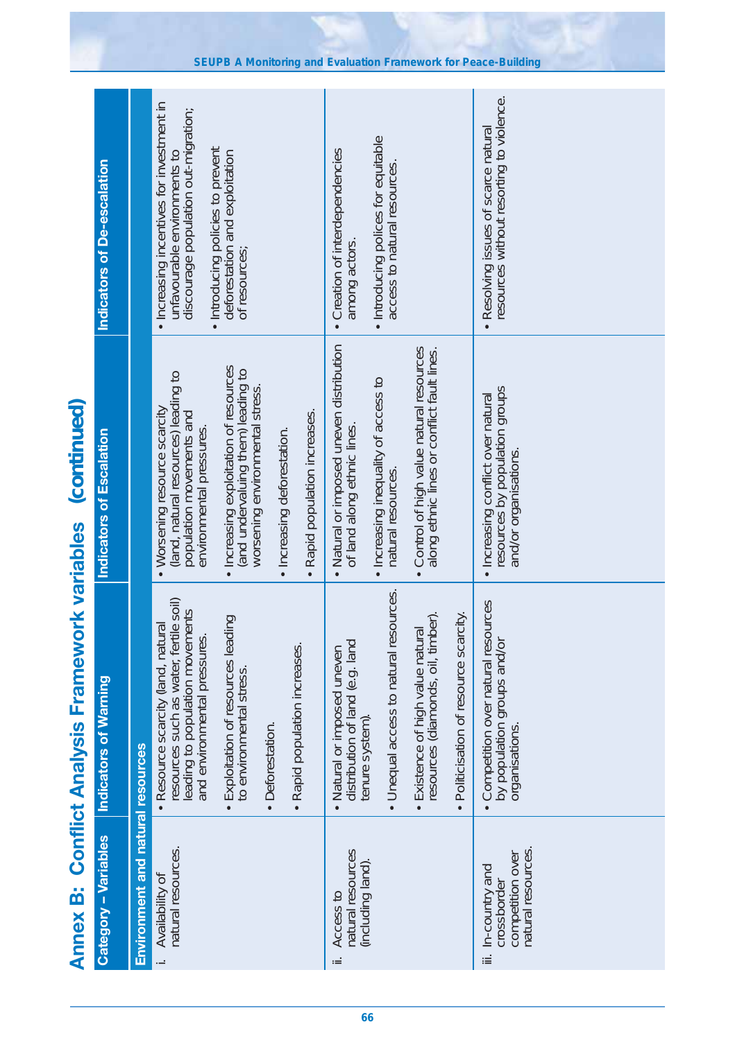|                                              | Indicators of De-escalation  |                                   | . Increasing incentives for investment in<br>discourage population out-migration;<br>Introducing policies to prevent<br>deforestation and exploitation<br>unfavourable environments to<br>of resources;                                                                                                                     | · Introducing polices for equitable<br>Creation of interdependencies<br>access to natural resources.<br>among actors.                                                                                                                        | resources without resorting to violence.<br>· Resolving issues of scarce natural              |
|----------------------------------------------|------------------------------|-----------------------------------|-----------------------------------------------------------------------------------------------------------------------------------------------------------------------------------------------------------------------------------------------------------------------------------------------------------------------------|----------------------------------------------------------------------------------------------------------------------------------------------------------------------------------------------------------------------------------------------|-----------------------------------------------------------------------------------------------|
| (continued)                                  | Indicators of Escalation     |                                   | · Increasing exploitation of resources<br>(and undervaluing them) leading to<br>(land, natural resources) leading to<br>worsening environmental stress.<br>Worsening resource scarcity<br>· Rapid population increases.<br>population movements and<br>environmental pressures.<br>· Increasing deforestation.<br>$\bullet$ | Natural or imposed uneven distribution<br>Control of high value natural resources<br>along ethnic lines or conflict fault lines.<br>• Increasing inequality of access to<br>of land along ethnic lines.<br>natural resources.<br>$\bullet$   | resources by population groups<br>· Increasing conflict over natural<br>and/or organisations. |
| <b>Conflict Analysis Framework variables</b> | <b>Indicators of Warning</b> |                                   | resources such as water, fertile soil)<br>leading to population movements<br>Exploitation of resources leading<br>· Resource scarcity (land, natural<br>and environmental pressures<br>· Rapid population increases.<br>to environmental stress.<br>Deforestation.                                                          | • Unequal access to natural resources.<br>resources (diamonds, oil, timber).<br>Politicisation of resource scarcity.<br>· Existence of high value natural<br>distribution of land (e.g. land<br>Natural or imposed uneven<br>tenure system). | Competition over natural resources<br>by population groups and/or<br>organisations.           |
| <b>Annex B:</b>                              | Category - Variables         | Environment and natural resources | natural resources.<br>Availability of<br>$\ddot{\phantom{a}}$                                                                                                                                                                                                                                                               | natural resources<br>(including land)<br>Access to<br>ιË                                                                                                                                                                                     | natural resources.<br>competition over<br>iii. In-country and<br>crossborder                  |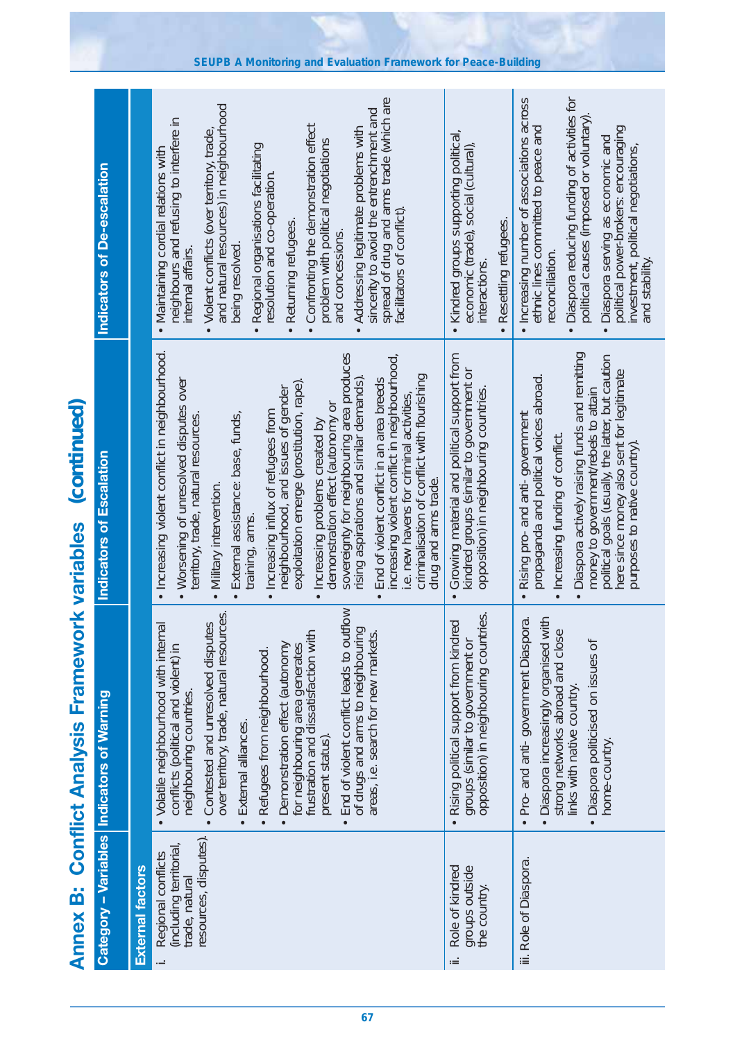|                                              | Indicators of De-escalation                       |                         | spread of drug and arms trade (which are<br>and natural resources) in neighbourhood<br>sincerity to avoid the entrenchment and<br>neighbours and refusing to interfere in<br>Confronting the demonstration effect<br>Addressing legitimate problems with<br>Violent conflicts (over territory, trade<br>problem with political negotiations<br>Regional organisations facilitating<br>Maintaining cordial relations with<br>resolution and co-operation.<br>facilitators of conflict)<br>Returning refugees.<br>and concessions.<br>being resolved<br>internal affairs<br>$\bullet$                                                                                                                                                       | Kindred groups supporting political,<br>economic (trade), social (cultural),<br>Resettling refugees.<br>interactions             | Diaspora reducing funding of activities for<br>Increasing number of associations across<br>political causes (imposed or voluntary)<br>ethnic lines committed to peace and<br>political power-brokers: encouraging<br>Diaspora serving as economic and<br>investment, political negotiations,<br>reconciliation.<br>and stability.<br>$\bullet$<br>$\bullet$ |
|----------------------------------------------|---------------------------------------------------|-------------------------|-------------------------------------------------------------------------------------------------------------------------------------------------------------------------------------------------------------------------------------------------------------------------------------------------------------------------------------------------------------------------------------------------------------------------------------------------------------------------------------------------------------------------------------------------------------------------------------------------------------------------------------------------------------------------------------------------------------------------------------------|----------------------------------------------------------------------------------------------------------------------------------|-------------------------------------------------------------------------------------------------------------------------------------------------------------------------------------------------------------------------------------------------------------------------------------------------------------------------------------------------------------|
| (continued)                                  | <b>Indicators of Escalation</b>                   |                         | · Increasing violent conflict in neighbourhood.<br>sovereignty for neighbouring area produces<br>increasing violent conflict in neighbourhood,<br>criminalisation of conflict with flourishing<br>End of violent conflict in an area breeds<br>exploitation emerge (prostitution, rape).<br>rising aspirations and similar demands)<br>• Worsening of unresolved disputes over<br>neighbourhood, and issues of gender<br>e. new havens for criminal activities,<br>demonstration effect (autonomy or<br>Increasing influx of refugees from<br>External assistance: base, funds,<br>territory, trade, natural resources<br>Increasing problems created by<br>drug and arms trade.<br>Military intervention<br>training, arms.<br>$\bullet$ | Growing material and political support from<br>kindred groups (similar to government or<br>opposition) in neighbouring countries | Diaspora actively raising funds and remitting<br>political goals (usually, the latter, but caution<br>here since money also sent for legitimate<br>propaganda and political voices abroad.<br>money to government/rebels to attain<br>Rising pro- and anti- government<br>Increasing funding of conflict.<br>purposes to native country).                   |
| <b>Conflict Analysis Framework variables</b> | <b>Category - Variables Indicators of Warning</b> |                         | End of violent conflict leads to outflow<br>over territory, trade, natural resources<br>Contested and unresolved disputes<br>• Volatile neighbourhood with internal<br>of drugs and arms to neighbouring<br>for neighbouring area generates<br>frustration and dissatisfaction with<br>areas, i.e. search for new markets.<br>Demonstration effect (autonomy<br>conflicts (political and violent) in<br>Refugees from neighbourhood.<br>neighbouring countries.<br>External alliances<br>present status).<br>$\bullet$                                                                                                                                                                                                                    | groups (similar to government or<br>opposition) in neighbouring countries.<br>Rising political support from kindred              | Pro- and anti- government Diaspora.<br>Diaspora increasingly organised with<br>strong networks abroad and close<br>links with native country.<br>Diaspora politicised on issues of<br>home-country.                                                                                                                                                         |
| <b>Annex B:</b>                              |                                                   | <b>External factors</b> | resources, disputes).<br>(including territorial,<br>Regional conflicts<br>trade, natural                                                                                                                                                                                                                                                                                                                                                                                                                                                                                                                                                                                                                                                  | Role of kindred<br>groups outside<br>the country.<br>щ                                                                           | iii. Role of Diaspora.                                                                                                                                                                                                                                                                                                                                      |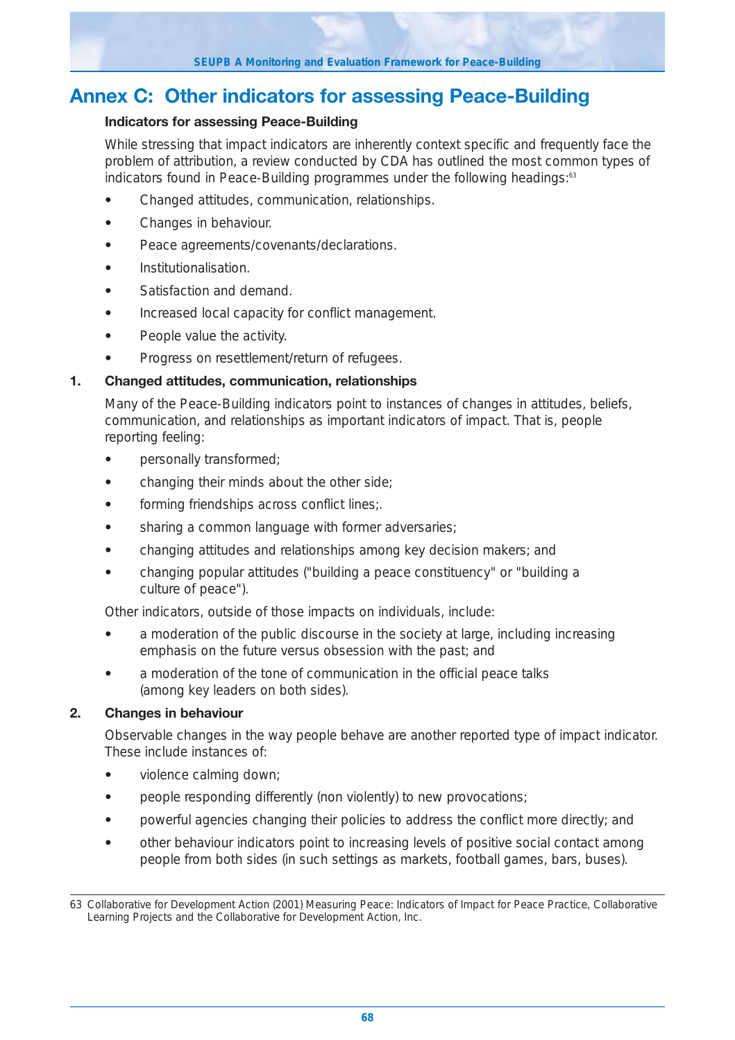## **Annex C: Other indicators for assessing Peace-Building**

#### **Indicators for assessing Peace-Building**

While stressing that impact indicators are inherently context specific and frequently face the problem of attribution, a review conducted by CDA has outlined the most common types of indicators found in Peace-Building programmes under the following headings:<sup>63</sup>

- **•** Changed attitudes, communication, relationships.
- **•** Changes in behaviour.
- **•** Peace agreements/covenants/declarations.
- **•** Institutionalisation.
- **•** Satisfaction and demand.
- **•** Increased local capacity for conflict management.
- **•** People value the activity.
- **•** Progress on resettlement/return of refugees.

#### **1. Changed attitudes, communication, relationships**

Many of the Peace-Building indicators point to instances of changes in attitudes, beliefs, communication, and relationships as important indicators of impact. That is, people reporting feeling:

- **•** personally transformed;
- **•** changing their minds about the other side;
- **•** forming friendships across conflict lines;.
- **•** sharing a common language with former adversaries;
- **•** changing attitudes and relationships among key decision makers; and
- **•** changing popular attitudes ("building a peace constituency" or "building a culture of peace").

Other indicators, outside of those impacts on individuals, include:

- **•** a moderation of the public discourse in the society at large, including increasing emphasis on the future versus obsession with the past; and
- **•** a moderation of the tone of communication in the official peace talks (among key leaders on both sides).

#### **2. Changes in behaviour**

Observable changes in the way people behave are another reported type of impact indicator. These include instances of:

- **•** violence calming down;
- **•** people responding differently (non violently) to new provocations;
- **•** powerful agencies changing their policies to address the conflict more directly; and
- **•** other behaviour indicators point to increasing levels of positive social contact among people from both sides (in such settings as markets, football games, bars, buses).

<sup>63</sup> Collaborative for Development Action (2001) Measuring Peace: Indicators of Impact for Peace Practice, Collaborative Learning Projects and the Collaborative for Development Action, Inc.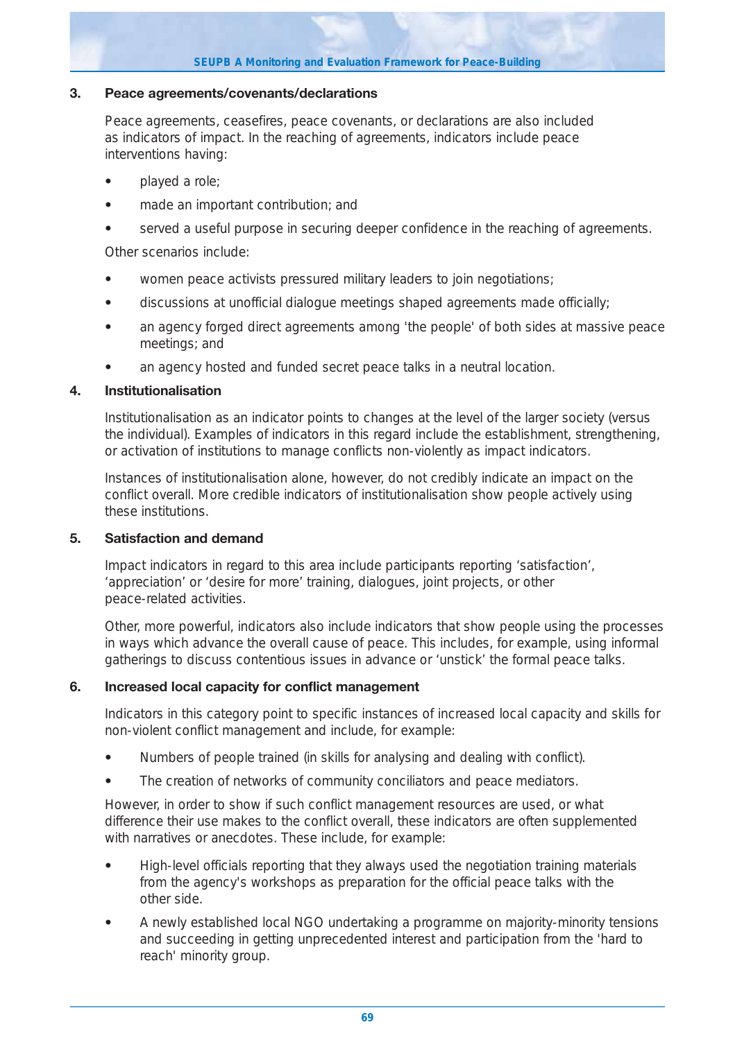#### **SEUPB A Monitoring and Evaluation Framework for Peace-Building**

#### **3. Peace agreements/covenants/declarations**

Peace agreements, ceasefires, peace covenants, or declarations are also included as indicators of impact. In the reaching of agreements, indicators include peace interventions having:

- **•** played a role;
- **•** made an important contribution; and
- **•** served a useful purpose in securing deeper confidence in the reaching of agreements.

Other scenarios include:

- **•** women peace activists pressured military leaders to join negotiations;
- **•** discussions at unofficial dialogue meetings shaped agreements made officially;
- **•** an agency forged direct agreements among 'the people' of both sides at massive peace meetings; and
- **•** an agency hosted and funded secret peace talks in a neutral location.

#### **4. Institutionalisation**

Institutionalisation as an indicator points to changes at the level of the larger society (versus the individual). Examples of indicators in this regard include the establishment, strengthening, or activation of institutions to manage conflicts non-violently as impact indicators.

Instances of institutionalisation alone, however, do not credibly indicate an impact on the conflict overall. More credible indicators of institutionalisation show people actively using these institutions.

#### **5. Satisfaction and demand**

Impact indicators in regard to this area include participants reporting 'satisfaction', 'appreciation' or 'desire for more' training, dialogues, joint projects, or other peace-related activities.

Other, more powerful, indicators also include indicators that show people using the processes in ways which advance the overall cause of peace. This includes, for example, using informal gatherings to discuss contentious issues in advance or 'unstick' the formal peace talks.

#### **6. Increased local capacity for conflict management**

Indicators in this category point to specific instances of increased local capacity and skills for non-violent conflict management and include, for example:

- **•** Numbers of people trained (in skills for analysing and dealing with conflict).
- **•** The creation of networks of community conciliators and peace mediators.

However, in order to show if such conflict management resources are used, or what difference their use makes to the conflict overall, these indicators are often supplemented with narratives or anecdotes. These include, for example:

- **•** High-level officials reporting that they always used the negotiation training materials from the agency's workshops as preparation for the official peace talks with the other side.
- **•** A newly established local NGO undertaking a programme on majority-minority tensions and succeeding in getting unprecedented interest and participation from the 'hard to reach' minority group.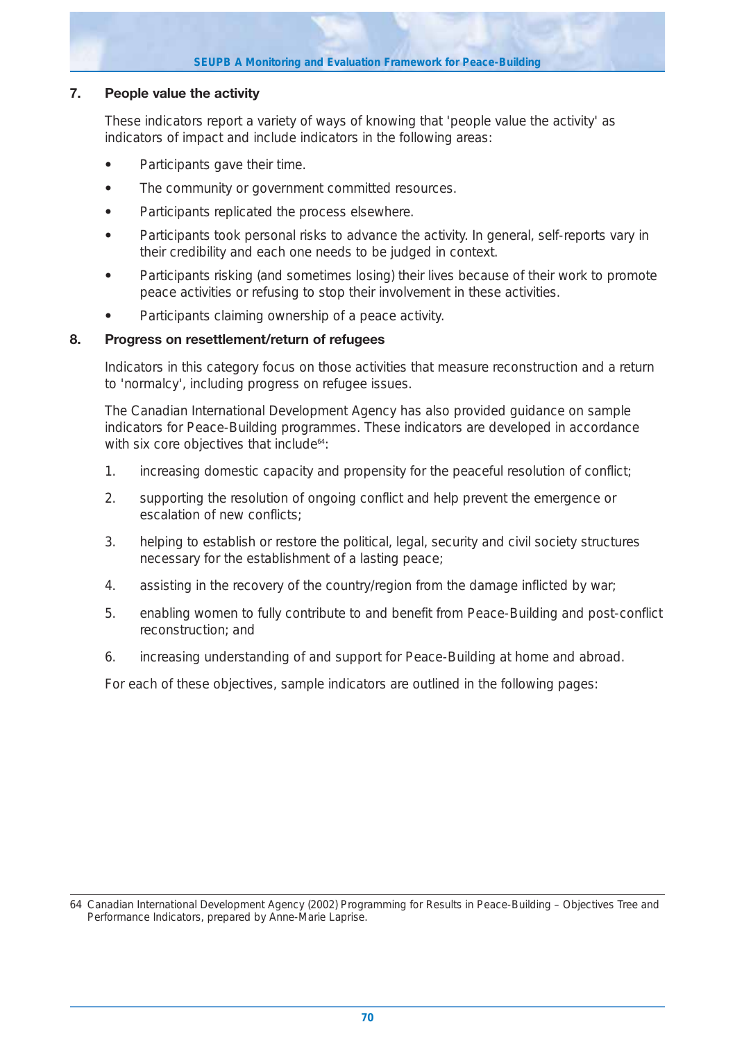#### **SEUPB A Monitoring and Evaluation Framework for Peace-Building**

#### **7. People value the activity**

These indicators report a variety of ways of knowing that 'people value the activity' as indicators of impact and include indicators in the following areas:

- **•** Participants gave their time.
- **•** The community or government committed resources.
- **•** Participants replicated the process elsewhere.
- **•** Participants took personal risks to advance the activity. In general, self-reports vary in their credibility and each one needs to be judged in context.
- **•** Participants risking (and sometimes losing) their lives because of their work to promote peace activities or refusing to stop their involvement in these activities.
- **•** Participants claiming ownership of a peace activity.

#### **8. Progress on resettlement/return of refugees**

Indicators in this category focus on those activities that measure reconstruction and a return to 'normalcy', including progress on refugee issues.

The Canadian International Development Agency has also provided guidance on sample indicators for Peace-Building programmes. These indicators are developed in accordance with six core objectives that include<sup>64</sup>:

- 1. increasing domestic capacity and propensity for the peaceful resolution of conflict;
- 2. supporting the resolution of ongoing conflict and help prevent the emergence or escalation of new conflicts;
- 3. helping to establish or restore the political, legal, security and civil society structures necessary for the establishment of a lasting peace;
- 4. assisting in the recovery of the country/region from the damage inflicted by war;
- 5. enabling women to fully contribute to and benefit from Peace-Building and post-conflict reconstruction; and
- 6. increasing understanding of and support for Peace-Building at home and abroad.

For each of these objectives, sample indicators are outlined in the following pages:

<sup>64</sup> Canadian International Development Agency (2002) Programming for Results in Peace-Building – Objectives Tree and Performance Indicators, prepared by Anne-Marie Laprise.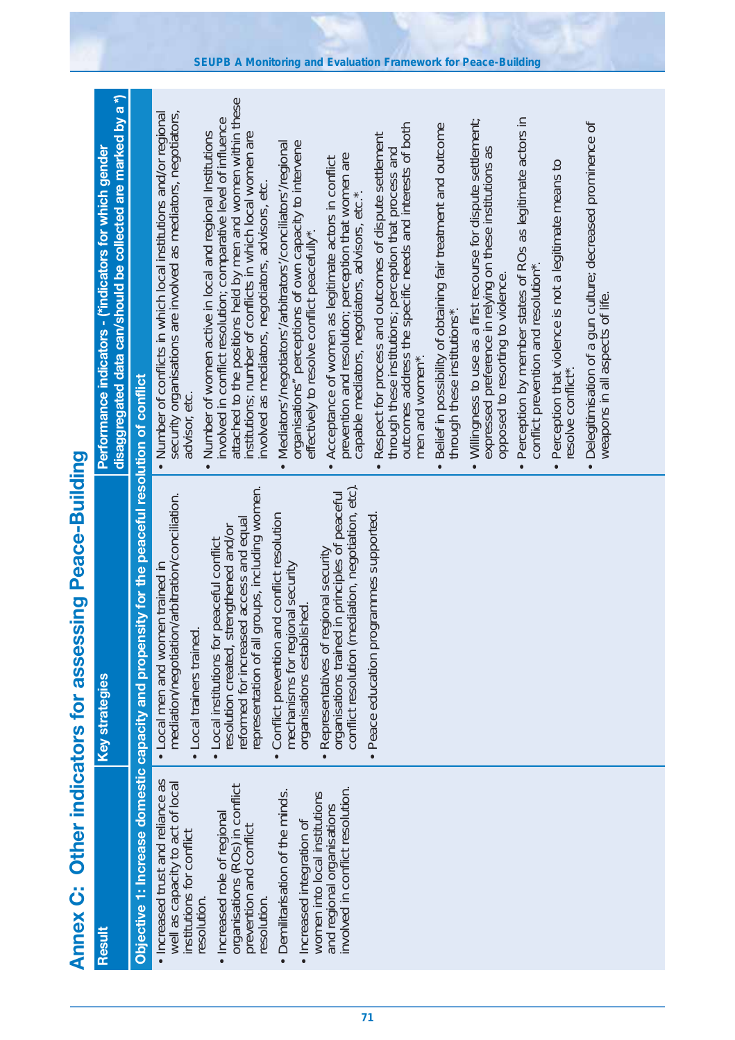| J                                     |
|---------------------------------------|
| <b>Constructs for assessing Peace</b> |
|                                       |
| <b>MARIA CHARI</b>                    |
| י<br>ו                                |
| ムーン                                   |
| $\frac{1}{2}$<br><b>Angle Control</b> |

| . Increased trust and reliance as<br>well as capacity to act of local<br>organisations (ROs) in conflict<br>involved in conflict resolution.<br>Demilitarisation of the minds.<br>women into local institutions<br>and regional organisations<br>· Increased role of regional<br>· Increased integration of<br>prevention and conflict<br>institutions for conflict<br>resolution.<br>resolution.<br>Result | Objective 1: Increase domestic capacity and propensity for the peaceful resolution of conflict<br>conflict resolution (mediation, negotiation, etc).<br>representation of all groups, including women.<br>organisations trained in principles of peaceful<br>mediation/negotiation/arbitration/conciliation.<br>Peace education programmes supported.<br>and conflict resolution<br>reformed for increased access and equal<br>resolution created, strengthened and/or<br>• Local institutions for peaceful conflict<br>Representatives of regional security<br>mechanisms for regional security<br>• Local men and women trained in<br>organisations established.<br>Local trainers trained<br>Conflict prevention<br><b>Key strategies</b><br>$\bullet$ | disaggregated data can/should be collected are marked by a *)<br>attached to the positions held by men and women within these<br>institutions; number of conflicts in which local women are<br>security organisations are involved as mediators, negotiators,<br>• Number of conflicts in which local institutions and/or regional<br>• Number of women active in local and regional Institutions<br>involved in conflict resolution; comparative level of influence<br>outcomes address the specific needs and interests of both<br>· Belief in possibility of obtaining fair treatment and outcome<br>Respect for process and outcomes of dispute settlement<br>Mediators/negotiators/arbitrators/conciliators/regional<br>organisations" perceptions of own capacity to intervene<br>Performance indicators - (*indicators for which gender<br>through these institutions; perception that process and<br>New term is a resolution; perception that women are prevention and resolution; perception that women are<br>Acceptance of women as legitimate actors in conflict<br>involved as mediators, negotiators, advisors, etc.<br>capable mediators, negotiators, advisors, etc.<br>effectively to resolve conflict peacefully*.<br>men and women*.<br>advisor, etc.<br>$\bullet$ |
|-------------------------------------------------------------------------------------------------------------------------------------------------------------------------------------------------------------------------------------------------------------------------------------------------------------------------------------------------------------------------------------------------------------|-----------------------------------------------------------------------------------------------------------------------------------------------------------------------------------------------------------------------------------------------------------------------------------------------------------------------------------------------------------------------------------------------------------------------------------------------------------------------------------------------------------------------------------------------------------------------------------------------------------------------------------------------------------------------------------------------------------------------------------------------------------|----------------------------------------------------------------------------------------------------------------------------------------------------------------------------------------------------------------------------------------------------------------------------------------------------------------------------------------------------------------------------------------------------------------------------------------------------------------------------------------------------------------------------------------------------------------------------------------------------------------------------------------------------------------------------------------------------------------------------------------------------------------------------------------------------------------------------------------------------------------------------------------------------------------------------------------------------------------------------------------------------------------------------------------------------------------------------------------------------------------------------------------------------------------------------------------------------------------------------------------------------------------------------------------|
|                                                                                                                                                                                                                                                                                                                                                                                                             |                                                                                                                                                                                                                                                                                                                                                                                                                                                                                                                                                                                                                                                                                                                                                           | • Perception by member states of ROs as legitimate actors in<br>conflict prevention and resolution*.<br>. Willingness to use as a first recourse for dispute settlement;<br>· Delegitimisation of a gun culture; decreased prominence of<br>expressed preference in relying on these institutions as<br>· Perception that violence is not a legitimate means to<br>opposed to resorting to violence.<br>weapons in all aspects of life.<br>through these institutions*.<br>resolve conflict*.                                                                                                                                                                                                                                                                                                                                                                                                                                                                                                                                                                                                                                                                                                                                                                                          |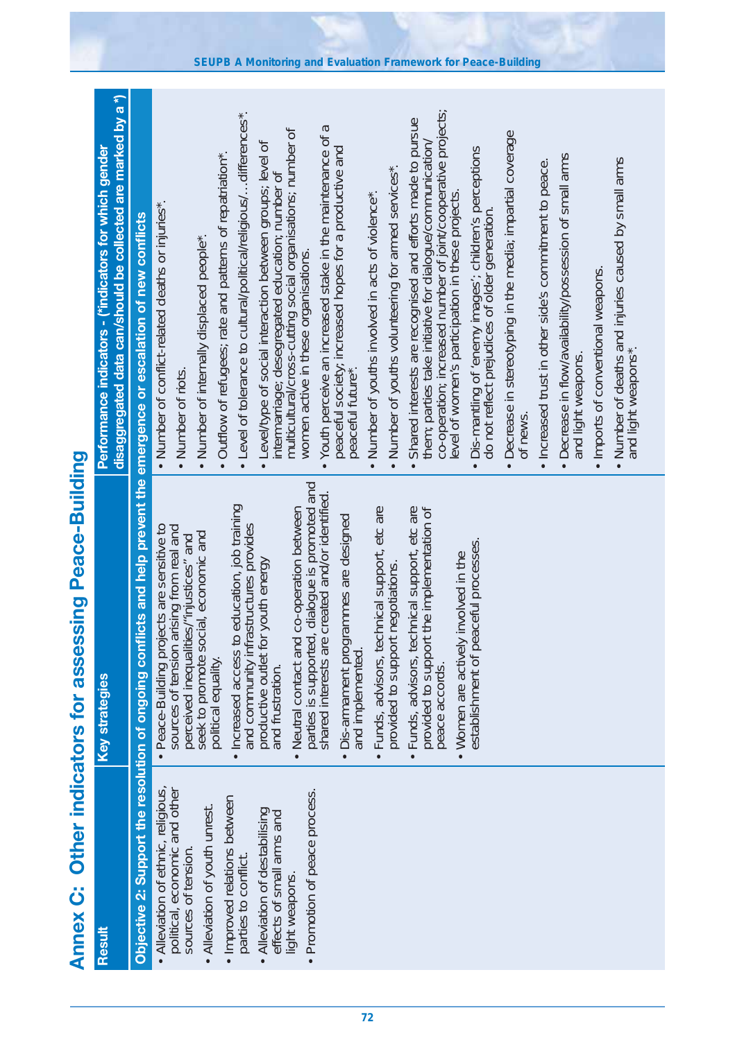| Ï<br><b>PAPPLE</b>      |
|-------------------------|
|                         |
|                         |
|                         |
| í,<br><b>THE ISLAND</b> |

| Result                                                                                                                                                                                                                                                                                           | <b>Key strategies</b>                                                                                                                                                                                                                                                                                                                                                                                                                                                                                                                                                                                                                                                                                                                                                                                                                                        | disaggregated data can/should be collected are marked by a *)<br>Performance indicators - (*indicators for which gender                                                                                                                                                                                                                                                                                                                                                                                                                                                                                                                                                                                                                                                                                                                                                                                                                                                                                                                                                                                                                                                                                                                                                                                                                                                                                                                                  |
|--------------------------------------------------------------------------------------------------------------------------------------------------------------------------------------------------------------------------------------------------------------------------------------------------|--------------------------------------------------------------------------------------------------------------------------------------------------------------------------------------------------------------------------------------------------------------------------------------------------------------------------------------------------------------------------------------------------------------------------------------------------------------------------------------------------------------------------------------------------------------------------------------------------------------------------------------------------------------------------------------------------------------------------------------------------------------------------------------------------------------------------------------------------------------|----------------------------------------------------------------------------------------------------------------------------------------------------------------------------------------------------------------------------------------------------------------------------------------------------------------------------------------------------------------------------------------------------------------------------------------------------------------------------------------------------------------------------------------------------------------------------------------------------------------------------------------------------------------------------------------------------------------------------------------------------------------------------------------------------------------------------------------------------------------------------------------------------------------------------------------------------------------------------------------------------------------------------------------------------------------------------------------------------------------------------------------------------------------------------------------------------------------------------------------------------------------------------------------------------------------------------------------------------------------------------------------------------------------------------------------------------------|
|                                                                                                                                                                                                                                                                                                  | Objective 2: Support the resolution of ongoing conflicts and help prevent the emergence or escalation of new conflicts                                                                                                                                                                                                                                                                                                                                                                                                                                                                                                                                                                                                                                                                                                                                       |                                                                                                                                                                                                                                                                                                                                                                                                                                                                                                                                                                                                                                                                                                                                                                                                                                                                                                                                                                                                                                                                                                                                                                                                                                                                                                                                                                                                                                                          |
| • Alleviation of ethnic, religious,<br>political, economic and other<br>Promotion of peace process.<br>· Improved relations between<br>Alleviation of youth unrest.<br>Alleviation of destabilising<br>effects of small arms and<br>sources of tension.<br>parties to conflict<br>light weapons. | parties is supported, dialogue is promoted and<br>shared interests are created and/or identified.<br>. Increased access to education, job training<br>• Neutral contact and co-operation between<br>· Funds, advisors, technical support, etc are<br>· Funds, advisors, technical support, etc are<br>provided to support the implementation of<br>· Dis-armament programmes are designed<br>and community infrastructures provides<br>· Peace-Building projects are sensitive to<br>sources of tension arising from real and<br>seek to promote social, economic and<br>perceived inequalities/"injustices" and<br>establishment of peaceful processes.<br>• Women are actively involved in the<br>productive outlet for youth energy<br>provided to support negotiations.<br>and implemented.<br>political equality.<br>and frustration.<br>peace accords. | co-operation; increased number of joint/cooperative projects;<br>• Level of tolerance to cultural/political/religious/differences*.<br>Shared interests are recognised and efforts made to pursue<br>Youth perceive an increased stake in the maintenance of a<br>multicultural/cross-cutting social organisations; number of<br>Decrease in stereotyping in the media; impartial coverage<br>them; parties take initiative for dialogue/communication/<br>· Level/type of social interaction between groups; level of<br>peaceful society, increased hopes for a productive and<br>peaceful future*.<br>Dis-mantling of 'enemy images'; children's perceptions<br>do not reflect prejudices of older generation.<br>• Outflow of refugees; rate and patterns of repatriation*.<br>• Decrease in flow/availability/possession of small arms<br>. Number of deaths and injuries caused by small arms<br>. Increased trust in other side's commitment to peace.<br>Number of youths volunteering for armed services*.<br>intermarriage; desegregated education; number of<br>level of women's participation in these projects<br>Number of youths involved in acts of violence*<br>• Number of conflict-related deaths or injuries*.<br>• Number of internally displaced people*.<br>women active in these organisations.<br>• Imports of conventional weapons.<br>and light weapons*.<br>and light weapons.<br>• Number of riots.<br>ot news<br>$\bullet$ |
|                                                                                                                                                                                                                                                                                                  |                                                                                                                                                                                                                                                                                                                                                                                                                                                                                                                                                                                                                                                                                                                                                                                                                                                              |                                                                                                                                                                                                                                                                                                                                                                                                                                                                                                                                                                                                                                                                                                                                                                                                                                                                                                                                                                                                                                                                                                                                                                                                                                                                                                                                                                                                                                                          |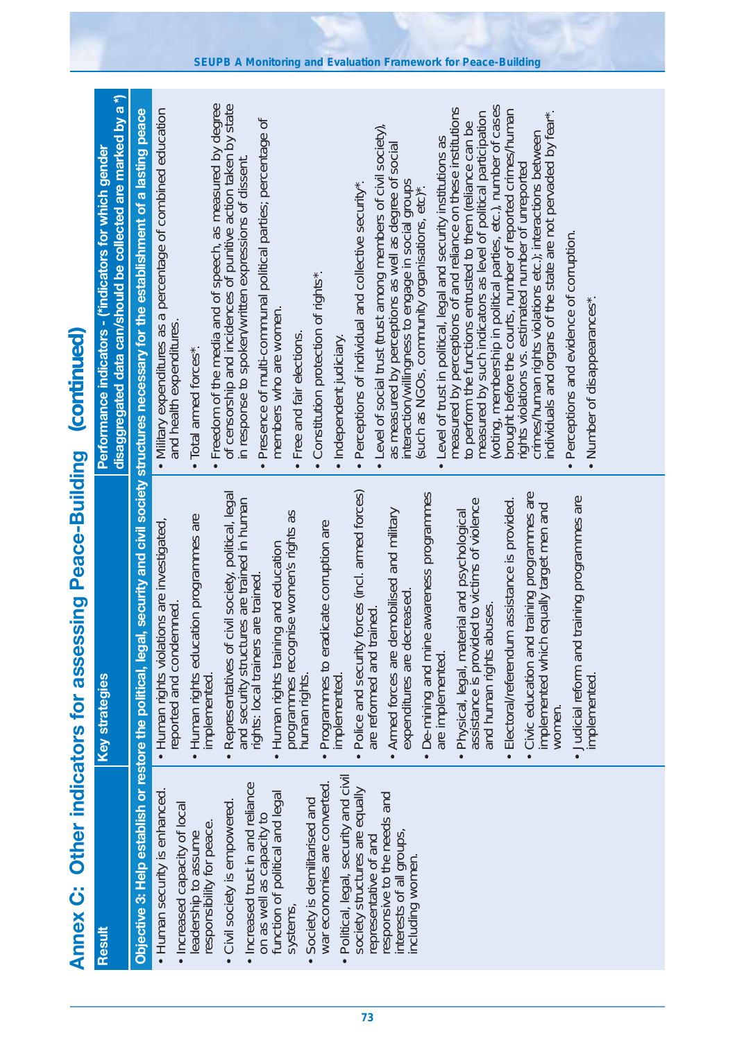|                                                                    | disaggregated data can/should be collected are marked by a *)<br>Performance indicators - (*indicators for which gender | Objective 3: Help establish or restore the political, legal, security and civil society structures necessary for the establishment of a lasting peace | Freedom of the media and of speech, as measured by degree<br>of censorship and incidences of punitive action taken by state<br>(voting, membership in political parties, etc.), number of cases<br>measured by perceptions of and reliance on these institutions<br>• Military expenditures as a percentage of combined education<br>brought before the courts, number of reported crimes/human<br>measured by such indicators as level of political participation<br>individuals and organs of the state are not pervaded by fear*.<br>Presence of multi-communal political parties; percentage of<br>to perform the functions entrusted to them (reliance can be<br>Level of social trust (trust among members of civil society),<br>crimes/human rights violations etc.); interactions between<br>Level of trust in political, legal and security institutions as<br>as measured by perceptions as well as degree of social<br>in response to spoken/written expressions of dissent.<br>rights violations vs. estimated number of unreported<br>interaction/willingness to engage in social groups<br>(such as NGOs, community organisations, etc)*.<br>Perceptions of individual and collective security*<br>Perceptions and evidence of corruption.<br>Constitution protection of rights*.<br>• Number of disappearances".<br>members who are women.<br>and health expenditures.<br>Free and fair elections<br>· Independent judiciary.<br>Total armed forces*<br>$\bullet$<br>$\bullet$ |
|--------------------------------------------------------------------|-------------------------------------------------------------------------------------------------------------------------|-------------------------------------------------------------------------------------------------------------------------------------------------------|-----------------------------------------------------------------------------------------------------------------------------------------------------------------------------------------------------------------------------------------------------------------------------------------------------------------------------------------------------------------------------------------------------------------------------------------------------------------------------------------------------------------------------------------------------------------------------------------------------------------------------------------------------------------------------------------------------------------------------------------------------------------------------------------------------------------------------------------------------------------------------------------------------------------------------------------------------------------------------------------------------------------------------------------------------------------------------------------------------------------------------------------------------------------------------------------------------------------------------------------------------------------------------------------------------------------------------------------------------------------------------------------------------------------------------------------------------------------------------------------------|
| Annex C: Other indicators for assessing Peace-Building (continued) | <b>Key strategies</b>                                                                                                   |                                                                                                                                                       | Representatives of civil society, political, legal<br>Police and security forces (incl. armed forces)<br>ine awareness programmes<br>nd training programmes are<br>Judicial reform and training programmes are<br>Electoral/referendum assistance is provided.<br>and security structures are trained in human<br>assistance is provided to victims of violence<br>implemented which equally target men and<br>Armed forces are demobilised and military<br>programmes recognise women's rights as<br>· Physical, legal, material and psychological<br>Human rights education programmes are<br>implemented.<br>• Human rights violations are investigated,<br>Programmes to eradicate corruption are<br>Human rights training and education<br>rights: local trainers are trained<br>expenditures are decreased<br>reported and condemned.<br>abuses<br>trained<br>De-mining and mi<br>are implemented.<br>and human rights<br>are reformed and<br>Civic education ar<br>human rights.<br>implemented.<br>implemented.<br>women.<br>$\bullet$<br>$\bullet$<br>$\bullet$<br>$\bullet$<br>$\bullet$<br>$\bullet$                                                                                                                                                                                                                                                                                                                                                                               |
|                                                                    | Result                                                                                                                  |                                                                                                                                                       | Political, legal, security and civil<br>war economies are converted.<br>Increased trust in and reliance<br>on as well as capacity to<br>society structures are equally<br>• Human security is enhanced.<br>function of political and legal<br>responsive to the needs and<br>Society is demilitarised and<br>Civil society is empowered.<br>• Increased capacity of local<br>responsibility for peace.<br>interests of all groups<br>leadership to assume<br>representative of and<br>including women<br>systems,<br>$\bullet$                                                                                                                                                                                                                                                                                                                                                                                                                                                                                                                                                                                                                                                                                                                                                                                                                                                                                                                                                                |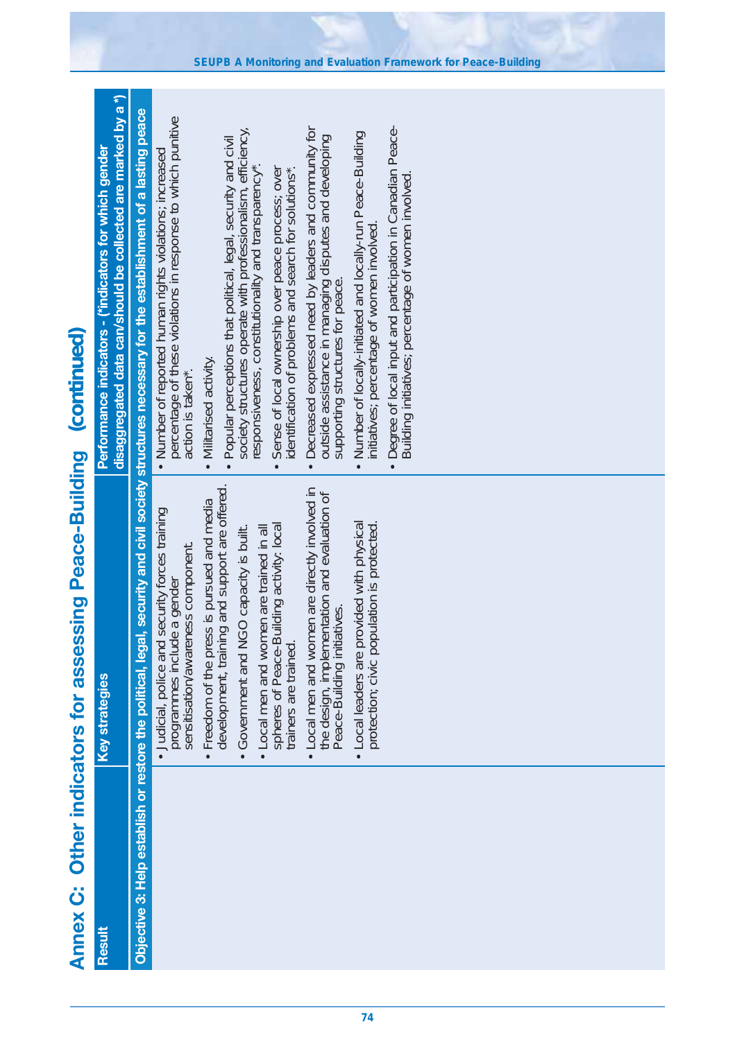| <b>Annex C:</b> | Other indicators for assessing Peace-Building                                                                                                   | (continued)                                                                                                                                                                                                        |
|-----------------|-------------------------------------------------------------------------------------------------------------------------------------------------|--------------------------------------------------------------------------------------------------------------------------------------------------------------------------------------------------------------------|
| Result          | <b>Key strategies</b>                                                                                                                           | disaggregated data can/should be collected are marked by a *)<br>Performance indicators - (*indicators for which gender                                                                                            |
|                 |                                                                                                                                                 | Objective 3: Help establish or restore the political, legal, security and civil society structures necessary for the establishment of a lasting peace                                                              |
|                 | • Judicial, police and security forces training<br>sensitisation/awareness component.<br>programmes include a gender                            | percentage of these violations in response to which punitive<br>• Number of reported human rights violations; increased<br>action is taken*.                                                                       |
|                 | development, training and support are offered.<br>ess is pursued and media<br>NGO capacity is built.<br>• Freedom of the pr<br>• Government and | society structures operate with professionalism, efficiency,<br>• Popular perceptions that political, legal, security and civil<br>responsiveness, constitutionality and transparency*.<br>• Militarised activity. |
|                 | spheres of Peace-Building activity: local<br>• Local men and women are trained in all<br>trainers are trained                                   | Sense of local ownership over peace process; over<br>identification of problems and search for solutions*<br>$\bullet$                                                                                             |
|                 | • Local men and women are directly involved in<br>the design, implementation and evaluation of<br>Peace-Building initiatives.                   | Decreased expressed need by leaders and community for<br>outside assistance in managing disputes and developing<br>supporting structures for peace.<br>$\bullet$                                                   |
|                 | provided with physical<br>protection; civic population is protected.<br>· Local leaders are                                                     | Number of locally-initiated and locally-run Peace-Building<br>initiatives; percentage of women involved<br>$\bullet$                                                                                               |
|                 |                                                                                                                                                 | Degree of local input and participation in Canadian Peace-<br>Building initiatives; percentage of women involved<br>$\bullet$                                                                                      |
|                 |                                                                                                                                                 |                                                                                                                                                                                                                    |
|                 |                                                                                                                                                 |                                                                                                                                                                                                                    |
|                 |                                                                                                                                                 |                                                                                                                                                                                                                    |
|                 |                                                                                                                                                 |                                                                                                                                                                                                                    |
|                 |                                                                                                                                                 |                                                                                                                                                                                                                    |
|                 |                                                                                                                                                 |                                                                                                                                                                                                                    |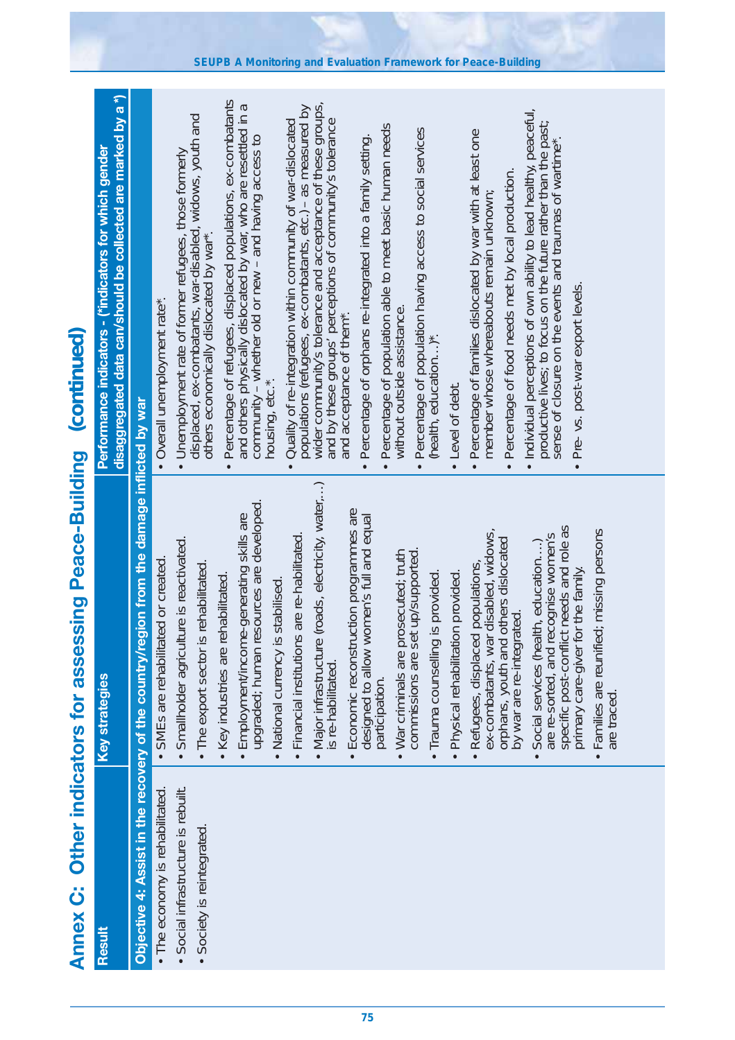| (continued)                                   | disaggregated data can/should be collected are marked by a *)<br>Performance indicators - (*indicators for which gender |                                                                                            | • Overall unemployment rate*.       | Unemployment rate of former refugees, those formerly<br>displaced, ex-combatants, war-disabled, widows, youth and<br>others economically dislocated by war*. | Percentage of refugees, displaced populations, ex-combatants<br>and others physically dislocated by war, who are resettled in a<br>community - whether old or new - and having access to<br>housing, etc.*.<br>$\bullet$ | populations (refugees, ex-combatants, etc.) - as measured by<br>wider community's tolerance and acceptance of these groups,<br>Quality of re-integration within community of war-dislocated<br>and by these groups' perceptions of community's tolerance<br>$\bullet$ | Percentage of population able to meet basic human needs<br>Percentage of orphans re-integrated into a family setting.<br>without outside assistance<br>and acceptance of them <sup>*</sup> . | Percentage of population having access to social services<br>(health, education)*.<br>Level of debt.        | Percentage of families dislocated by war with at least one<br>Percentage of food needs met by local production.<br>member whose whereabouts remain unknown; | . Individual perceptions of own ability to lead healthy, peaceful,<br>productive lives; to focus on the future rather than the past;<br>sense of closure on the events and traumas of wartime*.<br>Pre- vs. post-war export levels. |                                                         |
|-----------------------------------------------|-------------------------------------------------------------------------------------------------------------------------|--------------------------------------------------------------------------------------------|-------------------------------------|--------------------------------------------------------------------------------------------------------------------------------------------------------------|--------------------------------------------------------------------------------------------------------------------------------------------------------------------------------------------------------------------------|-----------------------------------------------------------------------------------------------------------------------------------------------------------------------------------------------------------------------------------------------------------------------|----------------------------------------------------------------------------------------------------------------------------------------------------------------------------------------------|-------------------------------------------------------------------------------------------------------------|-------------------------------------------------------------------------------------------------------------------------------------------------------------|-------------------------------------------------------------------------------------------------------------------------------------------------------------------------------------------------------------------------------------|---------------------------------------------------------|
| Other indicators for assessing Peace-Building | <b>Key strategies</b>                                                                                                   | Objective 4: Assist in the recovery of the country/region from the damage inflicted by war | • SMEs are rehabilitated or created | · Smallholder agriculture is reactivated.<br>• The export sector is rehabilitated                                                                            | • Employment/income-generating skills are<br>upgraded; human resources are developed.<br>• Key industries are rehabilitated                                                                                              | • Major infrastructure (roads, electricity, water,)<br>is re-habilitated.<br>· Financial institutions are re-habilitated<br>is stabilised.<br>· National currency                                                                                                     | · Economic reconstruction programmes are<br>designed to allow women's full and equal<br>participation.<br>prosecuted; truth<br>• War criminals are                                           | commissions are set up/supported<br>· Trauma counselling is provided.<br>· Physical rehabilitation provided | ex-combatants, war disabled, widows,<br>orphans, youth and others dislocated<br>· Refugees, displaced populations<br>by war are re-integrated.              | specific post-conflict needs and role as<br>primary care-giver for the family.<br>are re-sorted, and recognise women's<br>Social services (health, education)<br>$\bullet$                                                          | · Families are reunified; missing persons<br>are traced |
| <b>Annex C:</b>                               | Result                                                                                                                  |                                                                                            | • The economy is rehabilitated.     | Social infrastructure is rebuilt.<br>· Society is reintegrated                                                                                               |                                                                                                                                                                                                                          |                                                                                                                                                                                                                                                                       |                                                                                                                                                                                              |                                                                                                             |                                                                                                                                                             |                                                                                                                                                                                                                                     |                                                         |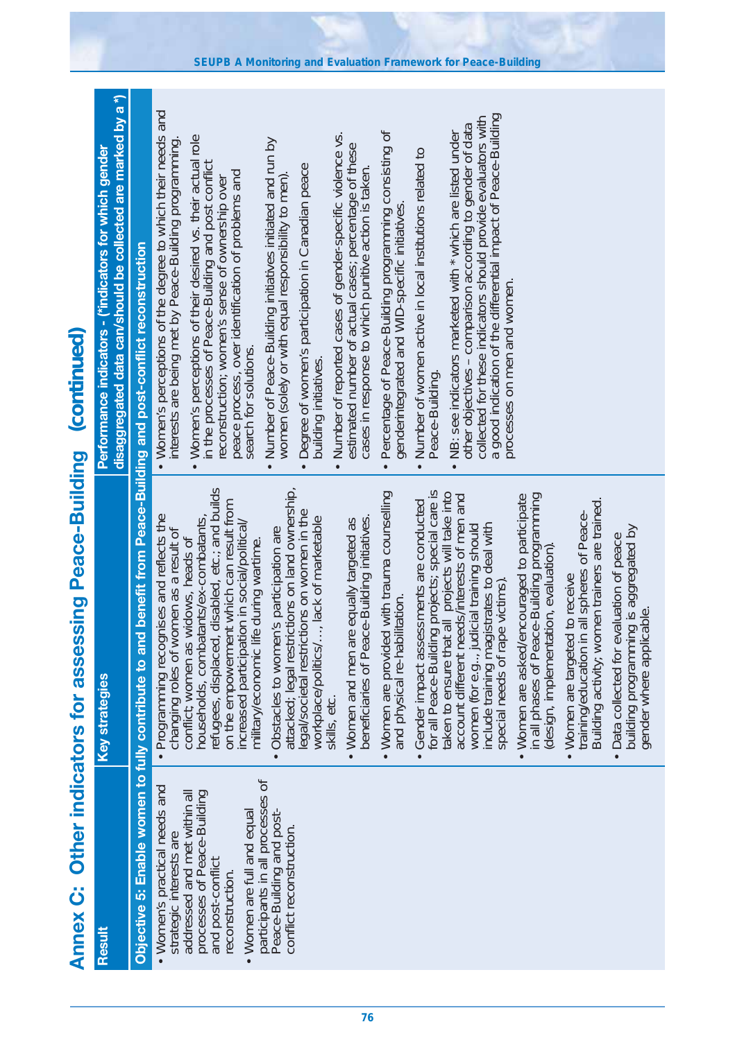| クーリース<br>くら にてここげ                      |
|----------------------------------------|
| s for assessing Peac<br>תי וויוניות ול |
| <b>Condition</b>                       |
| )<br>)<br>Ĩ<br><b>Nauny</b>            |

| Result                                                                                                                                                                                                                                                                                              | <b>Key strategies</b>                                                                                                                                                                                                                                                                                                                                                                                                                                                                                                                                                                                                                                                                                                                                                                                                                                                                                                                                                                                                                                                                                                                                                                                                                                                                                                                                                                                                                                                                                             | disaggregated data can/should be collected are marked by a *)<br>Performance indicators - (*indicators for which gender                                                                                                                                                                                                                                                                                                                                                                                                                                                                                                                                                                                                                                                                                                                                                                                                                                                                                                                                                                                                                                                                                                                                                                                             |
|-----------------------------------------------------------------------------------------------------------------------------------------------------------------------------------------------------------------------------------------------------------------------------------------------------|-------------------------------------------------------------------------------------------------------------------------------------------------------------------------------------------------------------------------------------------------------------------------------------------------------------------------------------------------------------------------------------------------------------------------------------------------------------------------------------------------------------------------------------------------------------------------------------------------------------------------------------------------------------------------------------------------------------------------------------------------------------------------------------------------------------------------------------------------------------------------------------------------------------------------------------------------------------------------------------------------------------------------------------------------------------------------------------------------------------------------------------------------------------------------------------------------------------------------------------------------------------------------------------------------------------------------------------------------------------------------------------------------------------------------------------------------------------------------------------------------------------------|---------------------------------------------------------------------------------------------------------------------------------------------------------------------------------------------------------------------------------------------------------------------------------------------------------------------------------------------------------------------------------------------------------------------------------------------------------------------------------------------------------------------------------------------------------------------------------------------------------------------------------------------------------------------------------------------------------------------------------------------------------------------------------------------------------------------------------------------------------------------------------------------------------------------------------------------------------------------------------------------------------------------------------------------------------------------------------------------------------------------------------------------------------------------------------------------------------------------------------------------------------------------------------------------------------------------|
|                                                                                                                                                                                                                                                                                                     | Objective 5: Enable women to fully contribute to and benefit from Peace-Building and post-conflict reconstruction                                                                                                                                                                                                                                                                                                                                                                                                                                                                                                                                                                                                                                                                                                                                                                                                                                                                                                                                                                                                                                                                                                                                                                                                                                                                                                                                                                                                 |                                                                                                                                                                                                                                                                                                                                                                                                                                                                                                                                                                                                                                                                                                                                                                                                                                                                                                                                                                                                                                                                                                                                                                                                                                                                                                                     |
| participants in all processes of<br>• Women's practical needs and<br>processes of Peace-Building<br>addressed and met within all<br>Peace-Building and post-<br>Women are full and equal<br>conflict reconstruction.<br>strategic interests are<br>and post-conflict<br>reconstruction<br>$\bullet$ | refugees, displaced, disabled, etc.; and builds<br>attacked; legal restrictions on land ownership,<br>Gender impact assessments are conducted<br>for all Peace-Building projects; special care is<br>taken to ensure that all projects will take into<br>. Women are provided with trauma counselling<br>in all phases of Peace-Building programming<br>account different needs/interests of men and<br>• Women are asked/encouraged to participate<br>Building activity; women trainers are trained.<br>on the empowerment which can result from<br>legal/societal restrictions on women in the<br>in all spheres of Peace-<br>· Programming recognises and reflects the<br>, lack of marketable<br>beneficiaries of Peace-Building initiatives.<br>households, combatants/ex-combatants,<br>• Women and men are equally targeted as<br>increased participation in social/political/<br>include training magistrates to deal with<br>women (for e.g., judicial training should<br>building programming is aggregated by<br>gender where applicable.<br>Obstacles to women's participation are<br>changing roles of women as a result of<br>Data collected for evaluation of peace<br>conflict; women as widows, heads of<br>military/economic life during wartime.<br>(design, implementation, evaluation).<br>. Women are targeted to receive<br>special needs of rape victims)<br>and physical re-habilitation.<br>workplace/politics/<br>training/education<br>gender where appl<br>skills, etc.<br>$\bullet$ | . Women's perceptions of the degree to which their needs and<br>a good indication of the differential impact of Peace-Building<br>collected for these indicators should provide evaluators with<br>other objectives - comparison according to gender of data<br>Percentage of Peace-Building programming consisting of<br>Number of reported cases of gender-specific violence vs.<br>NB: see indicators marketed with * which are listed under<br>Women's perceptions of their desired vs. their actual role<br>interests are being met by Peace-Building programming.<br>Number of Peace-Building initiatives initiated and run by<br>estimated number of actual cases; percentage of these<br>Number of women active in local institutions related to<br>in the processes of Peace-Building and post conflict<br>Degree of women's participation in Canadian peace<br>cases in response to which punitive action is taken.<br>peace process, over identification of problems and<br>women (solely or with equal responsibility to men).<br>reconstruction; women's sense of ownership over<br>genderintegrated and WID-specific initiatives<br>processes on men and women.<br>search for solutions.<br>building initiatives.<br>Peace-Building.<br>$\bullet$<br>$\bullet$<br>$\bullet$<br>$\bullet$<br>$\bullet$ |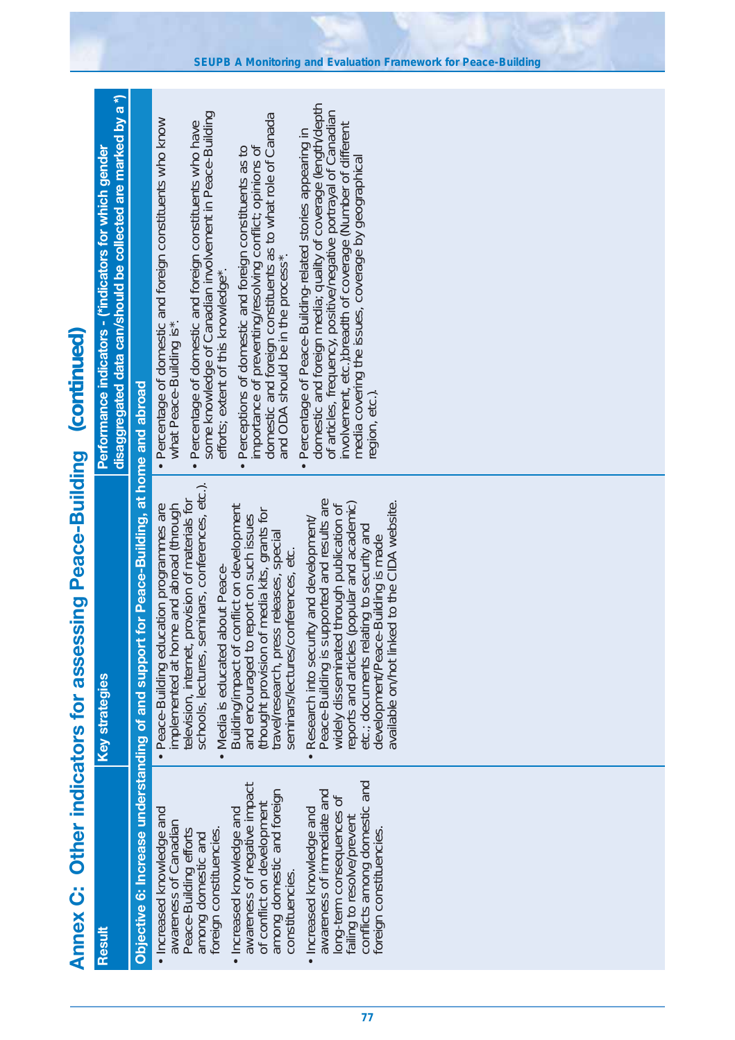| Summund:                 |
|--------------------------|
| Ĵ                        |
| <b>ELECTRIC CONTRACT</b> |
|                          |
| )<br>)<br>)<br>)         |
| <b>VOUL</b>              |

| disaggregated data can/should be collected are marked by a *)<br>Performance indicators - (*indicators for which gender |                                                                                           | domestic and foreign media; quality of coverage (length/depth<br>of articles, frequency, positive/negative portrayal of Canadian<br>some knowledge of Canadian involvement in Peace-Building<br>domestic and foreign constituents as to what role of Canada<br>and ODA should be in the process*.<br>• Percentage of domestic and foreign constituents who know<br>Percentage of domestic and foreign constituents who have<br>involvement, etc.): breadth of coverage (Number of different<br>Percentage of Peace-Building-related stories appearing in<br>importance of preventing/resolving conflict; opinions of<br>• Perceptions of domestic and foreign constituents as to<br>media covering the issues, coverage by geographical<br>efforts; extent of this knowledge*.<br>what Peace-Building is*.<br>region, etc.).<br>$\bullet$<br>$\bullet$ |
|-------------------------------------------------------------------------------------------------------------------------|-------------------------------------------------------------------------------------------|--------------------------------------------------------------------------------------------------------------------------------------------------------------------------------------------------------------------------------------------------------------------------------------------------------------------------------------------------------------------------------------------------------------------------------------------------------------------------------------------------------------------------------------------------------------------------------------------------------------------------------------------------------------------------------------------------------------------------------------------------------------------------------------------------------------------------------------------------------|
| <b>Key strategies</b>                                                                                                   | Objective 6: Increase understanding of and support for Peace-Building, at home and abroad | schools, lectures, seminars, conferences, etc.).<br>provision of materials for<br>Peace-Building is supported and results are<br>development/Peace-Building is made<br>available on/hot linked to the CIDA website.<br>reports and articles (popular and academic)<br>• Peace-Building education programmes are<br>implemented at home and abroad (through<br>conflict on development<br>widely disseminated through publication of<br>(thought provision of media kits, grants for<br>and encouraged to report on such issues<br>Research into security and development/<br>etc.; documents relating to security and<br>travel/research, press releases, special<br>seminars/lectures/conferences, etc.<br>about Peace-<br>television, internet,<br>Media is educated<br>Building/impact of<br>$\bullet$<br>$\bullet$                                 |
| Result                                                                                                                  |                                                                                           | failing to resolve/prevent<br>conflicts among domestic and<br>awareness of negative impact<br>among domestic and foreign<br>awareness of immediate and<br>long-term consequences of<br>of conflict on development<br>• Increased knowledge and<br>Increased knowledge and<br>• Increased knowledge and<br>awareness of Canadian<br>foreign constituencies<br>foreign constituencies.<br>Peace-Building efforts<br>among domestic and<br>constituencies.                                                                                                                                                                                                                                                                                                                                                                                                |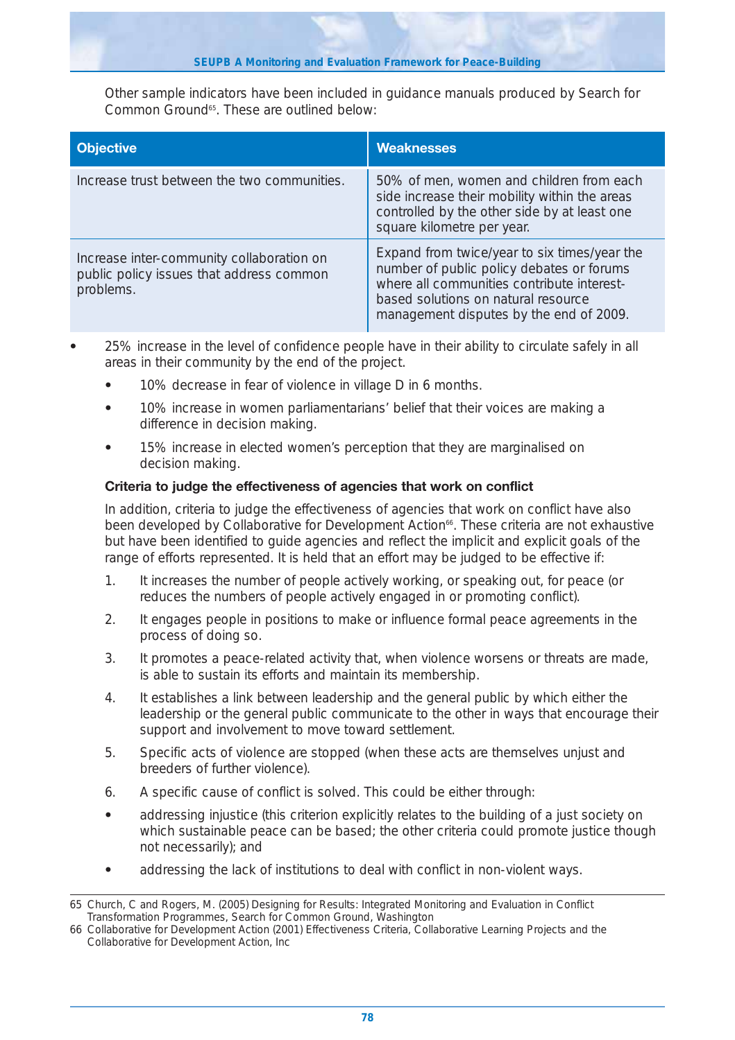Other sample indicators have been included in guidance manuals produced by Search for Common Ground<sup>65</sup>. These are outlined below:

| <b>Objective</b>                                                                                   | <b>Weaknesses</b>                                                                                                                                                                                                         |
|----------------------------------------------------------------------------------------------------|---------------------------------------------------------------------------------------------------------------------------------------------------------------------------------------------------------------------------|
| Increase trust between the two communities.                                                        | 50% of men, women and children from each<br>side increase their mobility within the areas<br>controlled by the other side by at least one<br>square kilometre per year.                                                   |
| Increase inter-community collaboration on<br>public policy issues that address common<br>problems. | Expand from twice/year to six times/year the<br>number of public policy debates or forums<br>where all communities contribute interest-<br>based solutions on natural resource<br>management disputes by the end of 2009. |

- **•** 25% increase in the level of confidence people have in their ability to circulate safely in all areas in their community by the end of the project.
	- **•** 10% decrease in fear of violence in village D in 6 months.
	- **•** 10% increase in women parliamentarians' belief that their voices are making a difference in decision making.
	- **•** 15% increase in elected women's perception that they are marginalised on decision making.

#### **Criteria to judge the effectiveness of agencies that work on conflict**

In addition, criteria to judge the effectiveness of agencies that work on conflict have also been developed by Collaborative for Development Action<sup>66</sup>. These criteria are not exhaustive but have been identified to guide agencies and reflect the implicit and explicit goals of the range of efforts represented. It is held that an effort may be judged to be effective if:

- 1. It increases the number of people actively working, or speaking out, for peace (or reduces the numbers of people actively engaged in or promoting conflict).
- 2. It engages people in positions to make or influence formal peace agreements in the process of doing so.
- 3. It promotes a peace-related activity that, when violence worsens or threats are made, is able to sustain its efforts and maintain its membership.
- 4. It establishes a link between leadership and the general public by which either the leadership or the general public communicate to the other in ways that encourage their support and involvement to move toward settlement.
- 5. Specific acts of violence are stopped (when these acts are themselves unjust and breeders of further violence).
- 6. A specific cause of conflict is solved. This could be either through:
- **•** addressing injustice (this criterion explicitly relates to the building of a just society on which sustainable peace can be based; the other criteria could promote justice though not necessarily); and
- **•** addressing the lack of institutions to deal with conflict in non-violent ways.

<sup>65</sup> Church, C and Rogers, M. (2005) Designing for Results: Integrated Monitoring and Evaluation in Conflict Transformation Programmes, Search for Common Ground, Washington

<sup>66</sup> Collaborative for Development Action (2001) Effectiveness Criteria, Collaborative Learning Projects and the Collaborative for Development Action, Inc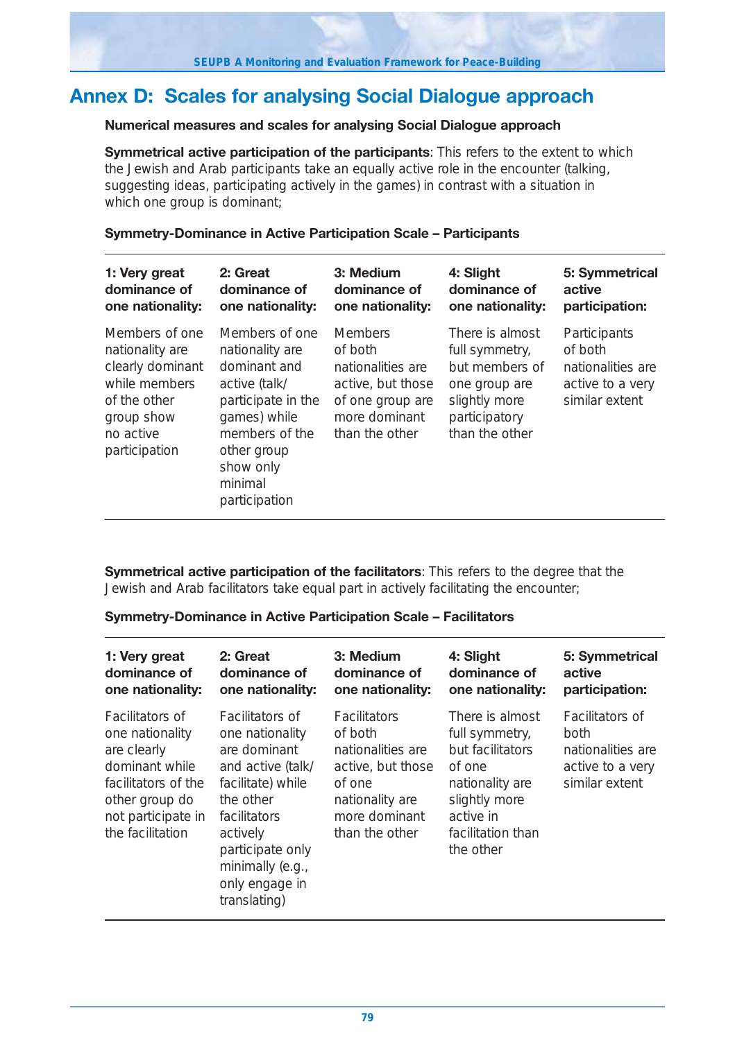## **Annex D: Scales for analysing Social Dialogue approach**

#### **Numerical measures and scales for analysing Social Dialogue approach**

**Symmetrical active participation of the participants**: This refers to the extent to which the Jewish and Arab participants take an equally active role in the encounter (talking, suggesting ideas, participating actively in the games) in contrast with a situation in which one group is dominant;

#### **Symmetry-Dominance in Active Participation Scale – Participants**

| 1: Very great                                                                                                                      | 2: Great                                                                                                                                                                           | 3: Medium                                                                                                                  | 4: Slight                                                                                                                | 5: Symmetrical                                                                     |
|------------------------------------------------------------------------------------------------------------------------------------|------------------------------------------------------------------------------------------------------------------------------------------------------------------------------------|----------------------------------------------------------------------------------------------------------------------------|--------------------------------------------------------------------------------------------------------------------------|------------------------------------------------------------------------------------|
| dominance of                                                                                                                       | dominance of                                                                                                                                                                       | dominance of                                                                                                               | dominance of                                                                                                             | active                                                                             |
| one nationality:                                                                                                                   | one nationality:                                                                                                                                                                   | one nationality:                                                                                                           | one nationality:                                                                                                         | participation:                                                                     |
| Members of one<br>nationality are<br>clearly dominant<br>while members<br>of the other<br>group show<br>no active<br>participation | Members of one<br>nationality are<br>dominant and<br>active (talk/<br>participate in the<br>games) while<br>members of the<br>other group<br>show only<br>minimal<br>participation | <b>Members</b><br>of both<br>nationalities are<br>active, but those<br>of one group are<br>more dominant<br>than the other | There is almost<br>full symmetry,<br>but members of<br>one group are<br>slightly more<br>participatory<br>than the other | Participants<br>of both<br>nationalities are<br>active to a very<br>similar extent |

**Symmetrical active participation of the facilitators**: This refers to the degree that the Jewish and Arab facilitators take equal part in actively facilitating the encounter;

**Symmetry-Dominance in Active Participation Scale – Facilitators**

| 1: Very great                                                                                                                                                 | 2: Great                                                                                                                                                                                                               | 3: Medium                                                                                                                                | 4: Slight                                                                                                                                          | 5: Symmetrical                                                                            |
|---------------------------------------------------------------------------------------------------------------------------------------------------------------|------------------------------------------------------------------------------------------------------------------------------------------------------------------------------------------------------------------------|------------------------------------------------------------------------------------------------------------------------------------------|----------------------------------------------------------------------------------------------------------------------------------------------------|-------------------------------------------------------------------------------------------|
| dominance of                                                                                                                                                  | dominance of                                                                                                                                                                                                           | dominance of                                                                                                                             | dominance of                                                                                                                                       | active                                                                                    |
| one nationality:                                                                                                                                              | one nationality:                                                                                                                                                                                                       | one nationality:                                                                                                                         | one nationality:                                                                                                                                   | participation:                                                                            |
| <b>Facilitators of</b><br>one nationality<br>are clearly<br>dominant while<br>facilitators of the<br>other group do<br>not participate in<br>the facilitation | <b>Facilitators of</b><br>one nationality<br>are dominant<br>and active (talk/<br>facilitate) while<br>the other<br>facilitators<br>actively<br>participate only<br>minimally (e.g.,<br>only engage in<br>translating) | <b>Facilitators</b><br>of both<br>nationalities are<br>active, but those<br>of one<br>nationality are<br>more dominant<br>than the other | There is almost<br>full symmetry,<br>but facilitators<br>of one<br>nationality are<br>slightly more<br>active in<br>facilitation than<br>the other | <b>Facilitators of</b><br>both<br>nationalities are<br>active to a very<br>similar extent |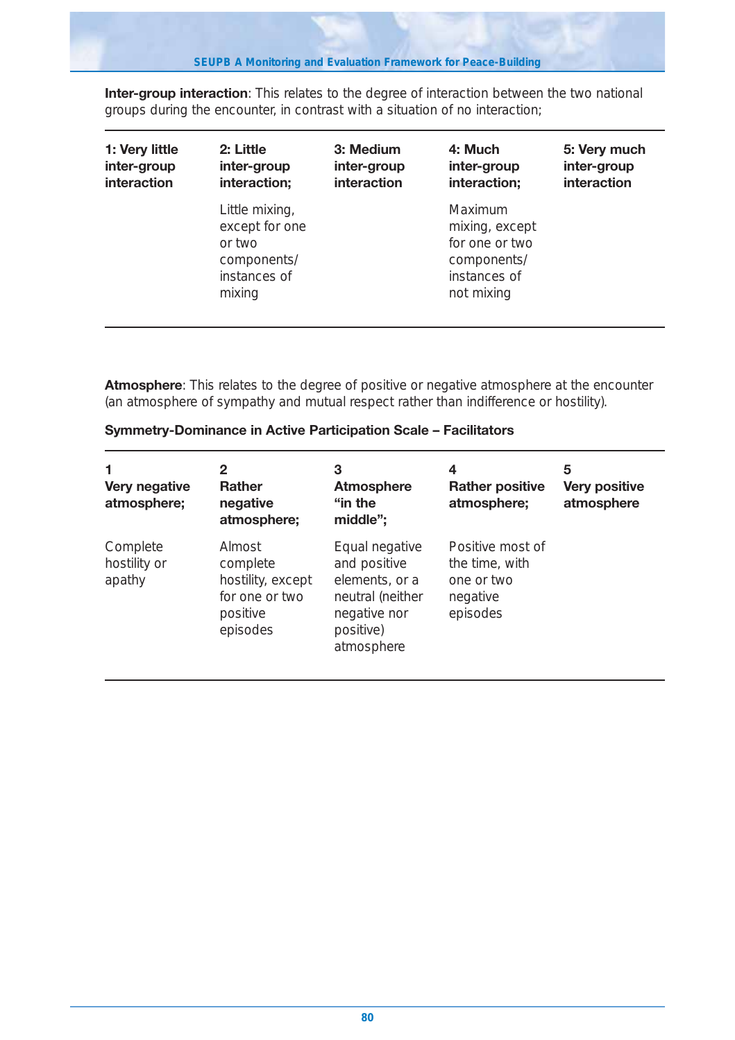**Inter-group interaction**: This relates to the degree of interaction between the two national groups during the encounter, in contrast with a situation of no interaction;

| 1: Very little | 2: Little                                                                           | 3: Medium   | 4: Much                                                                                  | 5: Very much |
|----------------|-------------------------------------------------------------------------------------|-------------|------------------------------------------------------------------------------------------|--------------|
| inter-group    | inter-group                                                                         | inter-group | inter-group                                                                              | inter-group  |
| interaction    | interaction;                                                                        | interaction | interaction;                                                                             | interaction  |
|                | Little mixing,<br>except for one<br>or two<br>components/<br>instances of<br>mixing |             | Maximum<br>mixing, except<br>for one or two<br>components/<br>instances of<br>not mixing |              |

**Atmosphere**: This relates to the degree of positive or negative atmosphere at the encounter (an atmosphere of sympathy and mutual respect rather than indifference or hostility).

| 1<br>Very negative<br>atmosphere;  | 2<br><b>Rather</b><br>negative<br>atmosphere;                                     | 3<br><b>Atmosphere</b><br>"in the<br>middle";                                                                   | 4<br><b>Rather positive</b><br>atmosphere;                               | 5<br><b>Very positive</b><br>atmosphere |
|------------------------------------|-----------------------------------------------------------------------------------|-----------------------------------------------------------------------------------------------------------------|--------------------------------------------------------------------------|-----------------------------------------|
| Complete<br>hostility or<br>apathy | Almost<br>complete<br>hostility, except<br>for one or two<br>positive<br>episodes | Equal negative<br>and positive<br>elements, or a<br>neutral (neither<br>negative nor<br>positive)<br>atmosphere | Positive most of<br>the time, with<br>one or two<br>negative<br>episodes |                                         |

**Symmetry-Dominance in Active Participation Scale – Facilitators**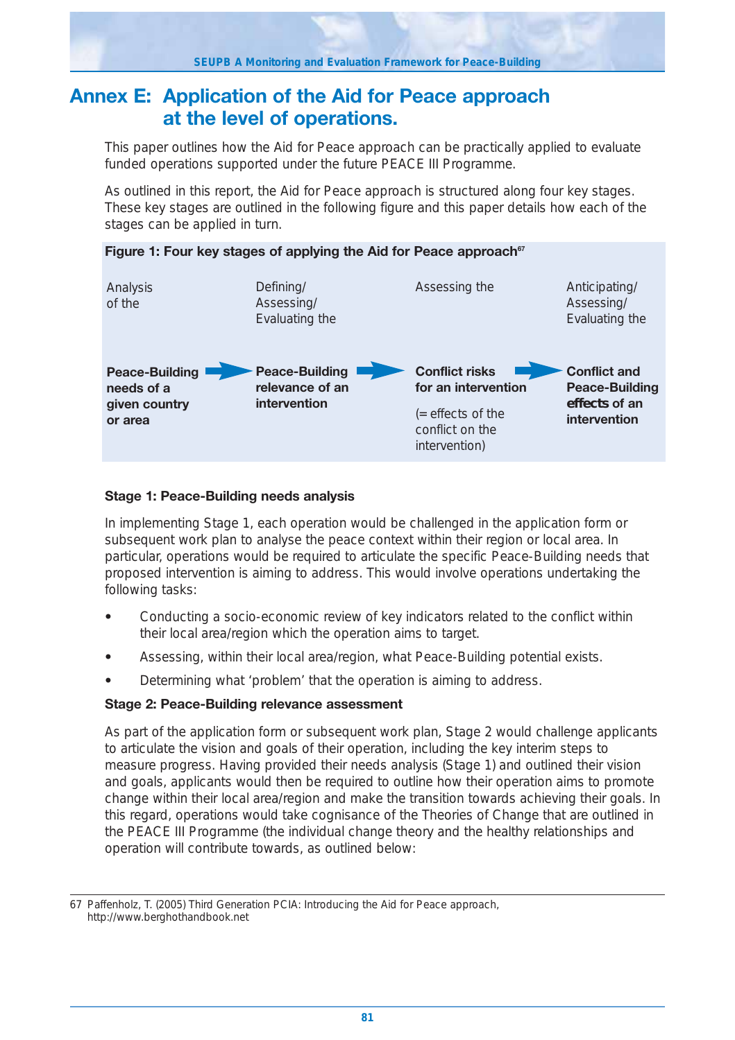### **Annex E: Application of the Aid for Peace approach at the level of operations.**

This paper outlines how the Aid for Peace approach can be practically applied to evaluate funded operations supported under the future PEACE III Programme.

As outlined in this report, the Aid for Peace approach is structured along four key stages. These key stages are outlined in the following figure and this paper details how each of the stages can be applied in turn.



#### **Stage 1: Peace-Building needs analysis**

In implementing Stage 1, each operation would be challenged in the application form or subsequent work plan to analyse the peace context within their region or local area. In particular, operations would be required to articulate the specific Peace-Building needs that proposed intervention is aiming to address. This would involve operations undertaking the following tasks:

- **•** Conducting a socio-economic review of key indicators related to the conflict within their local area/region which the operation aims to target.
- **•** Assessing, within their local area/region, what Peace-Building potential exists.
- **•** Determining what 'problem' that the operation is aiming to address.

#### **Stage 2: Peace-Building relevance assessment**

As part of the application form or subsequent work plan, Stage 2 would challenge applicants to articulate the vision and goals of their operation, including the key interim steps to measure progress. Having provided their needs analysis (Stage 1) and outlined their vision and goals, applicants would then be required to outline how their operation aims to promote change within their local area/region and make the transition towards achieving their goals. In this regard, operations would take cognisance of the Theories of Change that are outlined in the PEACE III Programme (the individual change theory and the healthy relationships and operation will contribute towards, as outlined below:

<sup>67</sup> Paffenholz, T. (2005) Third Generation PCIA: Introducing the Aid for Peace approach, http://www.berghothandbook.net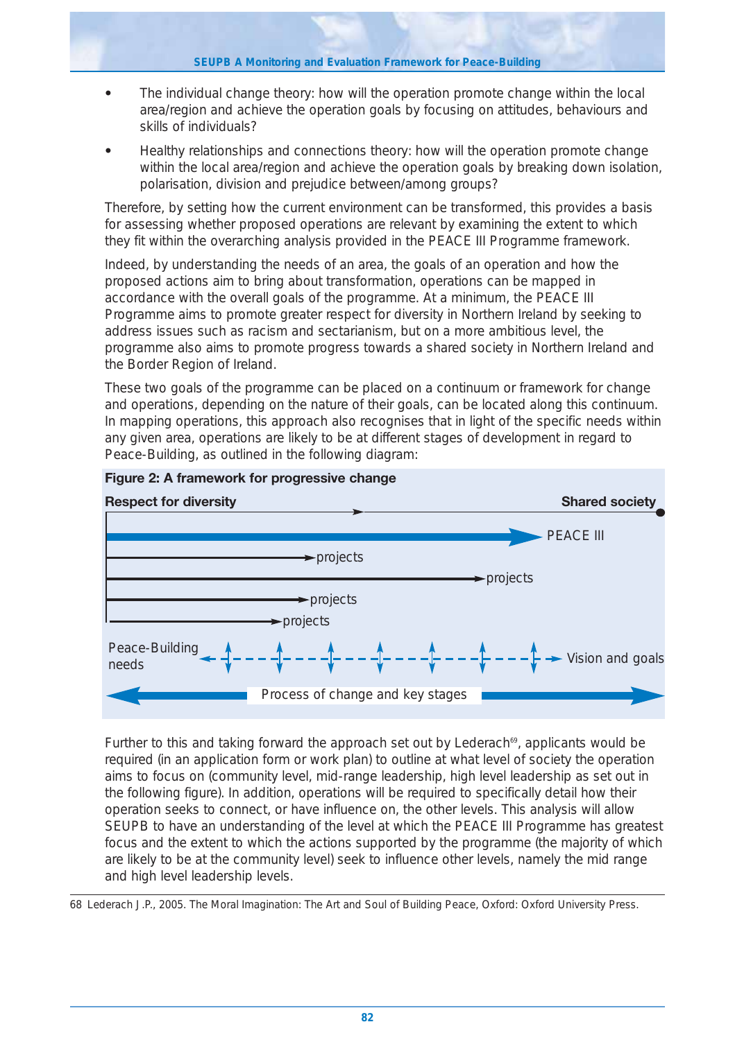- **•** The individual change theory: how will the operation promote change within the local area/region and achieve the operation goals by focusing on attitudes, behaviours and skills of individuals?
- **•** Healthy relationships and connections theory: how will the operation promote change within the local area/region and achieve the operation goals by breaking down isolation, polarisation, division and prejudice between/among groups?

Therefore, by setting how the current environment can be transformed, this provides a basis for assessing whether proposed operations are relevant by examining the extent to which they fit within the overarching analysis provided in the PEACE III Programme framework.

Indeed, by understanding the needs of an area, the goals of an operation and how the proposed actions aim to bring about transformation, operations can be mapped in accordance with the overall goals of the programme. At a minimum, the PEACE III Programme aims to promote greater respect for diversity in Northern Ireland by seeking to address issues such as racism and sectarianism, but on a more ambitious level, the programme also aims to promote progress towards a shared society in Northern Ireland and the Border Region of Ireland.

These two goals of the programme can be placed on a continuum or framework for change and operations, depending on the nature of their goals, can be located along this continuum. In mapping operations, this approach also recognises that in light of the specific needs within any given area, operations are likely to be at different stages of development in regard to Peace-Building, as outlined in the following diagram:





Further to this and taking forward the approach set out by Lederach<sup>69</sup>, applicants would be required (in an application form or work plan) to outline at what level of society the operation aims to focus on (community level, mid-range leadership, high level leadership as set out in the following figure). In addition, operations will be required to specifically detail how their operation seeks to connect, or have influence on, the other levels. This analysis will allow SEUPB to have an understanding of the level at which the PEACE III Programme has greatest focus and the extent to which the actions supported by the programme (the majority of which are likely to be at the community level) seek to influence other levels, namely the mid range and high level leadership levels.

68 Lederach J.P., 2005. The Moral Imagination: The Art and Soul of Building Peace, Oxford: Oxford University Press.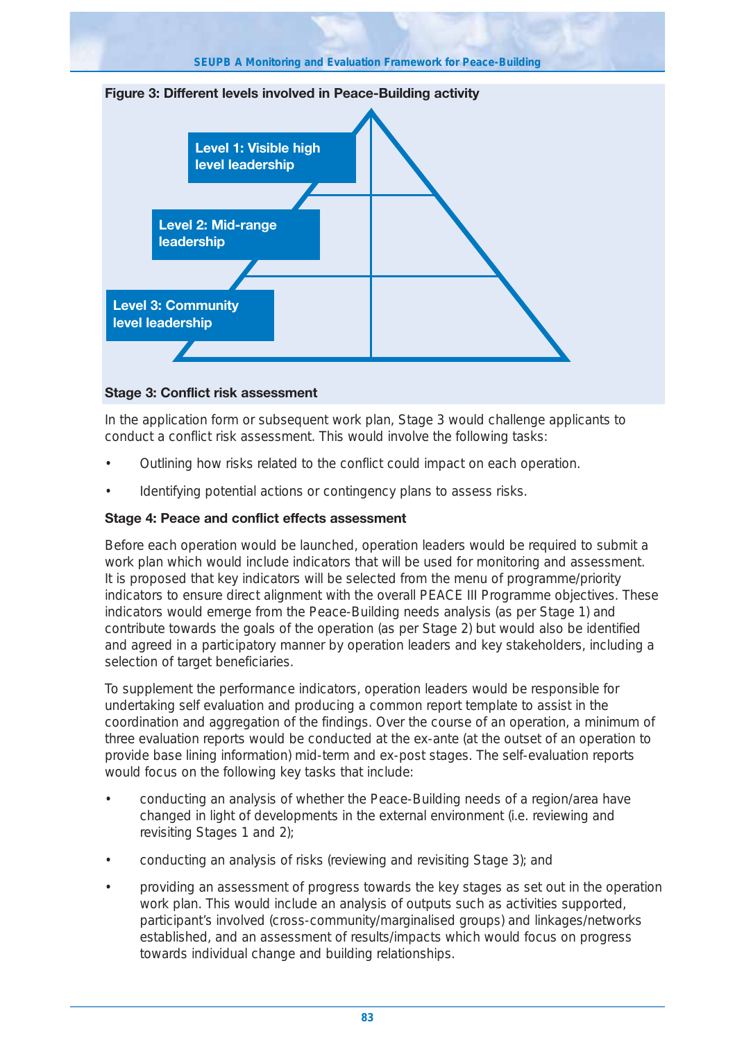

#### **Stage 3: Conflict risk assessment**

In the application form or subsequent work plan, Stage 3 would challenge applicants to conduct a conflict risk assessment. This would involve the following tasks:

- Outlining how risks related to the conflict could impact on each operation.
- Identifying potential actions or contingency plans to assess risks.

#### **Stage 4: Peace and conflict effects assessment**

Before each operation would be launched, operation leaders would be required to submit a work plan which would include indicators that will be used for monitoring and assessment. It is proposed that key indicators will be selected from the menu of programme/priority indicators to ensure direct alignment with the overall PEACE III Programme objectives. These indicators would emerge from the Peace-Building needs analysis (as per Stage 1) and contribute towards the goals of the operation (as per Stage 2) but would also be identified and agreed in a participatory manner by operation leaders and key stakeholders, including a selection of target beneficiaries.

To supplement the performance indicators, operation leaders would be responsible for undertaking self evaluation and producing a common report template to assist in the coordination and aggregation of the findings. Over the course of an operation, a minimum of three evaluation reports would be conducted at the ex-ante (at the outset of an operation to provide base lining information) mid-term and ex-post stages. The self-evaluation reports would focus on the following key tasks that include:

- conducting an analysis of whether the Peace-Building needs of a region/area have changed in light of developments in the external environment (i.e. reviewing and revisiting Stages 1 and 2);
- conducting an analysis of risks (reviewing and revisiting Stage 3); and
- providing an assessment of progress towards the key stages as set out in the operation work plan. This would include an analysis of outputs such as activities supported, participant's involved (cross-community/marginalised groups) and linkages/networks established, and an assessment of results/impacts which would focus on progress towards individual change and building relationships.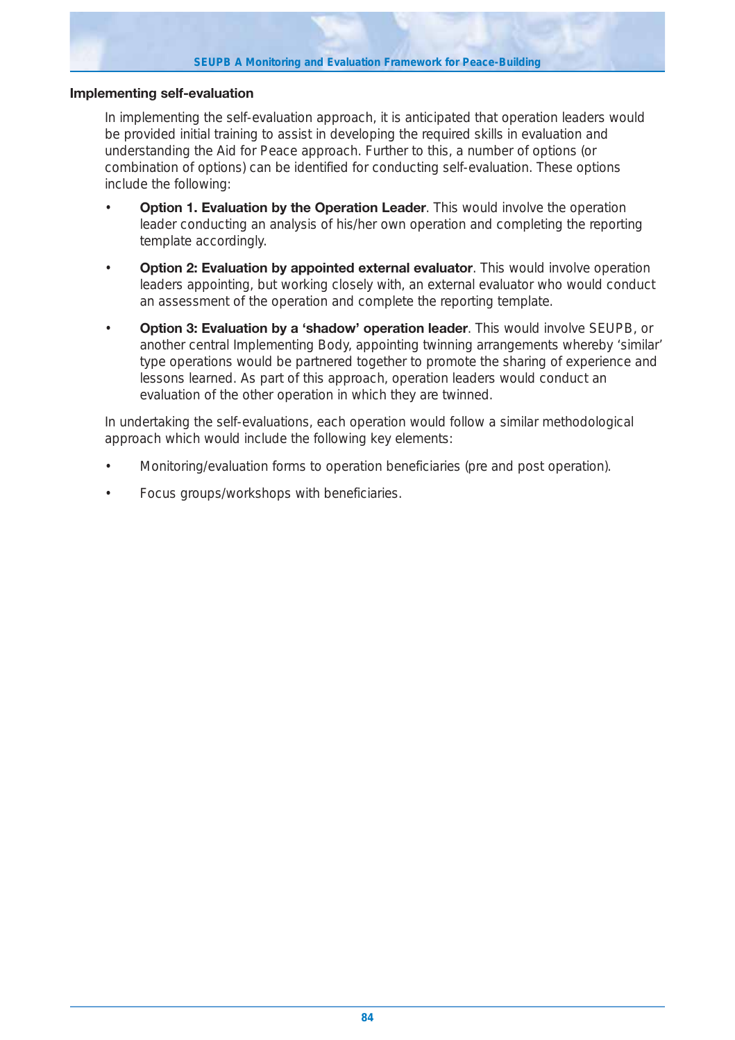#### **Implementing self-evaluation**

In implementing the self-evaluation approach, it is anticipated that operation leaders would be provided initial training to assist in developing the required skills in evaluation and understanding the Aid for Peace approach. Further to this, a number of options (or combination of options) can be identified for conducting self-evaluation. These options include the following:

- **Option 1. Evaluation by the Operation Leader**. This would involve the operation leader conducting an analysis of his/her own operation and completing the reporting template accordingly.
- **Option 2: Evaluation by appointed external evaluator**. This would involve operation leaders appointing, but working closely with, an external evaluator who would conduct an assessment of the operation and complete the reporting template.
- **Option 3: Evaluation by a 'shadow' operation leader**. This would involve SEUPB, or another central Implementing Body, appointing twinning arrangements whereby 'similar' type operations would be partnered together to promote the sharing of experience and lessons learned. As part of this approach, operation leaders would conduct an evaluation of the other operation in which they are twinned.

In undertaking the self-evaluations, each operation would follow a similar methodological approach which would include the following key elements:

- Monitoring/evaluation forms to operation beneficiaries (pre and post operation).
- Focus groups/workshops with beneficiaries.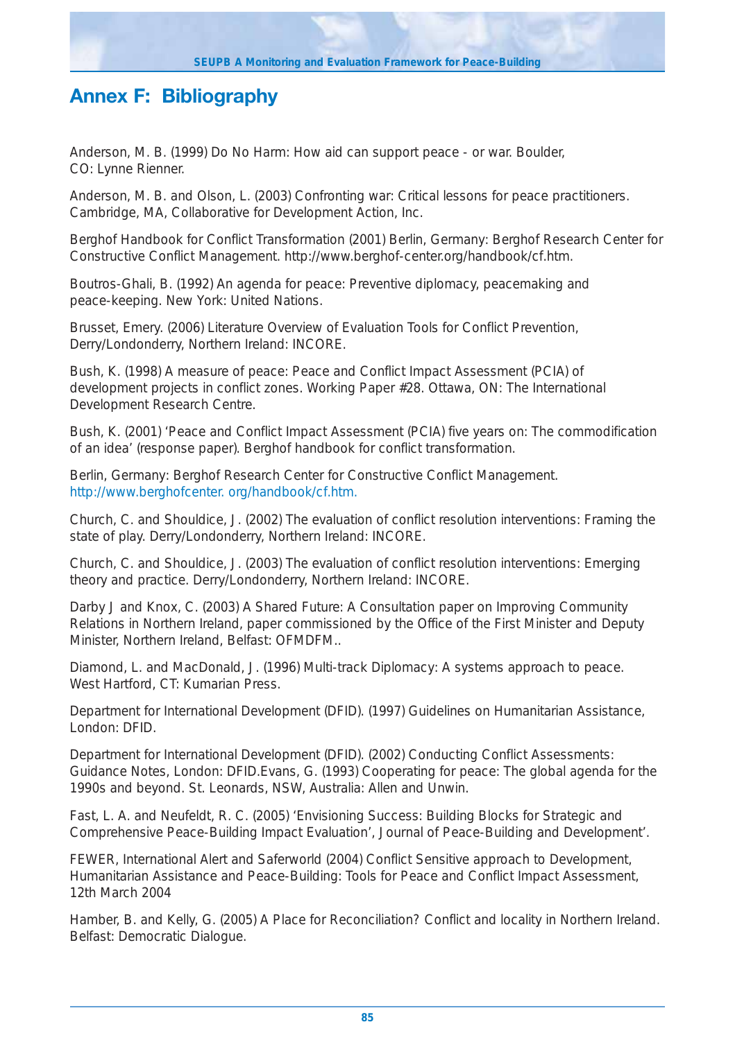# **Annex F: Bibliography**

Anderson, M. B. (1999) Do No Harm: How aid can support peace - or war. Boulder, CO: Lynne Rienner.

Anderson, M. B. and Olson, L. (2003) Confronting war: Critical lessons for peace practitioners. Cambridge, MA, Collaborative for Development Action, Inc.

Berghof Handbook for Conflict Transformation (2001) Berlin, Germany: Berghof Research Center for Constructive Conflict Management. http://www.berghof-center.org/handbook/cf.htm.

Boutros-Ghali, B. (1992) An agenda for peace: Preventive diplomacy, peacemaking and peace-keeping. New York: United Nations.

Brusset, Emery. (2006) Literature Overview of Evaluation Tools for Conflict Prevention, Derry/Londonderry, Northern Ireland: INCORE.

Bush, K. (1998) A measure of peace: Peace and Conflict Impact Assessment (PCIA) of development projects in conflict zones. Working Paper #28. Ottawa, ON: The International Development Research Centre.

Bush, K. (2001) 'Peace and Conflict Impact Assessment (PCIA) five years on: The commodification of an idea' (response paper). Berghof handbook for conflict transformation.

Berlin, Germany: Berghof Research Center for Constructive Conflict Management. http://www.berghofcenter. org/handbook/cf.htm.

Church, C. and Shouldice, J. (2002) The evaluation of conflict resolution interventions: Framing the state of play. Derry/Londonderry, Northern Ireland: INCORE.

Church, C. and Shouldice, J. (2003) The evaluation of conflict resolution interventions: Emerging theory and practice. Derry/Londonderry, Northern Ireland: INCORE.

Darby J and Knox, C. (2003) A Shared Future: A Consultation paper on Improving Community Relations in Northern Ireland, paper commissioned by the Office of the First Minister and Deputy Minister, Northern Ireland, Belfast: OFMDFM..

Diamond, L. and MacDonald, J. (1996) Multi-track Diplomacy: A systems approach to peace. West Hartford, CT: Kumarian Press.

Department for International Development (DFID). (1997) Guidelines on Humanitarian Assistance, London: DFID.

Department for International Development (DFID). (2002) Conducting Conflict Assessments: Guidance Notes, London: DFID.Evans, G. (1993) Cooperating for peace: The global agenda for the 1990s and beyond. St. Leonards, NSW, Australia: Allen and Unwin.

Fast, L. A. and Neufeldt, R. C. (2005) 'Envisioning Success: Building Blocks for Strategic and Comprehensive Peace-Building Impact Evaluation', Journal of Peace-Building and Development'.

FEWER, International Alert and Saferworld (2004) Conflict Sensitive approach to Development, Humanitarian Assistance and Peace-Building: Tools for Peace and Conflict Impact Assessment, 12th March 2004

Hamber, B. and Kelly, G. (2005) A Place for Reconciliation? Conflict and locality in Northern Ireland. Belfast: Democratic Dialogue.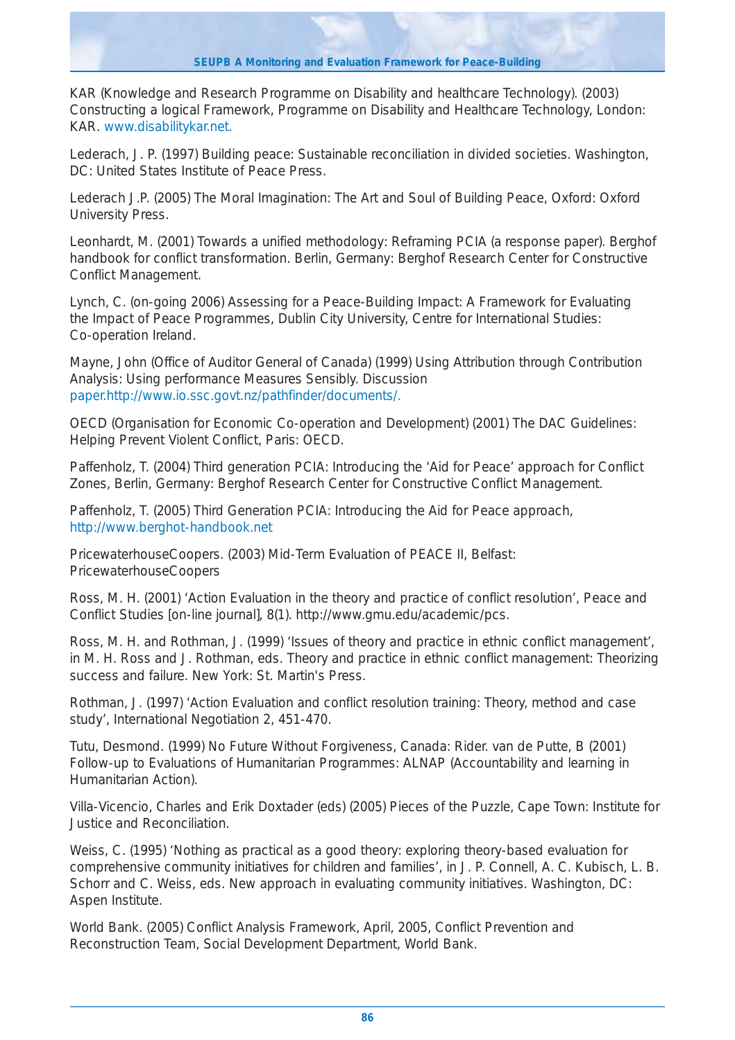KAR (Knowledge and Research Programme on Disability and healthcare Technology). (2003) Constructing a logical Framework, Programme on Disability and Healthcare Technology, London: KAR. www.disabilitykar.net.

Lederach, J. P. (1997) Building peace: Sustainable reconciliation in divided societies. Washington, DC: United States Institute of Peace Press.

Lederach J.P. (2005) The Moral Imagination: The Art and Soul of Building Peace, Oxford: Oxford University Press.

Leonhardt, M. (2001) Towards a unified methodology: Reframing PCIA (a response paper). Berghof handbook for conflict transformation. Berlin, Germany: Berghof Research Center for Constructive Conflict Management.

Lynch, C. (on-going 2006) Assessing for a Peace-Building Impact: A Framework for Evaluating the Impact of Peace Programmes, Dublin City University, Centre for International Studies: Co-operation Ireland.

Mayne, John (Office of Auditor General of Canada) (1999) Using Attribution through Contribution Analysis: Using performance Measures Sensibly. Discussion paper.http://www.io.ssc.govt.nz/pathfinder/documents/.

OECD (Organisation for Economic Co-operation and Development) (2001) The DAC Guidelines: Helping Prevent Violent Conflict, Paris: OECD.

Paffenholz, T. (2004) Third generation PCIA: Introducing the 'Aid for Peace' approach for Conflict Zones, Berlin, Germany: Berghof Research Center for Constructive Conflict Management.

Paffenholz, T. (2005) Third Generation PCIA: Introducing the Aid for Peace approach, http://www.berghot-handbook.net

PricewaterhouseCoopers. (2003) Mid-Term Evaluation of PEACE II, Belfast: PricewaterhouseCoopers

Ross, M. H. (2001) 'Action Evaluation in the theory and practice of conflict resolution', Peace and Conflict Studies [on-line journal], 8(1). http://www.gmu.edu/academic/pcs.

Ross, M. H. and Rothman, J. (1999) 'Issues of theory and practice in ethnic conflict management', in M. H. Ross and J. Rothman, eds. Theory and practice in ethnic conflict management: Theorizing success and failure. New York: St. Martin's Press.

Rothman, J. (1997) 'Action Evaluation and conflict resolution training: Theory, method and case study', International Negotiation 2, 451-470.

Tutu, Desmond. (1999) No Future Without Forgiveness, Canada: Rider. van de Putte, B (2001) Follow-up to Evaluations of Humanitarian Programmes: ALNAP (Accountability and learning in Humanitarian Action).

Villa-Vicencio, Charles and Erik Doxtader (eds) (2005) Pieces of the Puzzle, Cape Town: Institute for Justice and Reconciliation.

Weiss, C. (1995) 'Nothing as practical as a good theory: exploring theory-based evaluation for comprehensive community initiatives for children and families', in J. P. Connell, A. C. Kubisch, L. B. Schorr and C. Weiss, eds. New approach in evaluating community initiatives. Washington, DC: Aspen Institute.

World Bank. (2005) Conflict Analysis Framework, April, 2005, Conflict Prevention and Reconstruction Team, Social Development Department, World Bank.